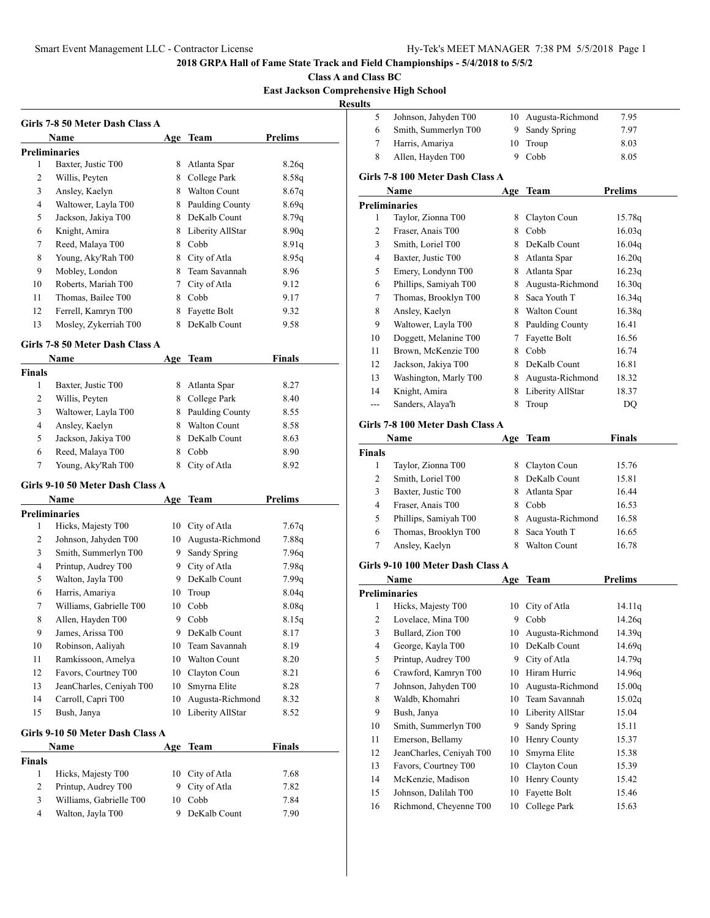**Class A and Class BC**

# **East Jackson Comprehensive High School**

**Results**

|        | Girls 7-8 50 Meter Dash Class A            |     |                                |                                 |
|--------|--------------------------------------------|-----|--------------------------------|---------------------------------|
|        | <b>Name</b>                                |     | Age Team                       | <b>Prelims</b>                  |
| 1      | <b>Preliminaries</b><br>Baxter, Justic T00 | 8.  | Atlanta Spar                   | 8.26q                           |
| 2      | Willis, Peyten                             | 8   | College Park                   | 8.58q                           |
| 3      | Ansley, Kaelyn                             |     | 8 Walton Count                 | 8.67q                           |
| 4      | Waltower, Layla T00                        | 8   | Paulding County                | 8.69q                           |
| 5      | Jackson, Jakiya T00                        | 8   | DeKalb Count                   | 8.79q                           |
| 6      | Knight, Amira                              |     | 8 Liberity AllStar             | 8.90q                           |
| 7      | Reed, Malaya T00                           |     | 8 Cobb                         | 8.91q                           |
| 8      | Young, Aky'Rah T00                         |     | 8 City of Atla                 | 8.95q                           |
| 9      | Mobley, London                             |     | 8 Team Savannah                | 8.96                            |
| 10     | Roberts, Mariah T00                        |     | 7 City of Atla                 | 9.12                            |
| 11     | Thomas, Bailee T00                         |     | 8 Cobb                         | 9.17                            |
| 12     | Ferrell, Kamryn T00                        |     | 8 Fayette Bolt                 | 9.32                            |
| 13     | Mosley, Zykerriah T00                      | 8   | DeKalb Count                   |                                 |
|        |                                            |     |                                | 9.58                            |
|        | Girls 7-8 50 Meter Dash Class A<br>Name    |     | Age Team                       | <b>Finals</b>                   |
| Finals |                                            |     |                                |                                 |
| 1      | Baxter, Justic T00                         | 8   | Atlanta Spar                   | 8.27                            |
| 2      | Willis, Peyten                             | 8   | College Park                   | 8.40                            |
| 3      | Waltower, Layla T00                        |     | 8 Paulding County              | 8.55                            |
| 4      | Ansley, Kaelyn                             |     | 8 Walton Count                 | 8.58                            |
| 5      | Jackson, Jakiya T00                        | 8   | DeKalb Count                   | 8.63                            |
| 6      | Reed, Malaya T00                           | 8   | Cobb                           | 8.90                            |
| 7      | Young, Aky'Rah T00                         | 8   | City of Atla                   | 8.92                            |
|        | Girls 9-10 50 Meter Dash Class A           |     |                                |                                 |
|        | Name                                       | Age | Team                           | <b>Prelims</b>                  |
|        | <b>Preliminaries</b>                       |     |                                |                                 |
|        | Hicks, Majesty T00                         | 10  | City of Atla                   | 7.67q                           |
| 1      |                                            |     |                                |                                 |
| 2      |                                            | 10  |                                |                                 |
| 3      | Johnson, Jahyden T00                       | 9.  | Augusta-Richmond               | 7.88q                           |
|        | Smith, Summerlyn T00                       |     | Sandy Spring                   | 7.96q                           |
| 4      | Printup, Audrey T00                        | 9.  | City of Atla<br>9 DeKalb Count |                                 |
| 5      | Walton, Jayla T00                          |     |                                | 7.98q<br>7.99q                  |
| 6      | Harris, Amariya                            | 10  | Troup                          |                                 |
| 7      | Williams, Gabrielle T00                    | 10  | Cobb                           |                                 |
| 8      | Allen, Hayden T00                          | 9   | Cobb                           |                                 |
| 9      | James, Arissa T00                          | 9.  | DeKalb Count                   | 8.04q<br>8.08q<br>8.15q<br>8.17 |
| 10     | Robinson, Aaliyah                          | 10  | Team Savannah                  | 8.19                            |
| 11     | Ramkissoon, Amelya                         |     | 10 Walton Count                | 8.20                            |
| 12     | Favors, Courtney T00                       |     | 10 Clayton Coun                | 8.21                            |
| 13     | JeanCharles, Ceniyah T00                   | 10  | Smyrna Elite                   | 8.28                            |
| 14     | Carroll, Capri T00                         | 10  | Augusta-Richmond               | 8.32                            |
| 15     | Bush, Janya                                | 10  | Liberity AllStar               | 8.52                            |
|        | Girls 9-10 50 Meter Dash Class A<br>Name   |     | Age Team                       | <b>Finals</b>                   |

|   | Hicks, Majesty T00      | 10 City of Atla | 7.68 |
|---|-------------------------|-----------------|------|
|   | Printup, Audrey T00     | 9 City of Atla  | 7.82 |
| 3 | Williams, Gabrielle T00 | 10 Cobb         | 7.84 |
| 4 | Walton, Jayla T00       | 9 DeKalb Count  | 7.90 |

|   | Johnson, Jahyden T00 | 10 Augusta-Richmond | 7.95 |  |
|---|----------------------|---------------------|------|--|
| 6 | Smith, Summerlyn T00 | 9 Sandy Spring      | 7.97 |  |
|   | Harris, Amariya      | 10 Troup            | 8.03 |  |
| 8 | Allen, Hayden T00    | 9 Cobb              | 8.05 |  |
|   |                      |                     |      |  |

### **Girls 7-8 100 Meter Dash Class A**

|     | Name                  |   | Age Team            | <b>Prelims</b> |
|-----|-----------------------|---|---------------------|----------------|
|     | <b>Preliminaries</b>  |   |                     |                |
| 1   | Taylor, Zionna T00    | 8 | Clayton Coun        | 15.78g         |
| 2   | Fraser, Anais T00     | 8 | Cobb                | 16.03q         |
| 3   | Smith, Loriel T00     | 8 | DeKalb Count        | 16.04g         |
| 4   | Baxter, Justic T00    | 8 | Atlanta Spar        | 16.20q         |
| 5   | Emery, Londynn T00    | 8 | Atlanta Spar        | 16.23q         |
| 6   | Phillips, Samiyah T00 | 8 | Augusta-Richmond    | 16.30q         |
| 7   | Thomas, Brooklyn T00  | 8 | Saca Youth T        | 16.34g         |
| 8   | Ansley, Kaelyn        | 8 | <b>Walton Count</b> | 16.38q         |
| 9   | Waltower, Layla T00   | 8 | Paulding County     | 16.41          |
| 10  | Doggett, Melanine T00 | 7 | Fayette Bolt        | 16.56          |
| 11  | Brown, McKenzie T00   | 8 | Cobb                | 16.74          |
| 12  | Jackson, Jakiya T00   | 8 | DeKalb Count        | 16.81          |
| 13  | Washington, Marly T00 | 8 | Augusta-Richmond    | 18.32          |
| 14  | Knight, Amira         | 8 | Liberity AllStar    | 18.37          |
| --- | Sanders, Alaya'h      | 8 | Troup               | DO             |

## **Girls 7-8 100 Meter Dash Class A**

|               | Name                  |   | Age Team         | <b>Finals</b> |
|---------------|-----------------------|---|------------------|---------------|
| <b>Finals</b> |                       |   |                  |               |
|               | Taylor, Zionna T00    | 8 | Clayton Coun     | 15.76         |
| 2             | Smith, Loriel T00     |   | DeKalb Count     | 15.81         |
| 3             | Baxter, Justic T00    | 8 | Atlanta Spar     | 16.44         |
| 4             | Fraser, Anais T00     |   | Cobb             | 16.53         |
| 5             | Phillips, Samiyah T00 | 8 | Augusta-Richmond | 16.58         |
| 6             | Thomas, Brooklyn T00  | 8 | Saca Youth T     | 16.65         |
|               | Ansley, Kaelyn        |   | Walton Count     | 16.78         |

### **Girls 9-10 100 Meter Dash Class A**

|    | Name                     | Age | Team             | <b>Prelims</b> |
|----|--------------------------|-----|------------------|----------------|
|    | <b>Preliminaries</b>     |     |                  |                |
| 1  | Hicks, Majesty T00       | 10  | City of Atla     | 14.11q         |
| 2  | Lovelace, Mina T00       | 9   | Cobb             | 14.26q         |
| 3  | Bullard, Zion T00        | 10  | Augusta-Richmond | 14.39q         |
| 4  | George, Kayla T00        | 10  | DeKalb Count     | 14.69g         |
| 5  | Printup, Audrey T00      | 9   | City of Atla     | 14.79q         |
| 6  | Crawford, Kamryn T00     | 10  | Hiram Hurric     | 14.96q         |
| 7  | Johnson, Jahyden T00     | 10  | Augusta-Richmond | 15.00q         |
| 8  | Waldb, Khomahri          | 10  | Team Savannah    | 15.02q         |
| 9  | Bush, Janya              | 10  | Liberity AllStar | 15.04          |
| 10 | Smith, Summerlyn T00     | 9   | Sandy Spring     | 15.11          |
| 11 | Emerson, Bellamy         | 10  | Henry County     | 15.37          |
| 12 | JeanCharles, Ceniyah T00 | 10  | Smyrna Elite     | 15.38          |
| 13 | Favors, Courtney T00     | 10  | Clayton Coun     | 15.39          |
| 14 | McKenzie, Madison        | 10  | Henry County     | 15.42          |
| 15 | Johnson, Dalilah T00     | 10  | Fayette Bolt     | 15.46          |
| 16 | Richmond, Cheyenne T00   | 10  | College Park     | 15.63          |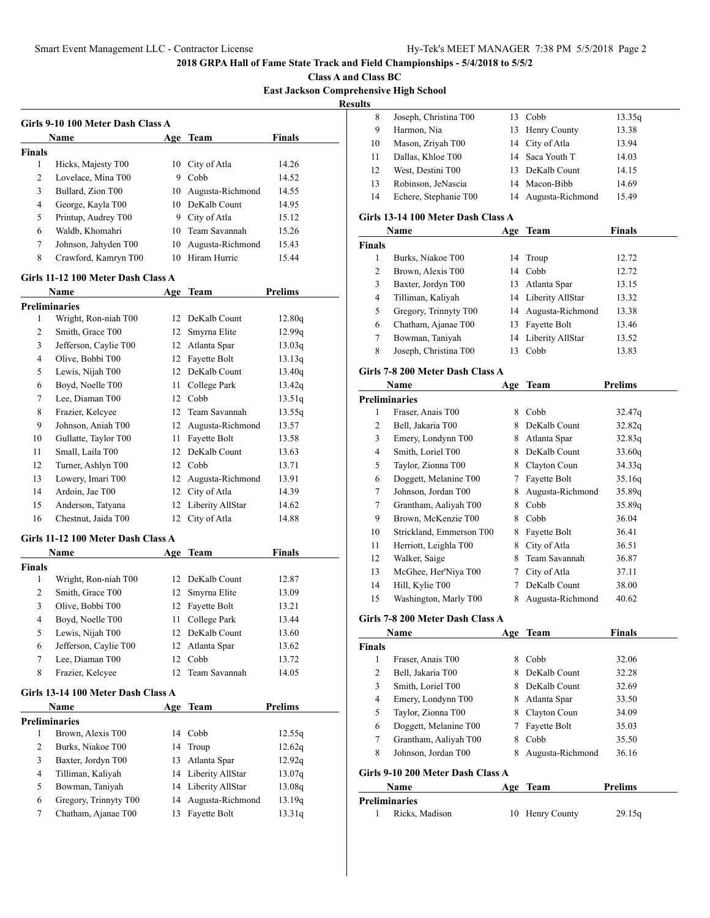**Class A and Class BC East Jackson Comprehensive High School**

**Results**

|               | Name                 | Age | Team             | <b>Finals</b> |
|---------------|----------------------|-----|------------------|---------------|
| <b>Finals</b> |                      |     |                  |               |
| 1             | Hicks, Majesty T00   |     | 10 City of Atla  | 14.26         |
| 2             | Lovelace, Mina T00   | 9   | Cobb             | 14.52         |
| 3             | Bullard, Zion T00    | 10  | Augusta-Richmond | 14.55         |
| 4             | George, Kayla T00    |     | 10 DeKalb Count  | 14.95         |
| 5             | Printup, Audrey T00  | 9   | City of Atla     | 15.12         |
| 6             | Waldb, Khomahri      | 10  | Team Savannah    | 15.26         |
| 7             | Johnson, Jahyden T00 | 10  | Augusta-Richmond | 15.43         |
| 8             | Crawford, Kamryn T00 | 10  | Hiram Hurric     | 15.44         |

## **Name Age Team Prelims Preliminaries** Wright, Ron-niah T00 12 DeKalb Count 12.80q 2 Smith, Grace T00 12 Smyrna Elite 12.99q Jefferson, Caylie T00 12 Atlanta Spar 13.03q 4 Olive, Bobbi T00 12 Fayette Bolt 13.13q 5 Lewis, Nijah T00 12 DeKalb Count 13.40q Boyd, Noelle T00 11 College Park 13.42q 7 Lee, Diaman T00 12 Cobb 13.51q Frazier, Kelcyee 12 Team Savannah 13.55q Johnson, Aniah T00 12 Augusta-Richmond 13.57 10 Gullatte, Taylor T00 11 Fayette Bolt 13.58 11 Small, Laila T00 12 DeKalb Count 13.63 Turner, Ashlyn T00 12 Cobb 13.71 Lowery, Imari T00 12 Augusta-Richmond 13.91 Ardoin, Jae T00 12 City of Atla 14.39 Anderson, Tatyana 12 Liberity AllStar 14.62

Chestnut, Jaida T00 12 City of Atla 14.88

#### **Girls 11-12 100 Meter Dash Class A**

|               | <b>Name</b>           | Age             | Team             | <b>Finals</b> |  |
|---------------|-----------------------|-----------------|------------------|---------------|--|
| <b>Finals</b> |                       |                 |                  |               |  |
| 1             | Wright, Ron-niah T00  | 12 <sup>1</sup> | DeKalb Count     | 12.87         |  |
| 2             | Smith, Grace T00      |                 | 12 Smyrna Elite  | 13.09         |  |
| 3             | Olive, Bobbi T00      |                 | 12 Fayette Bolt  | 13.21         |  |
| 4             | Boyd, Noelle T00      | 11              | College Park     | 13.44         |  |
| 5             | Lewis, Nijah T00      |                 | 12 DeKalb Count  | 13.60         |  |
| 6             | Jefferson, Caylie T00 |                 | 12 Atlanta Spar  | 13.62         |  |
| 7             | Lee, Diaman T00       | 12 <sub>1</sub> | Cobb             | 13.72         |  |
| 8             | Frazier, Kelcyee      |                 | 12 Team Savannah | 14.05         |  |

#### **Girls 13-14 100 Meter Dash Class A**

|   | <b>Name</b>           |    | Age Team            | Prelims |
|---|-----------------------|----|---------------------|---------|
|   | <b>Preliminaries</b>  |    |                     |         |
|   | Brown, Alexis T00     | 14 | Cobb                | 12.55q  |
| 2 | Burks, Niakoe T00     |    | 14 Troup            | 12.62q  |
| 3 | Baxter, Jordyn T00    |    | 13 Atlanta Spar     | 12.92q  |
| 4 | Tilliman, Kaliyah     |    | 14 Liberity AllStar | 13.07q  |
| 5 | Bowman, Taniyah       |    | 14 Liberity AllStar | 13.08q  |
| 6 | Gregory, Trinnyty T00 |    | 14 Augusta-Richmond | 13.19q  |
|   | Chatham, Ajanae T00   | 13 | Fayette Bolt        | 13.31q  |

| . . |                       |                     |        |
|-----|-----------------------|---------------------|--------|
| 8   | Joseph, Christina T00 | 13 Cobb             | 13.35q |
| 9   | Harmon, Nia           | 13 Henry County     | 13.38  |
| 10  | Mason, Zriyah T00     | 14 City of Atla     | 13.94  |
| 11  | Dallas, Khloe T00     | 14 Saca Youth T     | 14.03  |
| 12  | West, Destini T00     | 13 DeKalb Count     | 14.15  |
| 13  | Robinson, JeNascia    | 14 Macon-Bibb       | 14.69  |
| 14  | Echere, Stephanie T00 | 14 Augusta-Richmond | 15.49  |

#### **Girls 13-14 100 Meter Dash Class A**

| Name          |                       | Age | Team                | Finals |  |
|---------------|-----------------------|-----|---------------------|--------|--|
| <b>Finals</b> |                       |     |                     |        |  |
|               | Burks, Niakoe T00     | 14  | Troup               | 12.72  |  |
| 2             | Brown, Alexis T00     |     | 14 Cobb             | 12.72  |  |
| 3             | Baxter, Jordyn T00    |     | 13 Atlanta Spar     | 13.15  |  |
| 4             | Tilliman, Kaliyah     |     | 14 Liberity AllStar | 13.32  |  |
| 5             | Gregory, Trinnyty T00 |     | 14 Augusta-Richmond | 13.38  |  |
| 6             | Chatham, Ajanae T00   | 13  | Fayette Bolt        | 13.46  |  |
| 7             | Bowman, Taniyah       |     | 14 Liberity AllStar | 13.52  |  |
| 8             | Joseph, Christina T00 | 13  | Cobb                | 13.83  |  |

## **Girls 7-8 200 Meter Dash Class A**

|    | Name                     |   | Age Team         | Prelims |  |
|----|--------------------------|---|------------------|---------|--|
|    | Preliminaries            |   |                  |         |  |
| 1  | Fraser, Anais T00        | 8 | Cobb             | 32.47q  |  |
| 2  | Bell, Jakaria T00        | 8 | DeKalb Count     | 32.82q  |  |
| 3  | Emery, Londynn T00       | 8 | Atlanta Spar     | 32.83q  |  |
| 4  | Smith, Loriel T00        | 8 | DeKalb Count     | 33.60q  |  |
| 5  | Taylor, Zionna T00       | 8 | Clayton Coun     | 34.33g  |  |
| 6  | Doggett, Melanine T00    | 7 | Fayette Bolt     | 35.16q  |  |
| 7  | Johnson, Jordan T00      | 8 | Augusta-Richmond | 35.89g  |  |
| 7  | Grantham, Aaliyah T00    | 8 | Cobb             | 35.89q  |  |
| 9  | Brown, McKenzie T00      | 8 | Cobb             | 36.04   |  |
| 10 | Strickland, Emmerson T00 | 8 | Fayette Bolt     | 36.41   |  |
| 11 | Herriott, Leighla T00    | 8 | City of Atla     | 36.51   |  |
| 12 | Walker, Saige            | 8 | Team Savannah    | 36.87   |  |
| 13 | McGhee, Her'Niya T00     | 7 | City of Atla     | 37.11   |  |
| 14 | Hill, Kylie T00          |   | DeKalb Count     | 38.00   |  |
| 15 | Washington, Marly T00    | 8 | Augusta-Richmond | 40.62   |  |

### **Girls 7-8 200 Meter Dash Class A**

| Name          |                                   | Age | Team             | <b>Finals</b> |  |
|---------------|-----------------------------------|-----|------------------|---------------|--|
| <b>Finals</b> |                                   |     |                  |               |  |
| 1             | Fraser, Anais T00                 | 8   | Cobb             | 32.06         |  |
| 2             | Bell, Jakaria T00                 | 8   | DeKalb Count     | 32.28         |  |
| 3             | Smith, Loriel T00                 | 8   | DeKalb Count     | 32.69         |  |
| 4             | Emery, Londynn T00                | 8   | Atlanta Spar     | 33.50         |  |
| 5             | Taylor, Zionna T00                | 8   | Clayton Coun     | 34.09         |  |
| 6             | Doggett, Melanine T00             |     | Fayette Bolt     | 35.03         |  |
| 7             | Grantham, Aaliyah T00             | 8   | Cobb             | 35.50         |  |
| 8             | Johnson, Jordan T00               | 8   | Augusta-Richmond | 36.16         |  |
|               | Girls 9-10 200 Meter Dash Class A |     |                  |               |  |
|               | Name                              | Age | Team             | Prelims       |  |

| Preliminaries  |                 |        |  |
|----------------|-----------------|--------|--|
| Ricks. Madison | 10 Henry County | 29.15q |  |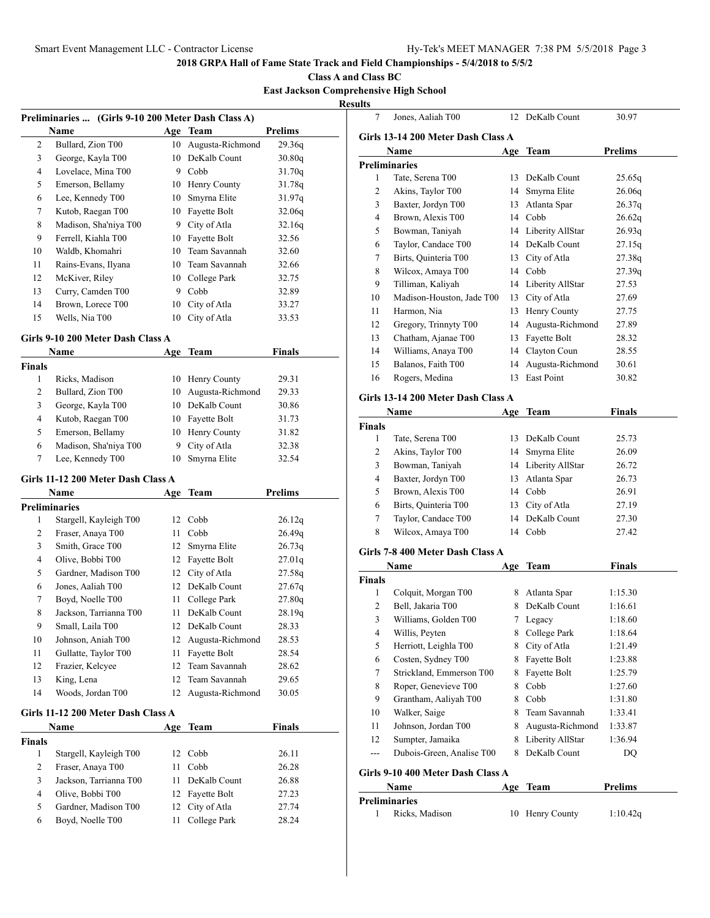**Class A and Class BC**

# **East Jackson Comprehensive High School**

**Resul** 

| Preliminaries  (Girls 9-10 200 Meter Dash Class A) |                                   |     |                  |                |  |
|----------------------------------------------------|-----------------------------------|-----|------------------|----------------|--|
|                                                    | Name                              |     | Age Team         | <b>Prelims</b> |  |
| 2                                                  | Bullard, Zion T00                 | 10  | Augusta-Richmond | 29.36q         |  |
| 3                                                  | George, Kayla T00                 | 10  | DeKalb Count     | 30.80q         |  |
| $\overline{4}$                                     | Lovelace, Mina T00                |     | 9 Cobb           | 31.70q         |  |
| 5                                                  | Emerson, Bellamy                  | 10  | Henry County     | 31.78q         |  |
| 6                                                  | Lee, Kennedy T00                  | 10  | Smyrna Elite     | 31.97q         |  |
| 7                                                  | Kutob, Raegan T00                 | 10  | Fayette Bolt     | 32.06q         |  |
| 8                                                  | Madison, Sha'niya T00             | 9   | City of Atla     | 32.16q         |  |
| 9                                                  | Ferrell, Kiahla T00               | 10  | Fayette Bolt     | 32.56          |  |
| 10                                                 | Waldb, Khomahri                   | 10  | Team Savannah    | 32.60          |  |
| 11                                                 | Rains-Evans, Ilyana               |     | 10 Team Savannah | 32.66          |  |
| 12                                                 | McKiver, Riley                    | 10  | College Park     | 32.75          |  |
| 13                                                 | Curry, Camden T00                 |     | 9 Cobb           | 32.89          |  |
| 14                                                 | Brown, Lorece T00                 | 10  | City of Atla     | 33.27          |  |
| 15                                                 | Wells, Nia T00                    | 10  | City of Atla     | 33.53          |  |
|                                                    | Girls 9-10 200 Meter Dash Class A |     |                  |                |  |
|                                                    | <b>Name</b>                       | Age | <b>Team</b>      | <b>Finals</b>  |  |
| <b>Finals</b>                                      |                                   |     |                  |                |  |
| $\mathbf{1}$                                       | Ricks, Madison                    | 10  | Henry County     | 29.31          |  |
| 2                                                  | Bullard, Zion T00                 | 10  | Augusta-Richmond | 29.33          |  |
| 3                                                  | George, Kayla T00                 | 10  | DeKalb Count     | 30.86          |  |
| $\overline{4}$                                     | Kutob, Raegan T00                 | 10  | Fayette Bolt     | 31.73          |  |
| 5                                                  | Emerson, Bellamy                  | 10  | Henry County     | 31.82          |  |
| 6                                                  | Madison, Sha'niya T00             | 9   | City of Atla     | 32.38          |  |
| 7                                                  | Lee, Kennedy T00                  | 10  | Smyrna Elite     | 32.54          |  |
| Girls 11-12 200 Meter Dash Class A                 |                                   |     |                  |                |  |
|                                                    | <b>Name</b>                       | Age | Team             | <b>Prelims</b> |  |

|    | Name                               |    | Age Team         | Prelims |
|----|------------------------------------|----|------------------|---------|
|    | <b>Preliminaries</b>               |    |                  |         |
| 1  | Stargell, Kayleigh T00             | 12 | Cobb             | 26.12q  |
| 2  | Fraser, Anaya T00                  | 11 | Cobb             | 26.49q  |
| 3  | Smith, Grace T00                   | 12 | Smyrna Elite     | 26.73q  |
| 4  | Olive, Bobbi T00                   | 12 | Fayette Bolt     | 27.01q  |
| 5  | Gardner, Madison T00               | 12 | City of Atla     | 27.58q  |
| 6  | Jones, Aaliah T00                  | 12 | DeKalb Count     | 27.67q  |
| 7  | Boyd, Noelle T00                   | 11 | College Park     | 27.80q  |
| 8  | Jackson, Tarrianna T00             | 11 | DeKalb Count     | 28.19q  |
| 9  | Small, Laila T00                   | 12 | DeKalb Count     | 28.33   |
| 10 | Johnson, Aniah T00                 | 12 | Augusta-Richmond | 28.53   |
| 11 | Gullatte, Taylor T00               | 11 | Fayette Bolt     | 28.54   |
| 12 | Frazier, Kelcyee                   | 12 | Team Savannah    | 28.62   |
| 13 | King, Lena                         | 12 | Team Savannah    | 29.65   |
| 14 | Woods, Jordan T00                  | 12 | Augusta-Richmond | 30.05   |
|    | Girls 11-12 200 Meter Dash Class A |    |                  |         |

|        | <b>Name</b>            | Age Team        | <b>Finals</b> |  |
|--------|------------------------|-----------------|---------------|--|
| Finals |                        |                 |               |  |
|        | Stargell, Kayleigh T00 | 12 Cobb         | 26.11         |  |
| 2      | Fraser, Anaya T00      | Cobb            | 26.28         |  |
| 3      | Jackson, Tarrianna T00 | 11 DeKalb Count | 26.88         |  |
| 4      | Olive, Bobbi T00       | 12 Fayette Bolt | 27.23         |  |
| 5      | Gardner, Madison T00   | 12 City of Atla | 27.74         |  |
| 6      | Boyd, Noelle T00       | College Park    | 28.24         |  |
|        |                        |                 |               |  |

| ults           |                                    |     |                     |                |
|----------------|------------------------------------|-----|---------------------|----------------|
| 7              | Jones, Aaliah T00                  |     | 12 DeKalb Count     | 30.97          |
|                | Girls 13-14 200 Meter Dash Class A |     |                     |                |
|                | Name                               | Age | Team                | <b>Prelims</b> |
|                | <b>Preliminaries</b>               |     |                     |                |
| 1              | Tate, Serena T00                   |     | 13 DeKalb Count     | 25.65q         |
| 2              | Akins, Taylor T00                  | 14  | Smyrna Elite        | 26.06q         |
| 3              | Baxter, Jordyn T00                 | 13  | Atlanta Spar        | 26.37q         |
| 4              | Brown, Alexis T00                  | 14  | Cobb                | 26.62q         |
| 5              | Bowman, Taniyah                    |     | 14 Liberity AllStar | 26.93q         |
| 6              | Taylor, Candace T00                |     | 14 DeKalb Count     | 27.15q         |
| 7              | Birts, Quinteria T00               | 13  | City of Atla        | 27.38q         |
| 8              | Wilcox, Amaya T00                  | 14  | Cobb                | 27.39q         |
| 9              | Tilliman, Kaliyah                  | 14  | Liberity AllStar    | 27.53          |
| 10             | Madison-Houston, Jade T00          | 13  | City of Atla        | 27.69          |
| 11             | Harmon, Nia                        | 13  | Henry County        | 27.75          |
| 12             | Gregory, Trinnyty T00              | 14  | Augusta-Richmond    | 27.89          |
| 13             | Chatham, Ajanae T00                |     | 13 Fayette Bolt     | 28.32          |
| 14             | Williams, Anaya T00                |     | 14 Clayton Coun     | 28.55          |
| 15             | Balanos, Faith T00                 |     | 14 Augusta-Richmond | 30.61          |
| 16             | Rogers, Medina                     | 13  | East Point          | 30.82          |
|                | Girls 13-14 200 Meter Dash Class A |     |                     |                |
|                | Name                               | Age | <b>Team</b>         | <b>Finals</b>  |
| <b>Finals</b>  |                                    |     |                     |                |
| 1              | Tate, Serena T00                   | 13  | DeKalb Count        | 25.73          |
| 2              | Akins, Taylor T00                  | 14  | Smyrna Elite        | 26.09          |
| 3              | Bowman, Taniyah                    |     | 14 Liberity AllStar | 26.72          |
| $\overline{4}$ | Baxter, Jordyn T00                 | 13  | Atlanta Spar        | 26.73          |
| 5              | Brown, Alexis T00                  |     | 14 Cobb             | 26.91          |
| 6              | Birts, Quinteria T00               | 13  | City of Atla        | 27.19          |
| 7              | Taylor, Candace T00                |     | 14 DeKalb Count     | 27.30          |
| 8              | Wilcox, Amaya T00                  | 14  | Cobb                | 27.42          |
|                | Girls 7-8 400 Meter Dash Class A   |     |                     |                |
|                | Name                               | Age | Team                | <b>Finals</b>  |
| <b>Finals</b>  |                                    |     |                     |                |
| 1              | Colquit, Morgan T00                | 8   | Atlanta Spar        | 1:15.30        |
| 2              | Bell, Jakaria T00                  | 8   | DeKalb Count        | 1:16.61        |
| 3              | Williams, Golden T00               | 7   | Legacy              | 1:18.60        |
| 4              | Willis, Peyten                     | 8   | College Park        | 1:18.64        |
| 5              | Herriott, Leighla T00              | 8.  | City of Atla        | 1:21.49        |
| 6              | Costen, Sydney T00                 | 8.  | Fayette Bolt        | 1:23.88        |
| 7              | Strickland, Emmerson T00           | 8.  | Fayette Bolt        | 1:25.79        |
| 8              | Roper, Genevieve T00               | 8   | Cobb                | 1:27.60        |
| 9              | Grantham, Aaliyah T00              | 8   | Cobb                | 1:31.80        |
| 10             | Walker, Saige                      | 8.  | Team Savannah       | 1:33.41        |
| 11             | Johnson, Jordan T00                | 8   | Augusta-Richmond    | 1:33.87        |
| 12             | Sumpter, Jamaika                   | 8   | Liberity AllStar    | 1:36.94        |
| $---$          | Dubois-Green, Analise T00          | 8   | DeKalb Count        | DQ             |
|                | Girls 9-10 400 Meter Dash Class A  |     |                     |                |
|                | Name                               | Age | <b>Team</b>         | <b>Prelims</b> |
|                | <b>Preliminaries</b>               |     |                     |                |
| 1              | Ricks, Madison                     | 10  | Henry County        | 1:10.42q       |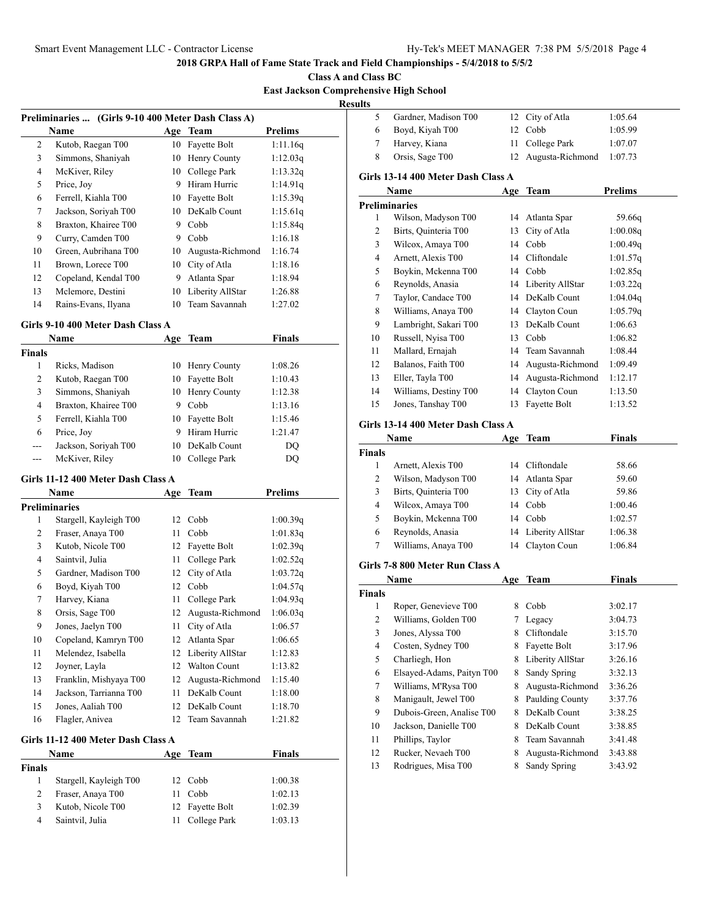**Class A and Class BC East Jackson Comprehensive High School**

**Results**

|    | Preliminaries  (Girls 9-10 400 Meter Dash Class A) |    |                  |                |
|----|----------------------------------------------------|----|------------------|----------------|
|    | Name                                               |    | Age Team         | <b>Prelims</b> |
| 2  | Kutob, Raegan T00                                  | 10 | Fayette Bolt     | 1:11.16q       |
| 3  | Simmons, Shaniyah                                  | 10 | Henry County     | 1:12.03q       |
| 4  | McKiver, Riley                                     | 10 | College Park     | 1:13.32q       |
| 5  | Price, Joy                                         | 9  | Hiram Hurric     | 1:14.91q       |
| 6  | Ferrell, Kiahla T00                                | 10 | Fayette Bolt     | 1:15.39q       |
| 7  | Jackson, Soriyah T00                               | 10 | DeKalb Count     | 1:15.61q       |
| 8  | Braxton, Khairee T00                               | 9  | Cobb             | 1:15.84q       |
| 9  | Curry, Camden T00                                  | 9  | Cobb             | 1:16.18        |
| 10 | Green, Aubrihana T00                               | 10 | Augusta-Richmond | 1:16.74        |
| 11 | Brown, Lorece T00                                  | 10 | City of Atla     | 1:18.16        |
| 12 | Copeland, Kendal T00                               | 9  | Atlanta Spar     | 1:18.94        |
| 13 | Mclemore, Destini                                  | 10 | Liberity AllStar | 1:26.88        |
| 14 | Rains-Evans, Ilyana                                | 10 | Team Savannah    | 1:27.02        |

### **Girls 9-10 400 Meter Dash Class A**

|               | Name                 | Age | Team            | Finals  |  |
|---------------|----------------------|-----|-----------------|---------|--|
| <b>Finals</b> |                      |     |                 |         |  |
| 1             | Ricks, Madison       | 10  | Henry County    | 1:08.26 |  |
| 2             | Kutob, Raegan T00    | 10  | Fayette Bolt    | 1:10.43 |  |
| 3             | Simmons, Shaniyah    |     | 10 Henry County | 1:12.38 |  |
| 4             | Braxton, Khairee T00 | 9   | Cobb            | 1:13.16 |  |
| 5             | Ferrell, Kiahla T00  |     | 10 Fayette Bolt | 1:15.46 |  |
| 6             | Price, Joy           | 9   | Hiram Hurric    | 1:21.47 |  |
| $---$         | Jackson, Soriyah T00 | 10  | DeKalb Count    | DO.     |  |
| ---           | McKiver, Riley       |     | College Park    | DO      |  |

## **Girls 11-12 400 Meter Dash Class A**

|                | Name                               |     | Age Team            | <b>Prelims</b> |  |  |
|----------------|------------------------------------|-----|---------------------|----------------|--|--|
|                | <b>Preliminaries</b>               |     |                     |                |  |  |
| 1              | Stargell, Kayleigh T00             | 12  | Cobb                | 1:00.39q       |  |  |
| 2              | Fraser, Anaya T00                  | 11  | Cobb                | 1:01.83q       |  |  |
| 3              | Kutob, Nicole T00                  | 12  | Fayette Bolt        | 1:02.39q       |  |  |
| $\overline{4}$ | Saintvil, Julia                    | 11  | College Park        | 1:02.52q       |  |  |
| 5              | Gardner, Madison T00               | 12  | City of Atla        | 1:03.72q       |  |  |
| 6              | Boyd, Kiyah T00                    | 12  | Cobb                | 1:04.57q       |  |  |
| 7              | Harvey, Kiana                      | 11  | College Park        | 1:04.93q       |  |  |
| 8              | Orsis, Sage T00                    | 12  | Augusta-Richmond    | 1:06.03q       |  |  |
| 9              | Jones, Jaelyn T00                  | 11  | City of Atla        | 1:06.57        |  |  |
| 10             | Copeland, Kamryn T00               | 12  | Atlanta Spar        | 1:06.65        |  |  |
| 11             | Melendez, Isabella                 | 12  | Liberity AllStar    | 1:12.83        |  |  |
| 12             | Joyner, Layla                      | 12  | <b>Walton Count</b> | 1:13.82        |  |  |
| 13             | Franklin, Mishyaya T00             | 12  | Augusta-Richmond    | 1:15.40        |  |  |
| 14             | Jackson, Tarrianna T00             | 11  | DeKalb Count        | 1:18.00        |  |  |
| 15             | Jones, Aaliah T00                  | 12  | DeKalb Count        | 1:18.70        |  |  |
| 16             | Flagler, Anivea                    | 12  | Team Savannah       | 1:21.82        |  |  |
|                | Girls 11-12 400 Meter Dash Class A |     |                     |                |  |  |
|                | Name                               | Age | <b>Team</b>         | Finals         |  |  |
| <b>Finals</b>  |                                    |     |                     |                |  |  |
| 1              | Stargell, Kayleigh T00             | 12  | Cobb                | 1:00.38        |  |  |
| $\overline{2}$ | Fraser, Anaya T00                  | 11  | Cobb                | 1:02.13        |  |  |

3 Kutob, Nicole T00 12 Fayette Bolt 1:02.39 Saintvil, Julia 11 College Park 1:03.13

| 5                         | Gardner, Madison T00               | 12  | City of Atla        | 1:05.64              |
|---------------------------|------------------------------------|-----|---------------------|----------------------|
| 6                         | Boyd, Kiyah T00                    | 12  | Cobb                | 1:05.99              |
| 7                         | Harvey, Kiana                      | 11  | College Park        | 1:07.07              |
| 8                         | Orsis, Sage T00                    | 12  | Augusta-Richmond    | 1:07.73              |
|                           | Girls 13-14 400 Meter Dash Class A |     |                     |                      |
|                           |                                    |     |                     |                      |
|                           | Name                               | Age | <b>Team</b>         | Prelims              |
| <b>Preliminaries</b><br>1 | Wilson, Madyson T00                | 14  | Atlanta Spar        | 59.66q               |
| 2                         | Birts, Quinteria T00               |     | 13 City of Atla     | 1:00.08q             |
| 3                         | Wilcox, Amaya T00                  |     | 14 Cobb             |                      |
| 4                         | Arnett, Alexis T00                 |     | 14 Cliftondale      | 1:00.49q<br>1:01.57q |
| 5                         | Boykin, Mckenna T00                |     | 14 Cobb             | 1:02.85q             |
|                           |                                    |     | 14 Liberity AllStar |                      |
| 6                         | Reynolds, Anasia                   |     |                     | 1:03.22q             |
| 7                         | Taylor, Candace T00                |     | 14 DeKalb Count     | 1:04.04q             |
| 8                         | Williams, Anaya T00                |     | 14 Clayton Coun     | 1:05.79q             |
| 9                         | Lambright, Sakari T00              | 13  | DeKalb Count        | 1:06.63              |
| 10                        | Russell, Nyisa T00                 |     | 13 Cobb             | 1:06.82              |
| 11                        | Mallard, Ernajah                   |     | 14 Team Savannah    | 1:08.44              |
| 12                        | Balanos, Faith T00                 |     | 14 Augusta-Richmond | 1:09.49              |
| 13                        | Eller, Tayla T00                   | 14  | Augusta-Richmond    | 1:12.17              |
| 14                        | Williams, Destiny T00              | 14  | Clayton Coun        | 1:13.50              |
| 15                        | Jones, Tanshay T00                 | 13  | Fayette Bolt        | 1:13.52              |
|                           | Girls 13-14 400 Meter Dash Class A |     |                     |                      |
|                           | Name                               | Age | <b>Team</b>         | <b>Finals</b>        |
| <b>Finals</b>             |                                    |     |                     |                      |
| 1                         | Arnett, Alexis T00                 | 14  | Cliftondale         | 58.66                |
| 2                         | Wilson, Madyson T00                |     | 14 Atlanta Spar     | 59.60                |
| 3                         | Birts, Quinteria T00               | 13  | City of Atla        | 59.86                |
| 4                         | Wilcox, Amaya T00                  | 14  | Cobb                | 1:00.46              |
| 5                         | Boykin, Mckenna T00                | 14  | Cobb                | 1:02.57              |
| 6                         | Reynolds, Anasia                   | 14  | Liberity AllStar    | 1:06.38              |
| 7                         | Williams, Anaya T00                | 14  | Clayton Coun        | 1:06.84              |
|                           | Girls 7-8 800 Meter Run Class A    |     |                     |                      |
|                           | Name                               | Age | Team                | <b>Finals</b>        |
| <b>Finals</b>             |                                    |     |                     |                      |
| 1                         | Roper, Genevieve T00               | 8   | Cobb                | 3:02.17              |
| 2                         | Williams, Golden T00               | 7   | Legacy              | 3:04.73              |
| 3                         | Jones, Alyssa T00                  | 8   | Cliftondale         | 3:15.70              |
| 4                         | Costen, Sydney T00                 | 8   | Fayette Bolt        | 3:17.96              |
| 5                         | Charliegh, Hon                     | 8   | Liberity AllStar    | 3:26.16              |
| 6                         | Elsayed-Adams, Paityn T00          | 8   | Sandy Spring        | 3:32.13              |
| 7                         | Williams, M'Rysa T00               | 8   | Augusta-Richmond    | 3:36.26              |
| 8                         | Manigault, Jewel T00               | 8   | Paulding County     | 3:37.76              |
| 9                         | Dubois-Green, Analise T00          | 8   | DeKalb Count        | 3:38.25              |
| 10                        | Jackson, Danielle T00              | 8   | DeKalb Count        | 3:38.85              |
| 11                        | Phillips, Taylor                   | 8   | Team Savannah       | 3:41.48              |
| 12                        | Rucker, Nevaeh T00                 | 8   | Augusta-Richmond    | 3:43.88              |
| 13                        | Rodrigues, Misa T00                | 8   | Sandy Spring        | 3:43.92              |
|                           |                                    |     |                     |                      |
|                           |                                    |     |                     |                      |
|                           |                                    |     |                     |                      |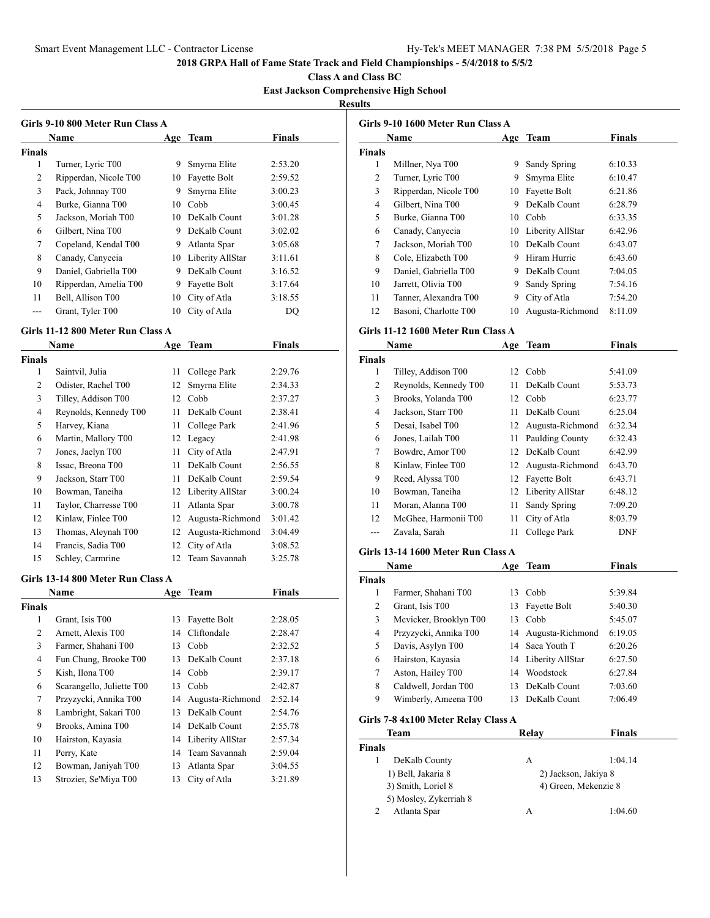**Class A and Class BC**

**East Jackson Comprehensive High School**

# **Results**

| <b>Girls 9-10 800 Meter Run Class A</b> |                       |     |                  |               |  |  |
|-----------------------------------------|-----------------------|-----|------------------|---------------|--|--|
|                                         | <b>Name</b>           | Age | Team             | <b>Finals</b> |  |  |
| Finals                                  |                       |     |                  |               |  |  |
| 1                                       | Turner, Lyric T00     | 9   | Smyrna Elite     | 2:53.20       |  |  |
| 2                                       | Ripperdan, Nicole T00 | 10  | Fayette Bolt     | 2:59.52       |  |  |
| 3                                       | Pack, Johnnay T00     | 9   | Smyrna Elite     | 3:00.23       |  |  |
| 4                                       | Burke, Gianna T00     | 10  | Cobb             | 3:00.45       |  |  |
| 5                                       | Jackson, Moriah T00   | 10  | DeKalb Count     | 3:01.28       |  |  |
| 6                                       | Gilbert, Nina T00     | 9   | DeKalb Count     | 3:02.02       |  |  |
| 7                                       | Copeland, Kendal T00  | 9   | Atlanta Spar     | 3:05.68       |  |  |
| 8                                       | Canady, Canyecia      | 10  | Liberity AllStar | 3:11.61       |  |  |
| 9                                       | Daniel, Gabriella T00 | 9   | DeKalb Count     | 3:16.52       |  |  |
| 10                                      | Ripperdan, Amelia T00 | 9   | Fayette Bolt     | 3:17.64       |  |  |
| 11                                      | Bell, Allison T00     | 10  | City of Atla     | 3:18.55       |  |  |
|                                         | Grant, Tyler T00      | 10  | City of Atla     | DO            |  |  |

#### **Girls 11-12 800 Meter Run Class A**

| Name          |                       |    | Age Team         | Finals  |  |
|---------------|-----------------------|----|------------------|---------|--|
| <b>Finals</b> |                       |    |                  |         |  |
| 1             | Saintvil, Julia       | 11 | College Park     | 2:29.76 |  |
| 2             | Odister, Rachel T00   | 12 | Smyrna Elite     | 2:34.33 |  |
| 3             | Tilley, Addison T00   | 12 | Cobb             | 2:37.27 |  |
| 4             | Reynolds, Kennedy T00 | 11 | DeKalb Count     | 2:38.41 |  |
| 5             | Harvey, Kiana         | 11 | College Park     | 2:41.96 |  |
| 6             | Martin, Mallory T00   | 12 | Legacy           | 2:41.98 |  |
| 7             | Jones, Jaelyn T00     | 11 | City of Atla     | 2:47.91 |  |
| 8             | Issac, Breona T00     | 11 | DeKalb Count     | 2:56.55 |  |
| 9             | Jackson, Starr T00    | 11 | DeKalb Count     | 2:59.54 |  |
| 10            | Bowman, Taneiha       | 12 | Liberity AllStar | 3:00.24 |  |
| 11            | Taylor, Charresse T00 | 11 | Atlanta Spar     | 3:00.78 |  |
| 12            | Kinlaw, Finlee T00    | 12 | Augusta-Richmond | 3:01.42 |  |
| 13            | Thomas, Aleynah T00   | 12 | Augusta-Richmond | 3:04.49 |  |
| 14            | Francis, Sadia T00    | 12 | City of Atla     | 3:08.52 |  |
| 15            | Schley, Carmrine      | 12 | Team Savannah    | 3:25.78 |  |

#### **Girls 13-14 800 Meter Run Class A**

| <b>Name</b>               | Age | <b>Team</b>         | Finals                         |
|---------------------------|-----|---------------------|--------------------------------|
| <b>Finals</b>             |     |                     |                                |
| Grant, Isis T00           | 13  | <b>Fayette Bolt</b> | 2:28.05                        |
| Arnett, Alexis T00        | 14  | Cliftondale         | 2:28.47                        |
| Farmer, Shahani T00       | 13  | Cobb                | 2:32.52                        |
| Fun Chung, Brooke T00     | 13  | DeKalb Count        | 2:37.18                        |
| Kish, Ilona T00           |     |                     | 2:39.17                        |
| Scarangello, Juliette T00 | 13  | Cobb                | 2:42.87                        |
| Przyzycki, Annika T00     | 14  | Augusta-Richmond    | 2:52.14                        |
| Lambright, Sakari T00     | 13  | DeKalb Count        | 2:54.76                        |
| Brooks, Amina T00         | 14  | DeKalb Count        | 2:55.78                        |
| Hairston, Kayasia         |     |                     | 2:57.34                        |
| Perry, Kate               | 14  | Team Savannah       | 2:59.04                        |
| Bowman, Janiyah T00       | 13  | Atlanta Spar        | 3:04.55                        |
| Strozier, Se'Miya T00     | 13  | City of Atla        | 3:21.89                        |
|                           |     |                     | 14 Cobb<br>14 Liberity AllStar |

| Girls 9-10 1600 Meter Run Class A |                       |    |                  |               |  |
|-----------------------------------|-----------------------|----|------------------|---------------|--|
|                                   | <b>Name</b>           |    | Age Team         | <b>Finals</b> |  |
| <b>Finals</b>                     |                       |    |                  |               |  |
| 1                                 | Millner, Nya T00      | 9  | Sandy Spring     | 6:10.33       |  |
| 2                                 | Turner, Lyric T00     | 9  | Smyrna Elite     | 6:10.47       |  |
| 3                                 | Ripperdan, Nicole T00 | 10 | Fayette Bolt     | 6:21.86       |  |
| 4                                 | Gilbert, Nina T00     | 9  | DeKalb Count     | 6:28.79       |  |
| 5                                 | Burke, Gianna T00     | 10 | Cobb             | 6:33.35       |  |
| 6                                 | Canady, Canyecia      | 10 | Liberity AllStar | 6:42.96       |  |
| 7                                 | Jackson, Moriah T00   | 10 | DeKalb Count     | 6:43.07       |  |
| 8                                 | Cole, Elizabeth T00   | 9  | Hiram Hurric     | 6:43.60       |  |
| 9                                 | Daniel, Gabriella T00 | 9  | DeKalb Count     | 7:04.05       |  |
| 10                                | Jarrett, Olivia T00   | 9  | Sandy Spring     | 7:54.16       |  |
| 11                                | Tanner, Alexandra T00 | 9  | City of Atla     | 7:54.20       |  |
| 12                                | Basoni, Charlotte T00 | 10 | Augusta-Richmond | 8:11.09       |  |

## **Girls 11-12 1600 Meter Run Class A**

|               | Name                  | Age | <b>Team</b>         | Finals     |
|---------------|-----------------------|-----|---------------------|------------|
| <b>Finals</b> |                       |     |                     |            |
| 1             | Tilley, Addison T00   | 12  | Cobb                | 5:41.09    |
| 2             | Reynolds, Kennedy T00 | 11  | DeKalb Count        | 5:53.73    |
| 3             | Brooks, Yolanda T00   | 12  | Cobb                | 6:23.77    |
| 4             | Jackson, Starr T00    | 11  | DeKalb Count        | 6:25.04    |
| 5             | Desai, Isabel T00     | 12  | Augusta-Richmond    | 6:32.34    |
| 6             | Jones, Lailah T00     | 11  | Paulding County     | 6:32.43    |
| 7             | Bowdre, Amor T00      | 12  | DeKalb Count        | 6:42.99    |
| 8             | Kinlaw, Finlee T00    | 12. | Augusta-Richmond    | 6:43.70    |
| 9             | Reed, Alyssa T00      | 12  | Fayette Bolt        | 6:43.71    |
| 10            | Bowman, Taneiha       |     | 12 Liberity AllStar | 6:48.12    |
| 11            | Moran, Alanna T00     | 11  | Sandy Spring        | 7:09.20    |
| 12            | McGhee, Harmonii T00  | 11  | City of Atla        | 8:03.79    |
| ---           | Zavala, Sarah         | 11  | College Park        | <b>DNF</b> |

#### **Girls 13-14 1600 Meter Run Class A**

|               | Name                   | Age | <b>Team</b>         | Finals  |
|---------------|------------------------|-----|---------------------|---------|
| <b>Finals</b> |                        |     |                     |         |
| 1             | Farmer, Shahani T00    | 13  | Cobb                | 5:39.84 |
| 2             | Grant, Isis T00        |     | 13 Fayette Bolt     | 5:40.30 |
| 3             | Mcvicker, Brooklyn T00 | 13  | Cobb                | 5:45.07 |
| 4             | Przyzycki, Annika T00  |     | 14 Augusta-Richmond | 6:19.05 |
| 5             | Davis, Asylyn T00      |     | 14 Saca Youth T     | 6:20.26 |
| 6             | Hairston, Kayasia      |     | 14 Liberity AllStar | 6:27.50 |
| 7             | Aston, Hailey T00      | 14  | Woodstock           | 6:27.84 |
| 8             | Caldwell, Jordan T00   | 13  | DeKalb Count        | 7:03.60 |
| 9             | Wimberly, Ameena T00   | 13  | DeKalb Count        | 7:06.49 |

## **Girls 7-8 4x100 Meter Relay Class A**

| Team                   | Relay                | <b>Finals</b> |
|------------------------|----------------------|---------------|
| <b>Finals</b>          |                      |               |
| DeKalb County          | А                    | 1:04.14       |
| 1) Bell, Jakaria 8     | 2) Jackson, Jakiya 8 |               |
| 3) Smith, Loriel 8     | 4) Green, Mekenzie 8 |               |
| 5) Mosley, Zykerriah 8 |                      |               |
| Atlanta Spar           | А                    | 1:04.60       |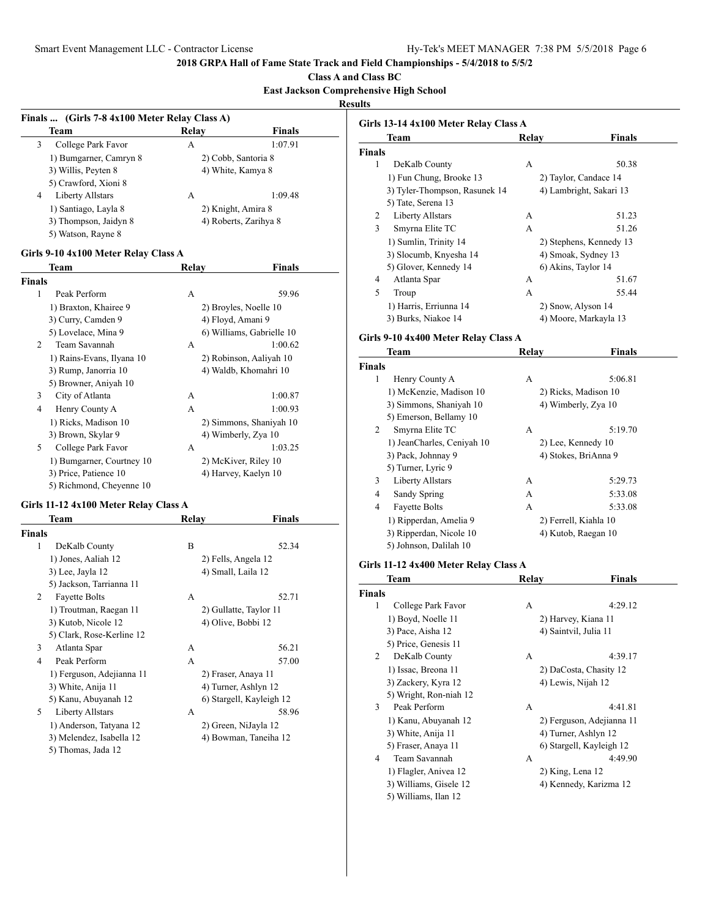**Class A and Class BC**

### **East Jackson Comprehensive High School**

| Team                    | Relay | Finals                |
|-------------------------|-------|-----------------------|
| College Park Favor<br>3 | А     | 1:07.91               |
| 1) Bumgarner, Camryn 8  |       | 2) Cobb, Santoria 8   |
| 3) Willis, Peyten 8     |       | 4) White, Kamya 8     |
| 5) Crawford, Xioni 8    |       |                       |
| Liberty Allstars<br>4   | A     | 1:09.48               |
| 1) Santiago, Layla 8    |       | 2) Knight, Amira 8    |
| 3) Thompson, Jaidyn 8   |       | 4) Roberts, Zarihya 8 |
| 5) Watson, Rayne 8      |       |                       |

## **Girls 9-10 4x100 Meter Relay Class A**

| Team                      | Relay | Finals                    |
|---------------------------|-------|---------------------------|
| <b>Finals</b>             |       |                           |
| 1<br>Peak Perform         | A     | 59.96                     |
| 1) Braxton, Khairee 9     |       | 2) Broyles, Noelle 10     |
| 3) Curry, Camden 9        |       | 4) Floyd, Amani 9         |
| 5) Lovelace, Mina 9       |       | 6) Williams, Gabrielle 10 |
| 2<br>Team Savannah        | A     | 1:00.62                   |
| 1) Rains-Evans, Ilyana 10 |       | 2) Robinson, Aaliyah 10   |
| 3) Rump, Janorria 10      |       | 4) Waldb, Khomahri 10     |
| 5) Browner, Aniyah 10     |       |                           |
| 3<br>City of Atlanta      | A     | 1:00.87                   |
| 4<br>Henry County A       | A     | 1:00.93                   |
| 1) Ricks, Madison 10      |       | 2) Simmons, Shaniyah 10   |
| 3) Brown, Skylar 9        |       | 4) Wimberly, Zya 10       |
| 5<br>College Park Favor   | A     | 1:03.25                   |
| 1) Bumgarner, Courtney 10 |       | 2) McKiver, Riley 10      |
| 3) Price, Patience 10     |       | 4) Harvey, Kaelyn 10      |
| 5) Richmond, Cheyenne 10  |       |                           |

## **Girls 11-12 4x100 Meter Relay Class A**

|               | Team                      | Relav              | Finals                   |
|---------------|---------------------------|--------------------|--------------------------|
| <b>Finals</b> |                           |                    |                          |
| 1             | DeKalb County             | B                  | 52.34                    |
|               | 1) Jones, Aaliah 12       |                    | 2) Fells, Angela 12      |
|               | 3) Lee, Jayla 12          | 4) Small, Laila 12 |                          |
|               | 5) Jackson, Tarrianna 11  |                    |                          |
| 2             | <b>Fayette Bolts</b>      | A                  | 52.71                    |
|               | 1) Troutman, Raegan 11    |                    | 2) Gullatte, Taylor 11   |
|               | 3) Kutob, Nicole 12       |                    | 4) Olive, Bobbi 12       |
|               | 5) Clark, Rose-Kerline 12 |                    |                          |
| 3             | Atlanta Spar              | A                  | 56.21                    |
| 4             | Peak Perform              | A                  | 57.00                    |
|               | 1) Ferguson, Adejianna 11 |                    | 2) Fraser, Anaya 11      |
|               | 3) White, Anija 11        |                    | 4) Turner, Ashlyn 12     |
|               | 5) Kanu, Abuyanah 12      |                    | 6) Stargell, Kayleigh 12 |
| 5             | Liberty Allstars          | A                  | 58.96                    |
|               | 1) Anderson, Tatyana 12   |                    | 2) Green, NiJayla 12     |
|               | 3) Melendez, Isabella 12  |                    | 4) Bowman, Taneiha 12    |
|               | 5) Thomas, Jada 12        |                    |                          |

| <b>Team</b>                   | Relav | Finals                  |
|-------------------------------|-------|-------------------------|
| <b>Finals</b>                 |       |                         |
| 1<br>DeKalb County            | А     | 50.38                   |
| 1) Fun Chung, Brooke 13       |       | 2) Taylor, Candace 14   |
| 3) Tyler-Thompson, Rasunek 14 |       | 4) Lambright, Sakari 13 |
| 5) Tate, Serena 13            |       |                         |
| Liberty Allstars<br>2         | A     | 51.23                   |
| 3<br>Smyrna Elite TC          | A     | 51.26                   |
| 1) Sumlin, Trinity 14         |       | 2) Stephens, Kennedy 13 |
| 3) Slocumb, Knyesha 14        |       | 4) Smoak, Sydney 13     |
| 5) Glover, Kennedy 14         |       | 6) Akins, Taylor 14     |
| Atlanta Spar<br>4             | А     | 51.67                   |
| 5<br>Troup                    | A     | 55.44                   |
| 1) Harris, Erriunna 14        |       | 2) Snow, Alyson 14      |
| 3) Burks, Niakoe 14           |       | 4) Moore, Markayla 13   |

# **Girls 9-10 4x400 Meter Relay Class A**

|               | Team                       | Relay | Finals                |
|---------------|----------------------------|-------|-----------------------|
| <b>Finals</b> |                            |       |                       |
| 1             | Henry County A             | А     | 5:06.81               |
|               | 1) McKenzie, Madison 10    |       | 2) Ricks, Madison 10  |
|               | 3) Simmons, Shaniyah 10    |       | 4) Wimberly, Zya 10   |
|               | 5) Emerson, Bellamy 10     |       |                       |
| 2             | Smyrna Elite TC            | A     | 5:19.70               |
|               | 1) JeanCharles, Ceniyah 10 |       | 2) Lee, Kennedy 10    |
|               | 3) Pack, Johnnay 9         |       | 4) Stokes, BriAnna 9  |
|               | 5) Turner, Lyric 9         |       |                       |
| 3             | Liberty Allstars           | A     | 5:29.73               |
| 4             | Sandy Spring               | A     | 5:33.08               |
| 4             | <b>Fayette Bolts</b>       | А     | 5:33.08               |
|               | 1) Ripperdan, Amelia 9     |       | 2) Ferrell, Kiahla 10 |
|               | 3) Ripperdan, Nicole 10    |       | 4) Kutob, Raegan 10   |
|               | 5) Johnson, Dalilah 10     |       |                       |

## **Girls 11-12 4x400 Meter Relay Class A**

| Team                    | Relay            | <b>Finals</b>             |
|-------------------------|------------------|---------------------------|
| <b>Finals</b>           |                  |                           |
| 1<br>College Park Favor | A                | 4:29.12                   |
| 1) Boyd, Noelle 11      |                  | 2) Harvey, Kiana 11       |
| 3) Pace, Aisha 12       |                  | 4) Saintvil, Julia 11     |
| 5) Price, Genesis 11    |                  |                           |
| 2<br>DeKalb County      | A                | 4:39.17                   |
| 1) Issac, Breona 11     |                  | 2) DaCosta, Chasity 12    |
| 3) Zackery, Kyra 12     |                  | 4) Lewis, Nijah 12        |
| 5) Wright, Ron-niah 12  |                  |                           |
| 3<br>Peak Perform       | A                | 4:41.81                   |
| 1) Kanu, Abuyanah 12    |                  | 2) Ferguson, Adejianna 11 |
| 3) White, Anija 11      |                  | 4) Turner, Ashlyn 12      |
| 5) Fraser, Anaya 11     |                  | 6) Stargell, Kayleigh 12  |
| Team Savannah<br>4      | А                | 4:49.90                   |
| 1) Flagler, Anivea 12   | 2) King, Lena 12 |                           |
| 3) Williams, Gisele 12  |                  | 4) Kennedy, Karizma 12    |
| 5) Williams, Ilan 12    |                  |                           |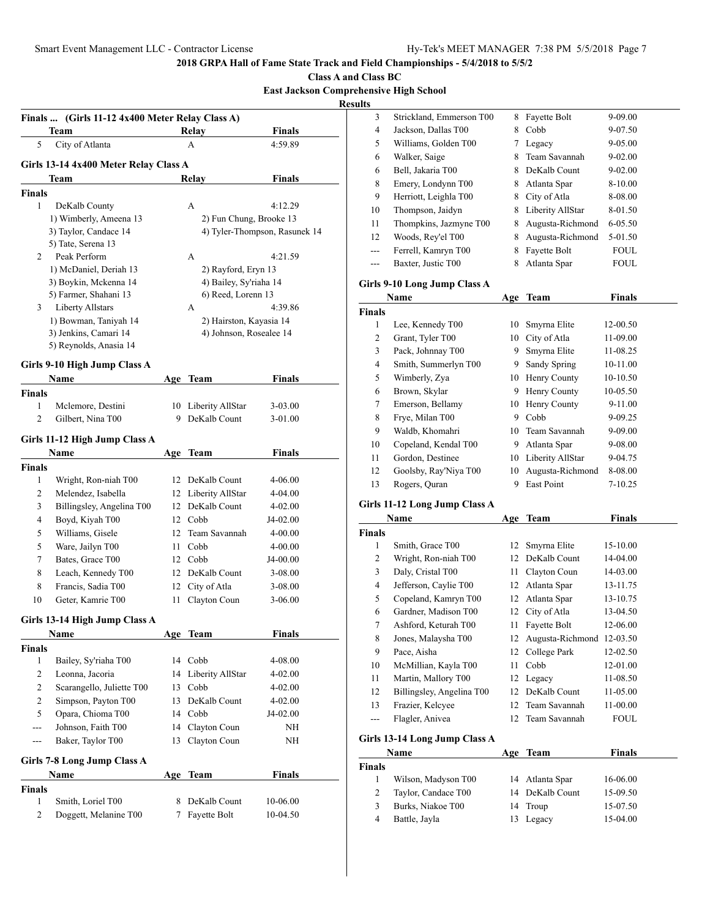| <b>Class A and Class BC</b>                   |
|-----------------------------------------------|
| <b>East Jackson Comprehensive High School</b> |

| вам засквой Соніргенензіуе тиgu эсноо |  |  |
|---------------------------------------|--|--|
|                                       |  |  |

**Results**

| <b>Finals</b>  | (Girls 11-12 4x400 Meter Relay Class A)         |    |                         |                               |
|----------------|-------------------------------------------------|----|-------------------------|-------------------------------|
| 5              | <b>Team</b><br>City of Atlanta                  |    | Relay<br>A              | <b>Finals</b><br>4:59.89      |
|                |                                                 |    |                         |                               |
|                | Girls 13-14 4x400 Meter Relay Class A           |    |                         |                               |
|                | Team                                            |    | Relay                   | <b>Finals</b>                 |
| <b>Finals</b>  |                                                 |    |                         |                               |
| 1              | DeKalb County                                   |    | A                       | 4:12.29                       |
|                | 1) Wimberly, Ameena 13<br>3) Taylor, Candace 14 |    | 2) Fun Chung, Brooke 13 | 4) Tyler-Thompson, Rasunek 14 |
|                | 5) Tate, Serena 13                              |    |                         |                               |
| 2              | Peak Perform                                    |    | А                       | 4:21.59                       |
|                | 1) McDaniel, Deriah 13                          |    | 2) Rayford, Eryn 13     |                               |
|                | 3) Boykin, Mckenna 14                           |    | 4) Bailey, Sy'riaha 14  |                               |
|                | 5) Farmer, Shahani 13                           |    | 6) Reed, Lorenn 13      |                               |
| $3^{\circ}$    | <b>Liberty Allstars</b>                         |    | А                       | 4:39.86                       |
|                | 1) Bowman, Taniyah 14                           |    | 2) Hairston, Kayasia 14 |                               |
|                | 3) Jenkins, Camari 14                           |    | 4) Johnson, Rosealee 14 |                               |
|                | 5) Reynolds, Anasia 14                          |    |                         |                               |
|                | Girls 9-10 High Jump Class A                    |    |                         |                               |
|                | <b>Name</b>                                     |    | Age Team                | <b>Finals</b>                 |
| Finals         |                                                 |    |                         |                               |
| 1              | Mclemore, Destini                               | 10 | Liberity AllStar        | 3-03.00                       |
| $\overline{2}$ | Gilbert, Nina T00                               | 9  | DeKalb Count            | 3-01.00                       |
|                | Girls 11-12 High Jump Class A                   |    |                         |                               |
|                | Name                                            |    | Age Team                | <b>Finals</b>                 |
| Finals         |                                                 |    |                         |                               |
| 1              | Wright, Ron-niah T00                            | 12 | DeKalb Count            | 4-06.00                       |
| 2              | Melendez, Isabella                              | 12 | Liberity AllStar        | 4-04.00                       |
| 3              | Billingsley, Angelina T00                       | 12 | DeKalb Count            | 4-02.00                       |
| 4              | Boyd, Kiyah T00                                 |    | 12 Cobb                 | J4-02.00                      |
| 5              | Williams, Gisele                                | 12 | Team Savannah           | 4-00.00                       |
| 5              | Ware, Jailyn T00                                | 11 | Cobb                    | 4-00.00                       |
| 7              | Bates, Grace T00                                |    | 12 Cobb                 | J4-00.00                      |
| 8              | Leach, Kennedy T00                              | 12 | DeKalb Count            | 3-08.00                       |
| 8              | Francis, Sadia T00                              | 12 | City of Atla            | 3-08.00                       |
| 10             | Geter, Kamrie T00                               | 11 | Clayton Coun            | 3-06.00                       |
|                | Girls 13-14 High Jump Class A                   |    |                         |                               |
|                | Name                                            |    | Age Team                | <b>Finals</b>                 |
| Finals         |                                                 |    |                         |                               |
| 1              | Bailey, Sy'riaha T00                            |    | 14 Cobb                 | 4-08.00                       |
| 2              | Leonna, Jacoria                                 | 14 | Liberity AllStar        | 4-02.00                       |
| 2              | Scarangello, Juliette T00                       | 13 | Cobb                    | 4-02.00                       |
| $\overline{c}$ | Simpson, Payton T00                             | 13 | DeKalb Count            | 4-02.00                       |
| 5              | Opara, Chioma T00                               | 14 | Cobb                    | J4-02.00                      |
| ---            | Johnson, Faith T00                              | 14 | Clayton Coun            | NΗ                            |
| ---            | Baker, Taylor T00                               | 13 | Clayton Coun            | NΗ                            |
|                |                                                 |    |                         |                               |
|                | Girls 7-8 Long Jump Class A                     |    |                         |                               |
|                | Name                                            |    | Age Team                | Finals                        |
| Finals<br>1    | Smith, Loriel T00                               | 8  | DeKalb Count            | 10-06.00                      |
| 2              | Doggett, Melanine T00                           | 7  | Fayette Bolt            | 10-04.50                      |
|                |                                                 |    |                         |                               |
|                |                                                 |    |                         |                               |

| ums            |                                       |     |                           |               |  |
|----------------|---------------------------------------|-----|---------------------------|---------------|--|
| 3              | Strickland, Emmerson T00              | 8   | Fayette Bolt              | 9-09.00       |  |
| 4              | Jackson, Dallas T00                   | 8   | Cobb                      | 9-07.50       |  |
| 5              | Williams, Golden T00                  | 7   | Legacy                    | 9-05.00       |  |
| 6              | Walker, Saige                         | 8   | Team Savannah             | 9-02.00       |  |
| 6              | Bell, Jakaria T00                     | 8   | DeKalb Count              | 9-02.00       |  |
| 8              | Emery, Londynn T00                    | 8   | Atlanta Spar              | 8-10.00       |  |
| 9              | Herriott, Leighla T00                 | 8   | City of Atla              | 8-08.00       |  |
| 10             | Thompson, Jaidyn                      | 8   | Liberity AllStar          | 8-01.50       |  |
| 11             | Thompkins, Jazmyne T00                | 8   | Augusta-Richmond          | 6-05.50       |  |
| 12             | Woods, Rey'el T00                     | 8   | Augusta-Richmond          | 5-01.50       |  |
| ---            | Ferrell, Kamryn T00                   | 8   | Fayette Bolt              | <b>FOUL</b>   |  |
| ---            | Baxter, Justic T00                    | 8   | Atlanta Spar              | FOUL          |  |
|                | Girls 9-10 Long Jump Class A          |     |                           |               |  |
|                | Name                                  |     | Age Team                  | <b>Finals</b> |  |
| <b>Finals</b>  |                                       |     |                           |               |  |
| 1              | Lee, Kennedy T00                      | 10  | Smyrna Elite              | 12-00.50      |  |
| 2              | Grant, Tyler T00                      | 10  | City of Atla              | 11-09.00      |  |
| 3              | Pack, Johnnay T00                     | 9   | Smyrna Elite              | 11-08.25      |  |
| 4              | Smith, Summerlyn T00                  | 9.  | Sandy Spring              | 10-11.00      |  |
| 5              | Wimberly, Zya                         | 10  | Henry County              | 10-10.50      |  |
| 6              | Brown, Skylar                         | 9   | Henry County              | 10-05.50      |  |
| 7              | Emerson, Bellamy                      | 10  | Henry County              | 9-11.00       |  |
| $\,$ 8 $\,$    | Frye, Milan T00                       | 9   | Cobb                      | 9-09.25       |  |
| 9              | Waldb, Khomahri                       | 10  | Team Savannah             | 9-09.00       |  |
| 10             | Copeland, Kendal T00                  |     | 9 Atlanta Spar            | 9-08.00       |  |
| 11             | Gordon, Destinee                      |     | 10 Liberity AllStar       | 9-04.75       |  |
| 12             | Goolsby, Ray'Niya T00                 | 10  | Augusta-Richmond          | 8-08.00       |  |
| 13             | Rogers, Quran                         | 9   | East Point                | 7-10.25       |  |
|                | Girls 11-12 Long Jump Class A         |     |                           |               |  |
|                | Name                                  | Age | <b>Team</b>               | <b>Finals</b> |  |
| Finals         |                                       |     |                           |               |  |
| 1              | Smith, Grace T00                      | 12  | Smyrna Elite              | 15-10.00      |  |
| 2              | Wright, Ron-niah T00                  | 12  | DeKalb Count              | 14-04.00      |  |
| 3              | Daly, Cristal T00                     | 11  | Clayton Coun              | 14-03.00      |  |
| 4              | Jefferson, Caylie T00                 | 12  | Atlanta Spar              | 13-11.75      |  |
| 5              | Copeland, Kamryn T00                  | 12  | Atlanta Spar              | 13-10.75      |  |
| 6              | Gardner, Madison T00                  | 12  | City of Atla              | 13-04.50      |  |
| 7              | Ashford, Keturah T00                  |     | 11 Fayette Bolt           | 12-06.00      |  |
| 8              | Jones, Malaysha T00                   | 12  | Augusta-Richmond 12-03.50 |               |  |
| 9              | Pace, Aisha                           | 12  | College Park              | 12-02.50      |  |
| 10             | McMillian, Kayla T00                  | 11  | Cobb                      | 12-01.00      |  |
| 11             | Martin, Mallory T00                   | 12  | Legacy                    | 11-08.50      |  |
| 12             | Billingsley, Angelina T00             | 12  | DeKalb Count              | 11-05.00      |  |
| 13             | Frazier, Kelcyee                      | 12  | Team Savannah             | 11-00.00      |  |
| ---            | Flagler, Anivea                       | 12  | Team Savannah             | FOUL          |  |
|                |                                       |     |                           |               |  |
|                | Girls 13-14 Long Jump Class A<br>Name | Age | <b>Team</b>               | <b>Finals</b> |  |
| Finals         |                                       |     |                           |               |  |
| 1              | Wilson, Madyson T00                   | 14  | Atlanta Spar              | 16-06.00      |  |
| $\overline{c}$ | Taylor, Candace T00                   | 14  | DeKalb Count              | 15-09.50      |  |
|                |                                       |     |                           |               |  |

3 Burks, Niakoe T00 14 Troup 15-07.50 4 Battle, Jayla 13 Legacy 15-04.00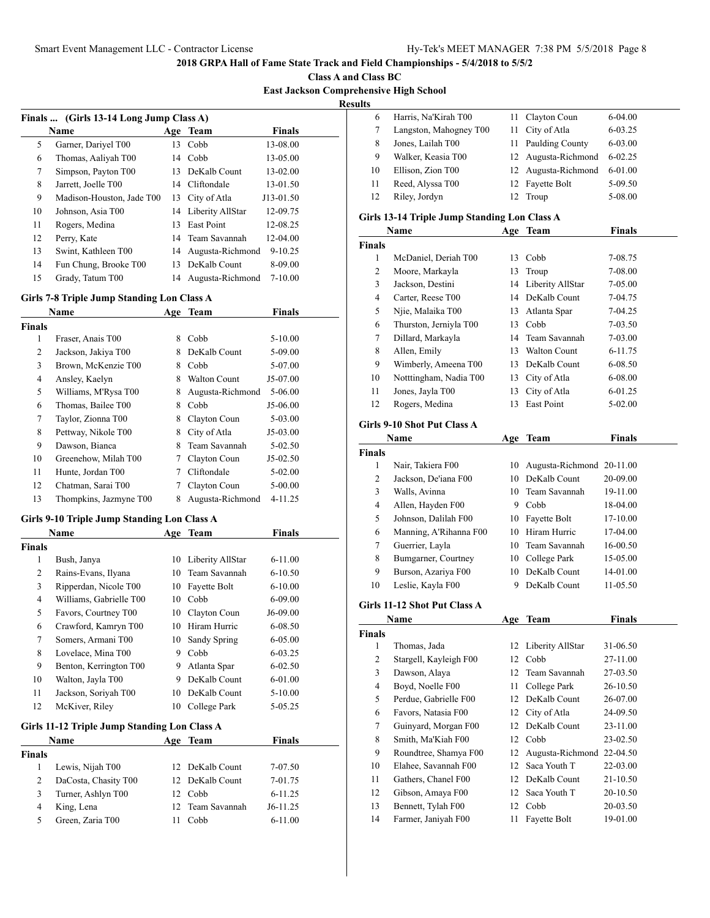**Class A and Class BC East Jackson Comprehensive High School**

**Results**

|    | Finals  (Girls 13-14 Long Jump Class A) |     |                     |               |  |
|----|-----------------------------------------|-----|---------------------|---------------|--|
|    | Name                                    | Age | Team                | <b>Finals</b> |  |
| 5  | Garner, Dariyel T00                     | 13  | Cobb                | 13-08.00      |  |
| 6  | Thomas, Aaliyah T00                     | 14  | Cobb                | 13-05.00      |  |
| 7  | Simpson, Payton T00                     | 13  | DeKalb Count        | 13-02.00      |  |
| 8  | Jarrett, Joelle T00                     | 14  | Cliftondale         | 13-01.50      |  |
| 9  | Madison-Houston, Jade T00               | 13  | City of Atla        | J13-01.50     |  |
| 10 | Johnson, Asia T00                       |     | 14 Liberity AllStar | 12-09.75      |  |
| 11 | Rogers, Medina                          | 13  | <b>East Point</b>   | 12-08.25      |  |
| 12 | Perry, Kate                             |     | 14 Team Savannah    | 12-04.00      |  |
| 13 | Swint, Kathleen T00                     | 14  | Augusta-Richmond    | $9 - 10.25$   |  |
| 14 | Fun Chung, Brooke T00                   | 13  | DeKalb Count        | 8-09.00       |  |
| 15 | Grady, Tatum T00                        | 14  | Augusta-Richmond    | $7 - 10.00$   |  |

### **Girls 7-8 Triple Jump Standing Lon Class A**

| Name                   | Age | <b>Team</b>         | <b>Finals</b> |  |
|------------------------|-----|---------------------|---------------|--|
|                        |     |                     |               |  |
| Fraser, Anais T00      | 8   | Cobb                | $5 - 10.00$   |  |
| Jackson, Jakiya T00    | 8   | DeKalb Count        | 5-09.00       |  |
| Brown, McKenzie T00    | 8   | Cobb                | 5-07.00       |  |
| Ansley, Kaelyn         | 8   | <b>Walton Count</b> | J5-07.00      |  |
| Williams, M'Rysa T00   | 8   | Augusta-Richmond    | 5-06.00       |  |
| Thomas, Bailee T00     | 8   | Cobb                | J5-06.00      |  |
| Taylor, Zionna T00     | 8   | Clayton Coun        | 5-03.00       |  |
| Pettway, Nikole T00    | 8   | City of Atla        | $J5-03.00$    |  |
| Dawson, Bianca         | 8   | Team Savannah       | $5 - 02.50$   |  |
| Greenehow, Milah T00   |     | Clayton Coun        | $J5-02.50$    |  |
| Hunte, Jordan T00      |     | Cliftondale         | $5-02.00$     |  |
| Chatman, Sarai T00     |     | Clayton Coun        | $5 - 00.00$   |  |
| Thompkins, Jazmyne T00 | 8   | Augusta-Richmond    | 4-11.25       |  |
|                        |     |                     |               |  |

## **Girls 9-10 Triple Jump Standing Lon Class A**

|                | Name                                         |    | Age Team         | Finals      |  |
|----------------|----------------------------------------------|----|------------------|-------------|--|
| Finals         |                                              |    |                  |             |  |
| 1              | Bush, Janya                                  | 10 | Liberity AllStar | $6 - 11.00$ |  |
| 2              | Rains-Evans, Ilyana                          | 10 | Team Savannah    | $6 - 10.50$ |  |
| 3              | Ripperdan, Nicole T00                        | 10 | Fayette Bolt     | $6 - 10.00$ |  |
| $\overline{4}$ | Williams, Gabrielle T00                      | 10 | Cobb             | 6-09.00     |  |
| 5              | Favors, Courtney T00                         | 10 | Clayton Coun     | J6-09.00    |  |
| 6              | Crawford, Kamryn T00                         | 10 | Hiram Hurric     | 6-08.50     |  |
| 7              | Somers, Armani T00                           | 10 | Sandy Spring     | 6-05.00     |  |
| 8              | Lovelace, Mina T00                           | 9  | Cobb             | $6 - 03.25$ |  |
| 9              | Benton, Kerrington T00                       | 9  | Atlanta Spar     | $6 - 02.50$ |  |
| 10             | Walton, Jayla T00                            | 9  | DeKalb Count     | 6-01.00     |  |
| 11             | Jackson, Soriyah T00                         | 10 | DeKalb Count     | $5 - 10.00$ |  |
| 12             | McKiver, Riley                               | 10 | College Park     | 5-05.25     |  |
|                | Girls 11-12 Triple Jump Standing Lon Class A |    |                  |             |  |
|                | Name                                         |    | Age Team         | Finals      |  |
| <b>Finals</b>  |                                              |    |                  |             |  |
| 1              | Lewis, Nijah T00                             | 12 | DeKalb Count     | 7-07.50     |  |
| 2              | DaCosta, Chasity T00                         | 12 | DeKalb Count     | 7-01.75     |  |
| 3              | Turner, Ashlyn T00                           | 12 | Cobb             | $6 - 11.25$ |  |

 King, Lena 12 Team Savannah J6-11.25 5 Green, Zaria T00 11 Cobb 6-11.00

| 6  | Harris, Na'Kirah T00   | 11 Clayton Coun     | $6-04.00$   |
|----|------------------------|---------------------|-------------|
|    | Langston, Mahogney T00 | 11 City of Atla     | $6 - 03.25$ |
| 8  | Jones, Lailah T00      | 11 Paulding County  | 6-03.00     |
| 9  | Walker, Keasia T00     | 12 Augusta-Richmond | $6 - 02.25$ |
| 10 | Ellison, Zion T00      | 12 Augusta-Richmond | 6-01.00     |
| 11 | Reed, Alyssa T00       | 12 Fayette Bolt     | 5-09.50     |
| 12 | Riley, Jordyn          | Troup               | 5-08.00     |
|    |                        |                     |             |

### **Girls 13-14 Triple Jump Standing Lon Class A**

|        | Name                   | Age | Team                | <b>Finals</b> |  |
|--------|------------------------|-----|---------------------|---------------|--|
| Finals |                        |     |                     |               |  |
| 1      | McDaniel, Deriah T00   | 13. | Cobb                | 7-08.75       |  |
| 2      | Moore, Markayla        | 13  | Troup               | 7-08.00       |  |
| 3      | Jackson, Destini       |     | 14 Liberity AllStar | 7-05.00       |  |
| 4      | Carter, Reese T00      | 14  | DeKalb Count        | 7-04.75       |  |
| 5      | Njie, Malaika T00      | 13. | Atlanta Spar        | 7-04.25       |  |
| 6      | Thurston, Jerniyla T00 | 13  | Cobb                | 7-03.50       |  |
| 7      | Dillard, Markayla      |     | 14 Team Savannah    | 7-03.00       |  |
| 8      | Allen, Emily           | 13  | <b>Walton Count</b> | 6-11.75       |  |
| 9      | Wimberly, Ameena T00   | 13. | DeKalb Count        | 6-08.50       |  |
| 10     | Notttingham, Nadia T00 |     | 13 City of Atla     | 6-08.00       |  |
| 11     | Jones, Jayla T00       | 13  | City of Atla        | 6-01.25       |  |
| 12     | Rogers, Medina         | 13  | East Point          | $5-02.00$     |  |
|        |                        |     |                     |               |  |

### **Girls 9-10 Shot Put Class A**

|               | Name                   |     | Age Team                     | <b>Finals</b> |
|---------------|------------------------|-----|------------------------------|---------------|
| <b>Finals</b> |                        |     |                              |               |
| 1             | Nair, Takiera F00      |     | 10 Augusta-Richmond 20-11.00 |               |
| 2             | Jackson, De'iana F00   | 10. | DeKalb Count                 | 20-09.00      |
| 3             | Walls, Avinna          |     | 10 Team Savannah             | 19-11.00      |
| 4             | Allen, Hayden F00      | 9   | Cobb                         | 18-04.00      |
| 5             | Johnson, Dalilah F00   | 10  | Fayette Bolt                 | 17-10.00      |
| 6             | Manning, A'Rihanna F00 |     | 10 Hiram Hurric              | $17-04.00$    |
| 7             | Guerrier, Layla        | 10. | Team Savannah                | 16-00.50      |
| 8             | Bumgarner, Courtney    |     | 10 College Park              | 15-05.00      |
| 9             | Burson, Azariya F00    | 10  | DeKalb Count                 | 14-01.00      |
| 10            | Leslie, Kayla F00      | 9   | DeKalb Count                 | 11-05.50      |
|               |                        |     |                              |               |

### **Girls 11-12 Shot Put Class A**

|               | Name                   | Age | Team                      | <b>Finals</b> |
|---------------|------------------------|-----|---------------------------|---------------|
| <b>Finals</b> |                        |     |                           |               |
| 1             | Thomas, Jada           |     | 12 Liberity AllStar       | 31-06.50      |
| 2             | Stargell, Kayleigh F00 | 12  | Cobb                      | 27-11.00      |
| 3             | Dawson, Alaya          | 12. | Team Savannah             | 27-03.50      |
| 4             | Boyd, Noelle F00       | 11  | College Park              | 26-10.50      |
| 5             | Perdue, Gabrielle F00  | 12  | DeKalb Count              | 26-07.00      |
| 6             | Favors, Natasia F00    |     | 12 City of Atla           | 24-09.50      |
| 7             | Guinyard, Morgan F00   |     | 12 DeKalb Count           | 23-11.00      |
| 8             | Smith, Ma'Kiah F00     | 12  | Cobb                      | 23-02.50      |
| 9             | Roundtree, Shamya F00  | 12  | Augusta-Richmond 22-04.50 |               |
| 10            | Elahee, Savannah F00   | 12  | Saca Youth T              | 22-03.00      |
| 11            | Gathers, Chanel F00    | 12  | DeKalb Count              | 21-10.50      |
| 12            | Gibson, Amaya F00      |     | 12 Saca Youth T           | 20-10.50      |
| 13            | Bennett, Tylah F00     | 12  | Cobb                      | 20-03.50      |
| 14            | Farmer, Janiyah F00    | 11  | Fayette Bolt              | 19-01.00      |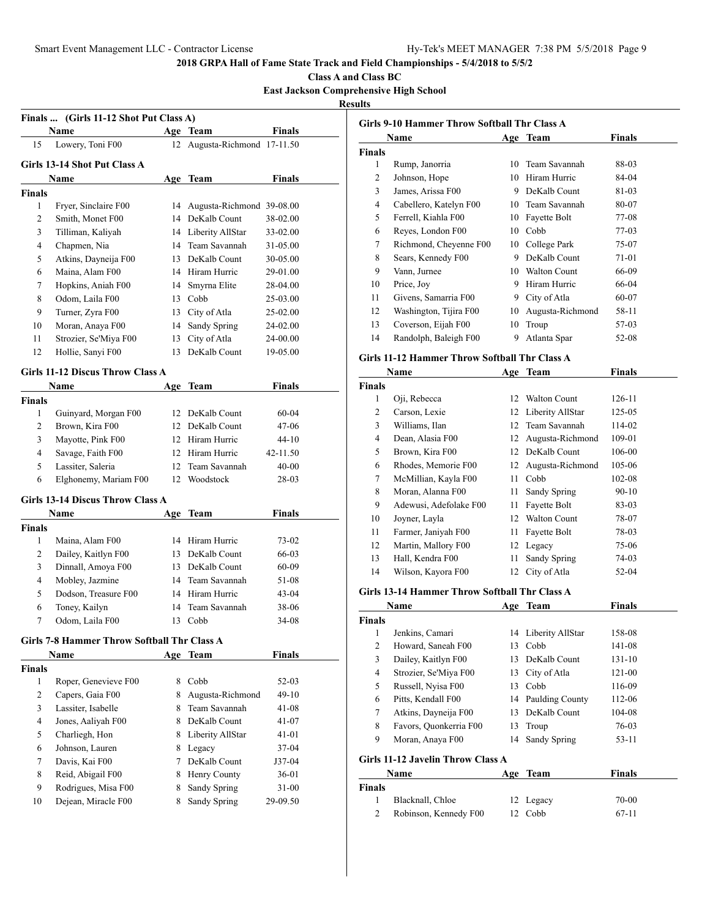**Class A and Class BC**

**East Jackson Comprehensive High School**

**Results**

|                | Finals  (Girls 11-12 Shot Put Class A)      |        |                              |                       |
|----------------|---------------------------------------------|--------|------------------------------|-----------------------|
|                | Name                                        |        | Age Team                     | Finals                |
| 15             | Lowery, Toni F00                            |        | 12 Augusta-Richmond 17-11.50 |                       |
|                | Girls 13-14 Shot Put Class A                |        |                              |                       |
|                | Name                                        |        | Age Team                     | Finals                |
| <b>Finals</b>  |                                             |        |                              |                       |
| 1              | Fryer, Sinclaire F00                        | 14     | Augusta-Richmond 39-08.00    |                       |
| 2              | Smith, Monet F00                            |        | 14 DeKalb Count              | 38-02.00              |
| 3              | Tilliman, Kaliyah                           |        | 14 Liberity AllStar          | 33-02.00              |
| $\overline{4}$ | Chapmen, Nia                                |        | 14 Team Savannah             | 31-05.00              |
| 5              | Atkins, Dayneija F00                        |        | 13 DeKalb Count              | 30-05.00              |
| 6              | Maina, Alam F00                             |        | 14 Hiram Hurric              | 29-01.00              |
| 7              | Hopkins, Aniah F00                          |        | 14 Smyrna Elite              | 28-04.00              |
| 8              | Odom, Laila F00                             |        | 13 Cobb                      | 25-03.00              |
| 9              | Turner, Zyra F00                            | 13     | City of Atla                 | 25-02.00              |
| 10             | Moran, Anaya F00                            | 14     | Sandy Spring                 | 24-02.00              |
| 11             | Strozier, Se'Miya F00                       | 13     | City of Atla                 | 24-00.00              |
| 12             | Hollie, Sanyi F00                           | 13     | DeKalb Count                 | 19-05.00              |
|                | Girls 11-12 Discus Throw Class A            |        |                              |                       |
|                | Name                                        | Age    | <b>Team</b>                  | <b>Finals</b>         |
| <b>Finals</b>  |                                             |        |                              |                       |
| 1              | Guinyard, Morgan F00                        | 12     | DeKalb Count                 | 60-04                 |
| 2              | Brown, Kira F00                             |        | 12 DeKalb Count              | 47-06                 |
| 3              | Mayotte, Pink F00                           |        | 12 Hiram Hurric              | $44 - 10$             |
| $\overline{4}$ | Savage, Faith F00                           |        | 12 Hiram Hurric              | 42-11.50              |
| 5              | Lassiter, Saleria                           |        | 12 Team Savannah             | $40 - 00$             |
| 6              | Elghonemy, Mariam F00                       |        | 12 Woodstock                 | 28-03                 |
|                | Girls 13-14 Discus Throw Class A            |        |                              |                       |
|                | Name                                        |        | Age Team                     | <b>Finals</b>         |
| <b>Finals</b>  |                                             |        |                              |                       |
| 1              | Maina, Alam F00                             |        | 14 Hiram Hurric              | 73-02                 |
| 2              | Dailey, Kaitlyn F00                         | 13     | DeKalb Count                 | 66-03                 |
| 3              | Dinnall, Amoya F00                          |        | 13 DeKalb Count              | 60-09                 |
| $\overline{4}$ | Mobley, Jazmine                             | 14     | Team Savannah                | 51-08                 |
| 5              | Dodson, Treasure F00                        |        | 14 Hiram Hurric              | 43-04                 |
| 6              | Toney, Kailyn                               | 14     | Team Savannah                | 38-06                 |
| 7              | Odom. Laila F00                             | 13     | Cobb                         | 34-08                 |
|                |                                             |        |                              |                       |
|                | Girls 7-8 Hammer Throw Softball Thr Class A |        |                              |                       |
|                | <b>Name</b>                                 |        | Age Team                     | <b>Finals</b>         |
| <b>Finals</b>  |                                             |        |                              |                       |
| 1              | Roper, Genevieve F00                        |        | 8 Cobb                       | 52-03                 |
| $\overline{c}$ | Capers, Gaia F00                            | 8      | Augusta-Richmond             | 49-10                 |
| 3              | Lassiter, Isabelle                          | 8      | Team Savannah                | 41-08                 |
|                | Jones, Aaliyah F00                          |        | 8 DeKalb Count               | 41-07                 |
| 4              |                                             |        | 8 Liberity AllStar           | 41-01                 |
| 5              | Charliegh, Hon                              |        |                              | 37-04                 |
| 6              | Johnson, Lauren                             | 8      | Legacy                       |                       |
| 7              | Davis, Kai F00                              |        | 7 DeKalb Count               | J37-04                |
| 8              | Reid, Abigail F00                           |        | 8 Henry County               | $36 - 01$             |
| 9<br>10        | Rodrigues, Misa F00<br>Dejean, Miracle F00  | 8<br>8 | Sandy Spring<br>Sandy Spring | $31 - 00$<br>29-09.50 |

|                | Name                   |    | Age Team            | Finals |
|----------------|------------------------|----|---------------------|--------|
| <b>Finals</b>  |                        |    |                     |        |
| 1              | Rump, Janorria         | 10 | Team Savannah       | 88-03  |
| $\overline{c}$ | Johnson, Hope          | 10 | Hiram Hurric        | 84-04  |
| 3              | James, Arissa F00      | 9  | DeKalb Count        | 81-03  |
| 4              | Cabellero, Katelyn F00 | 10 | Team Savannah       | 80-07  |
| 5              | Ferrell, Kiahla F00    | 10 | Fayette Bolt        | 77-08  |
| 6              | Reyes, London F00      | 10 | Cobb                | 77-03  |
| 7              | Richmond, Cheyenne F00 | 10 | College Park        | 75-07  |
| 8              | Sears, Kennedy F00     | 9  | DeKalb Count        | 71-01  |
| 9              | Vann, Jurnee           | 10 | <b>Walton Count</b> | 66-09  |
| 10             | Price, Joy             | 9  | Hiram Hurric        | 66-04  |
| 11             | Givens, Samarria F00   | 9  | City of Atla        | 60-07  |
| 12             | Washington, Tijira F00 | 10 | Augusta-Richmond    | 58-11  |
| 13             | Coverson, Eijah F00    | 10 | Troup               | 57-03  |
| 14             | Randolph, Baleigh F00  | 9  | Atlanta Spar        | 52-08  |

### **Girls 11-12 Hammer Throw Softball Thr Class A**

|        | Name                   | Age | Team                | <b>Finals</b> |
|--------|------------------------|-----|---------------------|---------------|
| Finals |                        |     |                     |               |
| 1      | Oji, Rebecca           | 12  | <b>Walton Count</b> | 126-11        |
| 2      | Carson, Lexie          | 12  | Liberity AllStar    | 125-05        |
| 3      | Williams, Ilan         | 12  | Team Savannah       | 114-02        |
| 4      | Dean, Alasia F00       | 12  | Augusta-Richmond    | 109-01        |
| 5      | Brown, Kira F00        | 12  | DeKalb Count        | 106-00        |
| 6      | Rhodes, Memorie F00    | 12  | Augusta-Richmond    | 105-06        |
| 7      | McMillian, Kayla F00   | 11  | Cobb                | 102-08        |
| 8      | Moran, Alanna F00      | 11  | Sandy Spring        | $90 - 10$     |
| 9      | Adewusi, Adefolake F00 | 11  | Fayette Bolt        | 83-03         |
| 10     | Joyner, Layla          | 12  | <b>Walton Count</b> | 78-07         |
| 11     | Farmer, Janiyah F00    | 11  | Fayette Bolt        | 78-03         |
| 12     | Martin, Mallory F00    | 12  | Legacy              | 75-06         |
| 13     | Hall, Kendra F00       | 11  | Sandy Spring        | 74-03         |
| 14     | Wilson, Kayora F00     | 12  | City of Atla        | 52-04         |

### **Girls 13-14 Hammer Throw Softball Thr Class A**

|               | Name                              | Age | <b>Team</b>            | <b>Finals</b> |
|---------------|-----------------------------------|-----|------------------------|---------------|
| <b>Finals</b> |                                   |     |                        |               |
| 1             | Jenkins, Camari                   |     | 14 Liberity AllStar    | 158-08        |
| 2             | Howard, Saneah F00                | 13  | Cobb                   | 141-08        |
| 3             | Dailey, Kaitlyn F00               | 13  | DeKalb Count           | 131-10        |
| 4             | Strozier, Se'Miya F00             | 13  | City of Atla           | 121-00        |
| 5             | Russell, Nyisa F00                | 13  | Cobb                   | 116-09        |
| 6             | Pitts, Kendall F00                | 14  | <b>Paulding County</b> | 112-06        |
| 7             | Atkins, Dayneija F00              | 13  | DeKalb Count           | 104-08        |
| 8             | Favors, Quonkerria F00            | 13  | Troup                  | 76-03         |
| 9             | Moran, Anaya F00                  | 14  | Sandy Spring           | $53 - 11$     |
|               | Girls 11-12 Javelin Throw Class A |     |                        |               |
|               | Name                              | Age | Team                   | <b>Finals</b> |

|        |                       | --------  |       |  |
|--------|-----------------------|-----------|-------|--|
| Finals |                       |           |       |  |
|        | Blacknall, Chloe      | 12 Legacy | 70-00 |  |
|        | Robinson, Kennedy F00 | 12 Cobb   | 67-11 |  |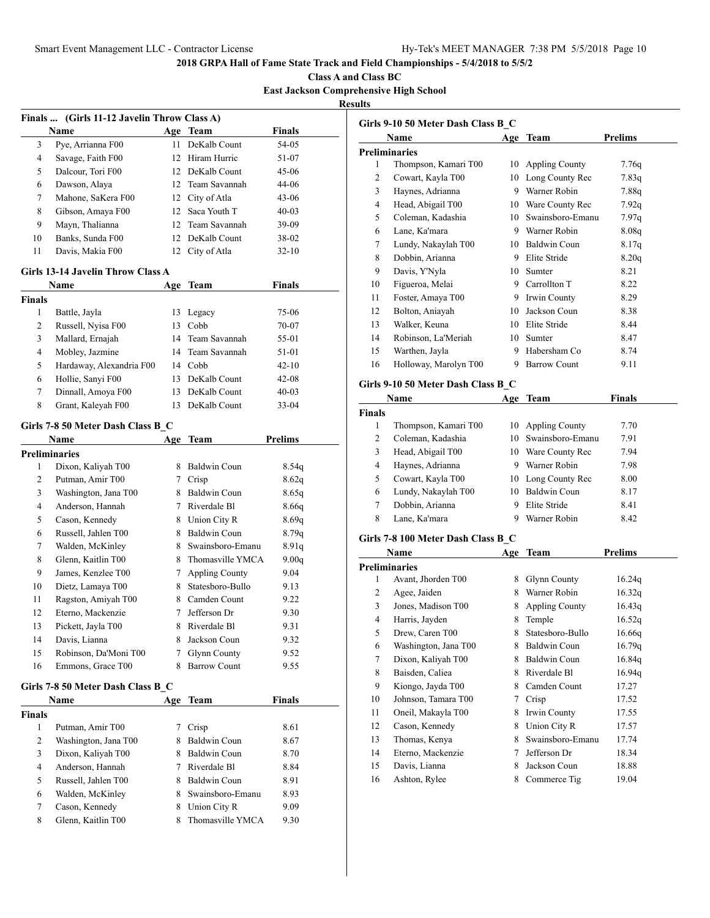**Class A and Class BC East Jackson Comprehensive High School Results**

|                      | Finals  (Girls 11-12 Javelin Throw Class A)<br>Name |     | Age Team            | <b>Finals</b>  |
|----------------------|-----------------------------------------------------|-----|---------------------|----------------|
| 3                    | Pye, Arrianna F00                                   | 11  | DeKalb Count        | 54-05          |
| 4                    | Savage, Faith F00                                   |     | 12 Hiram Hurric     | 51-07          |
| 5                    | Dalcour, Tori F00                                   |     | 12 DeKalb Count     | 45-06          |
| 6                    | Dawson, Alaya                                       |     | 12 Team Savannah    | 44-06          |
| 7                    | Mahone, SaKera F00                                  |     | 12 City of Atla     | $43 - 06$      |
| 8                    | Gibson, Amaya F00                                   |     | 12 Saca Youth T     | $40 - 03$      |
| 9                    | Mayn, Thalianna                                     |     | 12 Team Savannah    | 39-09          |
| 10                   | Banks, Sunda F00                                    |     | 12. DeKalb Count    | 38-02          |
| 11                   | Davis, Makia F00                                    |     | 12 City of Atla     | $32 - 10$      |
|                      | <b>Girls 13-14 Javelin Throw Class A</b>            |     |                     |                |
|                      | Name                                                | Age | Team                | <b>Finals</b>  |
| <b>Finals</b>        |                                                     |     |                     |                |
| 1                    | Battle, Jayla                                       |     | 13 Legacy           | 75-06          |
| 2                    | Russell, Nyisa F00                                  |     | 13 Cobb             | 70-07          |
| 3                    | Mallard, Ernajah                                    |     | 14 Team Savannah    | 55-01          |
| 4                    | Mobley, Jazmine                                     |     | 14 Team Savannah    | 51-01          |
| 5                    | Hardaway, Alexandria F00                            |     | 14 Cobb             | $42 - 10$      |
| 6                    | Hollie, Sanyi F00                                   |     | 13 DeKalb Count     | $42 - 08$      |
| 7                    |                                                     |     | 13 DeKalb Count     | $40 - 03$      |
|                      | Dinnall, Amoya F00                                  |     |                     |                |
| 8                    | Grant, Kaleyah F00                                  | 13  | DeKalb Count        | $33 - 04$      |
|                      | Girls 7-8 50 Meter Dash Class B C                   |     |                     |                |
|                      | Name                                                | Age | <b>Team</b>         | <b>Prelims</b> |
| <b>Preliminaries</b> |                                                     |     |                     |                |
| 1                    | Dixon, Kaliyah T00                                  |     | 8 Baldwin Coun      | 8.54q          |
| $\overline{c}$       | Putman, Amir T00                                    |     | 7 Crisp             | 8.62q          |
| 3                    | Washington, Jana T00                                |     | 8 Baldwin Coun      | 8.65q          |
| 4                    | Anderson, Hannah                                    |     | 7 Riverdale Bl      | 8.66q          |
| 5                    | Cason, Kennedy                                      |     | 8 Union City R      | 8.69q          |
| 6                    | Russell, Jahlen T00                                 |     | 8 Baldwin Coun      | 8.79q          |
| 7                    | Walden, McKinley                                    | 8   | Swainsboro-Emanu    | 8.91q          |
| 8                    | Glenn, Kaitlin T00                                  |     | 8 Thomasville YMCA  | 9.00q          |
| 9                    | James, Kenzlee T00                                  |     | 7 Appling County    | 9.04           |
| 10                   | Dietz, Lamaya T00                                   |     | 8 Statesboro-Bullo  | 9.13           |
| 11                   | Ragston, Amiyah T00                                 |     | 8 Camden Count      | 9.22           |
| 12                   | Eterno, Mackenzie                                   | 7   | Jefferson Dr        | 9.30           |
| 13                   | Pickett, Jayla T00                                  | 8.  | Riverdale Bl        | 9.31           |
| 14                   | Davis, Lianna                                       | 8   | Jackson Coun        | 9.32           |
| 15                   | Robinson, Da'Moni T00                               | 7   | Glynn County        | 9.52           |
| 16                   | Emmons, Grace T00                                   | 8   | <b>Barrow Count</b> | 9.55           |
|                      | Girls 7-8 50 Meter Dash Class B_C                   |     |                     |                |
|                      | Name                                                | Age | Team                | <b>Finals</b>  |
| Finals               |                                                     |     |                     |                |
| 1                    | Putman, Amir T00                                    | 7   | Crisp               | 8.61           |
| 2                    | Washington, Jana T00                                | 8.  | Baldwin Coun        | 8.67           |
| 3                    | Dixon, Kaliyah T00                                  |     | 8 Baldwin Coun      | 8.70           |
| 4                    | Anderson, Hannah                                    |     | 7 Riverdale Bl      | 8.84           |
| 5                    | Russell, Jahlen T00                                 |     | 8 Baldwin Coun      | 8.91           |
| 6                    | Walden, McKinley                                    | 8   | Swainsboro-Emanu    | 8.93           |
| 7                    | Cason, Kennedy                                      | 8.  | Union City R        | 9.09           |
| 8                    | Glenn, Kaitlin T00                                  | 8   | Thomasville YMCA    | 9.30           |
|                      |                                                     |     |                     |                |

|    | Name                  | Age | Team                | <b>Prelims</b> |
|----|-----------------------|-----|---------------------|----------------|
|    | <b>Preliminaries</b>  |     |                     |                |
| 1  | Thompson, Kamari T00  | 10  | Appling County      | 7.76q          |
| 2  | Cowart, Kayla T00     | 10  | Long County Rec     | 7.83q          |
| 3  | Haynes, Adrianna      | 9   | Warner Robin        | 7.88q          |
| 4  | Head, Abigail T00     | 10  | Ware County Rec     | 7.92q          |
| 5  | Coleman, Kadashia     | 10  | Swainsboro-Emanu    | 7.97q          |
| 6  | Lane, Ka'mara         | 9   | Warner Robin        | 8.08q          |
| 7  | Lundy, Nakaylah T00   | 10  | Baldwin Coun        | 8.17q          |
| 8  | Dobbin, Arianna       | 9   | Elite Stride        | 8.20q          |
| 9  | Davis, Y'Nyla         | 10  | Sumter              | 8.21           |
| 10 | Figueroa, Melai       | 9   | Carrollton T        | 8.22           |
| 11 | Foster, Amaya T00     | 9   | Irwin County        | 8.29           |
| 12 | Bolton, Aniayah       | 10  | Jackson Coun        | 8.38           |
| 13 | Walker, Keuna         | 10  | Elite Stride        | 8.44           |
| 14 | Robinson, La'Meriah   | 10  | Sumter              | 8.47           |
| 15 | Warthen, Jayla        | 9   | Habersham Co        | 8.74           |
| 16 | Holloway, Marolyn T00 | 9   | <b>Barrow Count</b> | 9.11           |

| Name          |                      | Age | Team                | Finals |
|---------------|----------------------|-----|---------------------|--------|
| <b>Finals</b> |                      |     |                     |        |
|               | Thompson, Kamari T00 |     | 10 Appling County   | 7.70   |
| 2             | Coleman, Kadashia    |     | 10 Swainsboro-Emanu | 7.91   |
| 3             | Head, Abigail T00    | 10  | Ware County Rec     | 7.94   |
| 4             | Haynes, Adrianna     | 9   | Warner Robin        | 7.98   |
| 5             | Cowart, Kayla T00    |     | 10 Long County Rec  | 8.00   |
| 6             | Lundy, Nakaylah T00  | 10  | Baldwin Coun        | 8.17   |
|               | Dobbin, Arianna      | 9   | Elite Stride        | 8.41   |
| 8             | Lane, Ka'mara        | 9   | Warner Robin        | 8.42   |

# **Girls 7-8 100 Meter Dash Class B\_C**

|    | Name                 | Age | Team                  | Prelims |
|----|----------------------|-----|-----------------------|---------|
|    | <b>Preliminaries</b> |     |                       |         |
| 1  | Avant, Jhorden T00   | 8   | <b>Glynn County</b>   | 16.24q  |
| 2  | Agee, Jaiden         | 8   | Warner Robin          | 16.32q  |
| 3  | Jones, Madison T00   | 8   | <b>Appling County</b> | 16.43q  |
| 4  | Harris, Jayden       | 8   | Temple                | 16.52q  |
| 5  | Drew, Caren T00      | 8   | Statesboro-Bullo      | 16.66q  |
| 6  | Washington, Jana T00 | 8   | Baldwin Coun          | 16.79q  |
| 7  | Dixon, Kaliyah T00   | 8   | Baldwin Coun          | 16.84q  |
| 8  | Baisden, Caliea      | 8   | Riverdale Bl          | 16.94q  |
| 9  | Kiongo, Jayda T00    | 8   | Camden Count          | 17.27   |
| 10 | Johnson, Tamara T00  | 7   | Crisp                 | 17.52   |
| 11 | Oneil, Makayla T00   | 8   | Irwin County          | 17.55   |
| 12 | Cason, Kennedy       | 8   | Union City R          | 17.57   |
| 13 | Thomas, Kenya        | 8   | Swainsboro-Emanu      | 17.74   |
| 14 | Eterno, Mackenzie    | 7   | Jefferson Dr          | 18.34   |
| 15 | Davis, Lianna        | 8   | Jackson Coun          | 18.88   |
| 16 | Ashton, Rylee        | 8   | Commerce Tig          | 19.04   |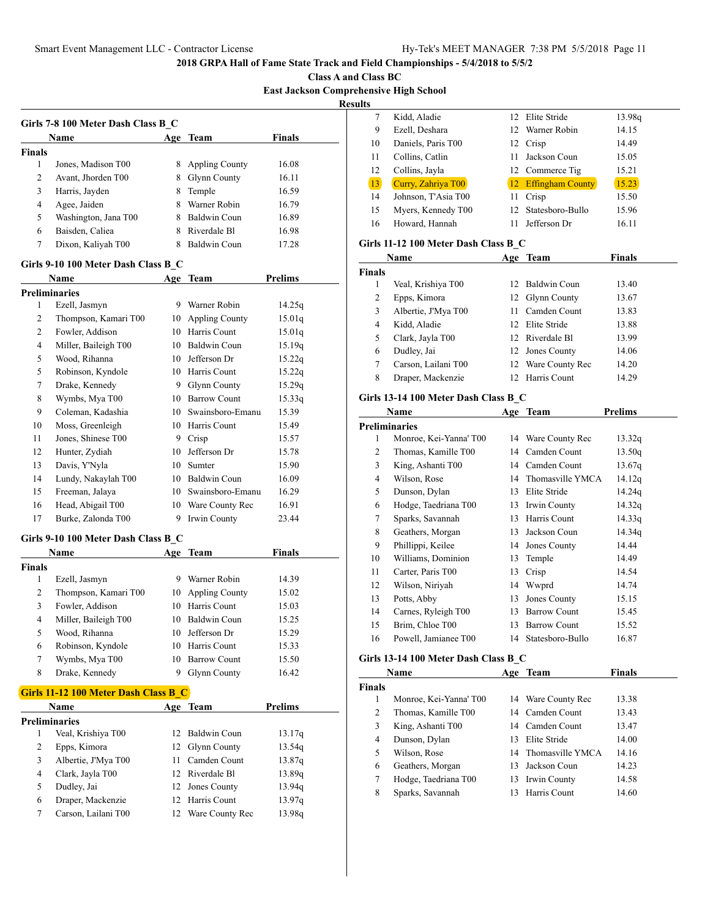**Class A and Class BC East Jackson Comprehensive High School**

**Results**

| 8 | <b>Appling County</b> | 16.08 |
|---|-----------------------|-------|
| 8 | <b>Glynn County</b>   | 16.11 |
| 8 | Temple                | 16.59 |
| 8 | Warner Robin          | 16.79 |
| 8 | Baldwin Coun          | 16.89 |
| 8 | Riverdale Bl          | 16.98 |
| 8 | Baldwin Coun          | 17.28 |
|   |                       |       |

|                | Preliminaries        |    |                       |        |
|----------------|----------------------|----|-----------------------|--------|
| 1              | Ezell, Jasmyn        | 9  | Warner Robin          | 14.25q |
| 2              | Thompson, Kamari T00 | 10 | <b>Appling County</b> | 15.01q |
| $\overline{2}$ | Fowler, Addison      | 10 | Harris Count          | 15.01q |
| $\overline{4}$ | Miller, Baileigh T00 | 10 | Baldwin Coun          | 15.19q |
| 5              | Wood, Rihanna        | 10 | Jefferson Dr          | 15.22q |
| 5              | Robinson, Kyndole    | 10 | Harris Count          | 15.22q |
| 7              | Drake, Kennedy       | 9  | <b>Glynn County</b>   | 15.29q |
| 8              | Wymbs, Mya T00       | 10 | <b>Barrow Count</b>   | 15.33q |
| 9              | Coleman, Kadashia    | 10 | Swainsboro-Emanu      | 15.39  |
| 10             | Moss, Greenleigh     | 10 | Harris Count          | 15.49  |
| 11             | Jones, Shinese T00   | 9  | Crisp                 | 15.57  |
| 12             | Hunter, Zydiah       | 10 | Jefferson Dr          | 15.78  |
| 13             | Davis, Y'Nyla        | 10 | Sumter                | 15.90  |
| 14             | Lundy, Nakaylah T00  | 10 | Baldwin Coun          | 16.09  |
| 15             | Freeman, Jalaya      | 10 | Swainsboro-Emanu      | 16.29  |
| 16             | Head, Abigail T00    | 10 | Ware County Rec       | 16.91  |
| 17             | Burke, Zalonda T00   | 9  | Irwin County          | 23.44  |

#### **Girls 9-10 100 Meter Dash Class B\_C**

|        | <b>Name</b>          |    | Age Team            | <b>Finals</b> |  |
|--------|----------------------|----|---------------------|---------------|--|
| Finals |                      |    |                     |               |  |
|        | Ezell, Jasmyn        | 9  | Warner Robin        | 14.39         |  |
| 2      | Thompson, Kamari T00 |    | 10 Appling County   | 15.02         |  |
| 3      | Fowler, Addison      | 10 | Harris Count        | 15.03         |  |
| 4      | Miller, Baileigh T00 | 10 | Baldwin Coun        | 15.25         |  |
| 5      | Wood, Rihanna        | 10 | Jefferson Dr        | 15.29         |  |
| 6      | Robinson, Kyndole    | 10 | Harris Count        | 15.33         |  |
| 7      | Wymbs, Mya T00       | 10 | <b>Barrow Count</b> | 15.50         |  |
| 8      | Drake, Kennedy       |    | <b>Glynn County</b> | 16.42         |  |

### **Girls 11-12 100 Meter Dash Class B\_C**

|   | <b>Name</b>         | Age Team           | <b>Prelims</b> |  |
|---|---------------------|--------------------|----------------|--|
|   | Preliminaries       |                    |                |  |
|   | Veal, Krishiya T00  | 12 Baldwin Coun    | 13.17q         |  |
| 2 | Epps, Kimora        | 12 Glynn County    | 13.54q         |  |
| 3 | Albertie, J'Mya T00 | 11 Camden Count    | 13.87q         |  |
| 4 | Clark, Jayla T00    | 12 Riverdale Bl    | 13.89q         |  |
| 5 | Dudley, Jai         | 12 Jones County    | 13.94g         |  |
| 6 | Draper, Mackenzie   | 12 Harris Count    | 13.97q         |  |
|   | Carson, Lailani T00 | 12 Ware County Rec | 13.98g         |  |

| ,,,,           |                                      |      |                     |               |
|----------------|--------------------------------------|------|---------------------|---------------|
| 7              | Kidd, Aladie                         | 12   | Elite Stride        | 13.98q        |
| 9              | Ezell, Deshara                       | 12   | Warner Robin        | 14.15         |
| 10             | Daniels, Paris T00                   |      | 12 Crisp            | 14.49         |
| 11             | Collins, Catlin                      | 11 - | Jackson Coun        | 15.05         |
| 12             | Collins, Jayla                       |      | 12 Commerce Tig     | 15.21         |
| 13             | Curry, Zahriya T00                   |      | 12 Effingham County | 15.23         |
| 14             | Johnson, T'Asia T00                  |      | 11 Crisp            | 15.50         |
| 15             | Myers, Kennedy T00                   | 12   | Statesboro-Bullo    | 15.96         |
| 16             | Howard, Hannah                       | 11   | Jefferson Dr        | 16.11         |
|                | Girls 11-12 100 Meter Dash Class B_C |      |                     |               |
|                | Name                                 |      | Age Team            | <b>Finals</b> |
| <b>Finals</b>  |                                      |      |                     |               |
| 1              | Veal, Krishiya T00                   |      | 12 Baldwin Coun     | 13.40         |
| $\overline{c}$ | Epps, Kimora                         | 12   | Glynn County        | 13.67         |
| 3              | Albertie, J'Mya T00                  |      | 11 Camden Count     | 13.83         |
| 4              | Kidd, Aladie                         |      | 12 Elite Stride     | 13.88         |
| 5              | Clark, Jayla T00                     |      | 12 Riverdale Bl     | 13.99         |
| 6              | Dudley, Jai                          |      | 12 Jones County     | 14.06         |
| 7              | Carson, Lailani T00                  |      | 12 Ware County Rec  | 14.20         |
| 8              | Draper, Mackenzie                    |      | 12 Harris Count     | 14.29         |
|                | Girls 13-14 100 Meter Dash Class B_C |      |                     |               |
|                | Name                                 |      | Age Team            | Prelims       |
|                | <b>Preliminaries</b>                 |      |                     |               |
| $\mathbf{1}$   | Monroe, Kei-Yanna' T00               |      | 14 Ware County Rec  | 13.32q        |
| 2              | Thomas, Kamille T00                  |      | 14 Camden Count     | 13.50q        |
| 3              | King, Ashanti T00                    |      | 14 Camden Count     | 13.67q        |
| $\overline{4}$ | Wilson, Rose                         |      | 14 Thomasville YMCA | 14.12q        |
| 5              | Dunson, Dylan                        |      | 13 Elite Stride     | 14.24q        |
| 6              | Hodge, Taedriana T00                 |      | 13 Irwin County     | 14.32q        |
| 7              | Sparks, Savannah                     |      | 13 Harris Count     | 14.33q        |
| 8              | Geathers, Morgan                     |      | 13 Jackson Coun     | 14.34q        |
| 9              | Phillippi, Keilee                    |      | 14 Jones County     | 14.44         |
| 10             | Williams, Dominion                   |      | 13 Temple           | 14.49         |
| 11             | Carter, Paris T00                    | 13   | Crisp               | 14.54         |
| 12             | Wilson, Niriyah                      |      | 14 Wwprd            | 14.74         |
| 13             | Potts, Abby                          | 13   | Jones County        | 15.15         |
| 14             | Carnes, Ryleigh T00                  |      | 13 Barrow Count     | 15.45         |
| 15             | Brim. Chloe T00                      |      | 13 Barrow Count     | 15.52         |
|                |                                      |      |                     |               |

## **Girls 13-14 100 Meter Dash Class B\_C**

|               | Name                   | Age | Team                | Finals |
|---------------|------------------------|-----|---------------------|--------|
| <b>Finals</b> |                        |     |                     |        |
|               | Monroe, Kei-Yanna' T00 |     | 14 Ware County Rec  | 13.38  |
| 2             | Thomas, Kamille T00    |     | 14 Camden Count     | 13.43  |
| 3             | King, Ashanti T00      |     | 14 Camden Count     | 13.47  |
| 4             | Dunson, Dylan          | 13  | Elite Stride        | 14.00  |
| 5             | Wilson, Rose           |     | 14 Thomasville YMCA | 14.16  |
| 6             | Geathers, Morgan       | 13  | Jackson Coun        | 14.23  |
| 7             | Hodge, Taedriana T00   |     | 13 Irwin County     | 14.58  |
| 8             | Sparks, Savannah       |     | Harris Count        | 14.60  |

Powell, Jamianee T00 14 Statesboro-Bullo 16.87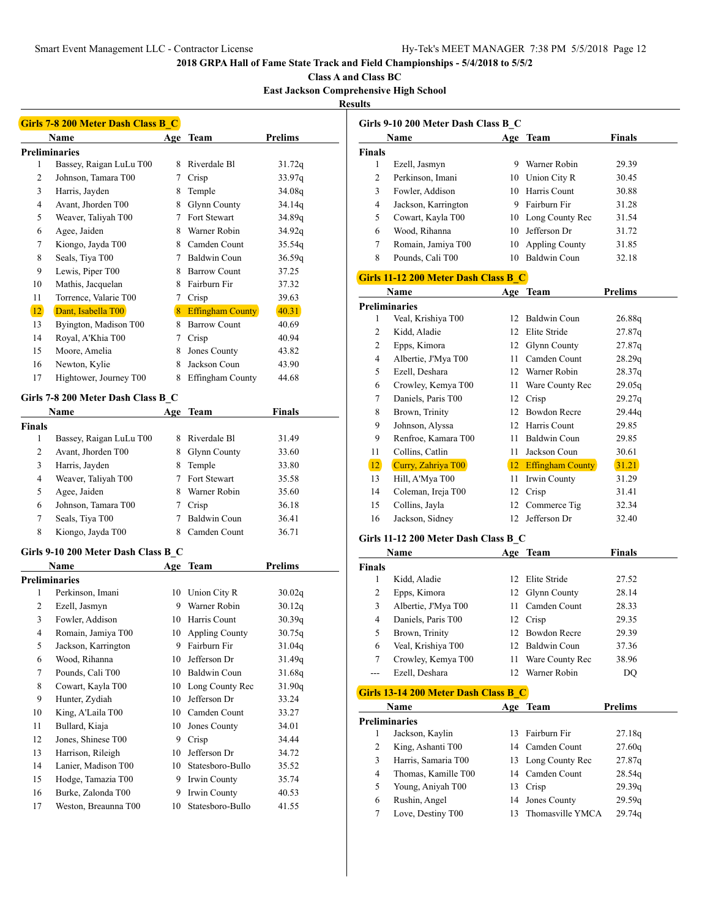**Class A and Class BC**

**East Jackson Comprehensive High School**

**Results**

|               | <b>Girls 7-8 200 Meter Dash Class B C</b> |        |                         |                |
|---------------|-------------------------------------------|--------|-------------------------|----------------|
|               | Name                                      | Age    | Team                    | <b>Prelims</b> |
|               | <b>Preliminaries</b>                      |        |                         |                |
| 1             | Bassey, Raigan LuLu T00                   |        | 8 Riverdale Bl          | 31.72q         |
| 2             | Johnson, Tamara T00                       |        | 7 Crisp                 | 33.97q         |
| 3             | Harris, Jayden                            |        | 8 Temple                | 34.08q         |
| 4             | Avant, Jhorden T00                        |        | 8 Glynn County          | 34.14q         |
| 5             | Weaver, Taliyah T00                       | $\tau$ | Fort Stewart            | 34.89q         |
| 6             | Agee, Jaiden                              |        | 8 Warner Robin          | 34.92q         |
| 7             | Kiongo, Jayda T00                         |        | 8 Camden Count          | 35.54q         |
| 8             | Seals, Tiya T00                           |        | 7 Baldwin Coun          | 36.59q         |
| 9             | Lewis, Piper T00                          |        | 8 Barrow Count          | 37.25          |
| 10            | Mathis, Jacquelan                         |        | 8 Fairburn Fir          | 37.32          |
| 11            | Torrence, Valarie T00                     |        | 7 Crisp                 | 39.63          |
| 12            | Dant, Isabella T00                        |        | 8 Effingham County      | 40.31          |
| 13            | Byington, Madison T00                     |        | 8 Barrow Count          | 40.69          |
| 14            | Royal, A'Khia T00                         |        | 7 Crisp                 | 40.94          |
| 15            | Moore, Amelia                             |        | 8 Jones County          | 43.82          |
| 16            | Newton, Kylie                             | 8      | Jackson Coun            | 43.90          |
| 17            | Hightower, Journey T00                    | 8      | <b>Effingham County</b> | 44.68          |
|               |                                           |        |                         |                |
|               | Girls 7-8 200 Meter Dash Class B C        |        |                         |                |
|               | Name                                      | Age    | Team                    | Finals         |
| <b>Finals</b> |                                           |        |                         |                |
| 1             | Bassey, Raigan LuLu T00                   | 8      | Riverdale Bl            | 31.49          |
| 2             | Avant, Jhorden T00                        |        | 8 Glynn County          | 33.60          |
| 3             | Harris, Jayden                            |        | 8 Temple                | 33.80          |
| 4             | Weaver, Taliyah T00                       |        | 7 Fort Stewart          | 35.58          |
| 5             | Agee, Jaiden                              |        | 8 Warner Robin          | 35.60          |
| 6             | Johnson, Tamara T00                       |        | 7 Crisp                 | 36.18          |
| 7             | Seals, Tiya T00                           | $\tau$ | Baldwin Coun            | 36.41          |
| 8             | Kiongo, Jayda T00                         | 8      | Camden Count            | 36.71          |
|               | Girls 9-10 200 Meter Dash Class B_C       |        |                         |                |
|               | Name                                      |        | Age Team                | <b>Prelims</b> |
|               | <b>Preliminaries</b>                      |        |                         |                |
| 1             | Perkinson, Imani                          |        | 10 Union City R         | 30.02q         |
| 2             | Ezell, Jasmyn                             | 9      | Warner Robin            | 30.12q         |
| 3             | Fowler, Addison                           | 10     | Harris Count            | 30.39q         |
| 4             | Romain, Jamiya T00                        | 10     | <b>Appling County</b>   | 30.75q         |
| 5             | Jackson, Karrington                       | 9      | Fairburn Fir            | 31.04q         |
| 6             | Wood, Rihanna                             | 10     | Jefferson Dr            | 31.49q         |
| 7             | Pounds, Cali T00                          | 10     | Baldwin Coun            | 31.68q         |
| 8             | Cowart, Kayla T00                         | 10     | Long County Rec         | 31.90q         |
| 9             | Hunter, Zydiah                            | 10     | Jefferson Dr            | 33.24          |
| 10            | King, A'Laila T00                         |        | 10 Camden Count         | 33.27          |
| 11            | Bullard, Kiaja                            | 10     | Jones County            | 34.01          |
| 12            | Jones, Shinese T00                        | 9      | Crisp                   | 34.44          |
| 13            | Harrison, Rileigh                         | 10     | Jefferson Dr            | 34.72          |
| 14            | Lanier, Madison T00                       | 10     | Statesboro-Bullo        | 35.52          |
| 15            | Hodge, Tamazia T00                        | 9      | Irwin County            | 35.74          |
| 16            | Burke, Zalonda T00                        | 9      | Irwin County            | 40.53          |
| 17            | Weston, Breaunna T00                      | 10     | Statesboro-Bullo        | 41.55          |
|               |                                           |        |                         |                |

|                | Name                                        |      | Age Team              | <b>Finals</b>  |
|----------------|---------------------------------------------|------|-----------------------|----------------|
| <b>Finals</b>  |                                             |      |                       |                |
| 1              | Ezell, Jasmyn                               |      | 9 Warner Robin        | 29.39          |
| $\overline{2}$ | Perkinson, Imani                            |      | 10 Union City R       | 30.45          |
| 3              | Fowler, Addison                             |      | 10 Harris Count       | 30.88          |
| $\overline{4}$ | Jackson, Karrington                         |      | 9 Fairburn Fir        | 31.28          |
| 5              | Cowart, Kayla T00                           |      | 10 Long County Rec    | 31.54          |
| 6              | Wood, Rihanna                               | 10   | Jefferson Dr          | 31.72          |
| 7              | Romain, Jamiya T00                          | 10   | <b>Appling County</b> | 31.85          |
| 8              | Pounds, Cali T00                            |      | 10 Baldwin Coun       | 32.18          |
|                | <b>Girls 11-12 200 Meter Dash Class B C</b> |      |                       |                |
|                | Name                                        |      | Age Team              | <b>Prelims</b> |
|                | <b>Preliminaries</b>                        |      |                       |                |
| 1              | Veal, Krishiya T00                          | 12   | <b>Baldwin Coun</b>   | 26.88q         |
| 2              | Kidd, Aladie                                | 12   | <b>Elite Stride</b>   | 27.87q         |
| $\overline{2}$ | Epps, Kimora                                | 12   | Glynn County          | 27.87q         |
| 4              | Albertie, J'Mya T00                         | 11 - | Camden Count          | 28.29q         |
| 5              | Ezell, Deshara                              |      | 12 Warner Robin       | 28.37q         |
| 6              | Crowley, Kemya T00                          | 11.  | Ware County Rec       | 29.05q         |
| $\overline{7}$ | Daniels, Paris T00                          | 12   | Crisp                 | 29.27q         |
| 8              | Brown, Trinity                              |      | 12 Bowdon Recre       | 29.44g         |
| 9              | Johnson, Alyssa                             | 12   | Harris Count          | 29.85          |
| 9              | Renfroe, Kamara T00                         | 11.  | Baldwin Coun          | 29.85          |
| 11             | Collins, Catlin                             | 11   | Jackson Coun          | 30.61          |
| 12             | Curry, Zahriya T00                          |      | 12 Effingham County   | 31.21          |
| 13             | Hill, A'Mya T00                             | 11 - | Irwin County          | 31.29          |
| 14             | Coleman, Ireja T00                          | 12   | Crisp                 | 31.41          |
| 15             | Collins, Jayla                              | 12   | Commerce Tig          | 32.34          |
| 16             | Jackson, Sidney                             | 12   | Jefferson Dr          | 32.40          |
|                | Girls 11-12 200 Meter Dash Class B C        |      |                       |                |
|                | Name                                        |      | Age Team              | <b>Finals</b>  |
| <b>Finals</b>  |                                             |      |                       |                |
| $\mathbf{1}$   | $TZ:3.3 - 4.1 - 31$ .                       |      | 10.1111.0111          | 2750           |

| Finals |                                      |     |                 |       |
|--------|--------------------------------------|-----|-----------------|-------|
| 1      | Kidd, Aladie                         |     | 12 Elite Stride | 27.52 |
| 2      | Epps, Kimora                         |     | 12 Glynn County | 28.14 |
| 3      | Albertie, J'Mya T00                  | 11. | Camden Count    | 28.33 |
| 4      | Daniels, Paris T00                   |     | 12 Crisp        | 29.35 |
| 5      | Brown, Trinity                       |     | 12 Bowdon Recre | 29.39 |
| 6      | Veal, Krishiya T00                   |     | 12 Baldwin Coun | 37.36 |
|        | Crowley, Kemya T00                   | 11  | Ware County Rec | 38.96 |
|        | Ezell, Deshara                       |     | 12 Warner Robin | DO    |
|        | Girls 13-14 200 Meter Dash Class B C |     |                 |       |
|        |                                      |     |                 |       |

|   | Name                |    | Age Team           | Prelims |  |
|---|---------------------|----|--------------------|---------|--|
|   | Preliminaries       |    |                    |         |  |
|   | Jackson, Kaylin     |    | 13 Fairburn Fir    | 27.18q  |  |
|   | King, Ashanti T00   |    | 14 Camden Count    | 27.60q  |  |
| 3 | Harris, Samaria T00 |    | 13 Long County Rec | 27.87q  |  |
| 4 | Thomas, Kamille T00 |    | 14 Camden Count    | 28.54q  |  |
| 5 | Young, Aniyah T00   |    | 13 Crisp           | 29.39q  |  |
| 6 | Rushin, Angel       |    | 14 Jones County    | 29.59q  |  |
|   | Love, Destiny T00   | 13 | Thomasville YMCA   | 29.74a  |  |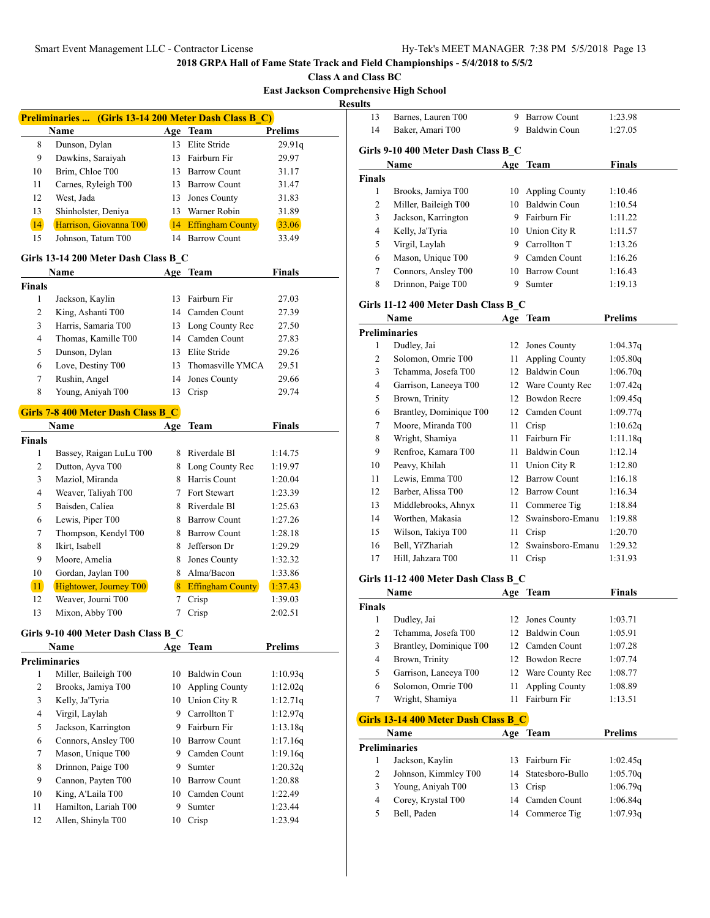**Class A and Class BC**

**East Jackson Comprel** 

**Resu** 

|                | Preliminaries  (Girls 13-14 200 Meter Dash Class B_C) |     |                         |                |
|----------------|-------------------------------------------------------|-----|-------------------------|----------------|
|                | Name                                                  |     | Age Team                | Prelims        |
| 8              | Dunson, Dylan                                         |     | 13 Elite Stride         | 29.91q         |
| 9              | Dawkins, Saraiyah                                     |     | 13 Fairburn Fir         | 29.97          |
| 10             | Brim, Chloe T00                                       |     | 13 Barrow Count         | 31.17          |
| 11             | Carnes, Ryleigh T00                                   |     | 13 Barrow Count         | 31.47          |
| 12             | West, Jada                                            |     | 13 Jones County         | 31.83          |
| 13             | Shinholster, Deniya                                   |     | 13 Warner Robin         | 31.89          |
| 14             | Harrison, Giovanna T00                                |     | 14 Effingham County     | 33.06          |
| 15             | Johnson, Tatum T00                                    |     | 14 Barrow Count         | 33.49          |
|                | Girls 13-14 200 Meter Dash Class B C                  |     |                         |                |
|                | Name                                                  |     | Age Team                | <b>Finals</b>  |
| <b>Finals</b>  |                                                       |     |                         |                |
| 1              | Jackson, Kaylin                                       | 13  | Fairburn Fir            | 27.03          |
| 2              | King, Ashanti T00                                     |     | 14 Camden Count         | 27.39          |
| 3              | Harris, Samaria T00                                   |     | 13 Long County Rec      | 27.50          |
| 4              | Thomas, Kamille T00                                   |     | 14 Camden Count         | 27.83          |
| 5              | Dunson, Dylan                                         |     | 13 Elite Stride         | 29.26          |
| 6              | Love, Destiny T00                                     | 13  | Thomasville YMCA        | 29.51          |
| 7              | Rushin, Angel                                         | 14  | Jones County            | 29.66          |
| 8              | Young, Aniyah T00                                     | 13  | Crisp                   | 29.74          |
|                | <b>Girls 7-8 400 Meter Dash Class B C</b>             |     |                         |                |
|                | Name                                                  | Age | Team                    | <b>Finals</b>  |
| <b>Finals</b>  |                                                       |     |                         |                |
| 1              | Bassey, Raigan LuLu T00                               | 8   | Riverdale Bl            | 1:14.75        |
| $\overline{c}$ | Dutton, Ayva T00                                      |     | 8 Long County Rec       | 1:19.97        |
| 3              | Maziol, Miranda                                       |     | 8 Harris Count          | 1:20.04        |
| 4              | Weaver, Taliyah T00                                   |     | 7 Fort Stewart          | 1:23.39        |
| 5              | Baisden, Caliea                                       | 8   | Riverdale Bl            | 1:25.63        |
| 6              | Lewis, Piper T00                                      | 8   | <b>Barrow Count</b>     | 1:27.26        |
| 7              | Thompson, Kendyl T00                                  | 8   | <b>Barrow Count</b>     | 1:28.18        |
| 8              | Ikirt, Isabell                                        | 8   | Jefferson Dr            | 1:29.29        |
| 9              | Moore, Amelia                                         | 8   | Jones County            | 1:32.32        |
| 10             | Gordan, Jaylan T00                                    | 8   | Alma/Bacon              | 1:33.86        |
| 11             | Hightower, Journey T00                                | 8   | <b>Effingham County</b> | 1:37.43        |
| 12             | Weaver, Journi T00                                    | 7   | Crisp                   | 1:39.03        |
| 13             | Mixon, Abby T00                                       | 7   | Crisp                   | 2:02.51        |
|                | Girls 9-10 400 Meter Dash Class B_C                   |     |                         |                |
|                | Name                                                  | Age | <b>Team</b>             | <b>Prelims</b> |
|                | <b>Preliminaries</b>                                  |     |                         |                |
| 1              | Miller, Baileigh T00                                  | 10  | Baldwin Coun            | 1:10.93q       |
| $\overline{c}$ | Brooks, Jamiya T00                                    | 10  | <b>Appling County</b>   | 1:12.02q       |
| 3              | Kelly, Ja'Tyria                                       | 10  | Union City R            | 1:12.71q       |
| 4              | Virgil, Laylah                                        | 9   | Carrollton T            | 1:12.97q       |
| 5              | Jackson, Karrington                                   |     | 9 Fairburn Fir          | 1:13.18q       |
| 6              | Connors, Ansley T00                                   |     | 10 Barrow Count         | 1:17.16q       |
| 7              | Mason, Unique T00                                     | 9   | Camden Count            | 1:19.16q       |
| 8              | Drinnon, Paige T00                                    | 9   | Sumter                  | 1:20.32q       |
| 9              | Cannon, Payten T00                                    |     | 10 Barrow Count         | 1:20.88        |
| 10             | King, A'Laila T00                                     |     | 10 Camden Count         | 1:22.49        |
| 11             | Hamilton, Lariah T00                                  | 9   | Sumter                  | 1:23.44        |
| 12             | Allen, Shinyla T00                                    | 10  | Crisp                   | 1:23.94        |
|                |                                                       |     |                         |                |

| ılts   | hensive High School                  |     |                       |                |
|--------|--------------------------------------|-----|-----------------------|----------------|
| 13     | Barnes, Lauren T00                   |     | 9 Barrow Count        | 1:23.98        |
| 14     | Baker, Amari T00                     |     | 9 Baldwin Coun        | 1:27.05        |
|        |                                      |     |                       |                |
|        | Girls 9-10 400 Meter Dash Class B C  |     |                       |                |
|        | Name                                 |     | Age Team              | <b>Finals</b>  |
| Finals |                                      |     |                       |                |
| 1      | Brooks, Jamiya T00                   |     | 10 Appling County     | 1:10.46        |
| 2      | Miller, Baileigh T00                 |     | 10 Baldwin Coun       | 1:10.54        |
| 3      | Jackson, Karrington                  |     | 9 Fairburn Fir        | 1:11.22        |
| 4      | Kelly, Ja'Tyria                      |     | 10 Union City R       | 1:11.57        |
| 5      | Virgil, Laylah                       |     | 9 Carrollton T        | 1:13.26        |
| 6      | Mason, Unique T00                    |     | 9 Camden Count        | 1:16.26        |
| 7      | Connors, Ansley T00                  |     | 10 Barrow Count       | 1:16.43        |
| 8      | Drinnon, Paige T00                   |     | 9 Sumter              | 1:19.13        |
|        | Girls 11-12 400 Meter Dash Class B_C |     |                       |                |
|        | Name                                 |     | Age Team              | Prelims        |
|        | <b>Preliminaries</b>                 |     |                       |                |
| 1      | Dudley, Jai                          | 12  | Jones County          | 1:04.37q       |
| 2      | Solomon, Omrie T00                   | 11  | <b>Appling County</b> | 1:05.80q       |
| 3      | Tchamma, Josefa T00                  |     | 12 Baldwin Coun       | 1:06.70q       |
| 4      | Garrison, Laneeya T00                |     | 12 Ware County Rec    | 1:07.42q       |
| 5      | Brown, Trinity                       |     | 12 Bowdon Recre       | 1:09.45q       |
| 6      | Brantley, Dominique T00              |     | 12 Camden Count       | 1:09.77q       |
| 7      | Moore, Miranda T00                   |     | 11 Crisp              | 1:10.62q       |
| 8      | Wright, Shamiya                      | 11  | Fairburn Fir          | 1:11.18q       |
| 9      | Renfroe, Kamara T00                  |     | 11 Baldwin Coun       | 1:12.14        |
| 10     | Peavy, Khilah                        | 11  | Union City R          | 1:12.80        |
| 11     | Lewis, Emma T00                      |     | 12 Barrow Count       | 1:16.18        |
| 12     | Barber, Alissa T00                   |     | 12 Barrow Count       | 1:16.34        |
| 13     | Middlebrooks, Ahnyx                  |     | 11 Commerce Tig       | 1:18.84        |
| 14     | Worthen, Makasia                     |     | 12 Swainsboro-Emanu   | 1:19.88        |
| 15     | Wilson, Takiya T00                   | 11  | Crisp                 | 1:20.70        |
| 16     | Bell, Yi'Zhariah                     |     | 12 Swainsboro-Emanu   | 1:29.32        |
| 17     | Hill, Jahzara T00                    | 11  | Crisp                 | 1:31.93        |
|        |                                      |     |                       |                |
|        | Girls 11-12 400 Meter Dash Class B C |     |                       |                |
|        | Name                                 |     | Age Team              | <b>Finals</b>  |
| Finals |                                      |     |                       |                |
| 1      | Dudley, Jai                          | 12  | Jones County          | 1:03.71        |
| 2      | Tchamma, Josefa T00                  | 12  | <b>Baldwin Coun</b>   | 1:05.91        |
| 3      | Brantley, Dominique T00              | 12  | Camden Count          | 1:07.28        |
| 4      | Brown, Trinity                       | 12  | <b>Bowdon Recre</b>   | 1:07.74        |
| 5      | Garrison, Laneeya T00                | 12  | Ware County Rec       | 1:08.77        |
| 6      | Solomon, Omrie T00                   | 11  | <b>Appling County</b> | 1:08.89        |
| 7      | Wright, Shamiya                      | 11  | Fairburn Fir          | 1:13.51        |
|        | Girls 13-14 400 Meter Dash Class B C |     |                       |                |
|        | Name                                 | Age | <b>Team</b>           | <b>Prelims</b> |
|        | <b>Preliminaries</b>                 |     |                       |                |
| 1      | Jackson, Kaylin                      | 13  | Fairburn Fir          | 1:02.45q       |
| 2      | Johnson, Kimmley T00                 | 14  | Statesboro-Bullo      | 1:05.70q       |
| 3      | Young, Aniyah T00                    | 13  | Crisp                 | 1:06.79q       |

4 Corey, Krystal T00 14 Camden Count 1:06.84q<br>5 Bell, Paden 14 Commerce Tig 1:07.93q 5 Bell, Paden 14 Commerce Tig 1:07.93q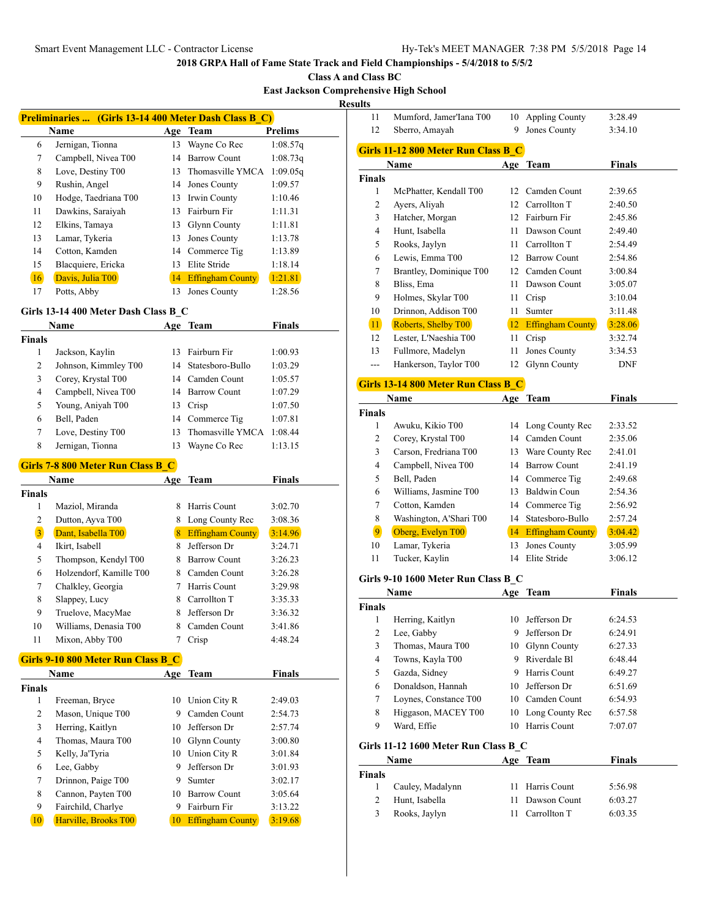**Class A and Class BC**

**East Jackson Comprehensive High School**

**Resu** 

| Preliminaries  (Girls 13-14 400 Meter Dash Class B C) |                                    |    |                         |          |  |  |  |
|-------------------------------------------------------|------------------------------------|----|-------------------------|----------|--|--|--|
|                                                       | Prelims<br><b>Name</b><br>Age Team |    |                         |          |  |  |  |
| 6                                                     | Jernigan, Tionna                   | 13 | Wayne Co Rec            | 1:08.57q |  |  |  |
| 7                                                     | Campbell, Nivea T00                | 14 | <b>Barrow Count</b>     | 1:08.73q |  |  |  |
| 8                                                     | Love, Destiny T00                  | 13 | Thomasville YMCA        | 1:09.05q |  |  |  |
| 9                                                     | Rushin, Angel                      | 14 | Jones County            | 1:09.57  |  |  |  |
| 10                                                    | Hodge, Taedriana T00               | 13 | Irwin County            | 1:10.46  |  |  |  |
| 11                                                    | Dawkins, Saraiyah                  | 13 | Fairburn Fir            | 1:11.31  |  |  |  |
| 12                                                    | Elkins, Tamaya                     | 13 | Glynn County            | 1:11.81  |  |  |  |
| 13                                                    | Lamar, Tykeria                     | 13 | Jones County            | 1:13.78  |  |  |  |
| 14                                                    | Cotton, Kamden                     | 14 | Commerce Tig            | 1:13.89  |  |  |  |
| 15                                                    | Blacquiere, Ericka                 | 13 | Elite Stride            | 1:18.14  |  |  |  |
| 16                                                    | Davis, Julia T00                   | 14 | <b>Effingham County</b> | 1:21.81  |  |  |  |
| 17                                                    | Potts, Abby                        | 13 | Jones County            | 1:28.56  |  |  |  |

### **Girls 13-14 400 Meter Dash Class B\_C**

|                | <b>Name</b>                              | Age | <b>Team</b>             | <b>Finals</b> |  |  |
|----------------|------------------------------------------|-----|-------------------------|---------------|--|--|
| <b>Finals</b>  |                                          |     |                         |               |  |  |
| 1              | Jackson, Kaylin                          | 13  | Fairburn Fir            | 1:00.93       |  |  |
| 2              | Johnson, Kimmley T00                     | 14  | Statesboro-Bullo        | 1:03.29       |  |  |
| 3              | Corey, Krystal T00                       | 14  | Camden Count            | 1:05.57       |  |  |
| 4              | Campbell, Nivea T00                      | 14  | <b>Barrow Count</b>     | 1:07.29       |  |  |
| 5              | Young, Aniyah T00                        | 13  | Crisp                   | 1:07.50       |  |  |
| 6              | Bell, Paden                              | 14  | Commerce Tig            | 1:07.81       |  |  |
| 7              | Love, Destiny T00                        | 13  | Thomasville YMCA        | 1:08.44       |  |  |
| 8              | Jernigan, Tionna                         | 13  | Wayne Co Rec            | 1:13.15       |  |  |
|                | <b>Girls 7-8 800 Meter Run Class B C</b> |     |                         |               |  |  |
|                | Name                                     | Age | Team                    | Finals        |  |  |
| <b>Finals</b>  |                                          |     |                         |               |  |  |
| 1              | Maziol, Miranda                          | 8   | Harris Count            | 3:02.70       |  |  |
| 2              | Dutton, Ayva T00                         | 8   | Long County Rec         | 3:08.36       |  |  |
| $\overline{3}$ | Dant, Isabella T00                       | 8   | <b>Effingham County</b> | 3:14.96       |  |  |
| 4              | Ikirt, Isabell                           | 8   | Jefferson Dr            | 3:24.71       |  |  |
| 5              | Thompson, Kendyl T00                     | 8   | <b>Barrow Count</b>     | 3:26.23       |  |  |
| 6              | Holzendorf, Kamille T00                  | 8   | Camden Count            | 3:26.28       |  |  |
| 7              | Chalkley, Georgia                        | 7   | Harris Count            | 3:29.98       |  |  |
| 8              | Slappey, Lucy                            | 8   | Carrollton T            | 3:35.33       |  |  |
| 9              | Truelove, MacyMae                        | 8   | Jefferson Dr            | 3:36.32       |  |  |
| 10             | Williams, Denasia T00                    | 8   | Camden Count            | 3:41.86       |  |  |
| 11             | Mixon, Abby T00                          | 7   | Crisp                   | 4:48.24       |  |  |

## **Girls 9-10 800 Meter Run Class B\_C**

| Name          |                      |    | Age Team                | <b>Finals</b> |  |
|---------------|----------------------|----|-------------------------|---------------|--|
| <b>Finals</b> |                      |    |                         |               |  |
| 1             | Freeman, Bryce       | 10 | Union City R            | 2:49.03       |  |
| 2             | Mason, Unique T00    | 9  | Camden Count            | 2:54.73       |  |
| 3             | Herring, Kaitlyn     | 10 | Jefferson Dr            | 2:57.74       |  |
| 4             | Thomas, Maura T00    | 10 | <b>Glynn County</b>     | 3:00.80       |  |
| 5             | Kelly, Ja'Tyria      | 10 | Union City R            | 3:01.84       |  |
| 6             | Lee, Gabby           | 9  | Jefferson Dr            | 3:01.93       |  |
| 7             | Drinnon, Paige T00   | 9  | Sumter                  | 3:02.17       |  |
| 8             | Cannon, Payten T00   | 10 | <b>Barrow Count</b>     | 3:05.64       |  |
| 9             | Fairchild, Charlye   | 9  | Fairburn Fir            | 3:13.22       |  |
| 10            | Harville, Brooks T00 | 10 | <b>Effingham County</b> | 3:19.68       |  |

| ults           |                                      |      |                     |               |
|----------------|--------------------------------------|------|---------------------|---------------|
| 11             | Mumford, Jamer'Iana T00              |      | 10 Appling County   | 3:28.49       |
| 12             | Sberro, Amayah                       |      | 9 Jones County      | 3:34.10       |
|                |                                      |      |                     |               |
|                | Girls 11-12 800 Meter Run Class B C  |      |                     |               |
|                | Name                                 |      | Age Team            | Finals        |
| Finals         |                                      |      |                     |               |
| 1              | McPhatter, Kendall T00               | 12   | Camden Count        | 2:39.65       |
| 2              | Ayers, Aliyah                        |      | 12 Carrollton T     | 2:40.50       |
| 3              | Hatcher, Morgan                      |      | 12 Fairburn Fir     | 2:45.86       |
| $\overline{4}$ | Hunt, Isabella                       |      | 11 Dawson Count     | 2:49.40       |
| 5              | Rooks, Jaylyn                        |      | 11 Carrollton T     | 2:54.49       |
| 6              | Lewis, Emma T00                      |      | 12 Barrow Count     | 2:54.86       |
| 7              | Brantley, Dominique T00              |      | 12 Camden Count     | 3:00.84       |
| 8              | Bliss, Ema                           |      | 11 Dawson Count     | 3:05.07       |
| 9              | Holmes, Skylar T00                   |      | 11 Crisp            | 3:10.04       |
| 10             | Drinnon, Addison T00                 | 11 - | Sumter              | 3:11.48       |
| 11             | Roberts, Shelby T00                  |      | 12 Effingham County | 3:28.06       |
| 12             | Lester, L'Naeshia T00                | 11 - | Crisp               | 3:32.74       |
| 13             | Fullmore, Madelyn                    | 11   | Jones County        | 3:34.53       |
| ---            | Hankerson, Taylor T00                | 12   | <b>Glynn County</b> | DNF           |
|                |                                      |      |                     |               |
|                | Girls 13-14 800 Meter Run Class B C  |      |                     |               |
|                | Name                                 |      | Age Team            | <b>Finals</b> |
| <b>Finals</b>  |                                      |      |                     |               |
| 1              | Awuku, Kikio T00                     |      | 14 Long County Rec  | 2:33.52       |
| 2              | Corey, Krystal T00                   |      | 14 Camden Count     | 2:35.06       |
| 3              | Carson, Fredriana T00                |      | 13 Ware County Rec  | 2:41.01       |
| 4              | Campbell, Nivea T00                  |      | 14 Barrow Count     | 2:41.19       |
| 5              | Bell, Paden                          |      | 14 Commerce Tig     | 2:49.68       |
| 6              | Williams, Jasmine T00                |      | 13 Baldwin Coun     | 2:54.36       |
| 7              | Cotton, Kamden                       |      | 14 Commerce Tig     | 2:56.92       |
| 8              | Washington, A'Shari T00              |      | 14 Statesboro-Bullo | 2:57.24       |
| $\overline{9}$ | Oberg, Evelyn T00                    |      | 14 Effingham County | 3:04.42       |
| 10             | Lamar, Tykeria                       | 13   | Jones County        | 3:05.99       |
| 11             | Tucker, Kaylin                       |      | 14 Elite Stride     | 3:06.12       |
|                |                                      |      |                     |               |
|                | Girls 9-10 1600 Meter Run Class B_C  |      |                     |               |
|                | Name                                 |      | Age Team            | Finals        |
| Finals         |                                      |      |                     |               |
| 1              | Herring, Kaitlyn                     |      | 10 Jefferson Dr     | 6:24.53       |
| $\mathbf{2}$   | Lee, Gabby                           |      | 9 Jefferson Dr      | 6:24.91       |
| $\mathfrak{Z}$ | Thomas, Maura T00                    |      | 10 Glynn County     | 6:27.33       |
| 4              | Towns, Kayla T00                     |      | 9 Riverdale Bl      | 6:48.44       |
| 5              | Gazda, Sidney                        |      | 9 Harris Count      | 6:49.27       |
| 6              | Donaldson, Hannah                    | 10   | Jefferson Dr        | 6:51.69       |
| 7              | Loynes, Constance T00                | 10   | Camden Count        | 6:54.93       |
| 8              | Higgason, MACEY T00                  | 10   | Long County Rec     | 6:57.58       |
| 9              | Ward, Effie                          | 10   | Harris Count        | 7:07.07       |
|                |                                      |      |                     |               |
|                | Girls 11-12 1600 Meter Run Class B_C |      |                     |               |
|                | Name                                 |      | Age Team            | <b>Finals</b> |
| <b>Finals</b>  |                                      |      |                     |               |
| 1              | Cauley, Madalynn                     | 11   | Harris Count        | 5:56.98       |
| 2              | Hunt, Isabella                       | 11   | Dawson Count        | 6:03.27       |
| 3              | Rooks, Jaylyn                        | 11   | Carrollton T        | 6:03.35       |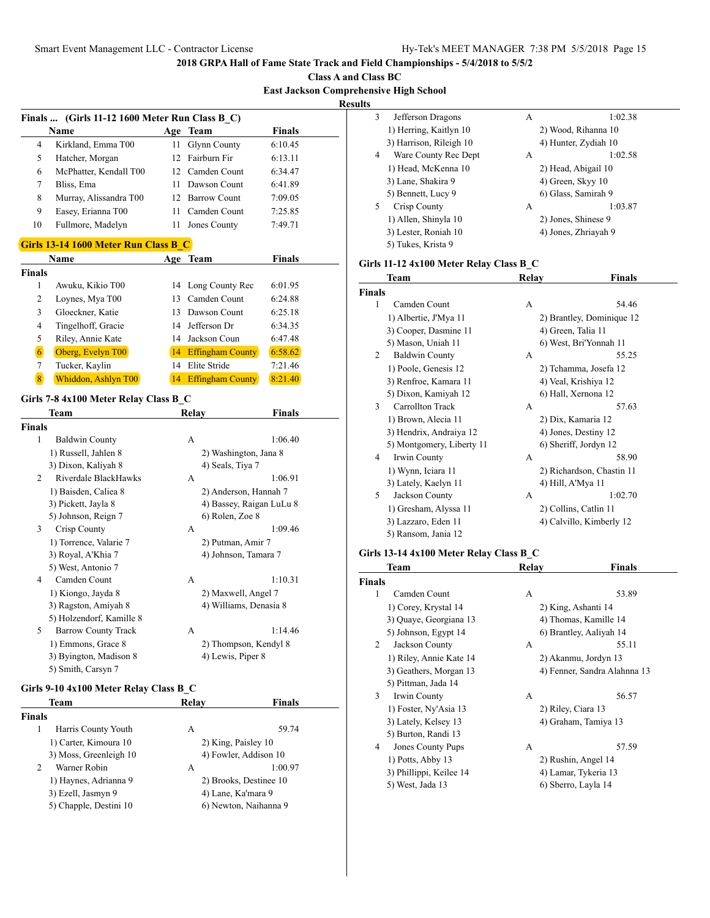**Class A and Class BC East Jackson Comprehensive High School**

**Results**

| <b>Finals</b>  | (Girls 11-12 1600 Meter Run Class B_C)                 |    |                                            |         |
|----------------|--------------------------------------------------------|----|--------------------------------------------|---------|
|                | Name                                                   |    | Age Team                                   | Finals  |
| 4              | Kirkland, Emma T00                                     | 11 | <b>Glynn County</b>                        | 6:10.45 |
| 5              | Hatcher, Morgan                                        | 12 | Fairburn Fir                               | 6:13.11 |
| 6              | McPhatter, Kendall T00                                 |    | 12 Camden Count                            | 6:34.47 |
| 7              | Bliss, Ema                                             | 11 | Dawson Count                               | 6:41.89 |
| 8              | Murray, Alissandra T00                                 |    | 12 Barrow Count                            | 7:09.05 |
| 9              | Easey, Erianna T00                                     | 11 | Camden Count                               | 7:25.85 |
| 10             | Fullmore, Madelyn                                      | 11 | Jones County                               | 7:49.71 |
|                | Girls 13-14 1600 Meter Run Class B C                   |    |                                            |         |
|                | Name                                                   |    | Age Team                                   | Finals  |
| Finals         |                                                        |    |                                            |         |
| 1              | Awuku, Kikio T00                                       | 14 | Long County Rec                            | 6:01.95 |
| 2              | Loynes, Mya T00                                        |    | 13 Camden Count                            | 6:24.88 |
| 3              | Gloeckner, Katie                                       |    | 13 Dawson Count                            | 6:25.18 |
| $\overline{4}$ | Tingelhoff, Gracie                                     |    | 14 Jefferson Dr                            | 6:34.35 |
| 5              | Riley, Annie Kate                                      |    | 14 Jackson Coun                            | 6:47.48 |
| $\boxed{6}$    | Oberg, Evelyn T00                                      |    | 14 Effingham County                        | 6:58.62 |
| 7              | Tucker, Kaylin                                         |    | 14 Elite Stride                            | 7:21.46 |
| $\overline{8}$ | Whiddon, Ashlyn T00                                    |    | 14 Effingham County                        | 8:21.40 |
|                | Girls 7-8 4x100 Meter Relay Class B C                  |    |                                            |         |
|                | Team                                                   |    | Relay                                      | Finals  |
| Finals         |                                                        |    |                                            |         |
| 1              | <b>Baldwin County</b>                                  |    | А                                          | 1:06.40 |
|                | 1) Russell, Jahlen 8                                   |    | 2) Washington, Jana 8                      |         |
|                | 3) Dixon, Kaliyah 8                                    |    | 4) Seals, Tiya 7                           |         |
| 2              | Riverdale BlackHawks                                   |    | А                                          | 1:06.91 |
|                | 1) Baisden, Caliea 8                                   |    | 2) Anderson, Hannah 7                      |         |
|                | 3) Pickett, Jayla 8                                    |    | 4) Bassey, Raigan LuLu 8                   |         |
|                | 5) Johnson, Reign 7                                    |    | 6) Rolen, Zoe 8                            |         |
| 3              | Crisp County                                           |    | А                                          | 1:09.46 |
|                | 1) Torrence, Valarie 7                                 |    | 2) Putman, Amir 7                          |         |
|                | 3) Royal, A'Khia 7                                     |    | 4) Johnson, Tamara 7                       |         |
|                | 5) West, Antonio 7                                     |    |                                            |         |
| 4              | Camden Count                                           |    | А                                          | 1:10.31 |
|                | 1) Kiongo, Jayda 8                                     |    | 2) Maxwell, Angel 7                        |         |
|                | 3) Ragston, Amiyah 8                                   |    | 4) Williams, Denasia 8                     |         |
| 5              | 5) Holzendorf, Kamille 8<br><b>Barrow County Track</b> |    | А                                          | 1:14.46 |
|                | 1) Emmons, Grace 8                                     |    |                                            |         |
|                | 3) Byington, Madison 8                                 |    | 2) Thompson, Kendyl 8<br>4) Lewis, Piper 8 |         |
|                | 5) Smith, Carsyn 7                                     |    |                                            |         |
|                |                                                        |    |                                            |         |
|                | Girls 9-10 4x100 Meter Relay Class B_C<br><b>Team</b>  |    | Relay                                      | Finals  |
|                |                                                        |    |                                            |         |

| тсаш                   |                        | IXCIA V             | гшаіз                  |  |
|------------------------|------------------------|---------------------|------------------------|--|
| <b>Finals</b>          |                        |                     |                        |  |
|                        | Harris County Youth    | A                   | 59.74                  |  |
|                        | 1) Carter, Kimoura 10  | 2) King, Paisley 10 |                        |  |
| 3) Moss, Greenleigh 10 |                        |                     | 4) Fowler, Addison 10  |  |
| $\mathcal{L}$          | Warner Robin           | A                   | 1:00.97                |  |
|                        | 1) Haynes, Adrianna 9  |                     | 2) Brooks, Destinee 10 |  |
|                        | 3) Ezell, Jasmyn 9     | 4) Lane, Ka'mara 9  |                        |  |
|                        | 5) Chapple, Destini 10 |                     | 6) Newton, Naihanna 9  |  |
|                        |                        |                     |                        |  |

| 3 | Jefferson Dragons       | A | 1:02.38              |
|---|-------------------------|---|----------------------|
|   | 1) Herring, Kaitlyn 10  |   | 2) Wood, Rihanna 10  |
|   | 3) Harrison, Rileigh 10 |   | 4) Hunter, Zydiah 10 |
| 4 | Ware County Rec Dept    | A | 1:02.58              |
|   | 1) Head, McKenna 10     |   | 2) Head, Abigail 10  |
|   | 3) Lane, Shakira 9      |   | 4) Green, Skyy 10    |
|   | 5) Bennett, Lucy 9      |   | 6) Glass, Samirah 9  |
| 5 | Crisp County            | A | 1:03.87              |
|   | 1) Allen, Shinyla 10    |   | 2) Jones, Shinese 9  |
|   | 3) Lester, Roniah 10    |   | 4) Jones, Zhriayah 9 |
|   | 5) Tukes, Krista 9      |   |                      |

# **Girls 11-12 4x100 Meter Relay Class B\_C**

|               | Team                      | Relay | <b>Finals</b>             |
|---------------|---------------------------|-------|---------------------------|
| <b>Finals</b> |                           |       |                           |
| 1             | Camden Count              | A     | 54.46                     |
|               | 1) Albertie, J'Mya 11     |       | 2) Brantley, Dominique 12 |
|               | 3) Cooper, Dasmine 11     |       | 4) Green, Talia 11        |
|               | 5) Mason, Uniah 11        |       | 6) West, Bri'Yonnah 11    |
| 2             | <b>Baldwin County</b>     | A     | 55.25                     |
|               | 1) Poole, Genesis 12      |       | 2) Tchamma, Josefa 12     |
|               | 3) Renfroe, Kamara 11     |       | 4) Veal, Krishiya 12      |
|               | 5) Dixon, Kamiyah 12      |       | 6) Hall, Xernona 12       |
| 3             | Carrollton Track          | A     | 57.63                     |
|               | 1) Brown, Alecia 11       |       | 2) Dix, Kamaria 12        |
|               | 3) Hendrix, Andraiya 12   |       | 4) Jones, Destiny 12      |
|               | 5) Montgomery, Liberty 11 |       | 6) Sheriff, Jordyn 12     |
| 4             | Irwin County              | A     | 58.90                     |
|               | 1) Wynn, Iciara 11        |       | 2) Richardson, Chastin 11 |
|               | 3) Lately, Kaelyn 11      |       | 4) Hill, A'Mya 11         |
| 5             | Jackson County            | А     | 1:02.70                   |
|               | 1) Gresham, Alyssa 11     |       | 2) Collins, Catlin 11     |
|               | 3) Lazzaro, Eden 11       |       | 4) Calvillo, Kimberly 12  |
|               | 5) Ransom, Jania 12       |       |                           |
|               | .                         |       |                           |

# **Girls 13-14 4x100 Meter Relay Class B\_C**

| Team                     | Relay | Finals                       |
|--------------------------|-------|------------------------------|
| <b>Finals</b>            |       |                              |
| Camden Count             | А     | 53.89                        |
| 1) Corey, Krystal 14     |       | 2) King, Ashanti 14          |
| 3) Quaye, Georgiana 13   |       | 4) Thomas, Kamille 14        |
| 5) Johnson, Egypt 14     |       | 6) Brantley, Aaliyah 14      |
| Jackson County           | A     | 55.11                        |
| 1) Riley, Annie Kate 14  |       | 2) Akanmu, Jordyn 13         |
| 3) Geathers, Morgan 13   |       | 4) Fenner, Sandra Alahnna 13 |
| 5) Pittman, Jada 14      |       |                              |
| Irwin County             | А     | 56.57                        |
| 1) Foster, Ny'Asia 13    |       | 2) Riley, Ciara 13           |
| 3) Lately, Kelsey 13     |       | 4) Graham, Tamiya 13         |
| 5) Burton, Randi 13      |       |                              |
| <b>Jones County Pups</b> | A     | 57.59                        |
| 1) Potts, Abby 13        |       | 2) Rushin, Angel 14          |
| 3) Phillippi, Keilee 14  |       | 4) Lamar, Tykeria 13         |
| 5) West, Jada 13         |       | 6) Sberro, Layla 14          |
|                          |       |                              |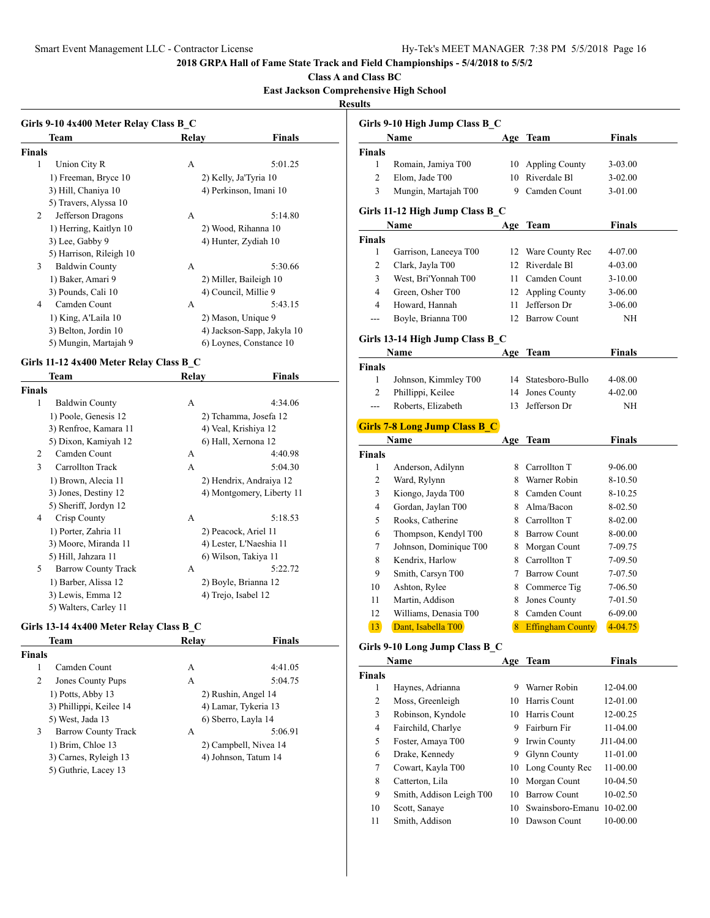**Class A and Class BC**

## **East Jackson Comprehensive High School**

**Resul** 

| Team<br>Relav                                   |                            |
|-------------------------------------------------|----------------------------|
|                                                 | <b>Finals</b>              |
| <b>Finals</b>                                   |                            |
| 1<br>Union City R<br>A                          | 5:01.25                    |
| 1) Freeman, Bryce 10<br>2) Kelly, Ja'Tyria 10   |                            |
| 3) Hill, Chaniya 10<br>4) Perkinson, Imani 10   |                            |
| 5) Travers, Alyssa 10                           |                            |
| Jefferson Dragons<br>2<br>A                     | 5:14.80                    |
| 1) Herring, Kaitlyn 10<br>2) Wood, Rihanna 10   |                            |
| 3) Lee, Gabby 9<br>4) Hunter, Zydiah 10         |                            |
| 5) Harrison, Rileigh 10                         |                            |
| <b>Baldwin County</b><br>3<br>A                 | 5:30.66                    |
| 1) Baker, Amari 9<br>2) Miller, Baileigh 10     |                            |
| 3) Pounds, Cali 10<br>4) Council, Millie 9      |                            |
| Camden Count<br>4<br>А                          | 5:43.15                    |
| 1) King, A'Laila 10<br>2) Mason, Unique 9       |                            |
| 3) Belton, Jordin 10                            | 4) Jackson-Sapp, Jakyla 10 |
| 5) Mungin, Martajah 9                           | 6) Loynes, Constance 10    |
|                                                 |                            |
|                                                 |                            |
| Girls 11-12 4x400 Meter Relay Class B C         |                            |
| <b>Team</b><br>Relay                            | Finals                     |
| <b>Finals</b>                                   |                            |
| 1<br><b>Baldwin County</b><br>A                 | 4:34.06                    |
| 1) Poole, Genesis 12<br>2) Tchamma, Josefa 12   |                            |
| 3) Renfroe, Kamara 11<br>4) Veal, Krishiya 12   |                            |
| 5) Dixon, Kamiyah 12<br>6) Hall, Xernona 12     |                            |
| Camden Count<br>2<br>A                          | 4:40.98                    |
| 3<br>Carrollton Track<br>А                      | 5:04.30                    |
| 1) Brown, Alecia 11                             | 2) Hendrix, Andraiya 12    |
| 3) Jones, Destiny 12                            | 4) Montgomery, Liberty 11  |
| 5) Sheriff, Jordyn 12                           |                            |
| Crisp County<br>4<br>А                          | 5:18.53                    |
| 1) Porter, Zahria 11<br>2) Peacock, Ariel 11    |                            |
| 3) Moore, Miranda 11<br>4) Lester, L'Naeshia 11 |                            |
| 5) Hill, Jahzara 11<br>6) Wilson, Takiya 11     |                            |
| <b>Barrow County Track</b><br>5<br>А            | 5:22.72                    |

3) Lewis, Emma 12 4) Trejo, Isabel 12

# **Girls 13-14 4x400 Meter Relay Class B\_C**

5) Walters, Carley 11

| Team                                                             |                       | Relay                | <b>Finals</b>         |  |
|------------------------------------------------------------------|-----------------------|----------------------|-----------------------|--|
| Finals                                                           |                       |                      |                       |  |
| 1                                                                | Camden Count          | A                    | 4:41.05               |  |
| 2                                                                | Jones County Pups     | A                    | 5:04.75               |  |
| 1) Potts, Abby 13<br>3) Phillippi, Keilee 14<br>5) West, Jada 13 |                       | 2) Rushin, Angel 14  |                       |  |
|                                                                  |                       | 4) Lamar, Tykeria 13 |                       |  |
|                                                                  |                       |                      | 6) Sberro, Layla 14   |  |
| 3                                                                | Barrow County Track   | А                    | 5:06.91               |  |
|                                                                  | 1) Brim, Chloe 13     |                      | 2) Campbell, Nivea 14 |  |
|                                                                  | 3) Carnes, Ryleigh 13 |                      | 4) Johnson, Tatum 14  |  |
|                                                                  | 5) Guthrie, Lacey 13  |                      |                       |  |
|                                                                  |                       |                      |                       |  |

|                    | Girls 9-10 High Jump Class B_C          |          |                              |               |
|--------------------|-----------------------------------------|----------|------------------------------|---------------|
|                    | <b>Name</b>                             |          | Age Team                     | Finals        |
| Finals             |                                         |          |                              |               |
| 1                  | Romain, Jamiya T00                      | 10       | Appling County               | 3-03.00       |
| 2                  | Elom, Jade T00                          | 10       | Riverdale Bl                 | $3-02.00$     |
| 3                  | Mungin, Martajah T00                    | 9        | Camden Count                 | 3-01.00       |
|                    | Girls 11-12 High Jump Class B C         |          |                              |               |
|                    | Name                                    |          | Age Team                     | <b>Finals</b> |
| Finals             |                                         |          |                              |               |
| 1                  | Garrison, Laneeya T00                   | 12       | Ware County Rec              | 4-07.00       |
| 2<br>3             | Clark, Jayla T00                        | 12<br>11 | Riverdale Bl<br>Camden Count | 4-03.00       |
| 4                  | West, Bri'Yonnah T00                    |          |                              | 3-10.00       |
|                    | Green, Osher T00                        | 12       | <b>Appling County</b>        | 3-06.00       |
| 4                  | Howard, Hannah                          | 11       | Jefferson Dr                 | 3-06.00       |
| ---                | Boyle, Brianna T00                      | 12       | <b>Barrow Count</b>          | ΝH            |
|                    | Girls 13-14 High Jump Class B C<br>Name |          | Age Team                     |               |
|                    |                                         |          |                              | Finals        |
| <b>Finals</b><br>1 | Johnson, Kimmley T00                    | 14       | Statesboro-Bullo             | 4-08.00       |
| 2                  | Phillippi, Keilee                       | 14       | Jones County                 | 4-02.00       |
| $---$              | Roberts, Elizabeth                      | 13       | Jefferson Dr                 |               |
|                    |                                         |          |                              | NH            |
|                    | <b>Girls 7-8 Long Jump Class B_C</b>    |          |                              |               |
|                    | Name                                    |          | Age Team                     | <b>Finals</b> |
| <b>Finals</b>      |                                         |          |                              |               |
| 1                  | Anderson, Adilynn                       | 8        | Carrollton T                 | 9-06.00       |
| 2                  | Ward, Rylynn                            | 8        | Warner Robin                 | 8-10.50       |
| 3                  | Kiongo, Jayda T00                       | 8        | Camden Count                 | 8-10.25       |
| 4                  | Gordan, Jaylan T00                      | 8        | Alma/Bacon                   | 8-02.50       |
| 5                  | Rooks, Catherine                        | 8        | Carrollton T                 | 8-02.00       |
| 6                  | Thompson, Kendyl T00                    | 8        | <b>Barrow Count</b>          | 8-00.00       |
| 7                  | Johnson, Dominique T00                  | 8        | Morgan Count                 | 7-09.75       |
| 8                  | Kendrix, Harlow                         | 8        | Carrollton T                 | 7-09.50       |
| 9                  | Smith, Carsyn T00                       | 7        | <b>Barrow Count</b>          | 7-07.50       |
| 10                 | Ashton, Rylee                           | 8        | Commerce Tig                 | 7-06.50       |
| 11                 | Martin, Addison                         | 8        | Jones County                 | 7-01.50       |
| 12                 | Williams, Denasia T00                   | 8        | Camden Count                 | 6-09.00       |
| 13                 | Dant, Isabella T00                      | 8        | <b>Effingham County</b>      | $4 - 04.75$   |
|                    | Girls 9-10 Long Jump Class B C          |          |                              |               |
|                    | Name                                    | Age      | Team                         | <b>Finals</b> |
| Finals             |                                         |          |                              |               |
| 1                  | Haynes, Adrianna                        | 9.       | Warner Robin                 | 12-04.00      |
| 2                  | Moss, Greenleigh                        | 10       | Harris Count                 | 12-01.00      |
| 3                  | Robinson, Kyndole                       | 10       | Harris Count                 | 12-00.25      |
| $\overline{4}$     | Fairchild, Charlye                      | 9        | Fairburn Fir                 | 11-04.00      |
| 5                  | Foster, Amaya T00                       | 9        | Irwin County                 | J11-04.00     |
| 6                  | Drake, Kennedy                          | 9        | Glynn County                 | 11-01.00      |
| 7                  | Cowart, Kayla T00                       | 10       | Long County Rec              | 11-00.00      |
| $\,$ 8 $\,$        | Catterton, Lila                         | 10       | Morgan Count                 | 10-04.50      |
| 9                  | Smith, Addison Leigh T00                | 10       | <b>Barrow Count</b>          | 10-02.50      |
| 10                 | Scott, Sanaye                           | 10       | Swainsboro-Emanu             | $10-02.00$    |
|                    | Smith, Addison                          |          | 10 Dawson Count              | 10-00.00      |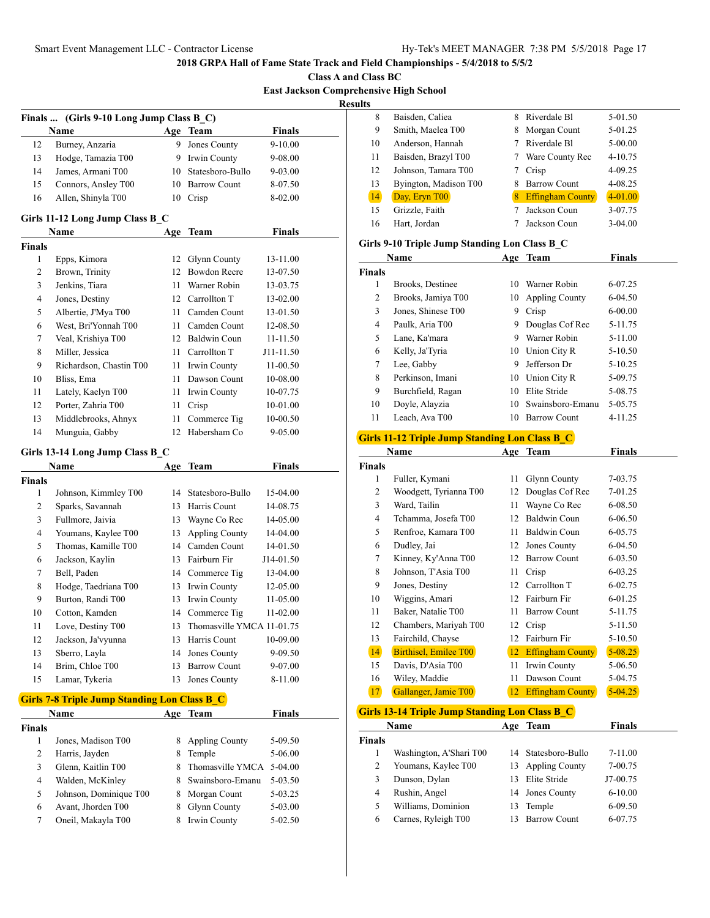**Class A and Class BC East Jackson Comprehensive High School**

**Results**

|               | Finals  (Girls 9-10 Long Jump Class B_C)            |     |                           |               |  |
|---------------|-----------------------------------------------------|-----|---------------------------|---------------|--|
|               | Name                                                |     | Age Team                  | <b>Finals</b> |  |
| 12            | Burney, Anzaria                                     |     | 9 Jones County            | 9-10.00       |  |
| 13            | Hodge, Tamazia T00                                  |     | 9 Irwin County            | 9-08.00       |  |
| 14            | James, Armani T00                                   |     | 10 Statesboro-Bullo       | 9-03.00       |  |
| 15            | Connors, Ansley T00                                 |     | 10 Barrow Count           | 8-07.50       |  |
| 16            | Allen, Shinyla T00                                  |     | 10 Crisp                  | 8-02.00       |  |
|               |                                                     |     |                           |               |  |
|               | Girls 11-12 Long Jump Class B_C                     |     |                           |               |  |
|               | Name                                                | Age | Team                      | <b>Finals</b> |  |
| <b>Finals</b> |                                                     |     |                           |               |  |
| 1             | Epps, Kimora                                        |     | 12 Glynn County           | 13-11.00      |  |
| 2             | Brown, Trinity                                      |     | 12 Bowdon Recre           | 13-07.50      |  |
| 3             | Jenkins, Tiara                                      |     | 11 Warner Robin           | 13-03.75      |  |
| 4             | Jones, Destiny                                      |     | 12 Carrollton T           | 13-02.00      |  |
| 5             | Albertie, J'Mya T00                                 |     | 11 Camden Count           | 13-01.50      |  |
| 6             | West, Bri'Yonnah T00                                |     | 11 Camden Count           | 12-08.50      |  |
| 7             | Veal, Krishiya T00                                  |     | 12 Baldwin Coun           | 11-11.50      |  |
| 8             | Miller, Jessica                                     |     | 11 Carrollton T           | J11-11.50     |  |
| 9             | Richardson, Chastin T00                             |     | 11 Irwin County           | 11-00.50      |  |
| 10            | Bliss, Ema                                          |     | 11 Dawson Count           | 10-08.00      |  |
| 11            | Lately, Kaelyn T00                                  |     | 11 Irwin County           | 10-07.75      |  |
| 12            | Porter, Zahria T00                                  | 11  | Crisp                     | 10-01.00      |  |
| 13            | Middlebrooks, Ahnyx                                 | 11  | Commerce Tig              | 10-00.50      |  |
| 14            | Munguia, Gabby                                      | 12  | Habersham Co              | 9-05.00       |  |
|               |                                                     |     |                           |               |  |
|               | Girls 13-14 Long Jump Class B_C                     |     |                           |               |  |
|               | Name                                                | Age | Team                      | Finals        |  |
| <b>Finals</b> |                                                     |     |                           |               |  |
| 1             | Johnson, Kimmley T00                                |     | 14 Statesboro-Bullo       | 15-04.00      |  |
| 2             | Sparks, Savannah                                    |     | 13 Harris Count           | 14-08.75      |  |
| 3             | Fullmore, Jaivia                                    |     | 13 Wayne Co Rec           | 14-05.00      |  |
| 4             | Youmans, Kaylee T00                                 | 13  | <b>Appling County</b>     | 14-04.00      |  |
| 5             | Thomas, Kamille T00                                 |     | 14 Camden Count           | 14-01.50      |  |
| 6             | Jackson, Kaylin                                     |     | 13 Fairburn Fir           | J14-01.50     |  |
| 7             | Bell, Paden                                         |     | 14 Commerce Tig           | 13-04.00      |  |
| 8             | Hodge, Taedriana T00                                |     | 13 Irwin County           | 12-05.00      |  |
| 9             | Burton, Randi T00                                   | 13  | Irwin County              | 11-05.00      |  |
| 10            | Cotton, Kamden                                      | 14  | Commerce Tig              | 11-02.00      |  |
| 11            | Love, Destiny T00                                   | 13  | Thomasville YMCA 11-01.75 |               |  |
| 12            | Jackson, Ja'vyunna                                  | 13  | Harris Count              | 10-09.00      |  |
| 13            | Sberro, Layla                                       | 14  | Jones County              | 9-09.50       |  |
| 14            | Brim, Chloe T00                                     | 13  | <b>Barrow Count</b>       | 9-07.00       |  |
| 15            | Lamar, Tykeria                                      | 13  | Jones County              | 8-11.00       |  |
|               | <b>Girls 7-8 Triple Jump Standing Lon Class B_C</b> |     |                           |               |  |
|               | Name                                                |     | Age Team                  | <b>Finals</b> |  |
| Finals        |                                                     |     |                           |               |  |
| 1             | Jones, Madison T00                                  | 8   | <b>Appling County</b>     | 5-09.50       |  |
| $\mathbf{2}$  | Harris, Jayden                                      | 8   | Temple                    | 5-06.00       |  |
| 3             | Glenn, Kaitlin T00                                  | 8   | Thomasville YMCA          | 5-04.00       |  |
| 4             |                                                     |     | Swainsboro-Emanu          |               |  |
|               | Walden, McKinley                                    | 8.  |                           | 5-03.50       |  |
|               | Johnson, Dominique T00                              | 8   | Morgan Count              | 5-03.25       |  |
| 5             |                                                     | 8   | Glynn County              | 5-03.00       |  |
| 6<br>$\tau$   | Avant, Jhorden T00<br>Oneil, Makayla T00            | 8   | Irwin County              | 5-02.50       |  |

| 8   | Baisden, Caliea       | 8 | Riverdale Bl            | 5-01.50     |
|-----|-----------------------|---|-------------------------|-------------|
| 9   | Smith, Maelea T00     | 8 | Morgan Count            | 5-01.25     |
| 10  | Anderson, Hannah      |   | Riverdale Bl            | 5-00.00     |
| -11 | Baisden, Brazyl T00   | 7 | Ware County Rec         | $4 - 10.75$ |
| 12  | Johnson, Tamara T00   | 7 | Crisp                   | 4-09.25     |
| 13  | Byington, Madison T00 |   | <b>Barrow Count</b>     | 4-08.25     |
| 14  | Day, Eryn T00         | 8 | <b>Effingham County</b> | 4-01.00     |
| 15  | Grizzle, Faith        |   | Jackson Coun            | 3-07.75     |
| 16  | Hart, Jordan          |   | Jackson Coun            | $3-04.00$   |

# **Girls 9-10 Triple Jump Standing Lon Class B\_C**

|                | <b>Name</b>                                           | Age           | <b>Team</b>             | <b>Finals</b> |
|----------------|-------------------------------------------------------|---------------|-------------------------|---------------|
| Finals         |                                                       |               |                         |               |
| 1              | Brooks, Destinee                                      |               | 10 Warner Robin         | 6-07.25       |
| $\overline{c}$ | Brooks, Jamiya T00                                    |               | 10 Appling County       | 6-04.50       |
| 3              | Jones, Shinese T00                                    |               | 9 Crisp                 | 6-00.00       |
| $\overline{4}$ | Paulk, Aria T00                                       |               | 9 Douglas Cof Rec       | 5-11.75       |
| 5              | Lane, Ka'mara                                         |               | 9 Warner Robin          | 5-11.00       |
| 6              | Kelly, Ja'Tyria                                       |               | 10 Union City R         | 5-10.50       |
| $\tau$         | Lee, Gabby                                            | 9             | Jefferson Dr            | 5-10.25       |
| 8              | Perkinson, Imani                                      |               | 10 Union City R         | 5-09.75       |
| 9              | Burchfield, Ragan                                     |               | 10 Elite Stride         | 5-08.75       |
| 10             | Doyle, Alayzia                                        |               | 10 Swainsboro-Emanu     | 5-05.75       |
| 11             | Leach, Ava T00                                        |               | 10 Barrow Count         | 4-11.25       |
|                | <b>Girls 11-12 Triple Jump Standing Lon Class B_C</b> |               |                         |               |
|                | Name                                                  |               | Age Team                | Finals        |
| Finals         |                                                       |               |                         |               |
| $\mathbf{1}$   | Fuller, Kymani                                        | 11            | <b>Glynn County</b>     | 7-03.75       |
| $\overline{c}$ | Woodgett, Tyrianna T00                                | 12            | Douglas Cof Rec         | 7-01.25       |
| 3              | Ward, Tailin                                          | 11            | Wayne Co Rec            | 6-08.50       |
| $\overline{4}$ | Tchamma, Josefa T00                                   | 12            | <b>Baldwin Coun</b>     | 6-06.50       |
| 5              | Renfroe, Kamara T00                                   | 11            | <b>Baldwin Coun</b>     | 6-05.75       |
| 6              | Dudley, Jai                                           | 12            | Jones County            | 6-04.50       |
| $\tau$         | Kinney, Ky'Anna T00                                   |               | 12 Barrow Count         | 6-03.50       |
| 8              | Johnson, T'Asia T00                                   |               | 11 Crisp                | 6-03.25       |
| 9              | Jones, Destiny                                        |               | 12 Carrollton T         | 6-02.75       |
| 10             | Wiggins, Amari                                        | 12            | Fairburn Fir            | 6-01.25       |
| 11             | Baker, Natalie T00                                    | 11            | <b>Barrow Count</b>     | 5-11.75       |
| 12             | Chambers, Mariyah T00                                 |               | 12 Crisp                | 5-11.50       |
| 13             | Fairchild, Chayse                                     |               | 12 Fairburn Fir         | 5-10.50       |
| 14             | <b>Birthisel, Emilee T00</b>                          | 12            | <b>Effingham County</b> | $5 - 08.25$   |
| 15             | Davis, D'Asia T00                                     | 11            | Irwin County            | 5-06.50       |
| 16             | Wiley, Maddie                                         | 11            | Dawson Count            | 5-04.75       |
| 17             | Gallanger, Jamie T00                                  | <sup>12</sup> | <b>Effingham County</b> | $5 - 04.25$   |
|                | <b>Girls 13-14 Triple Jump Standing Lon Class B_C</b> |               |                         |               |
|                | Name                                                  |               | Age Team                | Finals        |
| Finals         |                                                       |               |                         |               |
| $\mathbf{1}$   | Washington, A'Shari T00                               | 14            | Statesboro-Bullo        | 7-11.00       |
| $\mathbf{2}$   | Youmans, Kaylee T00                                   | 13            | <b>Appling County</b>   | 7-00.75       |
| 3              | Dunson, Dylan                                         | 13            | Elite Stride            | J7-00.75      |
| $\overline{4}$ | Rushin, Angel                                         | 14            | Jones County            | $6 - 10.00$   |
| 5              | Williams, Dominion                                    | 13            | Temple                  | 6-09.50       |
| 6              | Carnes, Ryleigh T00                                   | 13            | <b>Barrow Count</b>     | 6-07.75       |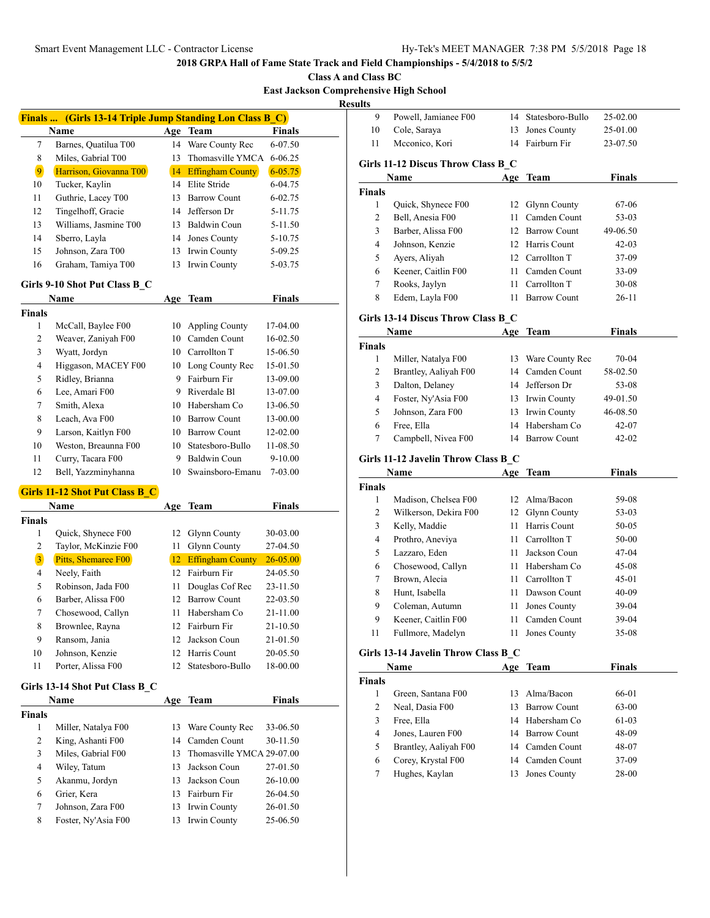**Class A and Class BC**

**East Jackson Comprehensive High School**

| וווא |  |
|------|--|
|      |  |

| Finals  (Girls 13-14 Triple Jump Standing Lon Class B_C)<br>Name<br>Age<br><b>Team</b><br>Barnes, Quatilua T00<br>Ware County Rec<br>7<br>14<br>Miles, Gabrial T00<br>Thomasville YMCA<br>8<br>13<br>$\overline{9}$<br>Harrison, Giovanna T00<br><b>Effingham County</b><br>14<br>14 Elite Stride<br>10<br>Tucker, Kaylin<br>Guthrie, Lacey T00<br>11<br>13<br><b>Barrow Count</b><br>Tingelhoff, Gracie<br>Jefferson Dr<br>12<br>14<br>Williams, Jasmine T00<br>13 Baldwin Coun<br>13 | <b>Finals</b><br>6-07.50                     |
|----------------------------------------------------------------------------------------------------------------------------------------------------------------------------------------------------------------------------------------------------------------------------------------------------------------------------------------------------------------------------------------------------------------------------------------------------------------------------------------|----------------------------------------------|
|                                                                                                                                                                                                                                                                                                                                                                                                                                                                                        |                                              |
|                                                                                                                                                                                                                                                                                                                                                                                                                                                                                        |                                              |
|                                                                                                                                                                                                                                                                                                                                                                                                                                                                                        |                                              |
|                                                                                                                                                                                                                                                                                                                                                                                                                                                                                        | 6-06.25                                      |
|                                                                                                                                                                                                                                                                                                                                                                                                                                                                                        | $6 - 05.75$                                  |
|                                                                                                                                                                                                                                                                                                                                                                                                                                                                                        | 6-04.75                                      |
|                                                                                                                                                                                                                                                                                                                                                                                                                                                                                        | 6-02.75                                      |
|                                                                                                                                                                                                                                                                                                                                                                                                                                                                                        | 5-11.75                                      |
|                                                                                                                                                                                                                                                                                                                                                                                                                                                                                        | 5-11.50                                      |
| 14<br>Sberro, Layla<br>14<br>Jones County                                                                                                                                                                                                                                                                                                                                                                                                                                              | 5-10.75                                      |
| 15<br>Johnson, Zara T00<br>Irwin County<br>13                                                                                                                                                                                                                                                                                                                                                                                                                                          | 5-09.25                                      |
| Irwin County<br>16<br>Graham, Tamiya T00<br>13                                                                                                                                                                                                                                                                                                                                                                                                                                         | 5-03.75                                      |
| Girls 9-10 Shot Put Class B_C                                                                                                                                                                                                                                                                                                                                                                                                                                                          |                                              |
| Name<br><b>Team</b><br>Age                                                                                                                                                                                                                                                                                                                                                                                                                                                             | <b>Finals</b>                                |
| <b>Finals</b>                                                                                                                                                                                                                                                                                                                                                                                                                                                                          |                                              |
| 1<br>McCall, Baylee F00<br>10<br><b>Appling County</b>                                                                                                                                                                                                                                                                                                                                                                                                                                 | 17-04.00                                     |
| 10 Camden Count<br>2<br>Weaver, Zaniyah F00                                                                                                                                                                                                                                                                                                                                                                                                                                            | 16-02.50                                     |
| 3<br>10 Carrollton T<br>Wyatt, Jordyn                                                                                                                                                                                                                                                                                                                                                                                                                                                  | 15-06.50                                     |
| Higgason, MACEY F00<br>4<br>10 Long County Rec                                                                                                                                                                                                                                                                                                                                                                                                                                         | 15-01.50                                     |
| Fairburn Fir<br>5<br>Ridley, Brianna<br>9                                                                                                                                                                                                                                                                                                                                                                                                                                              | 13-09.00                                     |
| Lee, Amari F00<br>6<br>9.<br>Riverdale Bl                                                                                                                                                                                                                                                                                                                                                                                                                                              | 13-07.00                                     |
| Smith, Alexa<br>10 Habersham Co<br>7                                                                                                                                                                                                                                                                                                                                                                                                                                                   | 13-06.50                                     |
| Leach, Ava F00<br>8<br>10 Barrow Count                                                                                                                                                                                                                                                                                                                                                                                                                                                 | 13-00.00                                     |
| Larson, Kaitlyn F00<br>9<br>10 Barrow Count                                                                                                                                                                                                                                                                                                                                                                                                                                            | 12-02.00                                     |
| Weston, Breaunna F00<br>10<br>10<br>Statesboro-Bullo                                                                                                                                                                                                                                                                                                                                                                                                                                   | 11-08.50                                     |
| Curry, Tacara F00<br>Baldwin Coun<br>11<br>9                                                                                                                                                                                                                                                                                                                                                                                                                                           | 9-10.00                                      |
| 12<br>Swainsboro-Emanu<br>Bell, Yazzminyhanna<br>10                                                                                                                                                                                                                                                                                                                                                                                                                                    | 7-03.00                                      |
| <b>Girls 11-12 Shot Put Class B C</b>                                                                                                                                                                                                                                                                                                                                                                                                                                                  |                                              |
| Name<br>Team<br>Age                                                                                                                                                                                                                                                                                                                                                                                                                                                                    | <b>Finals</b>                                |
| <b>Finals</b>                                                                                                                                                                                                                                                                                                                                                                                                                                                                          |                                              |
| 1<br>Quick, Shynece F00<br>12<br>Glynn County                                                                                                                                                                                                                                                                                                                                                                                                                                          | 30-03.00                                     |
| Taylor, McKinzie F00<br>Glynn County<br>2<br>11                                                                                                                                                                                                                                                                                                                                                                                                                                        | 27-04.50                                     |
| $\overline{\mathbf{3}}$<br>Pitts, Shemaree F00<br><b>Effingham County</b><br>12                                                                                                                                                                                                                                                                                                                                                                                                        | $26 - 05.00$                                 |
| 12<br>Fairburn Fir<br>4<br>Neely, Faith                                                                                                                                                                                                                                                                                                                                                                                                                                                | 24-05.50                                     |
| 5<br>Robinson, Jada F00<br>11<br>Douglas Cof Rec                                                                                                                                                                                                                                                                                                                                                                                                                                       | 23-11.50                                     |
| Barber, Alissa F00<br><b>Barrow Count</b><br>6<br>12                                                                                                                                                                                                                                                                                                                                                                                                                                   | 22-03.50                                     |
| 7<br>Chosewood, Callyn<br>Habersham Co<br>11                                                                                                                                                                                                                                                                                                                                                                                                                                           | 21-11.00                                     |
|                                                                                                                                                                                                                                                                                                                                                                                                                                                                                        | 21-10.50                                     |
| 12                                                                                                                                                                                                                                                                                                                                                                                                                                                                                     | 21-01.50                                     |
| Fairburn Fir<br>8<br>Brownlee, Rayna<br>12                                                                                                                                                                                                                                                                                                                                                                                                                                             |                                              |
| 9<br>Ransom, Jania<br>Jackson Coun<br>12<br>Harris Count                                                                                                                                                                                                                                                                                                                                                                                                                               |                                              |
| 10<br>Johnson, Kenzie<br>11<br>Porter, Alissa F00<br>Statesboro-Bullo<br>12                                                                                                                                                                                                                                                                                                                                                                                                            | 20-05.50<br>18-00.00                         |
|                                                                                                                                                                                                                                                                                                                                                                                                                                                                                        |                                              |
|                                                                                                                                                                                                                                                                                                                                                                                                                                                                                        |                                              |
| <b>Team</b><br>Name<br>Age                                                                                                                                                                                                                                                                                                                                                                                                                                                             | <b>Finals</b>                                |
| 1<br>Miller, Natalya F00<br>Ware County Rec<br>13                                                                                                                                                                                                                                                                                                                                                                                                                                      | 33-06.50                                     |
| $\mathbf{2}$<br>King, Ashanti F00<br>Camden Count<br>14                                                                                                                                                                                                                                                                                                                                                                                                                                | 30-11.50                                     |
| Miles, Gabrial F00                                                                                                                                                                                                                                                                                                                                                                                                                                                                     |                                              |
| 3<br>Thomasville YMCA 29-07.00<br>13                                                                                                                                                                                                                                                                                                                                                                                                                                                   |                                              |
| 4<br>Wiley, Tatum<br>13<br>Jackson Coun                                                                                                                                                                                                                                                                                                                                                                                                                                                | 27-01.50                                     |
| Girls 13-14 Shot Put Class B_C<br><b>Finals</b><br>Akanmu, Jordyn<br>5<br>13<br>Jackson Coun                                                                                                                                                                                                                                                                                                                                                                                           |                                              |
| Grier, Kera<br>Fairburn Fir<br>6<br>13                                                                                                                                                                                                                                                                                                                                                                                                                                                 |                                              |
| 7<br>Johnson, Zara F00<br>13<br>Irwin County<br>Foster, Ny'Asia F00<br>Irwin County<br>8<br>13                                                                                                                                                                                                                                                                                                                                                                                         | 26-10.00<br>26-04.50<br>26-01.50<br>25-06.50 |

| ılts                                |                                          |     |                                 |                  |
|-------------------------------------|------------------------------------------|-----|---------------------------------|------------------|
| 9                                   | Powell, Jamianee F00                     |     | 14 Statesboro-Bullo             | 25-02.00         |
| 10                                  | Cole, Saraya                             | 13  | Jones County                    | 25-01.00         |
| 11                                  | Mcconico, Kori                           | 14  | Fairburn Fir                    | 23-07.50         |
|                                     | Girls 11-12 Discus Throw Class B C       |     |                                 |                  |
|                                     | Name                                     |     | Age Team                        | <b>Finals</b>    |
| <b>Finals</b>                       |                                          |     |                                 |                  |
| 1                                   | Quick, Shynece F00                       | 12  | <b>Glynn County</b>             | 67-06            |
| 2                                   | Bell, Anesia F00                         | 11  | Camden Count                    | 53-03            |
| 3                                   | Barber, Alissa F00                       | 12  | <b>Barrow Count</b>             | 49-06.50         |
| 4                                   | Johnson, Kenzie                          |     | 12 Harris Count                 | 42-03            |
| 5                                   | Ayers, Aliyah                            |     | 12 Carrollton T                 | 37-09            |
| 6                                   | Keener, Caitlin F00                      |     | 11 Camden Count                 | 33-09            |
| 7                                   | Rooks, Jaylyn                            | 11  | Carrollton T                    | 30-08            |
| 8                                   | Edem, Layla F00                          | 11  | <b>Barrow Count</b>             | 26-11            |
|                                     | Girls 13-14 Discus Throw Class B_C       |     |                                 |                  |
|                                     | Name                                     | Age | Team                            | Finals           |
| <b>Finals</b>                       |                                          |     |                                 |                  |
| 1                                   | Miller, Natalya F00                      | 13  | Ware County Rec                 | 70-04            |
| 2                                   | Brantley, Aaliyah F00                    | 14  | Camden Count                    | 58-02.50         |
| 3                                   | Dalton, Delaney                          |     | 14 Jefferson Dr                 | 53-08            |
| 4                                   | Foster, Ny'Asia F00                      |     | 13 Irwin County                 | 49-01.50         |
| 5                                   | Johnson, Zara F00                        | 13  | Irwin County                    | 46-08.50         |
| 6                                   | Free, Ella                               | 14  | Habersham Co                    | 42-07            |
|                                     |                                          |     |                                 |                  |
| 7                                   | Campbell, Nivea F00                      | 14  | Barrow Count                    | 42-02            |
|                                     | Girls 11-12 Javelin Throw Class B C      |     |                                 |                  |
|                                     | Name                                     | Age | <b>Team</b>                     | <b>Finals</b>    |
|                                     |                                          |     |                                 |                  |
| 1                                   | Madison, Chelsea F00                     | 12  | Alma/Bacon                      | 59-08            |
| 2                                   | Wilkerson, Dekira F00                    | 12  | Glynn County                    | 53-03            |
| 3                                   | Kelly, Maddie                            | 11  | Harris Count                    | 50-05            |
| 4                                   | Prothro, Aneviya                         |     | 11 Carrollton T                 | 50-00            |
| 5                                   | Lazzaro, Eden                            |     | 11 Jackson Coun                 | 47-04            |
| 6                                   | Chosewood, Callyn                        |     | 11 Habersham Co                 | 45-08            |
| 7                                   | Brown, Alecia                            |     | 11 Carrollton T                 | 45-01            |
| 8                                   | Hunt, Isabella                           | 11  | Dawson Count                    | 40-09            |
| 9                                   |                                          |     |                                 | 39-04            |
|                                     | Coleman, Autumn                          | 11  | Jones County                    |                  |
| 9<br>11                             | Keener, Caitlin F00<br>Fullmore, Madelyn | 11  | 11 Camden Count<br>Jones County | 39-04<br>$35-08$ |
|                                     | Girls 13-14 Javelin Throw Class B C      |     |                                 |                  |
|                                     | Name                                     | Age | Team                            | <b>Finals</b>    |
|                                     |                                          |     |                                 |                  |
| 1                                   | Green, Santana F00                       | 13  | Alma/Bacon                      | 66-01            |
| 2                                   | Neal, Dasia F00                          | 13  | <b>Barrow Count</b>             | 63-00            |
| 3                                   | Free, Ella                               |     | 14 Habersham Co                 | 61-03            |
| 4                                   | Jones, Lauren F00                        |     | 14 Barrow Count                 | 48-09            |
|                                     |                                          |     |                                 |                  |
| <b>Finals</b><br><b>Finals</b><br>5 | Brantley, Aaliyah F00                    |     | 14 Camden Count                 | 48-07            |
| 6<br>$\tau$                         | Corey, Krystal F00<br>Hughes, Kaylan     | 13  | 14 Camden Count<br>Jones County | 37-09<br>28-00   |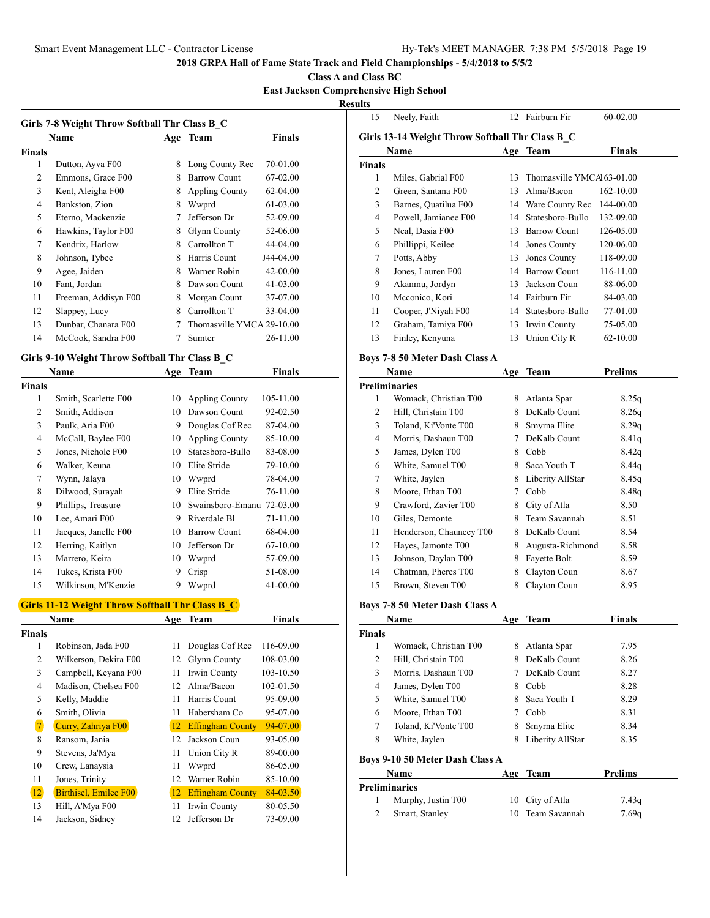**Class A and Class BC**

### **East Jackson Comprehensive High School**

 $\frac{\text{Results}}{\frac{1}{5}}$ 

| Girls 7-8 Weight Throw Softball Thr Class B C |                      |   |                           |              |
|-----------------------------------------------|----------------------|---|---------------------------|--------------|
|                                               | Name                 |   | Age Team                  | Finals       |
| <b>Finals</b>                                 |                      |   |                           |              |
| 1                                             | Dutton, Ayva F00     | 8 | Long County Rec           | 70-01.00     |
| 2                                             | Emmons, Grace F00    | 8 | <b>Barrow Count</b>       | 67-02.00     |
| 3                                             | Kent, Aleigha F00    | 8 | <b>Appling County</b>     | 62-04.00     |
| $\overline{4}$                                | Bankston, Zion       | 8 | Wwprd                     | 61-03.00     |
| 5                                             | Eterno, Mackenzie    | 7 | Jefferson Dr              | 52-09.00     |
| 6                                             | Hawkins, Taylor F00  | 8 | Glynn County              | 52-06.00     |
| 7                                             | Kendrix, Harlow      | 8 | Carrollton T              | 44-04.00     |
| 8                                             | Johnson, Tybee       | 8 | Harris Count              | J44-04.00    |
| 9                                             | Agee, Jaiden         | 8 | Warner Robin              | 42-00.00     |
| 10                                            | Fant. Jordan         | 8 | Dawson Count              | $41 - 03.00$ |
| 11                                            | Freeman, Addisyn F00 | 8 | Morgan Count              | 37-07.00     |
| 12                                            | Slappey, Lucy        | 8 | Carrollton T              | 33-04.00     |
| 13                                            | Dunbar, Chanara F00  |   | Thomasville YMCA 29-10.00 |              |
| 14                                            | McCook, Sandra F00   | 7 | Sumter                    | 26-11.00     |
|                                               |                      |   |                           |              |

## **Girls 9-10 Weight Throw Softball Thr Class B\_C**

|                | Name                 | Age | <b>Team</b>           | Finals    |
|----------------|----------------------|-----|-----------------------|-----------|
| <b>Finals</b>  |                      |     |                       |           |
| 1              | Smith, Scarlette F00 | 10  | <b>Appling County</b> | 105-11.00 |
| $\overline{c}$ | Smith, Addison       | 10  | Dawson Count          | 92-02.50  |
| 3              | Paulk, Aria F00      | 9   | Douglas Cof Rec       | 87-04.00  |
| $\overline{4}$ | McCall, Baylee F00   | 10  | Appling County        | 85-10.00  |
| 5              | Jones, Nichole F00   | 10  | Statesboro-Bullo      | 83-08.00  |
| 6              | Walker, Keuna        | 10  | Elite Stride          | 79-10.00  |
| 7              | Wynn, Jalaya         | 10  | Wwprd                 | 78-04.00  |
| 8              | Dilwood, Surayah     | 9   | Elite Stride          | 76-11.00  |
| 9              | Phillips, Treasure   | 10  | Swainsboro-Emanu      | 72-03.00  |
| 10             | Lee, Amari F00       | 9   | Riverdale Bl          | 71-11.00  |
| 11             | Jacques, Janelle F00 | 10  | <b>Barrow Count</b>   | 68-04.00  |
| 12             | Herring, Kaitlyn     | 10  | Jefferson Dr          | 67-10.00  |
| 13             | Marrero, Keira       | 10  | Wwprd                 | 57-09.00  |
| 14             | Tukes, Krista F00    | 9   | Crisp                 | 51-08.00  |
| 15             | Wilkinson, M'Kenzie  | 9   | Wwprd                 | 41-00.00  |

# **Girls 11-12 Weight Throw Softball Thr Class B\_C**

|                | <b>Name</b>           | Age | <b>Team</b>             | <b>Finals</b> |
|----------------|-----------------------|-----|-------------------------|---------------|
| <b>Finals</b>  |                       |     |                         |               |
| 1              | Robinson, Jada F00    | 11  | Douglas Cof Rec         | 116-09.00     |
| 2              | Wilkerson, Dekira F00 | 12  | <b>Glynn County</b>     | 108-03.00     |
| 3              | Campbell, Keyana F00  | 11  | Irwin County            | 103-10.50     |
| 4              | Madison. Chelsea F00  | 12  | Alma/Bacon              | 102-01.50     |
| 5              | Kelly, Maddie         | 11  | Harris Count            | 95-09.00      |
| 6              | Smith, Olivia         | 11  | Habersham Co            | 95-07.00      |
| $\overline{7}$ | Curry, Zahriya F00    | 12  | <b>Effingham County</b> | 94-07.00      |
| 8              | Ransom, Jania         | 12  | Jackson Coun            | 93-05.00      |
| 9              | Stevens, Ja'Mya       | 11  | Union City R            | 89-00.00      |
| 10             | Crew, Lanaysia        | 11  | Wwprd                   | 86-05.00      |
| 11             | Jones, Trinity        | 12  | Warner Robin            | 85-10.00      |
| 12             | Birthisel, Emilee F00 | 12  | <b>Effingham County</b> | $84 - 03.50$  |
| 13             | Hill, A'Mya F00       | 11  | Irwin County            | 80-05.50      |
| 14             | Jackson, Sidney       | 12  | Jefferson Dr            | 73-09.00      |

| 15            | Neely, Faith                                    | 12 | Fairburn Fir              | 60-02.00  |  |
|---------------|-------------------------------------------------|----|---------------------------|-----------|--|
|               | Girls 13-14 Weight Throw Softball Thr Class B C |    |                           |           |  |
|               | Name                                            |    | Age Team                  | Finals    |  |
| <b>Finals</b> |                                                 |    |                           |           |  |
| 1             | Miles, Gabrial F00                              | 13 | Thomasville YMCAI63-01.00 |           |  |
| 2             | Green, Santana F00                              | 13 | Alma/Bacon                | 162-10.00 |  |
| 3             | Barnes, Quatilua F00                            | 14 | Ware County Rec           | 144-00.00 |  |
| 4             | Powell, Jamianee F00                            | 14 | Statesboro-Bullo          | 132-09.00 |  |
| 5             | Neal, Dasia F00                                 | 13 | <b>Barrow Count</b>       | 126-05.00 |  |
| 6             | Phillippi, Keilee                               | 14 | Jones County              | 120-06.00 |  |
| 7             | Potts, Abby                                     | 13 | Jones County              | 118-09.00 |  |
| 8             | Jones, Lauren F00                               | 14 | Barrow Count              | 116-11.00 |  |
| 9             | Akanmu, Jordyn                                  | 13 | Jackson Coun              | 88-06.00  |  |
| 10            | Mcconico, Kori                                  | 14 | Fairburn Fir              | 84-03.00  |  |
| 11            | Cooper, J'Niyah F00                             | 14 | Statesboro-Bullo          | 77-01.00  |  |
| 12            | Graham, Tamiya F00                              | 13 | Irwin County              | 75-05.00  |  |
| 13            | Finley, Kenyuna                                 | 13 | Union City R              | 62-10.00  |  |
|               |                                                 |    |                           |           |  |

### **Boys 7-8 50 Meter Dash Class A**

|    | Name                    |   | Age Team         | <b>Prelims</b> |
|----|-------------------------|---|------------------|----------------|
|    | <b>Preliminaries</b>    |   |                  |                |
| 1  | Womack, Christian T00   | 8 | Atlanta Spar     | 8.25q          |
| 2  | Hill, Christain T00     | 8 | DeKalb Count     | 8.26q          |
| 3  | Toland, Ki'Vonte T00    | 8 | Smyrna Elite     | 8.29q          |
| 4  | Morris, Dashaun T00     | 7 | DeKalb Count     | 8.41q          |
| 5  | James, Dylen T00        | 8 | Cobb             | 8.42q          |
| 6  | White, Samuel T00       | 8 | Saca Youth T     | 8.44q          |
| 7  | White, Jaylen           | 8 | Liberity AllStar | 8.45q          |
| 8  | Moore, Ethan T00        | 7 | Cobb             | 8.48q          |
| 9  | Crawford, Zavier T00    | 8 | City of Atla     | 8.50           |
| 10 | Giles, Demonte          | 8 | Team Savannah    | 8.51           |
| 11 | Henderson, Chauncey T00 | 8 | DeKalb Count     | 8.54           |
| 12 | Hayes, Jamonte T00      | 8 | Augusta-Richmond | 8.58           |
| 13 | Johnson, Daylan T00     | 8 | Fayette Bolt     | 8.59           |
| 14 | Chatman, Pheres T00     | 8 | Clayton Coun     | 8.67           |
| 15 | Brown, Steven T00       | 8 | Clayton Coun     | 8.95           |

### **Boys 7-8 50 Meter Dash Class A**

|        | Name                            |     | Age Team         | <b>Finals</b> |
|--------|---------------------------------|-----|------------------|---------------|
| Finals |                                 |     |                  |               |
| 1      | Womack, Christian T00           | 8   | Atlanta Spar     | 7.95          |
| 2      | Hill, Christain T00             | 8   | DeKalb Count     | 8.26          |
| 3      | Morris, Dashaun T00             |     | DeKalb Count     | 8.27          |
| 4      | James, Dylen T00                | 8   | Cobb             | 8.28          |
| 5      | White, Samuel T00               | 8   | Saca Youth T     | 8.29          |
| 6      | Moore, Ethan T00                |     | Cobb             | 8.31          |
| 7      | Toland, Ki'Vonte T00            | 8   | Smyrna Elite     | 8.34          |
| 8      | White, Jaylen                   | 8   | Liberity AllStar | 8.35          |
|        | Boys 9-10 50 Meter Dash Class A |     |                  |               |
|        | Name                            | Age | Team             | Prelims       |
|        |                                 |     |                  |               |

| Preliminaries      |                  |       |
|--------------------|------------------|-------|
| Murphy, Justin T00 | 10 City of Atla  | 7.43q |
| Smart, Stanley     | 10 Team Savannah | 7.69q |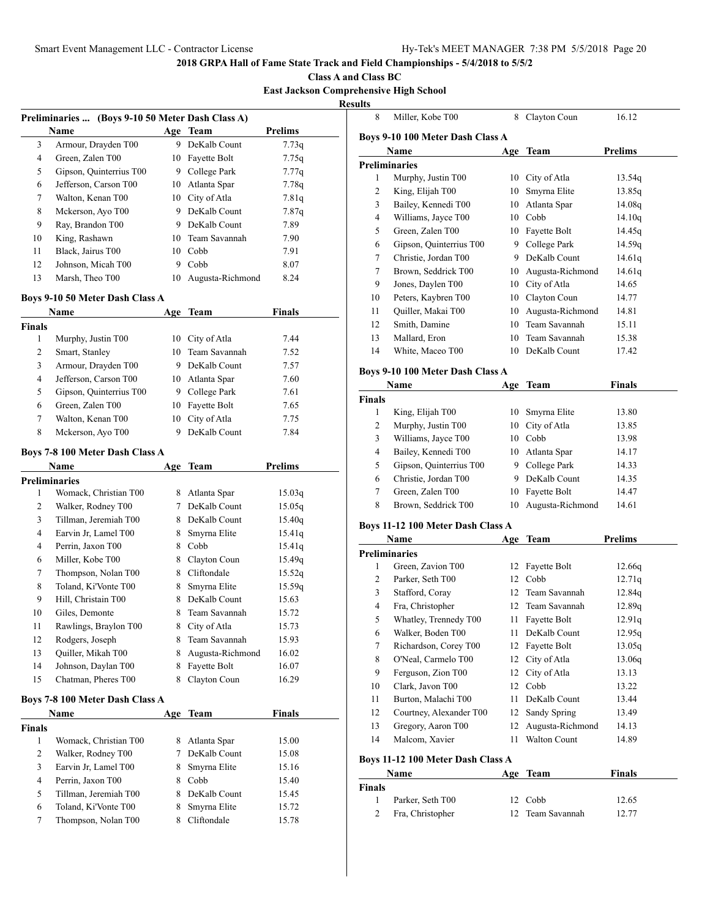**Class A and Class BC**

# **East Jackson Comprehensive High School**

**Results**

| <b>Prelims</b><br>3<br>Armour, Drayden T00<br>9 DeKalb Count<br>4<br>Green, Zalen T00<br>10 Fayette Bolt<br>9 College Park<br>5<br>Gipson, Quinterrius T00<br>Jefferson, Carson T00<br>10 Atlanta Spar<br>6<br>Walton, Kenan T00<br>10 City of Atla<br>7<br>Mckerson, Ayo T00<br>9 DeKalb Count<br>8<br>9<br>Ray, Brandon T00<br>9 DeKalb Count<br>King, Rashawn<br>10 Team Savannah<br>10<br>11<br>Black, Jairus T00<br>10 Cobb<br>Johnson, Micah T00<br>12<br>9 Cobb<br>Marsh, Theo T00<br>13<br>Augusta-Richmond<br>10<br>Boys 9-10 50 Meter Dash Class A<br>Name<br>Age Team<br><b>Finals</b><br>1<br>Murphy, Justin T00<br>10 City of Atla<br>2<br>10 Team Savannah<br>Smart, Stanley<br>3<br>Armour, Drayden T00<br>9 DeKalb Count<br>4<br>Jefferson, Carson T00<br>10 Atlanta Spar<br>5<br>Gipson, Quinterrius T00<br>9 College Park<br>Green, Zalen T00<br>10 Fayette Bolt<br>6 | 7.73q<br>7.75q<br>7.77q<br>7.78q<br>7.81q<br>7.87q<br>7.89<br>7.90<br>7.91<br>8.07<br>8.24<br>Finals |
|-----------------------------------------------------------------------------------------------------------------------------------------------------------------------------------------------------------------------------------------------------------------------------------------------------------------------------------------------------------------------------------------------------------------------------------------------------------------------------------------------------------------------------------------------------------------------------------------------------------------------------------------------------------------------------------------------------------------------------------------------------------------------------------------------------------------------------------------------------------------------------------------|------------------------------------------------------------------------------------------------------|
|                                                                                                                                                                                                                                                                                                                                                                                                                                                                                                                                                                                                                                                                                                                                                                                                                                                                                         |                                                                                                      |
|                                                                                                                                                                                                                                                                                                                                                                                                                                                                                                                                                                                                                                                                                                                                                                                                                                                                                         |                                                                                                      |
|                                                                                                                                                                                                                                                                                                                                                                                                                                                                                                                                                                                                                                                                                                                                                                                                                                                                                         |                                                                                                      |
|                                                                                                                                                                                                                                                                                                                                                                                                                                                                                                                                                                                                                                                                                                                                                                                                                                                                                         |                                                                                                      |
|                                                                                                                                                                                                                                                                                                                                                                                                                                                                                                                                                                                                                                                                                                                                                                                                                                                                                         |                                                                                                      |
|                                                                                                                                                                                                                                                                                                                                                                                                                                                                                                                                                                                                                                                                                                                                                                                                                                                                                         |                                                                                                      |
|                                                                                                                                                                                                                                                                                                                                                                                                                                                                                                                                                                                                                                                                                                                                                                                                                                                                                         |                                                                                                      |
|                                                                                                                                                                                                                                                                                                                                                                                                                                                                                                                                                                                                                                                                                                                                                                                                                                                                                         |                                                                                                      |
|                                                                                                                                                                                                                                                                                                                                                                                                                                                                                                                                                                                                                                                                                                                                                                                                                                                                                         |                                                                                                      |
|                                                                                                                                                                                                                                                                                                                                                                                                                                                                                                                                                                                                                                                                                                                                                                                                                                                                                         |                                                                                                      |
|                                                                                                                                                                                                                                                                                                                                                                                                                                                                                                                                                                                                                                                                                                                                                                                                                                                                                         |                                                                                                      |
|                                                                                                                                                                                                                                                                                                                                                                                                                                                                                                                                                                                                                                                                                                                                                                                                                                                                                         |                                                                                                      |
|                                                                                                                                                                                                                                                                                                                                                                                                                                                                                                                                                                                                                                                                                                                                                                                                                                                                                         |                                                                                                      |
|                                                                                                                                                                                                                                                                                                                                                                                                                                                                                                                                                                                                                                                                                                                                                                                                                                                                                         |                                                                                                      |
|                                                                                                                                                                                                                                                                                                                                                                                                                                                                                                                                                                                                                                                                                                                                                                                                                                                                                         | 7.44                                                                                                 |
|                                                                                                                                                                                                                                                                                                                                                                                                                                                                                                                                                                                                                                                                                                                                                                                                                                                                                         | 7.52                                                                                                 |
|                                                                                                                                                                                                                                                                                                                                                                                                                                                                                                                                                                                                                                                                                                                                                                                                                                                                                         | 7.57                                                                                                 |
|                                                                                                                                                                                                                                                                                                                                                                                                                                                                                                                                                                                                                                                                                                                                                                                                                                                                                         | 7.60                                                                                                 |
|                                                                                                                                                                                                                                                                                                                                                                                                                                                                                                                                                                                                                                                                                                                                                                                                                                                                                         | 7.61                                                                                                 |
|                                                                                                                                                                                                                                                                                                                                                                                                                                                                                                                                                                                                                                                                                                                                                                                                                                                                                         | 7.65                                                                                                 |
| Walton, Kenan T00<br>City of Atla<br>7<br>10                                                                                                                                                                                                                                                                                                                                                                                                                                                                                                                                                                                                                                                                                                                                                                                                                                            | 7.75                                                                                                 |
| DeKalb Count<br>Mckerson, Ayo T00<br>9.<br>8                                                                                                                                                                                                                                                                                                                                                                                                                                                                                                                                                                                                                                                                                                                                                                                                                                            | 7.84                                                                                                 |
| <b>Boys 7-8 100 Meter Dash Class A</b><br><b>Prelims</b><br>Name<br>Age Team                                                                                                                                                                                                                                                                                                                                                                                                                                                                                                                                                                                                                                                                                                                                                                                                            |                                                                                                      |
|                                                                                                                                                                                                                                                                                                                                                                                                                                                                                                                                                                                                                                                                                                                                                                                                                                                                                         |                                                                                                      |
| <b>Preliminaries</b><br>Womack, Christian T00<br>8 Atlanta Spar<br>1                                                                                                                                                                                                                                                                                                                                                                                                                                                                                                                                                                                                                                                                                                                                                                                                                    |                                                                                                      |
| 2<br>7 DeKalb Count                                                                                                                                                                                                                                                                                                                                                                                                                                                                                                                                                                                                                                                                                                                                                                                                                                                                     | 15.03q                                                                                               |
| Walker, Rodney T00                                                                                                                                                                                                                                                                                                                                                                                                                                                                                                                                                                                                                                                                                                                                                                                                                                                                      | 15.05q                                                                                               |
| Tillman, Jeremiah T00<br>8 DeKalb Count<br>3                                                                                                                                                                                                                                                                                                                                                                                                                                                                                                                                                                                                                                                                                                                                                                                                                                            | 15.40q                                                                                               |
| 4<br>Earvin Jr, Lamel T00<br>Smyrna Elite<br>8                                                                                                                                                                                                                                                                                                                                                                                                                                                                                                                                                                                                                                                                                                                                                                                                                                          | 15.41q                                                                                               |
| Perrin, Jaxon T00<br>4<br>8 Cobb                                                                                                                                                                                                                                                                                                                                                                                                                                                                                                                                                                                                                                                                                                                                                                                                                                                        | 15.41q                                                                                               |
| Miller, Kobe T00<br>6<br>8 Clayton Coun                                                                                                                                                                                                                                                                                                                                                                                                                                                                                                                                                                                                                                                                                                                                                                                                                                                 | 15.49q                                                                                               |
| 7<br>Thompson, Nolan T00<br>8 Cliftondale                                                                                                                                                                                                                                                                                                                                                                                                                                                                                                                                                                                                                                                                                                                                                                                                                                               | 15.52q                                                                                               |
| Toland, Ki'Vonte T00<br>8<br>8<br>Smyrna Elite                                                                                                                                                                                                                                                                                                                                                                                                                                                                                                                                                                                                                                                                                                                                                                                                                                          | 15.59q                                                                                               |
| Hill, Christain T00<br>DeKalb Count<br>9<br>8                                                                                                                                                                                                                                                                                                                                                                                                                                                                                                                                                                                                                                                                                                                                                                                                                                           | 15.63                                                                                                |
| Team Savannah<br>Giles, Demonte<br>10<br>8.                                                                                                                                                                                                                                                                                                                                                                                                                                                                                                                                                                                                                                                                                                                                                                                                                                             | 15.72                                                                                                |
| 11<br>Rawlings, Braylon T00<br>City of Atla<br>8                                                                                                                                                                                                                                                                                                                                                                                                                                                                                                                                                                                                                                                                                                                                                                                                                                        | 15.73                                                                                                |
| 12<br>Rodgers, Joseph<br>Team Savannah<br>8.                                                                                                                                                                                                                                                                                                                                                                                                                                                                                                                                                                                                                                                                                                                                                                                                                                            | 15.93                                                                                                |
| Quiller, Mikah T00<br>13<br>Augusta-Richmond<br>8                                                                                                                                                                                                                                                                                                                                                                                                                                                                                                                                                                                                                                                                                                                                                                                                                                       | 16.02                                                                                                |
| Johnson, Daylan T00<br>Fayette Bolt<br>14<br>8                                                                                                                                                                                                                                                                                                                                                                                                                                                                                                                                                                                                                                                                                                                                                                                                                                          | 16.07                                                                                                |
| Chatman, Pheres T00<br>Clayton Coun<br>15<br>8                                                                                                                                                                                                                                                                                                                                                                                                                                                                                                                                                                                                                                                                                                                                                                                                                                          | 16.29                                                                                                |
|                                                                                                                                                                                                                                                                                                                                                                                                                                                                                                                                                                                                                                                                                                                                                                                                                                                                                         |                                                                                                      |
|                                                                                                                                                                                                                                                                                                                                                                                                                                                                                                                                                                                                                                                                                                                                                                                                                                                                                         |                                                                                                      |
| Boys 7-8 100 Meter Dash Class A<br>Name<br><b>Team</b><br>Age                                                                                                                                                                                                                                                                                                                                                                                                                                                                                                                                                                                                                                                                                                                                                                                                                           | <b>Finals</b>                                                                                        |
| <b>Finals</b>                                                                                                                                                                                                                                                                                                                                                                                                                                                                                                                                                                                                                                                                                                                                                                                                                                                                           |                                                                                                      |
| 1<br>Womack, Christian T00<br>Atlanta Spar<br>8.                                                                                                                                                                                                                                                                                                                                                                                                                                                                                                                                                                                                                                                                                                                                                                                                                                        | 15.00                                                                                                |
| 2<br>Walker, Rodney T00<br>DeKalb Count<br>7                                                                                                                                                                                                                                                                                                                                                                                                                                                                                                                                                                                                                                                                                                                                                                                                                                            | 15.08                                                                                                |
| 3<br>Earvin Jr, Lamel T00<br>Smyrna Elite<br>8                                                                                                                                                                                                                                                                                                                                                                                                                                                                                                                                                                                                                                                                                                                                                                                                                                          | 15.16                                                                                                |
| 4<br>Perrin, Jaxon T00<br>Cobb<br>8                                                                                                                                                                                                                                                                                                                                                                                                                                                                                                                                                                                                                                                                                                                                                                                                                                                     | 15.40                                                                                                |
| Tillman, Jeremiah T00<br>DeKalb Count<br>5<br>8                                                                                                                                                                                                                                                                                                                                                                                                                                                                                                                                                                                                                                                                                                                                                                                                                                         | 15.45                                                                                                |
| 6<br>Toland, Ki'Vonte T00<br>Smyrna Elite<br>8<br>Cliftondale<br>7<br>Thompson, Nolan T00<br>8                                                                                                                                                                                                                                                                                                                                                                                                                                                                                                                                                                                                                                                                                                                                                                                          | 15.72<br>15.78                                                                                       |

| แเร            |                                   |     |                     |                |
|----------------|-----------------------------------|-----|---------------------|----------------|
| 8              | Miller, Kobe T00                  | 8   | Clayton Coun        | 16.12          |
|                | Boys 9-10 100 Meter Dash Class A  |     |                     |                |
|                | Name                              | Age | <b>Team</b>         | <b>Prelims</b> |
|                | <b>Preliminaries</b>              |     |                     |                |
| 1              | Murphy, Justin T00                | 10  | City of Atla        | 13.54q         |
| 2              | King, Elijah T00                  | 10  | Smyrna Elite        | 13.85q         |
| 3              | Bailey, Kennedi T00               | 10  | Atlanta Spar        | 14.08q         |
| 4              | Williams, Jayce T00               | 10  | Cobb                | 14.10q         |
| 5              | Green, Zalen T00                  |     | 10 Fayette Bolt     | 14.45q         |
| 6              | Gipson, Quinterrius T00           |     | 9 College Park      | 14.59q         |
| 7              | Christie, Jordan T00              |     | 9 DeKalb Count      | 14.61q         |
| 7              | Brown, Seddrick T00               |     | 10 Augusta-Richmond | 14.61q         |
| 9              | Jones, Daylen T00                 |     | 10 City of Atla     | 14.65          |
| 10             | Peters, Kaybren T00               |     | 10 Clayton Coun     | 14.77          |
| 11             | Quiller, Makai T00                |     | 10 Augusta-Richmond | 14.81          |
| 12             | Smith, Damine                     | 10  | Team Savannah       | 15.11          |
| 13             | Mallard, Eron                     | 10  | Team Savannah       | 15.38          |
| 14             | White, Maceo T00                  | 10  | DeKalb Count        | 17.42          |
|                |                                   |     |                     |                |
|                | Boys 9-10 100 Meter Dash Class A  |     |                     |                |
|                | Name                              | Age | <b>Team</b>         | <b>Finals</b>  |
| <b>Finals</b>  |                                   |     |                     |                |
| 1              | King, Elijah T00                  | 10  | Smyrna Elite        | 13.80          |
| 2              | Murphy, Justin T00                | 10  | City of Atla        | 13.85          |
| 3              | Williams, Jayce T00               |     | 10 Cobb             | 13.98          |
| 4              | Bailey, Kennedi T00               |     | 10 Atlanta Spar     | 14.17          |
| 5              | Gipson, Quinterrius T00           |     | 9 College Park      | 14.33          |
| 6              | Christie, Jordan T00              |     | 9 DeKalb Count      | 14.35          |
| 7              | Green, Zalen T00                  | 10  | Fayette Bolt        | 14.47          |
| 8              | Brown, Seddrick T00               | 10  | Augusta-Richmond    | 14.61          |
|                | Boys 11-12 100 Meter Dash Class A |     |                     |                |
|                | Name                              |     | Age Team            | <b>Prelims</b> |
|                | <b>Preliminaries</b>              |     |                     |                |
| 1              | Green, Zavion T00                 | 12  | Fayette Bolt        | 12.66q         |
| 2              | Parker, Seth T00                  | 12  | Cobb                | 12.71q         |
| 3              | Stafford, Coray                   | 12  | Team Savannah       | 12.84q         |
| 4              | Fra, Christopher                  | 12  | Team Savannah       | 12.89q         |
| 5              | Whatley, Trennedy T00             | 11  | Fayette Bolt        | 12.91q         |
| 6              | Walker, Boden T00                 | 11  | DeKalb Count        | 12.95q         |
| 7              | Richardson, Corey T00             | 12  | Fayette Bolt        | 13.05q         |
| 8              | O'Neal, Carmelo T00               | 12  | City of Atla        | 13.06q         |
| 9              | Ferguson, Zion T00                | 12  | City of Atla        | 13.13          |
| 10             | Clark. Javon T00                  | 12  | Cobb                | 13.22          |
| 11             | Burton, Malachi T00               | 11  | DeKalb Count        | 13.44          |
| 12             | Courtney, Alexander T00           | 12  | Sandy Spring        | 13.49          |
| 13             | Gregory, Aaron T00                | 12  | Augusta-Richmond    | 14.13          |
| 14             | Malcom, Xavier                    | 11  | Walton Count        | 14.89          |
|                | Boys 11-12 100 Meter Dash Class A |     |                     |                |
|                | Name                              | Age | <b>Team</b>         | Finals         |
| Finals         |                                   |     |                     |                |
| 1              | Parker, Seth T00                  | 12  | Cobb                | 12.65          |
| $\overline{c}$ | Fra, Christopher                  | 12  | Team Savannah       | 12.77          |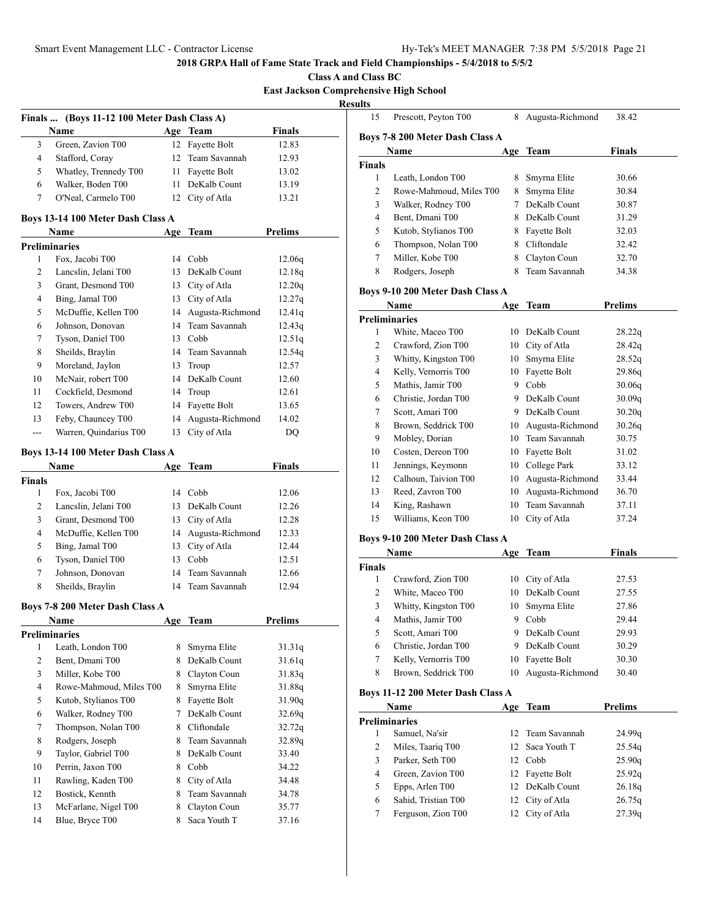**Class A and Class BC**

**East Jackson Comprehensive High School**

| ۰. |
|----|
|    |

| Finals  (Boys 11-12 100 Meter Dash Class A) |                                   |     |                  |                |  |  |
|---------------------------------------------|-----------------------------------|-----|------------------|----------------|--|--|
|                                             | Name                              | Age | Team             | <b>Finals</b>  |  |  |
| 3                                           | Green, Zavion T00                 |     | 12 Fayette Bolt  | 12.83          |  |  |
| 4                                           | Stafford, Coray                   |     | 12 Team Savannah | 12.93          |  |  |
| 5                                           | Whatley, Trennedy T00             | 11  | Fayette Bolt     | 13.02          |  |  |
| 6                                           | Walker, Boden T00                 | 11  | DeKalb Count     | 13.19          |  |  |
| 7                                           | O'Neal, Carmelo T00               |     | 12 City of Atla  | 13.21          |  |  |
|                                             | Boys 13-14 100 Meter Dash Class A |     |                  |                |  |  |
|                                             | <b>Name</b>                       | Age | Team             | <b>Prelims</b> |  |  |
|                                             | <b>Preliminaries</b>              |     |                  |                |  |  |
|                                             | Fox. Jacobi T00                   | 14  | Cobb             | 12.06a         |  |  |

|    |    | <b>I</b> UA, JUCCUL I UU |     | - Cuu               | 12.009 |
|----|----|--------------------------|-----|---------------------|--------|
|    | 2  | Lancslin, Jelani T00     | 13. | DeKalb Count        | 12.18q |
|    | 3  | Grant, Desmond T00       | 13  | City of Atla        | 12.20q |
|    | 4  | Bing, Jamal T00          | 13  | City of Atla        | 12.27q |
|    | 5  | McDuffie, Kellen T00     |     | 14 Augusta-Richmond | 12.41q |
|    | 6  | Johnson, Donovan         |     | 14 Team Savannah    | 12.43q |
|    | 7  | Tyson, Daniel T00        | 13  | Cobb                | 12.51q |
|    | 8  | Sheilds, Braylin         |     | 14 Team Savannah    | 12.54q |
|    | 9  | Moreland, Jaylon         | 13  | Troup               | 12.57  |
|    | 10 | McNair, robert T00       |     | 14 DeKalb Count     | 12.60  |
| 11 |    | Cockfield, Desmond       |     | 14 Troup            | 12.61  |
|    | 12 | Towers, Andrew T00       |     | 14 Fayette Bolt     | 13.65  |
|    | 13 | Feby, Chauncey T00       | 14  | Augusta-Richmond    | 14.02  |
|    |    | Warren, Quindarius T00   | 13  | City of Atla        | DO     |
|    |    |                          |     |                     |        |

## **Boys 13-14 100 Meter Dash Class A**

|        | <b>Name</b>          | Age | Team                | Finals |  |
|--------|----------------------|-----|---------------------|--------|--|
| Finals |                      |     |                     |        |  |
|        | Fox, Jacobi T00      | 14  | Cobb                | 12.06  |  |
| 2      | Lancslin, Jelani T00 |     | 13 DeKalb Count     | 12.26  |  |
| 3      | Grant, Desmond T00   |     | 13 City of Atla     | 12.28  |  |
| 4      | McDuffie, Kellen T00 |     | 14 Augusta-Richmond | 12.33  |  |
| 5      | Bing, Jamal T00      |     | 13 City of Atla     | 12.44  |  |
| 6      | Tyson, Daniel T00    | 13  | Cobb                | 12.51  |  |
| 7      | Johnson, Donovan     |     | 14 Team Savannah    | 12.66  |  |
| 8      | Sheilds, Braylin     |     | 14 Team Savannah    | 12.94  |  |

## **Boys 7-8 200 Meter Dash Class A**

|    | <b>Name</b>             | Age | Team          | <b>Prelims</b> |
|----|-------------------------|-----|---------------|----------------|
|    | Preliminaries           |     |               |                |
| 1  | Leath, London T00       | 8   | Smyrna Elite  | 31.31q         |
| 2  | Bent, Dmani T00         | 8   | DeKalb Count  | 31.61q         |
| 3  | Miller, Kobe T00        | 8   | Clayton Coun  | 31.83q         |
| 4  | Rowe-Mahmoud, Miles T00 | 8   | Smyrna Elite  | 31.88q         |
| 5  | Kutob, Stylianos T00    | 8   | Fayette Bolt  | 31.90q         |
| 6  | Walker, Rodney T00      |     | DeKalb Count  | 32.69g         |
| 7  | Thompson, Nolan T00     | 8   | Cliftondale   | 32.72q         |
| 8  | Rodgers, Joseph         | 8   | Team Savannah | 32.89q         |
| 9  | Taylor, Gabriel T00     | 8   | DeKalb Count  | 33.40          |
| 10 | Perrin, Jaxon T00       | 8   | Cobb          | 34.22          |
| 11 | Rawling, Kaden T00      | 8   | City of Atla  | 34.48          |
| 12 | Bostick, Kennth         | 8   | Team Savannah | 34.78          |
| 13 | McFarlane, Nigel T00    | 8   | Clayton Coun  | 35.77          |
| 14 | Blue, Bryce T00         | 8   | Saca Youth T  | 37.16          |

| uns                              |                                 |     |                  |         |  |  |
|----------------------------------|---------------------------------|-----|------------------|---------|--|--|
| 15                               | Prescott, Peyton T00            | 8   | Augusta-Richmond | 38.42   |  |  |
|                                  | Boys 7-8 200 Meter Dash Class A |     |                  |         |  |  |
|                                  | Name                            | Age | <b>Team</b>      | Finals  |  |  |
| <b>Finals</b>                    |                                 |     |                  |         |  |  |
| 1                                | Leath, London T00               | 8   | Smyrna Elite     | 30.66   |  |  |
| 2                                | Rowe-Mahmoud, Miles T00         | 8   | Smyrna Elite     | 30.84   |  |  |
| 3                                | Walker, Rodney T00              | 7   | DeKalb Count     | 30.87   |  |  |
| 4                                | Bent, Dmani T00                 | 8   | DeKalb Count     | 31.29   |  |  |
| 5                                | Kutob, Stylianos T00            | 8   | Fayette Bolt     | 32.03   |  |  |
| 6                                | Thompson, Nolan T00             | 8   | Cliftondale      | 32.42   |  |  |
| 7                                | Miller, Kobe T00                | 8   | Clayton Coun     | 32.70   |  |  |
| 8                                | Rodgers, Joseph                 | 8   | Team Savannah    | 34.38   |  |  |
| Boys 9-10 200 Meter Dash Class A |                                 |     |                  |         |  |  |
|                                  | Name                            | Age | Team             | Prelims |  |  |
|                                  | <b>Preliminaries</b>            |     |                  |         |  |  |
| 1                                | White, Maceo T00                | 10  | DeKalb Count     | 28.22q  |  |  |
| 2                                | Crawford, Zion T00              | 10  | City of Atla     | 28.42q  |  |  |

| 2  | Crawford, Zion T00   | 10- | City of Atla     | 28.42g |
|----|----------------------|-----|------------------|--------|
| 3  | Whitty, Kingston T00 | 10  | Smyrna Elite     | 28.52q |
| 4  | Kelly, Vernorris T00 | 10  | Fayette Bolt     | 29.86q |
| 5  | Mathis, Jamir T00    | 9   | Cobb             | 30.06q |
| 6  | Christie, Jordan T00 | 9   | DeKalb Count     | 30.09q |
| 7  | Scott, Amari T00     | 9   | DeKalb Count     | 30.20q |
| 8  | Brown, Seddrick T00  | 10  | Augusta-Richmond | 30.26q |
| 9  | Mobley, Dorian       | 10  | Team Savannah    | 30.75  |
| 10 | Costen, Dereon T00   | 10  | Fayette Bolt     | 31.02  |
| 11 | Jennings, Keymonn    | 10  | College Park     | 33.12  |
| 12 | Calhoun, Taivion T00 | 10  | Augusta-Richmond | 33.44  |
| 13 | Reed, Zavron T00     | 10  | Augusta-Richmond | 36.70  |
| 14 | King, Rashawn        |     | 10 Team Savannah | 37.11  |
| 15 | Williams, Keon T00   | 10  | City of Atla     | 37.24  |

## **Boys 9-10 200 Meter Dash Class A**

|        | Name                 | Age | <b>Team</b>      | Finals |  |
|--------|----------------------|-----|------------------|--------|--|
| Finals |                      |     |                  |        |  |
|        | Crawford, Zion T00   |     | 10 City of Atla  | 27.53  |  |
| 2      | White, Maceo T00     | 10  | DeKalb Count     | 27.55  |  |
| 3      | Whitty, Kingston T00 |     | 10 Smyrna Elite  | 27.86  |  |
| 4      | Mathis, Jamir T00    | 9   | Cobb             | 29.44  |  |
| 5      | Scott, Amari T00     | 9   | DeKalb Count     | 29.93  |  |
| 6      | Christie, Jordan T00 | 9   | DeKalb Count     | 30.29  |  |
|        | Kelly, Vernorris T00 | 10  | Fayette Bolt     | 30.30  |  |
| 8      | Brown, Seddrick T00  | 10  | Augusta-Richmond | 30.40  |  |

## **Boys 11-12 200 Meter Dash Class A**

|                      | Name                |  | Age Team         | <b>Prelims</b> |  |
|----------------------|---------------------|--|------------------|----------------|--|
| <b>Preliminaries</b> |                     |  |                  |                |  |
|                      | Samuel, Na'sir      |  | 12 Team Savannah | 24.99q         |  |
| 2                    | Miles, Taariq T00   |  | 12 Saca Youth T  | 25.54q         |  |
| 3                    | Parker, Seth T00    |  | 12 Cobb          | 25.90q         |  |
| 4                    | Green, Zavion T00   |  | 12 Fayette Bolt  | 25.92q         |  |
| 5                    | Epps, Arlen T00     |  | 12 DeKalb Count  | 26.18q         |  |
| 6                    | Sahid, Tristian T00 |  | 12 City of Atla  | 26.75q         |  |
|                      | Ferguson, Zion T00  |  | 12 City of Atla  | 27.39q         |  |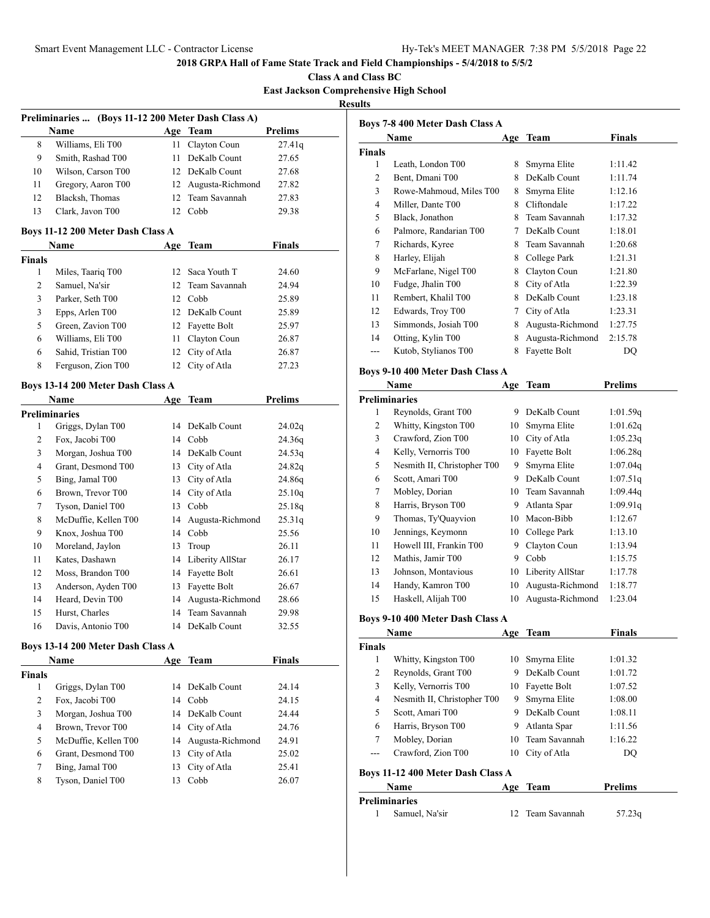**Class A and Class BC East Jackson Comprehensive High School**

**Results**

| Preliminaries  (Boys 11-12 200 Meter Dash Class A) |                    |    |                     |                |  |
|----------------------------------------------------|--------------------|----|---------------------|----------------|--|
|                                                    | Name               |    | Age Team            | <b>Prelims</b> |  |
| 8                                                  | Williams, Eli T00  |    | 11 Clayton Coun     | 27.41q         |  |
| 9                                                  | Smith, Rashad T00  | 11 | DeKalb Count        | 27.65          |  |
| 10                                                 | Wilson, Carson T00 |    | 12 DeKalb Count     | 27.68          |  |
| 11                                                 | Gregory, Aaron T00 |    | 12 Augusta-Richmond | 27.82          |  |
| 12                                                 | Blacksh, Thomas    |    | 12 Team Savannah    | 27.83          |  |
| 13                                                 | Clark, Javon T00   |    | Cobb                | 29.38          |  |
|                                                    |                    |    |                     |                |  |

### **Boys 11-12 200 Meter Dash Class A**

|               | <b>Name</b>         | Age  | Team             | <b>Finals</b> |
|---------------|---------------------|------|------------------|---------------|
| <b>Finals</b> |                     |      |                  |               |
| 1             | Miles, Taariq T00   |      | 12 Saca Youth T  | 24.60         |
| 2             | Samuel, Na'sir      |      | 12 Team Savannah | 24.94         |
| 3             | Parker, Seth T00    |      | 12 Cobb          | 25.89         |
| 3             | Epps, Arlen T00     |      | 12 DeKalb Count  | 25.89         |
| 5             | Green, Zavion T00   |      | 12 Fayette Bolt  | 25.97         |
| 6             | Williams, Eli T00   | 11 - | Clayton Coun     | 26.87         |
| 6             | Sahid, Tristian T00 |      | 12 City of Atla  | 26.87         |
| 8             | Ferguson, Zion T00  |      | 12 City of Atla  | 27.23         |

### **Boys 13-14 200 Meter Dash Class A**

|                | Name                 | Age | Team             | <b>Prelims</b> |
|----------------|----------------------|-----|------------------|----------------|
|                | Preliminaries        |     |                  |                |
| 1              | Griggs, Dylan T00    | 14  | DeKalb Count     | 24.02q         |
| 2              | Fox, Jacobi T00      | 14  | Cobb             | 24.36q         |
| 3              | Morgan, Joshua T00   | 14  | DeKalb Count     | 24.53q         |
| $\overline{4}$ | Grant, Desmond T00   | 13  | City of Atla     | 24.82q         |
| 5              | Bing, Jamal T00      | 13  | City of Atla     | 24.86g         |
| 6              | Brown, Trevor T00    | 14  | City of Atla     | 25.10q         |
| 7              | Tyson, Daniel T00    | 13  | Cobb             | 25.18q         |
| 8              | McDuffie, Kellen T00 | 14  | Augusta-Richmond | 25.31q         |
| 9              | Knox, Joshua T00     | 14  | Cobb             | 25.56          |
| 10             | Moreland, Jaylon     | 13  | Troup            | 26.11          |
| 11             | Kates, Dashawn       | 14  | Liberity AllStar | 26.17          |
| 12             | Moss, Brandon T00    | 14  | Fayette Bolt     | 26.61          |
| 13             | Anderson, Ayden T00  | 13  | Fayette Bolt     | 26.67          |
| 14             | Heard, Devin T00     | 14  | Augusta-Richmond | 28.66          |
| 15             | Hurst, Charles       | 14  | Team Savannah    | 29.98          |
| 16             | Davis, Antonio T00   | 14  | DeKalb Count     | 32.55          |

### **Boys 13-14 200 Meter Dash Class A**

| Name          |                      | Age | <b>Team</b>         | Finals |
|---------------|----------------------|-----|---------------------|--------|
| <b>Finals</b> |                      |     |                     |        |
| 1             | Griggs, Dylan T00    |     | 14 DeKalb Count     | 24.14  |
| 2             | Fox, Jacobi T00      | 14  | Cobb                | 24.15  |
| 3             | Morgan, Joshua T00   |     | 14 DeKalb Count     | 24.44  |
| 4             | Brown, Trevor T00    |     | 14 City of Atla     | 24.76  |
| 5             | McDuffie, Kellen T00 |     | 14 Augusta-Richmond | 24.91  |
| 6             | Grant, Desmond T00   | 13  | City of Atla        | 25.02  |
| 7             | Bing, Jamal T00      | 13  | City of Atla        | 25.41  |
| 8             | Tyson, Daniel T00    |     | Cobb                | 26.07  |

|               | Boys 7-8 400 Meter Dash Class A |     |                  |               |  |
|---------------|---------------------------------|-----|------------------|---------------|--|
|               | Name                            | Age | Team             | <b>Finals</b> |  |
| <b>Finals</b> |                                 |     |                  |               |  |
| 1             | Leath, London T00               | 8   | Smyrna Elite     | 1:11.42       |  |
| 2             | Bent, Dmani T00                 | 8   | DeKalb Count     | 1:11.74       |  |
| 3             | Rowe-Mahmoud, Miles T00         | 8   | Smyrna Elite     | 1:12.16       |  |
| 4             | Miller, Dante T00               | 8   | Cliftondale      | 1:17.22       |  |
| 5             | Black, Jonathon                 | 8   | Team Savannah    | 1:17.32       |  |
| 6             | Palmore, Randarian T00          | 7   | DeKalb Count     | 1:18.01       |  |
| 7             | Richards, Kyree                 | 8   | Team Savannah    | 1:20.68       |  |
| 8             | Harley, Elijah                  | 8   | College Park     | 1:21.31       |  |
| 9             | McFarlane, Nigel T00            | 8   | Clayton Coun     | 1:21.80       |  |
| 10            | Fudge, Jhalin T00               | 8   | City of Atla     | 1:22.39       |  |
| 11            | Rembert, Khalil T00             | 8   | DeKalb Count     | 1:23.18       |  |
| 12            | Edwards, Troy T00               | 7   | City of Atla     | 1:23.31       |  |
| 13            | Simmonds, Josiah T00            | 8   | Augusta-Richmond | 1:27.75       |  |
| 14            | Otting, Kylin T00               | 8   | Augusta-Richmond | 2:15.78       |  |
| ---           | Kutob, Stylianos T00            | 8   | Fayette Bolt     | DQ            |  |

## **Boys 9-10 400 Meter Dash Class A**

|    | Name                        | Age | <b>Team</b>      | <b>Prelims</b> |
|----|-----------------------------|-----|------------------|----------------|
|    | <b>Preliminaries</b>        |     |                  |                |
| 1  | Reynolds, Grant T00         | 9   | DeKalb Count     | 1:01.59q       |
| 2  | Whitty, Kingston T00        | 10  | Smyrna Elite     | 1:01.62q       |
| 3  | Crawford, Zion T00          | 10  | City of Atla     | 1:05.23q       |
| 4  | Kelly, Vernorris T00        | 10  | Fayette Bolt     | 1:06.28q       |
| 5  | Nesmith II, Christopher T00 | 9   | Smyrna Elite     | 1:07.04q       |
| 6  | Scott, Amari T00            | 9   | DeKalb Count     | 1:07.51q       |
| 7  | Mobley, Dorian              | 10  | Team Savannah    | 1:09.44q       |
| 8  | Harris, Bryson T00          | 9   | Atlanta Spar     | 1:09.91q       |
| 9  | Thomas, Ty'Quayvion         | 10  | Macon-Bibb       | 1:12.67        |
| 10 | Jennings, Keymonn           | 10  | College Park     | 1:13.10        |
| 11 | Howell III, Frankin T00     | 9   | Clayton Coun     | 1:13.94        |
| 12 | Mathis, Jamir T00           | 9   | Cobb             | 1:15.75        |
| 13 | Johnson, Montavious         | 10  | Liberity AllStar | 1:17.78        |
| 14 | Handy, Kamron T00           | 10  | Augusta-Richmond | 1:18.77        |
| 15 | Haskell, Alijah T00         | 10  | Augusta-Richmond | 1:23.04        |

## **Boys 9-10 400 Meter Dash Class A**

|                                   | Name                        | Age | Team             | <b>Finals</b> |  |
|-----------------------------------|-----------------------------|-----|------------------|---------------|--|
| <b>Finals</b>                     |                             |     |                  |               |  |
| 1                                 | Whitty, Kingston T00        | 10  | Smyrna Elite     | 1:01.32       |  |
| 2                                 | Reynolds, Grant T00         | 9   | DeKalb Count     | 1:01.72       |  |
| 3                                 | Kelly, Vernorris T00        | 10  | Fayette Bolt     | 1:07.52       |  |
| 4                                 | Nesmith II, Christopher T00 | 9   | Smyrna Elite     | 1:08.00       |  |
| 5                                 | Scott, Amari T00            | 9   | DeKalb Count     | 1:08.11       |  |
| 6                                 | Harris, Bryson T00          | 9   | Atlanta Spar     | 1:11.56       |  |
| 7                                 | Mobley, Dorian              |     | 10 Team Savannah | 1:16.22       |  |
|                                   | Crawford, Zion T00          | 10  | City of Atla     | DO            |  |
| Boys 11-12 400 Meter Dash Class A |                             |     |                  |               |  |
|                                   | Name                        | Age | Team             | Prelims       |  |

| Preliminaries  |                  |        |
|----------------|------------------|--------|
| Samuel, Na'sir | 12 Team Savannah | 57.23q |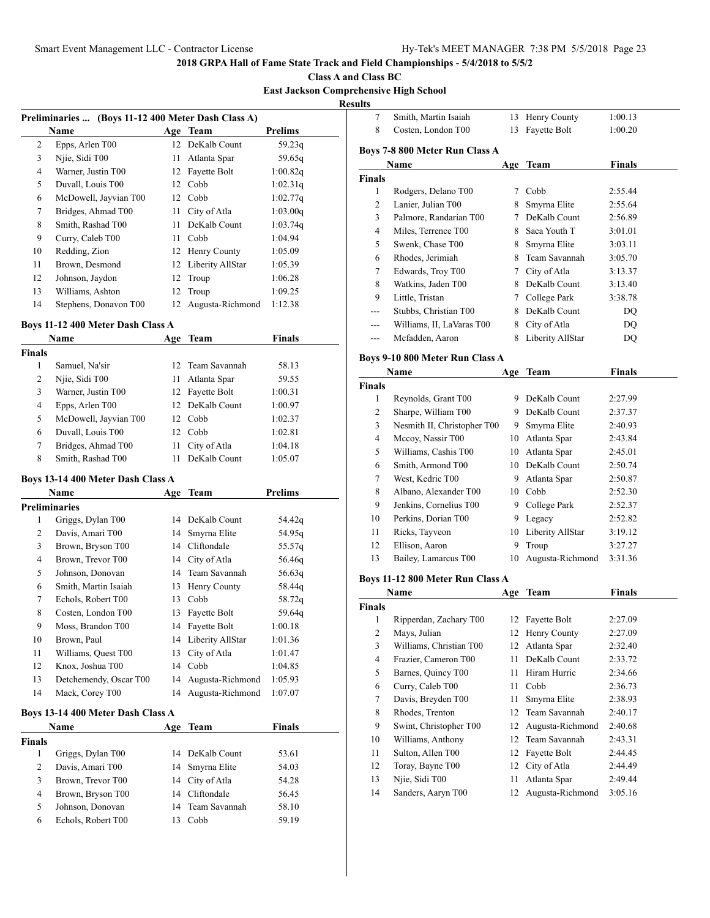## **Class A and Class BC**

# **East Jackson Comprehensive High School**

**Resul** 

|    | Preliminaries  (Boys 11-12 400 Meter Dash Class A) |     |                  |                |
|----|----------------------------------------------------|-----|------------------|----------------|
|    | Name                                               |     | Age Team         | <b>Prelims</b> |
| 2  | Epps, Arlen T00                                    | 12  | DeKalb Count     | 59.23q         |
| 3  | Njie, Sidi T00                                     | 11  | Atlanta Spar     | 59.65q         |
| 4  | Warner, Justin T00                                 | 12  | Fayette Bolt     | 1:00.82q       |
| 5  | Duvall, Louis T00                                  |     | 12 Cobb          | 1:02.31q       |
| 6  | McDowell, Jayvian T00                              | 12  | Cobb             | 1:02.77q       |
| 7  | Bridges, Ahmad T00                                 | 11  | City of Atla     | 1:03.00q       |
| 8  | Smith, Rashad T00                                  | 11  | DeKalb Count     | 1:03.74q       |
| 9  | Curry, Caleb T00                                   | 11. | Cobb             | 1:04.94        |
| 10 | Redding, Zion                                      |     | 12 Henry County  | 1:05.09        |
| 11 | Brown, Desmond                                     | 12  | Liberity AllStar | 1:05.39        |
| 12 | Johnson, Jaydon                                    | 12  | Troup            | 1:06.28        |
| 13 | Williams, Ashton                                   | 12  | Troup            | 1:09.25        |
| 14 | Stephens, Donavon T00                              | 12  | Augusta-Richmond | 1:12.38        |

# **Boys 11-12 400 Meter Dash Class A**

| Name                  | Age | Team         | Finals                                                                                       |  |
|-----------------------|-----|--------------|----------------------------------------------------------------------------------------------|--|
|                       |     |              |                                                                                              |  |
| Samuel, Na'sir        |     |              | 58.13                                                                                        |  |
| Niie, Sidi T00        |     |              | 59.55                                                                                        |  |
| Warner, Justin T00    |     |              | 1:00.31                                                                                      |  |
| Epps, Arlen T00       |     |              | 1:00.97                                                                                      |  |
| McDowell, Jayvian T00 |     |              | 1:02.37                                                                                      |  |
| Duvall, Louis T00     | 12. |              | 1:02.81                                                                                      |  |
| Bridges, Ahmad T00    | 11  | City of Atla | 1:04.18                                                                                      |  |
| Smith, Rashad T00     |     | DeKalb Count | 1:05.07                                                                                      |  |
|                       |     |              | 12 Team Savannah<br>11 Atlanta Spar<br>12 Fayette Bolt<br>12 DeKalb Count<br>12 Cobb<br>Cobb |  |

## **Boys 13-14 400 Meter Dash Class A**

|                | Name                              | Age | <b>Team</b>      | <b>Prelims</b> |
|----------------|-----------------------------------|-----|------------------|----------------|
|                | <b>Preliminaries</b>              |     |                  |                |
| 1              | Griggs, Dylan T00                 |     | 14 DeKalb Count  | 54.42q         |
| $\overline{2}$ | Davis, Amari T00                  | 14  | Smyrna Elite     | 54.95q         |
| 3              | Brown, Bryson T00                 | 14  | Cliftondale      | 55.57q         |
| 4              | Brown, Trevor T00                 | 14  | City of Atla     | 56.46q         |
| 5              | Johnson, Donovan                  | 14  | Team Savannah    | 56.63q         |
| 6              | Smith, Martin Isaiah              | 13  | Henry County     | 58.44q         |
| 7              | Echols, Robert T00                | 13  | Cobb             | 58.72q         |
| 8              | Costen, London T00                | 13  | Fayette Bolt     | 59.64q         |
| 9              | Moss, Brandon T00                 | 14  | Fayette Bolt     | 1:00.18        |
| 10             | Brown, Paul                       | 14  | Liberity AllStar | 1:01.36        |
| 11             | Williams, Quest T00               | 13  | City of Atla     | 1:01.47        |
| 12             | Knox, Joshua T00                  | 14  | Cobb             | 1:04.85        |
| 13             | Detchemendy, Oscar T00            | 14  | Augusta-Richmond | 1:05.93        |
| 14             | Mack, Corey T00                   | 14  | Augusta-Richmond | 1:07.07        |
|                | Boys 13-14 400 Meter Dash Class A |     |                  |                |
|                | Name                              | Age | Team             | <b>Finals</b>  |
| <b>Finals</b>  |                                   |     |                  |                |
| 1              | Griggs, Dylan T00                 |     | 14 DeKalb Count  | 53.61          |

|   | Davis, Amari T00   | 14 Smyrna Elite  | 54.03 |
|---|--------------------|------------------|-------|
| 3 | Brown, Trevor T00  | 14 City of Atla  | 54.28 |
| 4 | Brown, Bryson T00  | 14 Cliftondale   | 56.45 |
| 5 | Johnson, Donovan   | 14 Team Savannah | 58.10 |
| 6 | Echols, Robert T00 | Cobb             | 59.19 |

| lts            |                                  |        |                     |               |
|----------------|----------------------------------|--------|---------------------|---------------|
| 7              | Smith, Martin Isaiah             | 13     | Henry County        | 1:00.13       |
| 8              | Costen, London T00               | 13     | Fayette Bolt        | 1:00.20       |
|                | Boys 7-8 800 Meter Run Class A   |        |                     |               |
|                | Name                             |        | Age Team            | <b>Finals</b> |
| Finals         |                                  |        |                     |               |
| 1              | Rodgers, Delano T00              |        | 7 Cobb              | 2:55.44       |
| $\overline{c}$ | Lanier, Julian T00               | 8      | Smyrna Elite        | 2:55.64       |
| 3              | Palmore, Randarian T00           | $\tau$ | DeKalb Count        | 2:56.89       |
| $\overline{4}$ | Miles, Terrence T00              |        | 8 Saca Youth T      | 3:01.01       |
| 5              | Swenk, Chase T00                 |        | 8 Smyrna Elite      | 3:03.11       |
| 6              | Rhodes, Jerimiah                 |        | 8 Team Savannah     | 3:05.70       |
| 7              | Edwards, Troy T00                |        | 7 City of Atla      | 3:13.37       |
| 8              | Watkins, Jaden T00               |        | 8 DeKalb Count      | 3:13.40       |
| 9              | Little, Tristan                  |        | 7 College Park      | 3:38.78       |
| ---            | Stubbs, Christian T00            |        | 8 DeKalb Count      | DQ            |
| ---            | Williams, II, LaVaras T00        |        | 8 City of Atla      | DQ            |
| ---            | Mcfadden, Aaron                  | 8      | Liberity AllStar    | DQ            |
|                | Boys 9-10 800 Meter Run Class A  |        |                     |               |
|                | Name                             | Age    | Team                | <b>Finals</b> |
| Finals         |                                  |        |                     |               |
| 1              | Reynolds, Grant T00              |        | 9 DeKalb Count      | 2:27.99       |
| $\overline{2}$ | Sharpe, William T00              |        | 9 DeKalb Count      | 2:37.37       |
| 3              | Nesmith II, Christopher T00      |        | 9 Smyrna Elite      | 2:40.93       |
| 4              | Mccoy, Nassir T00                |        | 10 Atlanta Spar     | 2:43.84       |
| 5              | Williams, Cashis T00             |        | 10 Atlanta Spar     | 2:45.01       |
| 6              | Smith, Armond T00                |        | 10 DeKalb Count     | 2:50.74       |
| 7              | West, Kedric T00                 | 9.     | Atlanta Spar        | 2:50.87       |
| 8              | Albano, Alexander T00            |        | 10 Cobb             | 2:52.30       |
| 9              | Jenkins, Cornelius T00           |        | 9 College Park      | 2:52.37       |
| 10             | Perkins, Dorian T00              |        | 9 Legacy            | 2:52.82       |
| 11             | Ricks, Tayveon                   |        | 10 Liberity AllStar | 3:19.12       |
| 12             | Ellison, Aaron                   | 9      | Troup               | 3:27.27       |
| 13             | Bailey, Lamarcus T00             | 10     | Augusta-Richmond    | 3:31.36       |
|                | Boys 11-12 800 Meter Run Class A |        |                     |               |
|                | Name                             |        | Age Team            | <b>Finals</b> |
| Finals         |                                  |        |                     |               |
| 1              | Ripperdan, Zachary T00           |        | 12 Fayette Bolt     | 2:27.09       |
| $\overline{c}$ | Mays, Julian                     |        | 12 Henry County     | 2:27.09       |
| 3              | Williams, Christian T00          | 12     | Atlanta Spar        | 2:32.40       |
| $\overline{4}$ | Frazier, Cameron T00             | 11     | DeKalb Count        | 2:33.72       |
| 5              | Barnes, Quincy T00               | 11 -   | Hiram Hurric        | 2:34.66       |
| 6              | Curry. Caleb T00                 |        | 11 Cobb             | 2:36.73       |

|        | Name                    | Age | Team             | Finals  |  |
|--------|-------------------------|-----|------------------|---------|--|
| Finals |                         |     |                  |         |  |
| 1      | Ripperdan, Zachary T00  | 12  | Fayette Bolt     | 2:27.09 |  |
| 2      | Mays, Julian            | 12  | Henry County     | 2:27.09 |  |
| 3      | Williams, Christian T00 | 12  | Atlanta Spar     | 2:32.40 |  |
| 4      | Frazier, Cameron T00    | 11  | DeKalb Count     | 2:33.72 |  |
| 5      | Barnes, Quincy T00      | 11  | Hiram Hurric     | 2:34.66 |  |
| 6      | Curry, Caleb T00        | 11  | Cobb             | 2:36.73 |  |
| 7      | Davis, Breyden T00      | 11  | Smyrna Elite     | 2:38.93 |  |
| 8      | Rhodes, Trenton         | 12  | Team Savannah    | 2:40.17 |  |
| 9      | Swint, Christopher T00  | 12  | Augusta-Richmond | 2:40.68 |  |
| 10     | Williams, Anthony       | 12  | Team Savannah    | 2:43.31 |  |
| 11     | Sulton, Allen T00       | 12  | Fayette Bolt     | 2:44.45 |  |
| 12     | Toray, Bayne T00        | 12  | City of Atla     | 2:44.49 |  |
| 13     | Njie, Sidi T00          | 11  | Atlanta Spar     | 2:49.44 |  |
| 14     | Sanders, Aaryn T00      | 12  | Augusta-Richmond | 3:05.16 |  |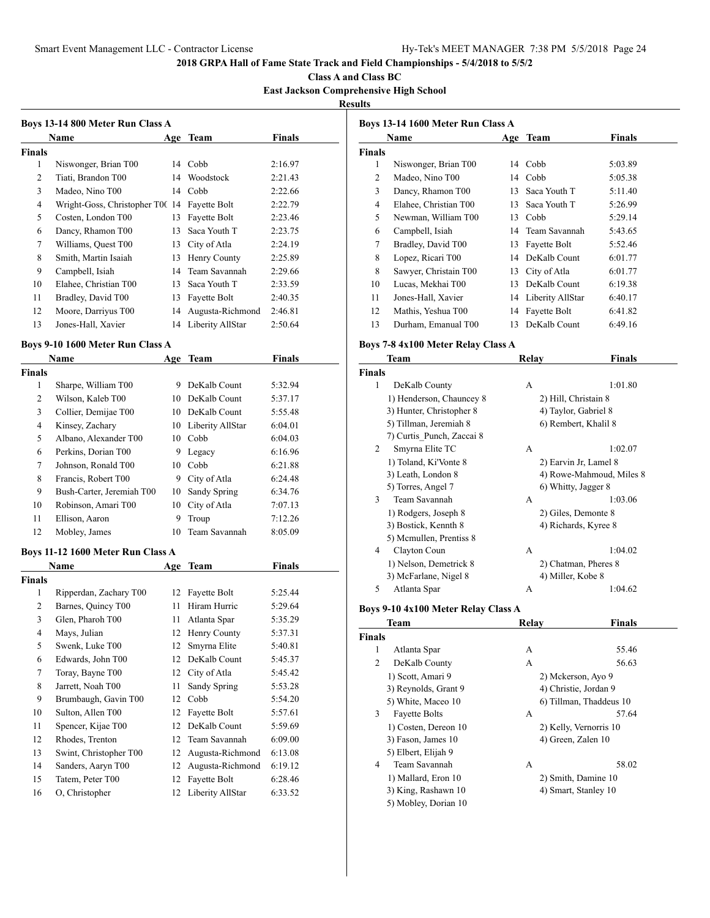**Class A and Class BC**

**East Jackson Comprehensive High School Results**

|                          | Boys 13-14 800 Meter Run Class A             |    |                     |               |
|--------------------------|----------------------------------------------|----|---------------------|---------------|
|                          | Name                                         |    | Age Team            | <b>Finals</b> |
| <b>Finals</b>            |                                              |    |                     |               |
| 1                        | Niswonger, Brian T00                         |    | 14 Cobb             | 2:16.97       |
| 2                        | Tiati, Brandon T00                           |    | 14 Woodstock        | 2:21.43       |
| 3                        | Madeo, Nino T00                              |    | 14 Cobb             | 2:22.66       |
| 4                        | Wright-Goss, Christopher T0( 14 Fayette Bolt |    |                     | 2:22.79       |
| 5                        | Costen, London T00                           | 13 | Fayette Bolt        | 2:23.46       |
| 6                        | Dancy, Rhamon T00                            |    | 13 Saca Youth T     | 2:23.75       |
| 7                        | Williams, Quest T00                          |    | 13 City of Atla     | 2:24.19       |
| 8                        | Smith, Martin Isaiah                         |    | 13 Henry County     | 2:25.89       |
| 9                        | Campbell, Isiah                              |    | 14 Team Savannah    | 2:29.66       |
| 10                       | Elahee, Christian T00                        |    | 13 Saca Youth T     | 2:33.59       |
| 11                       | Bradley, David T00                           |    | 13 Fayette Bolt     | 2:40.35       |
| 12                       | Moore, Darriyus T00                          |    | 14 Augusta-Richmond | 2:46.81       |
| 13                       | Jones-Hall, Xavier                           |    | 14 Liberity AllStar | 2:50.64       |
|                          | Boys 9-10 1600 Meter Run Class A             |    |                     |               |
|                          | Name                                         |    | Age Team            | <b>Finals</b> |
| <b>Finals</b>            |                                              |    |                     |               |
| 1                        | Sharpe, William T00                          |    | 9 DeKalb Count      | 5:32.94       |
| 2                        | Wilson, Kaleb T00                            |    | 10 DeKalb Count     | 5:37.17       |
| 3                        | Collier, Demijae T00                         |    | 10 DeKalb Count     | 5:55.48       |
| 4                        | Kinsey, Zachary                              |    | 10 Liberity AllStar | 6:04.01       |
| 5                        | Albano, Alexander T00                        |    | 10 Cobb             | 6:04.03       |
| 6                        | Perkins, Dorian T00                          |    | 9 Legacy            | 6:16.96       |
| 7                        | Johnson, Ronald T00                          |    | 10 Cobb             | 6:21.88       |
| 8                        | Francis, Robert T00                          |    | 9 City of Atla      | 6:24.48       |
| 9                        | Bush-Carter, Jeremiah T00                    |    | 10 Sandy Spring     | 6:34.76       |
| 10                       | Robinson, Amari T00                          |    | 10 City of Atla     | 7:07.13       |
| 11                       | Ellison, Aaron                               | 9  | Troup               | 7:12.26       |
| 12                       | Mobley, James                                | 10 | Team Savannah       | 8:05.09       |
|                          | Boys 11-12 1600 Meter Run Class A            |    |                     |               |
|                          | Name                                         |    | Age Team            | Finals        |
| <b>Finals</b>            |                                              |    |                     |               |
| 1                        | Ripperdan, Zachary T00                       |    | 12 Fayette Bolt     | 5:25.44       |
| 2                        | Barnes, Quincy T00                           | 11 | Hiram Hurric        | 5:29.64       |
| 3                        | Glen, Pharoh T00                             | 11 | Atlanta Spar        | 5:35.29       |
| $\overline{\mathcal{L}}$ | Mays, Julian                                 | 12 | Henry County        | 5:37.31       |
| 5                        | Swenk, Luke T00                              | 12 | Smyrna Elite        | 5:40.81       |
| 6                        | Edwards, John T00                            | 12 | DeKalb Count        | 5:45.37       |
| $\tau$                   | Toray, Bayne T00                             | 12 | City of Atla        | 5:45.42       |
| $\,8\,$                  | Jarrett, Noah T00                            | 11 | Sandy Spring        | 5:53.28       |
| 9                        | Brumbaugh, Gavin T00                         | 12 | Cobb                | 5:54.20       |
| $10\,$                   | Sulton, Allen T00                            | 12 | Fayette Bolt        | 5:57.61       |
| 11                       | Spencer, Kijae T00                           | 12 | DeKalb Count        | 5:59.69       |
| 12                       | Rhodes, Trenton                              | 12 | Team Savannah       | 6:09.00       |

 Swint, Christopher T00 12 Augusta-Richmond 6:13.08 Sanders, Aaryn T00 12 Augusta-Richmond 6:19.12 Tatem, Peter T00 12 Fayette Bolt 6:28.46 O, Christopher 12 Liberity AllStar 6:33.52

|               | Name                  |    | Age Team         | <b>Finals</b> |
|---------------|-----------------------|----|------------------|---------------|
| <b>Finals</b> |                       |    |                  |               |
| 1             | Niswonger, Brian T00  | 14 | Cobb             | 5:03.89       |
| 2             | Madeo, Nino T00       | 14 | Cobb             | 5:05.38       |
| 3             | Dancy, Rhamon T00     | 13 | Saca Youth T     | 5:11.40       |
| 4             | Elahee, Christian T00 | 13 | Saca Youth T     | 5:26.99       |
| 5             | Newman, William T00   | 13 | Cobb             | 5:29.14       |
| 6             | Campbell, Isiah       | 14 | Team Savannah    | 5:43.65       |
| 7             | Bradley, David T00    | 13 | Fayette Bolt     | 5:52.46       |
| 8             | Lopez, Ricari T00     | 14 | DeKalb Count     | 6:01.77       |
| 8             | Sawyer, Christain T00 | 13 | City of Atla     | 6:01.77       |
| 10            | Lucas, Mekhai T00     | 13 | DeKalb Count     | 6:19.38       |
| 11            | Jones-Hall, Xavier    | 14 | Liberity AllStar | 6:40.17       |
| 12            | Mathis, Yeshua T00    | 14 | Fayette Bolt     | 6:41.82       |
| 13            | Durham, Emanual T00   | 13 | DeKalb Count     | 6:49.16       |

## **Boys 7-8 4x100 Meter Relay Class A**

|               | Team                      | Relay | Finals                   |
|---------------|---------------------------|-------|--------------------------|
| <b>Finals</b> |                           |       |                          |
| 1             | DeKalb County             | А     | 1:01.80                  |
|               | 1) Henderson, Chauncey 8  |       | 2) Hill, Christain 8     |
|               | 3) Hunter, Christopher 8  |       | 4) Taylor, Gabriel 8     |
|               | 5) Tillman, Jeremiah 8    |       | 6) Rembert, Khalil 8     |
|               | 7) Curtis Punch, Zaccai 8 |       |                          |
| 2             | Smyrna Elite TC           | A     | 1:02.07                  |
|               | 1) Toland, Ki'Vonte 8     |       | 2) Earvin Jr, Lamel 8    |
|               | 3) Leath, London 8        |       | 4) Rowe-Mahmoud, Miles 8 |
|               | 5) Torres, Angel 7        |       | 6) Whitty, Jagger 8      |
| 3             | Team Savannah             | А     | 1:03.06                  |
|               | 1) Rodgers, Joseph 8      |       | 2) Giles, Demonte 8      |
|               | 3) Bostick, Kennth 8      |       | 4) Richards, Kyree 8     |
|               | 5) Mcmullen, Prentiss 8   |       |                          |
| 4             | Clayton Coun              | A     | 1:04.02                  |
|               | 1) Nelson, Demetrick 8    |       | 2) Chatman, Pheres 8     |
|               | 3) McFarlane, Nigel 8     |       | 4) Miller, Kobe 8        |
| 5             | Atlanta Spar              | A     | 1:04.62                  |

### **Boys 9-10 4x100 Meter Relay Class A**

|               | Team                 | Relay | <b>Finals</b>           |
|---------------|----------------------|-------|-------------------------|
| <b>Finals</b> |                      |       |                         |
| 1             | Atlanta Spar         | А     | 55.46                   |
| 2             | DeKalb County        | А     | 56.63                   |
|               | 1) Scott, Amari 9    |       | 2) Mckerson, Ayo 9      |
|               | 3) Reynolds, Grant 9 |       | 4) Christie, Jordan 9   |
|               | 5) White, Maceo 10   |       | 6) Tillman, Thaddeus 10 |
| 3             | <b>Fayette Bolts</b> | A     | 57.64                   |
|               | 1) Costen, Dereon 10 |       | 2) Kelly, Vernorris 10  |
|               | 3) Fason, James 10   |       | 4) Green, Zalen 10      |
|               | 5) Elbert, Elijah 9  |       |                         |
| 4             | Team Savannah        | А     | 58.02                   |
|               | 1) Mallard, Eron 10  |       | 2) Smith, Damine 10     |
|               | 3) King, Rashawn 10  |       | 4) Smart, Stanley 10    |
|               | 5) Mobley, Dorian 10 |       |                         |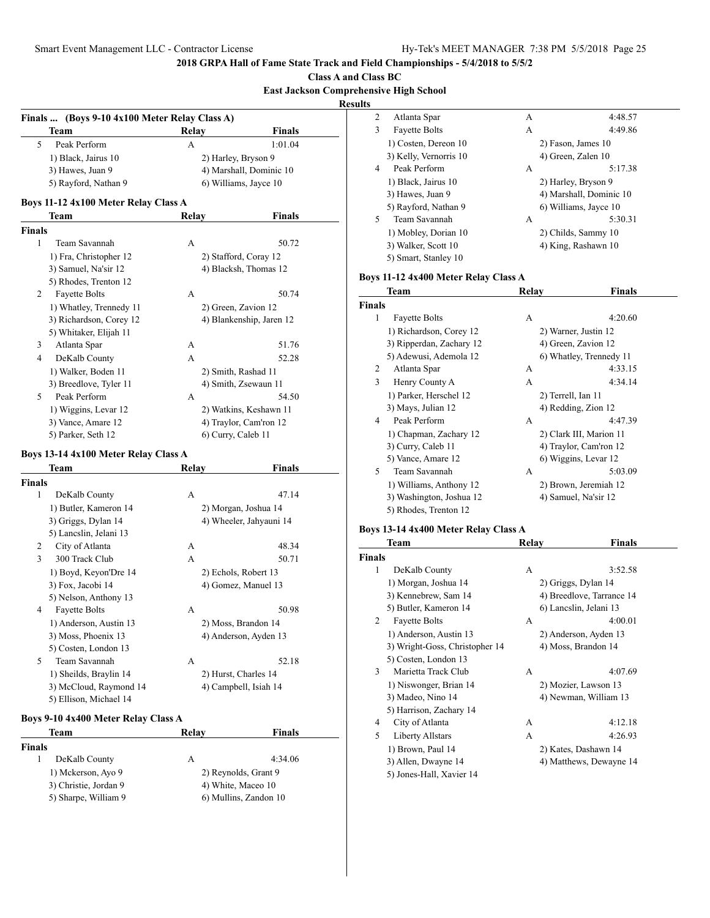**Class A and Class BC**

#### **East Jackson Comprehensive High School Results**

**Finals ... (Boys 9-10 4x100 Meter Relay Class A) Team Relay Finals** 5 Peak Perform A 1:01.04 1) Black, Jairus 10 2) Harley, Bryson 9 3) Hawes, Juan 9 4) Marshall, Dominic 10 5) Rayford, Nathan 9 6) Williams, Jayce 10 **Boys 11-12 4x100 Meter Relay Class A Team Relay Finals Finals** 1 Team Savannah A 50.72 1) Fra, Christopher 12 2) Stafford, Coray 12 3) Samuel, Na'sir 12 4) Blacksh, Thomas 12 5) Rhodes, Trenton 12 2 Fayette Bolts A 50.74 1) Whatley, Trennedy 11 2) Green, Zavion 12 3) Richardson, Corey 12 4) Blankenship, Jaren 12 5) Whitaker, Elijah 11 3 Atlanta Spar A 51.76 4 DeKalb County A 52.28 1) Walker, Boden 11 2) Smith, Rashad 11 3) Breedlove, Tyler 11 4) Smith, Zsewaun 11 5 Peak Perform A 54.50 1) Wiggins, Levar 12 2) Watkins, Keshawn 11 3) Vance, Amare 12 4) Traylor, Cam'ron 12 5) Parker, Seth 12 6) Curry, Caleb 11 **Boys 13-14 4x100 Meter Relay Class A Team Relay Finals Finals** 1 DeKalb County A 47.14 1) Butler, Kameron 14 2) Morgan, Joshua 14 3) Griggs, Dylan 14 4) Wheeler, Jahyauni 14 5) Lancslin, Jelani 13 2 City of Atlanta A 48.34 3 300 Track Club A 50.71 1) Boyd, Keyon'Dre 14 2) Echols, Robert 13 3) Fox, Jacobi 14 4) Gomez, Manuel 13 5) Nelson, Anthony 13 4 Fayette Bolts A 50.98 1) Anderson, Austin 13 2) Moss, Brandon 14 3) Moss, Phoenix 13 4) Anderson, Ayden 13 5) Costen, London 13 5 Team Savannah A 52.18 1) Sheilds, Braylin 14 2) Hurst, Charles 14

### **Boys 9-10 4x400 Meter Relay Class A**

5) Ellison, Michael 14

| Team                  | Relay              | Finals                |  |
|-----------------------|--------------------|-----------------------|--|
| Finals                |                    |                       |  |
| DeKalb County         | А                  | 4:34.06               |  |
| 1) Mckerson, Ayo 9    |                    | 2) Reynolds, Grant 9  |  |
| 3) Christie, Jordan 9 | 4) White, Maceo 10 |                       |  |
| 5) Sharpe, William 9  |                    | 6) Mullins, Zandon 10 |  |
|                       |                    |                       |  |

3) McCloud, Raymond 14 4) Campbell, Isiah 14

| 2 | Atlanta Spar           | A | 4:48.57                 |  |
|---|------------------------|---|-------------------------|--|
| 3 | <b>Fayette Bolts</b>   | А | 4:49.86                 |  |
|   | 1) Costen, Dereon 10   |   | 2) Fason, James 10      |  |
|   | 3) Kelly, Vernorris 10 |   | 4) Green, Zalen 10      |  |
| 4 | Peak Perform           | А | 5:17.38                 |  |
|   | 1) Black, Jairus 10    |   | 2) Harley, Bryson 9     |  |
|   | 3) Hawes, Juan 9       |   | 4) Marshall, Dominic 10 |  |
|   | 5) Rayford, Nathan 9   |   | 6) Williams, Jayce 10   |  |
| 5 | Team Savannah          | A | 5:30.31                 |  |
|   | 1) Mobley, Dorian 10   |   | 2) Childs, Sammy 10     |  |
|   | 3) Walker, Scott 10    |   | 4) King, Rashawn 10     |  |
|   | 5) Smart, Stanley 10   |   |                         |  |

#### **Boys 11-12 4x400 Meter Relay Class A**

|               | Team                     | Relay              | Finals                  |
|---------------|--------------------------|--------------------|-------------------------|
| <b>Finals</b> |                          |                    |                         |
| 1             | <b>Fayette Bolts</b>     | A                  | 4:20.60                 |
|               | 1) Richardson, Corey 12  |                    | 2) Warner, Justin 12    |
|               | 3) Ripperdan, Zachary 12 |                    | 4) Green, Zavion 12     |
|               | 5) Adewusi, Ademola 12   |                    | 6) Whatley, Trennedy 11 |
| 2             | Atlanta Spar             | А                  | 4:33.15                 |
| 3             | Henry County A           | А                  | 4:34.14                 |
|               | 1) Parker, Herschel 12   | 2) Terrell, Ian 11 |                         |
|               | 3) Mays, Julian 12       |                    | 4) Redding, Zion 12     |
| 4             | Peak Perform             | A                  | 4:47.39                 |
|               | 1) Chapman, Zachary 12   |                    | 2) Clark III, Marion 11 |
|               | 3) Curry, Caleb 11       |                    | 4) Traylor, Cam'ron 12  |
|               | 5) Vance, Amare 12       |                    | 6) Wiggins, Levar 12    |
| 5             | Team Savannah            | А                  | 5:03.09                 |
|               | 1) Williams, Anthony 12  |                    | 2) Brown, Jeremiah 12   |
|               | 3) Washington, Joshua 12 |                    | 4) Samuel, Na'sir 12    |
|               | 5) Rhodes, Trenton 12    |                    |                         |

#### **Boys 13-14 4x400 Meter Relay Class A**

|               | Team                           | Relay | Finals                    |
|---------------|--------------------------------|-------|---------------------------|
| <b>Finals</b> |                                |       |                           |
| 1             | DeKalb County                  | А     | 3:52.58                   |
|               | 1) Morgan, Joshua 14           |       | 2) Griggs, Dylan 14       |
|               | 3) Kennebrew, Sam 14           |       | 4) Breedlove, Tarrance 14 |
|               | 5) Butler, Kameron 14          |       | 6) Lancslin, Jelani 13    |
| 2             | <b>Fayette Bolts</b>           | A     | 4:00.01                   |
|               | 1) Anderson, Austin 13         |       | 2) Anderson, Ayden 13     |
|               | 3) Wright-Goss, Christopher 14 |       | 4) Moss, Brandon 14       |
|               | 5) Costen, London 13           |       |                           |
| 3             | Marietta Track Club            | А     | 4:07.69                   |
|               | 1) Niswonger, Brian 14         |       | 2) Mozier, Lawson 13      |
|               | 3) Madeo, Nino 14              |       | 4) Newman, William 13     |
|               | 5) Harrison, Zachary 14        |       |                           |
| 4             | City of Atlanta                | А     | 4:12.18                   |
| 5             | Liberty Allstars               | А     | 4:26.93                   |
|               | 1) Brown, Paul 14              |       | 2) Kates, Dashawn 14      |
|               | 3) Allen, Dwayne 14            |       | 4) Matthews, Dewayne 14   |
|               | 5) Jones-Hall, Xavier 14       |       |                           |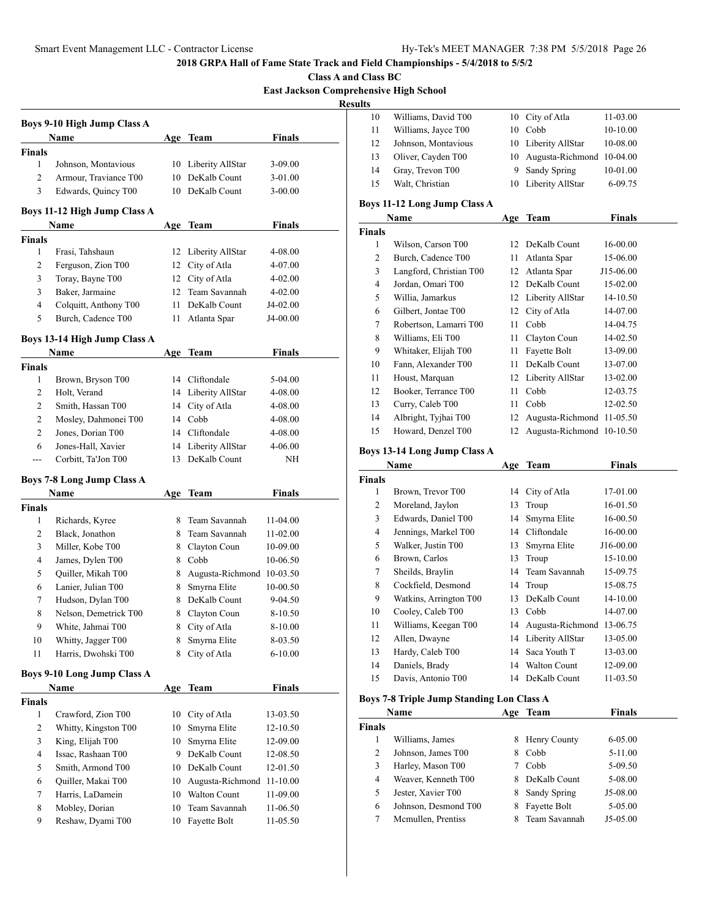**Class A and Class BC East Jackson Comprehensive High School**

**Results**

| <b>Boys 9-10 High Jump Class A</b> |                                         |      |                              |               |  |  |
|------------------------------------|-----------------------------------------|------|------------------------------|---------------|--|--|
|                                    | Name                                    |      | Age Team                     | <b>Finals</b> |  |  |
| <b>Finals</b>                      |                                         |      |                              |               |  |  |
| 1                                  | Johnson, Montavious                     | 10   | Liberity AllStar             | 3-09.00       |  |  |
| 2                                  | Armour, Traviance T00                   | 10   | DeKalb Count                 | 3-01.00       |  |  |
| 3                                  | Edwards, Quincy T00                     | 10   | DeKalb Count                 | 3-00.00       |  |  |
|                                    | Boys 11-12 High Jump Class A            |      |                              |               |  |  |
|                                    | Name                                    | Age  | Team                         | <b>Finals</b> |  |  |
| <b>Finals</b>                      |                                         |      |                              |               |  |  |
| 1                                  | Frasi, Tahshaun                         |      | 12 Liberity AllStar          | 4-08.00       |  |  |
| 2                                  | Ferguson, Zion T00                      |      | 12 City of Atla              | 4-07.00       |  |  |
| 3                                  | Toray, Bayne T00                        |      | 12 City of Atla              | 4-02.00       |  |  |
| 3                                  | Baker, Jarmaine                         | 12   | Team Savannah                | 4-02.00       |  |  |
| 4                                  | Colquitt, Anthony T00                   | 11 - | DeKalb Count                 | J4-02.00      |  |  |
| 5                                  | Burch, Cadence T00                      | 11   | Atlanta Spar                 | J4-00.00      |  |  |
|                                    | Boys 13-14 High Jump Class A            |      |                              |               |  |  |
|                                    | Name                                    |      | Age Team                     | Finals        |  |  |
| <b>Finals</b>                      |                                         |      |                              |               |  |  |
| 1                                  | Brown, Bryson T00                       | 14   | Cliftondale                  | 5-04.00       |  |  |
| 2                                  | Holt, Verand                            |      | 14 Liberity AllStar          | 4-08.00       |  |  |
| 2                                  | Smith, Hassan T00                       | 14   | City of Atla                 | 4-08.00       |  |  |
| 2                                  | Mosley, Dahmonei T00                    |      | 14 Cobb                      | 4-08.00       |  |  |
| 2                                  | Jones, Dorian T00                       |      | 14 Cliftondale               | 4-08.00       |  |  |
| 6                                  | Jones-Hall, Xavier                      |      | 14 Liberity AllStar          | 4-06.00       |  |  |
| ---                                | Corbitt, Ta'Jon T00                     | 13   | DeKalb Count                 | ΝH            |  |  |
|                                    |                                         |      |                              |               |  |  |
|                                    | <b>Boys 7-8 Long Jump Class A</b>       |      |                              |               |  |  |
|                                    | Name                                    | Age  | Team                         | Finals        |  |  |
| <b>Finals</b><br>1                 |                                         | 8.   | Team Savannah                | 11-04.00      |  |  |
|                                    | Richards, Kyree                         |      |                              |               |  |  |
| 2                                  | Black, Jonathon                         | 8    | Team Savannah                | 11-02.00      |  |  |
| 3<br>4                             | Miller, Kobe T00                        | 8    | Clayton Coun<br>8 Cobb       | 10-09.00      |  |  |
|                                    | James, Dylen T00                        |      | 8 Augusta-Richmond 10-03.50  | 10-06.50      |  |  |
| 5                                  | Quiller, Mikah T00                      |      |                              |               |  |  |
| 6<br>7                             | Lanier, Julian T00<br>Hudson, Dylan T00 | 8    | Smyrna Elite<br>DeKalb Count | 10-00.50      |  |  |
|                                    |                                         | 8    | Clayton Coun                 | 9-04.50       |  |  |
| 8                                  | Nelson, Demetrick T00                   | 8    |                              | 8-10.50       |  |  |
| 9                                  | White, Jahmai T00                       |      | 8 City of Atla               | 8-10.00       |  |  |
| 10                                 | Whitty, Jagger T00                      | 8    | Smyrna Elite                 | 8-03.50       |  |  |
| 11                                 | Harris, Dwohski T00                     | 8    | City of Atla                 | 6-10.00       |  |  |
|                                    | <b>Boys 9-10 Long Jump Class A</b>      |      |                              |               |  |  |
|                                    | Name                                    | Age  | <b>Team</b>                  | <b>Finals</b> |  |  |
| <b>Finals</b>                      |                                         |      |                              |               |  |  |
| 1                                  | Crawford, Zion T00                      | 10   | City of Atla                 | 13-03.50      |  |  |
| 2                                  | Whitty, Kingston T00                    | 10   | Smyrna Elite                 | 12-10.50      |  |  |
| 3                                  | King, Elijah T00                        | 10   | Smyrna Elite                 | 12-09.00      |  |  |
| 4                                  | Issac, Rashaan T00                      | 9.   | DeKalb Count                 | 12-08.50      |  |  |
| 5                                  | Smith, Armond T00                       |      | 10 DeKalb Count              | 12-01.50      |  |  |
| 6                                  | Quiller, Makai T00                      | 10   | Augusta-Richmond 11-10.00    |               |  |  |
| 7                                  | Harris, LaDamein                        |      | 10 Walton Count              | 11-09.00      |  |  |
| 8                                  | Mobley, Dorian                          | 10   | Team Savannah                | 11-06.50      |  |  |
| 9                                  | Reshaw, Dyami T00                       | 10   | Fayette Bolt                 | 11-05.50      |  |  |
|                                    |                                         |      |                              |               |  |  |
|                                    |                                         |      |                              |               |  |  |

| 10 | Williams, David T00 | 10 City of Atla              | 11-03.00 |
|----|---------------------|------------------------------|----------|
| 11 | Williams, Jayce T00 | 10 Cobb                      | 10-10.00 |
| 12 | Johnson, Montavious | 10 Liberity AllStar          | 10-08.00 |
| 13 | Oliver, Cayden T00  | 10 Augusta-Richmond 10-04.00 |          |
| 14 | Gray, Trevon T00    | 9 Sandy Spring               | 10-01.00 |
| 15 | Walt, Christian     | 10 Liberity AllStar          | 6-09.75  |
|    |                     |                              |          |

## **Boys 11-12 Long Jump Class A**

|               | Name                    | Age | <b>Team</b>               | <b>Finals</b> |
|---------------|-------------------------|-----|---------------------------|---------------|
| <b>Finals</b> |                         |     |                           |               |
| 1             | Wilson, Carson T00      | 12  | DeKalb Count              | 16-00.00      |
| 2             | Burch, Cadence T00      | 11  | Atlanta Spar              | 15-06.00      |
| 3             | Langford, Christian T00 | 12  | Atlanta Spar              | J15-06.00     |
| 4             | Jordan, Omari T00       | 12  | DeKalb Count              | 15-02.00      |
| 5             | Willia, Jamarkus        | 12  | Liberity AllStar          | 14-10.50      |
| 6             | Gilbert, Jontae T00     | 12  | City of Atla              | 14-07.00      |
| 7             | Robertson, Lamarri T00  | 11  | Cobb                      | 14-04.75      |
| 8             | Williams, Eli T00       | 11  | Clayton Coun              | 14-02.50      |
| 9             | Whitaker, Elijah T00    | 11  | Fayette Bolt              | 13-09.00      |
| 10            | Fann, Alexander T00     | 11  | DeKalb Count              | 13-07.00      |
| 11            | Houst, Marquan          | 12  | Liberity AllStar          | 13-02.00      |
| 12            | Booker, Terrance T00    | 11  | Cobb                      | 12-03.75      |
| 13            | Curry, Caleb T00        | 11  | Cobb                      | 12-02.50      |
| 14            | Albright, Tyjhai T00    | 12  | Augusta-Richmond 11-05.50 |               |
| 15            | Howard, Denzel T00      | 12  | Augusta-Richmond 10-10.50 |               |

## **Boys 13-14 Long Jump Class A**

|               | Name                   | Age | Team                      | Finals    |
|---------------|------------------------|-----|---------------------------|-----------|
| <b>Finals</b> |                        |     |                           |           |
| 1             | Brown, Trevor T00      | 14  | City of Atla              | 17-01.00  |
| 2             | Moreland, Jaylon       | 13  | Troup                     | 16-01.50  |
| 3             | Edwards, Daniel T00    | 14  | Smyrna Elite              | 16-00.50  |
| 4             | Jennings, Markel T00   | 14  | Cliftondale               | 16-00.00  |
| 5             | Walker, Justin T00     | 13  | Smyrna Elite              | J16-00.00 |
| 6             | Brown, Carlos          | 13  | Troup                     | 15-10.00  |
| 7             | Sheilds, Braylin       | 14  | Team Savannah             | 15-09.75  |
| 8             | Cockfield, Desmond     | 14  | Troup                     | 15-08.75  |
| 9             | Watkins, Arrington T00 | 13  | DeKalb Count              | 14-10.00  |
| 10            | Cooley, Caleb T00      | 13  | Cobb                      | 14-07.00  |
| 11            | Williams, Keegan T00   | 14  | Augusta-Richmond 13-06.75 |           |
| 12            | Allen, Dwayne          | 14  | Liberity AllStar          | 13-05.00  |
| 13            | Hardy, Caleb T00       | 14  | Saca Youth T              | 13-03.00  |
| 14            | Daniels, Brady         | 14  | <b>Walton Count</b>       | 12-09.00  |
| 15            | Davis, Antonio T00     | 14  | DeKalb Count              | 11-03.50  |

# **Boys 7-8 Triple Jump Standing Lon Class A**

|               | Name                 | Age | Team          | <b>Finals</b> |  |
|---------------|----------------------|-----|---------------|---------------|--|
| <b>Finals</b> |                      |     |               |               |  |
|               | Williams, James      | 8   | Henry County  | 6-05.00       |  |
| 2             | Johnson, James T00   | 8   | Cobb          | $5-11.00$     |  |
| 3             | Harley, Mason T00    |     | Cobb          | 5-09.50       |  |
| 4             | Weaver, Kenneth T00  | 8   | DeKalb Count  | 5-08.00       |  |
| 5             | Jester, Xavier T00   | 8   | Sandy Spring  | J5-08.00      |  |
| 6             | Johnson, Desmond T00 | 8   | Fayette Bolt  | 5-05.00       |  |
| 7             | Mcmullen, Prentiss   |     | Team Savannah | $J5-0.5.00$   |  |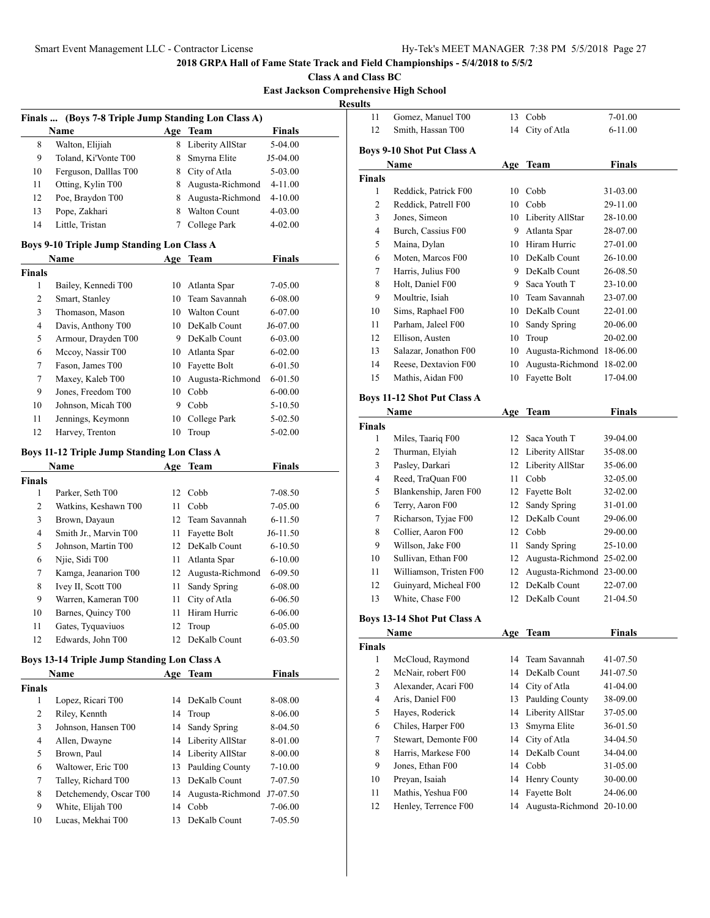**Class A and Class BC**

**East Jackson Comprehensive High School**

**Results**

|                | Finals  (Boys 7-8 Triple Jump Standing Lon Class A) |     |                     |               |  |
|----------------|-----------------------------------------------------|-----|---------------------|---------------|--|
|                | <b>Name</b>                                         |     | Age Team            | Finals        |  |
| 8              | Walton, Elijiah                                     |     | 8 Liberity AllStar  | 5-04.00       |  |
| 9              | Toland, Ki'Vonte T00                                | 8   | Smyrna Elite        | J5-04.00      |  |
| 10             | Ferguson, Dalllas T00                               |     | 8 City of Atla      | 5-03.00       |  |
| 11             | Otting, Kylin T00                                   |     | 8 Augusta-Richmond  | 4-11.00       |  |
| 12             | Poe, Braydon T00                                    | 8   | Augusta-Richmond    | 4-10.00       |  |
| 13             | Pope, Zakhari                                       | 8   | <b>Walton Count</b> | 4-03.00       |  |
| 14             | Little, Tristan                                     | 7   | College Park        | 4-02.00       |  |
|                | <b>Boys 9-10 Triple Jump Standing Lon Class A</b>   |     |                     |               |  |
|                | Name                                                |     | Age Team            | Finals        |  |
| <b>Finals</b>  |                                                     |     |                     |               |  |
| 1              | Bailey, Kennedi T00                                 | 10  | Atlanta Spar        | 7-05.00       |  |
| 2              | Smart, Stanley                                      | 10  | Team Savannah       | $6 - 08.00$   |  |
| 3              | Thomason, Mason                                     |     | 10 Walton Count     | 6-07.00       |  |
| $\overline{4}$ | Davis, Anthony T00                                  |     | 10 DeKalb Count     | J6-07.00      |  |
| 5              | Armour, Drayden T00                                 |     | 9 DeKalb Count      | 6-03.00       |  |
| 6              | Mccoy, Nassir T00                                   |     | 10 Atlanta Spar     | $6 - 02.00$   |  |
| 7              | Fason, James T00                                    |     | 10 Fayette Bolt     | 6-01.50       |  |
| 7              | Maxey, Kaleb T00                                    | 10  | Augusta-Richmond    | $6 - 01.50$   |  |
| 9              | Jones, Freedom T00                                  | 10  | Cobb                | $6 - 00.00$   |  |
| 10             | Johnson, Micah T00                                  | 9   | Cobb                | 5-10.50       |  |
| 11             | Jennings, Keymonn                                   | 10  | College Park        | 5-02.50       |  |
| 12             | Harvey, Trenton                                     | 10  | Troup               | 5-02.00       |  |
|                |                                                     |     |                     |               |  |
|                | <b>Boys 11-12 Triple Jump Standing Lon Class A</b>  |     |                     |               |  |
|                | Name                                                | Age | Team                | <b>Finals</b> |  |
| Finals         |                                                     |     |                     |               |  |
| 1              | Parker, Seth T00                                    |     | 12 Cobb             | 7-08.50       |  |
| 2              | Watkins, Keshawn T00                                | 11  | Cobb                | 7-05.00       |  |
| 3              | Brown, Dayaun                                       |     | 12 Team Savannah    | $6 - 11.50$   |  |
| 4              | Smith Jr., Marvin T00                               | 11  | Fayette Bolt        | J6-11.50      |  |
| 5              | Johnson, Martin T00                                 |     | 12 DeKalb Count     | $6 - 10.50$   |  |
| 6              | Njie, Sidi T00                                      | 11  | Atlanta Spar        | $6 - 10.00$   |  |
| 7              | Kamga, Jeanarion T00                                | 12  | Augusta-Richmond    | 6-09.50       |  |
| 8              | Ivey II, Scott T00                                  | 11  | Sandy Spring        | 6-08.00       |  |
| 9              | Warren, Kameran T00                                 | 11  | City of Atla        | 6-06.50       |  |
| 10             | Barnes, Quincy T00                                  | 11  | Hiram Hurric        | 6-06.00       |  |
| 11             | Gates, Tyquaviuos                                   | 12  | Troup               | 6-05.00       |  |
| 12             | Edwards, John T00                                   |     | 12 DeKalb Count     | 6-03.50       |  |
|                | <b>Boys 13-14 Triple Jump Standing Lon Class A</b>  |     |                     |               |  |
|                | Name                                                |     | Age Team            | <b>Finals</b> |  |
| <b>Finals</b>  |                                                     |     |                     |               |  |
| 1              | Lopez, Ricari T00                                   | 14  | DeKalb Count        | 8-08.00       |  |
| 2              | Riley, Kennth                                       | 14  | Troup               | 8-06.00       |  |
| 3              | Johnson, Hansen T00                                 | 14  | Sandy Spring        | 8-04.50       |  |
| 4              | Allen, Dwayne                                       | 14  | Liberity AllStar    | 8-01.00       |  |
| 5              | Brown, Paul                                         | 14  | Liberity AllStar    | 8-00.00       |  |
| 6              | Waltower, Eric T00                                  | 13  | Paulding County     | 7-10.00       |  |
| 7              | Talley, Richard T00                                 | 13  | DeKalb Count        | 7-07.50       |  |
| 8              | Detchemendy, Oscar T00                              | 14  | Augusta-Richmond    | J7-07.50      |  |
| 9              | White, Elijah T00                                   | 14  | Cobb                | 7-06.00       |  |
| 10             | Lucas, Mekhai T00                                   | 13  | DeKalb Count        | 7-05.50       |  |
|                |                                                     |     |                     |               |  |

| 11                                         | Gomez, Manuel T00                 | 13   | Cobb                       | 7-01.00       |  |
|--------------------------------------------|-----------------------------------|------|----------------------------|---------------|--|
| 12                                         | Smith, Hassan T00                 | 14   | City of Atla               | $6 - 11.00$   |  |
|                                            | <b>Boys 9-10 Shot Put Class A</b> |      |                            |               |  |
|                                            | Name                              | Age  | <b>Team</b>                | <b>Finals</b> |  |
| <b>Finals</b>                              |                                   |      |                            |               |  |
| 1                                          | Reddick, Patrick F00              |      | 10 Cobb                    | 31-03.00      |  |
| $\overline{c}$                             | Reddick, Patrell F00              |      | 10 Cobb                    | 29-11.00      |  |
| 3                                          | Jones, Simeon                     |      | 10 Liberity AllStar        | 28-10.00      |  |
| 4                                          | Burch, Cassius F00                |      | 9 Atlanta Spar             | 28-07.00      |  |
| 5                                          | Maina, Dylan                      |      | 10 Hiram Hurric            | 27-01.00      |  |
| 6                                          | Moten, Marcos F00                 |      | 10 DeKalb Count            | 26-10.00      |  |
| 7                                          | Harris, Julius F00                |      | 9 DeKalb Count             | 26-08.50      |  |
| 8                                          | Holt, Daniel F00                  |      | 9 Saca Youth T             | 23-10.00      |  |
| 9                                          | Moultrie, Isiah                   |      | 10 Team Savannah           | 23-07.00      |  |
| 10                                         | Sims, Raphael F00                 |      | 10 DeKalb Count            | 22-01.00      |  |
| 11                                         | Parham, Jaleel F00                |      | 10 Sandy Spring            | 20-06.00      |  |
| 12                                         | Ellison, Austen                   |      | 10 Troup                   | 20-02.00      |  |
| 13                                         | Salazar, Jonathon F00             | 10   | Augusta-Richmond 18-06.00  |               |  |
| 14                                         | Reese, Dextavion F00              | 10   | Augusta-Richmond 18-02.00  |               |  |
| 15                                         | Mathis, Aidan F00                 | 10   | Fayette Bolt               | 17-04.00      |  |
|                                            |                                   |      |                            |               |  |
| <b>Boys 11-12 Shot Put Class A</b><br>Name |                                   | Age  | <b>Team</b>                | <b>Finals</b> |  |
| <b>Finals</b>                              |                                   |      |                            |               |  |
| $\mathbf{1}$                               | Miles, Taariq F00                 | 12   | Saca Youth T               | 39-04.00      |  |
| 2                                          | Thurman, Elyiah                   |      | 12 Liberity AllStar        | 35-08.00      |  |
| 3                                          | Pasley, Darkari                   |      | 12 Liberity AllStar        | 35-06.00      |  |
| $\overline{4}$                             | Reed, TraQuan F00                 | 11   | Cobb                       | 32-05.00      |  |
| 5                                          | Blankenship, Jaren F00            |      | 12 Fayette Bolt            | 32-02.00      |  |
| 6                                          | Terry, Aaron F00                  | 12   | Sandy Spring               | 31-01.00      |  |
| 7                                          | Richarson, Tyjae F00              |      | 12 DeKalb Count            | 29-06.00      |  |
| 8                                          | Collier, Aaron F00                |      | 12 Cobb                    | 29-00.00      |  |
| 9                                          | Willson, Jake F00                 | 11 - | Sandy Spring               | 25-10.00      |  |
| 10                                         | Sullivan, Ethan F00               | 12   | Augusta-Richmond 25-02.00  |               |  |
| 11                                         | Williamson, Tristen F00           | 12   | Augusta-Richmond 23-00.00  |               |  |
| 12                                         | Guinyard, Micheal F00             | 12   | DeKalb Count               | 22-07.00      |  |
| 13                                         | White, Chase F00                  | 12   | DeKalb Count               | 21-04.50      |  |
|                                            |                                   |      |                            |               |  |
| <b>Boys 13-14 Shot Put Class A</b><br>Name |                                   | Age  | Team                       | Finals        |  |
| <b>Finals</b>                              |                                   |      |                            |               |  |
| $\mathbf{1}$                               | McCloud, Raymond                  |      | 14 Team Savannah           | 41-07.50      |  |
| 2                                          | McNair, robert F00                |      | 14 DeKalb Count            | J41-07.50     |  |
| 3                                          | Alexander, Acari F00              |      | 14 City of Atla            | 41-04.00      |  |
| $\lambda$                                  | $A \sim \mathbb{R}$ Denoted E00.  |      | $12.0$ D $11.0$ $C$ $12.0$ | 20.00.00      |  |

| 4           | Aris, Daniel F00     | 13 Paulding County    | 38-09.00 |
|-------------|----------------------|-----------------------|----------|
| 5           | Hayes, Roderick      | 14 Liberity AllStar   | 37-05.00 |
| 6           | Chiles, Harper F00   | 13 Smyrna Elite       | 36-01.50 |
| 7           | Stewart, Demonte F00 | 14 City of Atla       | 34-04.50 |
| 8           | Harris, Markese F00  | 14 DeKalb Count       | 34-04.00 |
| 9           | Jones, Ethan F00     | 14 Cobb               | 31-05.00 |
| 10          | Preyan, Isaiah       | 14 Henry County       | 30-00.00 |
| 11          | Mathis, Yeshua F00   | 14 Fayette Bolt       | 24-06.00 |
| $1^{\circ}$ |                      | $14.4.7011$ $1.20100$ |          |

Henley, Terrence F00 14 Augusta-Richmond 20-10.00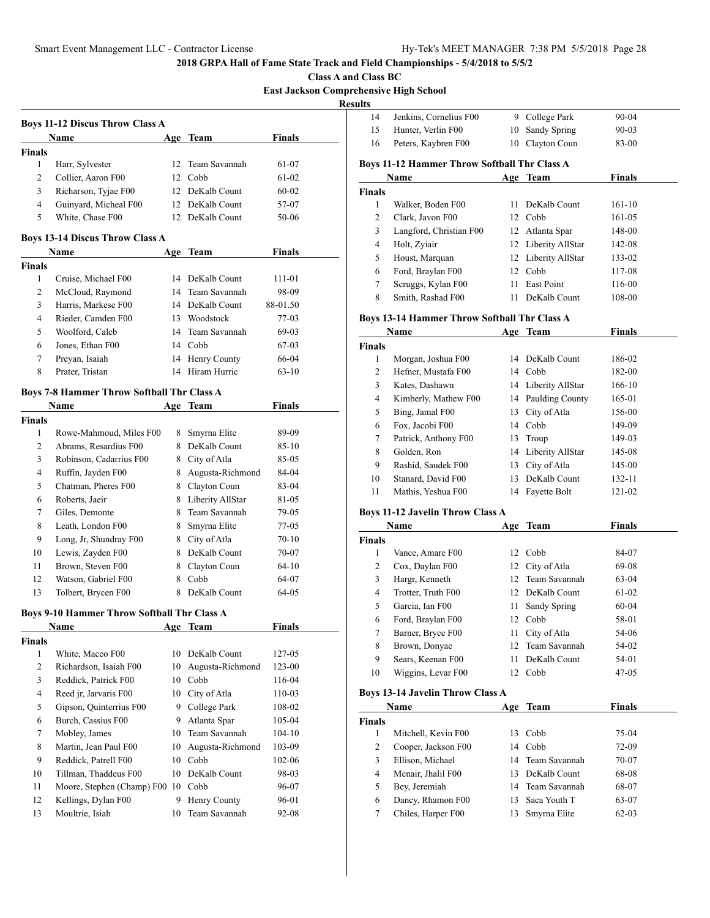**Class A and Class BC**

**East Jackson Comprehensive High School**

**Results**

|                | <b>Boys 11-12 Discus Throw Class A</b>            |     |                    |               |  |
|----------------|---------------------------------------------------|-----|--------------------|---------------|--|
|                | Name                                              |     | Age Team           | Finals        |  |
| <b>Finals</b>  |                                                   |     |                    |               |  |
| 1              | Harr, Sylvester                                   |     | 12 Team Savannah   | 61-07         |  |
| 2              | Collier, Aaron F00                                |     | 12 Cobb            | 61-02         |  |
| 3              | Richarson, Tyjae F00                              |     | 12 DeKalb Count    | 60-02         |  |
| $\overline{4}$ | Guinyard, Micheal F00                             |     | 12 DeKalb Count    | 57-07         |  |
| 5              | White, Chase F00                                  | 12  | DeKalb Count       | 50-06         |  |
|                | <b>Boys 13-14 Discus Throw Class A</b>            |     |                    |               |  |
|                | Name                                              |     | Age Team           | <b>Finals</b> |  |
| <b>Finals</b>  |                                                   |     |                    |               |  |
| 1              | Cruise, Michael F00                               | 14  | DeKalb Count       | 111-01        |  |
| 2              | McCloud, Raymond                                  | 14  | Team Savannah      | 98-09         |  |
| 3              | Harris, Markese F00                               |     | 14 DeKalb Count    | 88-01.50      |  |
| $\overline{4}$ | Rieder, Camden F00                                |     | 13 Woodstock       | 77-03         |  |
| 5              | Woolford, Caleb                                   |     | 14 Team Savannah   | 69-03         |  |
| 6              | Jones, Ethan F00                                  |     | 14 Cobb            | 67-03         |  |
| 7              | Preyan, Isaiah                                    |     | 14 Henry County    | 66-04         |  |
| 8              | Prater, Tristan                                   |     | 14 Hiram Hurric    | $63 - 10$     |  |
|                | <b>Boys 7-8 Hammer Throw Softball Thr Class A</b> |     |                    |               |  |
|                | Name                                              |     | Age Team           | <b>Finals</b> |  |
| <b>Finals</b>  |                                                   |     |                    |               |  |
| 1              | Rowe-Mahmoud, Miles F00                           | 8   | Smyrna Elite       | 89-09         |  |
| 2              | Abrams, Resardius F00                             |     | 8 DeKalb Count     | 85-10         |  |
| 3              | Robinson, Cadarrius F00                           |     | 8 City of Atla     | 85-05         |  |
| 4              | Ruffin, Jayden F00                                | 8   | Augusta-Richmond   | 84-04         |  |
| 5              | Chatman, Pheres F00                               | 8   | Clayton Coun       | 83-04         |  |
| 6              | Roberts, Jaeir                                    |     | 8 Liberity AllStar |               |  |
|                |                                                   |     |                    | 81-05         |  |
| 7              | Giles, Demonte                                    |     | 8 Team Savannah    | 79-05         |  |
| 8              | Leath, London F00                                 | 8   | Smyrna Elite       | 77-05         |  |
| 9              | Long, Jr, Shundray F00                            |     | 8 City of Atla     | $70 - 10$     |  |
| 10             | Lewis, Zayden F00                                 |     | 8 DeKalb Count     | 70-07         |  |
| 11             | Brown, Steven F00                                 |     | 8 Clayton Coun     | 64-10         |  |
| 12             | Watson, Gabriel F00                               | 8   | Cobb               | 64-07         |  |
| 13             | Tolbert, Brycen F00                               |     | 8 DeKalb Count     | 64-05         |  |
|                | Boys 9-10 Hammer Throw Softball Thr Class A       |     |                    |               |  |
|                | Name                                              | Age | Team               | Finals        |  |
| <b>Finals</b>  |                                                   |     |                    |               |  |
| 1              | White, Maceo F00                                  |     | 10 DeKalb Count    | 127-05        |  |
| $\mathbf{2}$   | Richardson, Isaiah F00                            | 10  | Augusta-Richmond   | 123-00        |  |
| 3              | Reddick, Patrick F00                              | 10  | Cobb               | 116-04        |  |
| $\overline{4}$ | Reed jr, Jarvaris F00                             |     | 10 City of Atla    | 110-03        |  |
| 5              | Gipson, Quinterrius F00                           | 9   | College Park       | 108-02        |  |
| 6              | Burch, Cassius F00                                | 9.  | Atlanta Spar       | 105-04        |  |
| 7              | Mobley, James                                     | 10  | Team Savannah      | $104 - 10$    |  |
| 8              | Martin, Jean Paul F00                             | 10  | Augusta-Richmond   | 103-09        |  |
| 9              | Reddick, Patrell F00                              | 10  | Cobb               | 102-06        |  |
| 10             | Tillman, Thaddeus F00                             | 10  | DeKalb Count       | 98-03         |  |
| 11             | Moore, Stephen (Champ) F00 10                     |     | Cobb               | 96-07         |  |
| 12             | Kellings, Dylan F00                               | 9.  | Henry County       | 96-01         |  |
| 13             | Moultrie, Isiah                                   | 10  | Team Savannah      | 92-08         |  |
|                |                                                   |     |                    |               |  |

| 14                                                  | Jenkins, Cornelius F00  | 9   | College Park        | 90-04     |  |  |  |  |
|-----------------------------------------------------|-------------------------|-----|---------------------|-----------|--|--|--|--|
| 15                                                  | Hunter, Verlin F00      | 10  | Sandy Spring        | $90 - 03$ |  |  |  |  |
| 16                                                  | Peters, Kaybren F00     | 10  | Clayton Coun        | 83-00     |  |  |  |  |
| <b>Boys 11-12 Hammer Throw Softball Thr Class A</b> |                         |     |                     |           |  |  |  |  |
|                                                     | Name                    |     | Age Team            | Finals    |  |  |  |  |
| <b>Finals</b>                                       |                         |     |                     |           |  |  |  |  |
| 1                                                   | Walker, Boden F00       | 11. | DeKalb Count        | $161-10$  |  |  |  |  |
| 2                                                   | Clark, Javon F00        | 12  | Cobb                | 161-05    |  |  |  |  |
| 3                                                   | Langford, Christian F00 | 12  | Atlanta Spar        | 148-00    |  |  |  |  |
| 4                                                   | Holt, Zyiair            |     | 12 Liberity AllStar | 142-08    |  |  |  |  |
| 5                                                   | Houst, Marquan          |     | 12 Liberity AllStar | 133-02    |  |  |  |  |
| 6                                                   | Ford, Braylan F00       | 12  | Cobb                | 117-08    |  |  |  |  |
| 7                                                   | Scruggs, Kylan F00      | 11  | East Point          | 116-00    |  |  |  |  |
| 8                                                   | Smith, Rashad F00       | 11  | DeKalb Count        | 108-00    |  |  |  |  |

## **Boys 13-14 Hammer Throw Softball Thr Class A**

|               | Name                 |    | Team                | <b>Finals</b> |  |
|---------------|----------------------|----|---------------------|---------------|--|
| <b>Finals</b> |                      |    |                     |               |  |
| 1             | Morgan, Joshua F00   |    | 14 DeKalb Count     | 186-02        |  |
| 2             | Hefner, Mustafa F00  |    | 14 Cobb             | 182-00        |  |
| 3             | Kates, Dashawn       |    | 14 Liberity AllStar | 166-10        |  |
| 4             | Kimberly, Mathew F00 |    | 14 Paulding County  | 165-01        |  |
| 5             | Bing, Jamal F00      |    | 13 City of Atla     | 156-00        |  |
| 6             | Fox, Jacobi F00      |    | 14 Cobb             | 149-09        |  |
| 7             | Patrick, Anthony F00 | 13 | Troup               | 149-03        |  |
| 8             | Golden, Ron          |    | 14 Liberity AllStar | 145-08        |  |
| 9             | Rashid, Saudek F00   | 13 | City of Atla        | 145-00        |  |
| 10            | Stanard, David F00   | 13 | DeKalb Count        | 132-11        |  |
| 11            | Mathis, Yeshua F00   | 14 | Fayette Bolt        | 121-02        |  |

## **Boys 11-12 Javelin Throw Class A**

| Name          |                    | Age | Team             | <b>Finals</b> |  |
|---------------|--------------------|-----|------------------|---------------|--|
| <b>Finals</b> |                    |     |                  |               |  |
| 1             | Vance, Amare F00   |     | 12 Cobb          | 84-07         |  |
| 2             | Cox, Daylan F00    |     | 12 City of Atla  | 69-08         |  |
| 3             | Hargr, Kenneth     |     | 12 Team Savannah | $63-04$       |  |
| 4             | Trotter, Truth F00 |     | 12 DeKalb Count  | 61-02         |  |
| 5             | Garcia, Ian F00    |     | 11 Sandy Spring  | $60-04$       |  |
| 6             | Ford, Braylan F00  |     | 12 Cobb          | 58-01         |  |
| 7             | Barner, Bryce F00  | 11  | City of Atla     | 54-06         |  |
| 8             | Brown, Donyae      |     | 12 Team Savannah | 54-02         |  |
| 9             | Sears, Keenan F00  | 11  | DeKalb Count     | 54-01         |  |
| 10            | Wiggins, Levar F00 | 12. | Cobb             | $47-05$       |  |

## **Boys 13-14 Javelin Throw Class A**

| Name          |                     | Age | Team             | <b>Finals</b> |  |
|---------------|---------------------|-----|------------------|---------------|--|
| <b>Finals</b> |                     |     |                  |               |  |
|               | Mitchell, Kevin F00 | 13. | Cobb             | 75-04         |  |
| 2             | Cooper, Jackson F00 |     | 14 Cobb          | 72-09         |  |
| 3             | Ellison, Michael    |     | 14 Team Savannah | 70-07         |  |
| 4             | Menair, Jhalil F00  |     | 13 DeKalb Count  | 68-08         |  |
| 5             | Bey, Jeremiah       |     | 14 Team Savannah | 68-07         |  |
| 6             | Dancy, Rhamon F00   |     | 13 Saca Youth T  | 63-07         |  |
|               | Chiles, Harper F00  | 13. | Smyrna Elite     | $62 - 03$     |  |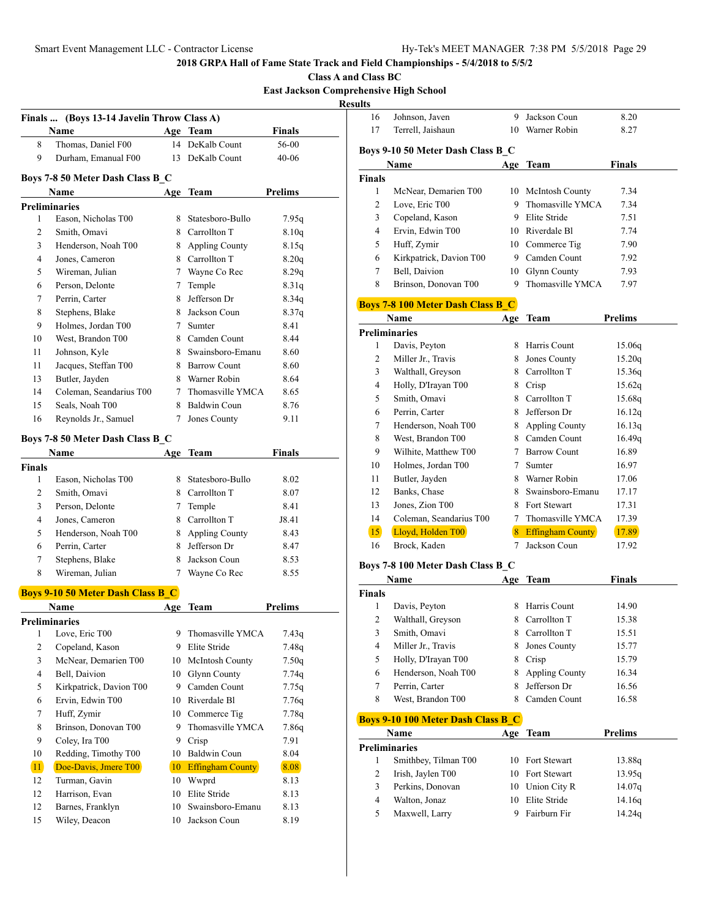**Class A and Class BC**

**East Jackson Comprehensive High School**

**Res** 

|               | Finals  (Boys 13-14 Javelin Throw Class A) |                   |                         |               |
|---------------|--------------------------------------------|-------------------|-------------------------|---------------|
|               | Name                                       |                   | Age Team                | Finals        |
| 8             | Thomas, Daniel F00                         |                   | 14 DeKalb Count         | 56-00         |
| 9             | Durham, Emanual F00                        | 13                | DeKalb Count            | $40 - 06$     |
|               |                                            |                   |                         |               |
|               | Boys 7-8 50 Meter Dash Class B C           |                   |                         | Prelims       |
|               | Name<br><b>Preliminaries</b>               |                   | Age Team                |               |
| $\mathbf{1}$  | Eason, Nicholas T00                        | 8                 | Statesboro-Bullo        | 7.95q         |
| 2             | Smith, Omavi                               |                   | 8 Carrollton T          | 8.10q         |
| 3             | Henderson, Noah T00                        |                   | 8 Appling County        | 8.15q         |
| 4             | Jones, Cameron                             |                   | 8 Carrollton T          | 8.20q         |
| 5             | Wireman, Julian                            |                   | 7 Wayne Co Rec          | 8.29q         |
| 6             | Person, Delonte                            |                   | Temple                  | 8.31q         |
| 7             | Perrin, Carter                             | 8                 | Jefferson Dr            | 8.34q         |
| 8             | Stephens, Blake                            |                   | 8 Jackson Coun          | 8.37q         |
| 9             | Holmes, Jordan T00                         | 7                 | Sumter                  | 8.41          |
| 10            | West, Brandon T00                          |                   | 8 Camden Count          | 8.44          |
| 11            | Johnson, Kyle                              |                   | 8 Swainsboro-Emanu      | 8.60          |
| 11            | Jacques, Steffan T00                       |                   | 8 Barrow Count          | 8.60          |
|               | Butler, Jayden                             |                   | 8 Warner Robin          | 8.64          |
| 13<br>14      | Coleman, Seandarius T00                    | $7\phantom{.000}$ | Thomasville YMCA        | 8.65          |
| 15            | Seals, Noah T00                            |                   | 8 Baldwin Coun          | 8.76          |
| 16            | Reynolds Jr., Samuel                       | $\tau$            | Jones County            |               |
|               |                                            |                   |                         | 9.11          |
|               | Boys 7-8 50 Meter Dash Class B C           |                   |                         |               |
|               | Name                                       | Age               | Team                    | <b>Finals</b> |
| <b>Finals</b> |                                            |                   |                         |               |
| 1             | Eason, Nicholas T00                        |                   | 8 Statesboro-Bullo      | 8.02          |
| 2             | Smith, Omavi                               |                   | 8 Carrollton T          | 8.07          |
| 3             | Person, Delonte                            |                   | 7 Temple                | 8.41          |
| 4             | Jones, Cameron                             |                   | 8 Carrollton T          | J8.41         |
| 5             | Henderson, Noah T00                        |                   | 8 Appling County        | 8.43          |
| 6             | Perrin, Carter                             |                   | 8 Jefferson Dr          | 8.47          |
| 7             | Stephens, Blake                            |                   | 8 Jackson Coun          | 8.53          |
| 8             | Wireman, Julian                            | 7                 | Wayne Co Rec            | 8.55          |
|               | <b>Boys 9-10 50 Meter Dash Class B C</b>   |                   |                         |               |
|               | Name                                       | Age               | <b>Team</b>             | Prelims       |
|               | Preliminaries                              |                   |                         |               |
| 1             | Love, Eric T00                             | 9                 | Thomasville YMCA        | 7.43q         |
| 2             | Copeland, Kason                            | 9                 | Elite Stride            | 7.48q         |
| 3             | McNear, Demarien T00                       | 10                | McIntosh County         | 7.50q         |
| 4             | Bell, Daivion                              | 10                | Glynn County            | 7.74q         |
| 5             | Kirkpatrick, Davion T00                    |                   | 9 Camden Count          | 7.75q         |
| 6             | Ervin, Edwin T00                           |                   | 10 Riverdale Bl         | 7.76q         |
| 7             | Huff, Zymir                                | 10                | Commerce Tig            | 7.78q         |
| 8             | Brinson, Donovan T00                       | 9                 | Thomasville YMCA        | 7.86q         |
| 9             | Coley, Ira T00                             | 9                 | Crisp                   | 7.91          |
| 10            | Redding, Timothy T00                       | 10                | Baldwin Coun            | 8.04          |
| 11            | Doe-Davis, Jmere T00                       | 10                | <b>Effingham County</b> | 8.08          |
| 12            | Turman, Gavin                              | 10                | Wwprd                   | 8.13          |
| 12            | Harrison, Evan                             | 10                | Elite Stride            | 8.13          |
| 12            | Barnes, Franklyn                           | 10                | Swainsboro-Emanu        | 8.13          |
| 15            | Wiley, Deacon                              | 10                | Jackson Coun            | 8.19          |
|               |                                            |                   |                         |               |

| ults          |                                           |     |                                    |                |
|---------------|-------------------------------------------|-----|------------------------------------|----------------|
| 16            | Johnson, Javen                            |     | 9 Jackson Coun                     | 8.20           |
| 17            | Terrell, Jaishaun                         |     | 10 Warner Robin                    | 8.27           |
|               |                                           |     |                                    |                |
|               | Boys 9-10 50 Meter Dash Class B_C         |     |                                    |                |
|               | Name                                      |     | Age Team                           | Finals         |
| <b>Finals</b> |                                           |     |                                    |                |
| 1             | McNear, Demarien T00                      |     | 10 McIntosh County                 | 7.34           |
| 2             | Love, Eric T00                            | 9.  | Thomasville YMCA<br>9 Elite Stride | 7.34           |
| 3             | Copeland, Kason<br>Ervin, Edwin T00       |     |                                    | 7.51           |
| 4             |                                           |     | 10 Riverdale Bl                    | 7.74           |
| 5             | Huff, Zymir                               |     | 10 Commerce Tig                    | 7.90<br>7.92   |
| 6             | Kirkpatrick, Davion T00<br>Bell, Daivion  |     | 9 Camden Count                     |                |
| 7             |                                           |     | 10 Glynn County                    | 7.93           |
| 8             | Brinson, Donovan T00                      | 9.  | Thomasville YMCA                   | 7.97           |
|               | <b>Boys 7-8 100 Meter Dash Class B_C</b>  |     |                                    |                |
|               | Name                                      |     | Age Team                           | <b>Prelims</b> |
|               | <b>Preliminaries</b>                      |     |                                    |                |
| 1             | Davis, Peyton                             |     | 8 Harris Count                     | 15.06q         |
| 2             | Miller Jr., Travis                        | 8.  | Jones County                       | 15.20q         |
| 3             | Walthall, Greyson                         |     | 8 Carrollton T                     | 15.36q         |
| 4             | Holly, D'Irayan T00                       |     | 8 Crisp                            | 15.62q         |
| 5             | Smith, Omavi                              |     | 8 Carrollton T                     | 15.68q         |
| 6             | Perrin, Carter                            |     | 8 Jefferson Dr                     | 16.12q         |
| 7             | Henderson, Noah T00                       |     | 8 Appling County                   | 16.13q         |
| 8             | West, Brandon T00                         |     | 8 Camden Count                     | 16.49q         |
| 9             | Wilhite, Matthew T00                      |     | 7 Barrow Count                     | 16.89          |
| 10            | Holmes, Jordan T00                        |     | 7 Sumter                           | 16.97          |
| 11            | Butler, Jayden                            |     | 8 Warner Robin                     | 17.06          |
| 12            | Banks, Chase                              |     | 8 Swainsboro-Emanu                 | 17.17          |
| 13            | Jones, Zion T00                           |     | 8 Fort Stewart                     | 17.31          |
| 14            | Coleman, Seandarius T00                   |     | 7 Thomasville YMCA                 | 17.39          |
| 15            | Lloyd, Holden T00                         |     | 8 Effingham County                 | 17.89          |
| 16            | Brock, Kaden                              | 7   | Jackson Coun                       | 17.92          |
|               | Boys 7-8 100 Meter Dash Class B_C         |     |                                    |                |
|               | Name                                      | Age | <b>Team</b>                        | Finals         |
| Finals        |                                           |     |                                    |                |
| 1             | Davis, Peyton                             | 8   | Harris Count                       | 14.90          |
| 2             | Walthall, Greyson                         | 8   | Carrollton T                       | 15.38          |
| 3             | Smith, Omavi                              | 8   | Carrollton T                       | 15.51          |
| 4             | Miller Jr., Travis                        | 8   | Jones County                       | 15.77          |
| 5             | Holly, D'Irayan T00                       | 8   | Crisp                              | 15.79          |
| 6             | Henderson, Noah T00                       | 8   | <b>Appling County</b>              | 16.34          |
| 7             | Perrin, Carter                            | 8   | Jefferson Dr                       | 16.56          |
| 8             | West, Brandon T00                         | 8.  | Camden Count                       | 16.58          |
|               | <b>Boys 9-10 100 Meter Dash Class B C</b> |     |                                    |                |
|               | Name                                      |     | Age Team                           | <b>Prelims</b> |
|               | <b>Preliminaries</b>                      |     |                                    |                |
| 1             | Smithbey, Tilman T00                      |     | 10 Fort Stewart                    | 13.88q         |
| 2             | Irish, Jaylen T00                         |     | 10 Fort Stewart                    | 13.95q         |
| 3             | Perkins, Donovan                          |     | 10 Union City R                    | 14.07q         |
| 4             | Walton, Jonaz                             |     | 10 Elite Stride                    | 14.16q         |
| 5             | Maxwell, Larry                            | 9   | Fairburn Fir                       | 14.24q         |
|               |                                           |     |                                    |                |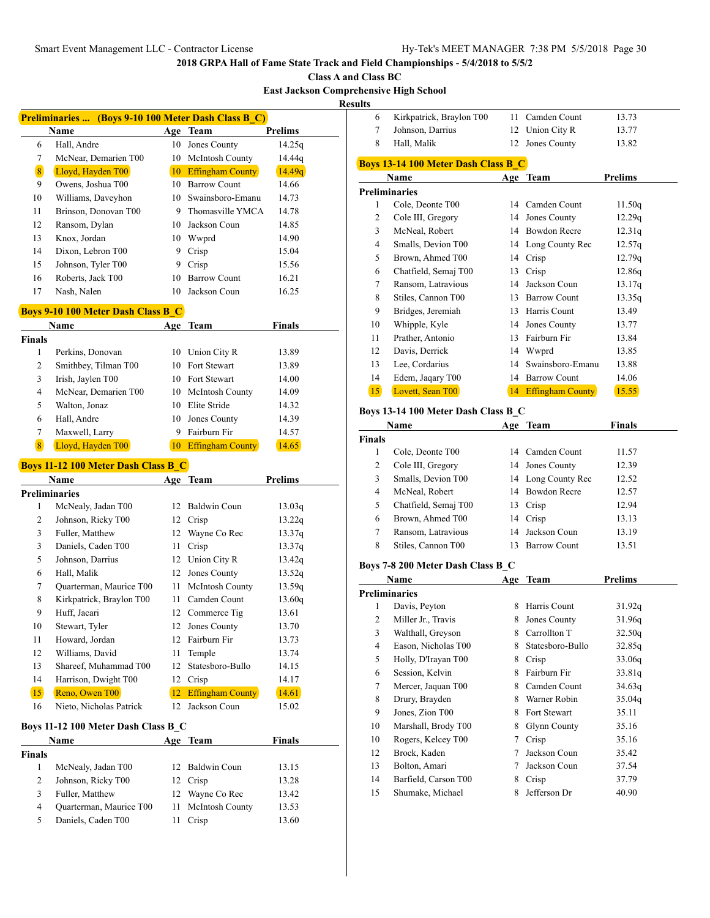**Class A and Class BC**

**East Jackson Comprehensive High School**

**Resul** 

|    | <b>Preliminaries </b> (Boys 9-10 100 Meter Dash Class B C) |     |                         |                |  |  |  |
|----|------------------------------------------------------------|-----|-------------------------|----------------|--|--|--|
|    | Name                                                       | Age | <b>Team</b>             | <b>Prelims</b> |  |  |  |
| 6  | Hall, Andre                                                | 10  | Jones County            | 14.25q         |  |  |  |
| 7  | McNear, Demarien T00                                       | 10  | <b>McIntosh County</b>  | 14.44q         |  |  |  |
| 8  | Lloyd, Hayden T00                                          | 10  | <b>Effingham County</b> | 14.49q         |  |  |  |
| 9  | Owens, Joshua T00                                          | 10  | Barrow Count            | 14.66          |  |  |  |
| 10 | Williams, Daveyhon                                         | 10  | Swainsboro-Emanu        | 14.73          |  |  |  |
| 11 | Brinson, Donovan T00                                       | 9   | Thomasville YMCA        | 14.78          |  |  |  |
| 12 | Ransom, Dylan                                              | 10  | Jackson Coun            | 14.85          |  |  |  |
| 13 | Knox, Jordan                                               | 10  | Wwprd                   | 14.90          |  |  |  |
| 14 | Dixon, Lebron T00                                          | 9   | Crisp                   | 15.04          |  |  |  |
| 15 | Johnson, Tyler T00                                         | 9   | Crisp                   | 15.56          |  |  |  |
| 16 | Roberts, Jack T00                                          | 10  | <b>Barrow Count</b>     | 16.21          |  |  |  |
| 17 | Nash, Nalen                                                | 10  | Jackson Coun            | 16.25          |  |  |  |
|    |                                                            |     |                         |                |  |  |  |

# **Boys 9-10 100 Meter Dash Class B\_C**

|        | Name                 | Age | Team                    | <b>Finals</b> |  |
|--------|----------------------|-----|-------------------------|---------------|--|
| Finals |                      |     |                         |               |  |
| 1      | Perkins, Donovan     | 10  | Union City R            | 13.89         |  |
| 2      | Smithbey, Tilman T00 |     | 10 Fort Stewart         | 13.89         |  |
| 3      | Irish, Jaylen T00    |     | 10 Fort Stewart         | 14.00         |  |
| 4      | McNear, Demarien T00 |     | 10 McIntosh County      | 14.09         |  |
| 5      | Walton, Jonaz        | 10  | Elite Stride            | 14.32         |  |
| 6      | Hall, Andre          | 10  | Jones County            | 14.39         |  |
| 7      | Maxwell, Larry       |     | Fairburn Fir            | 14.57         |  |
| 8      | Lloyd, Hayden T00    | 10  | <b>Effingham County</b> | 14.65         |  |

# **Boys 11-12 100 Meter Dash Class B\_C**

|                                     | Name                     | Age | Team                    | <b>Prelims</b> |  |
|-------------------------------------|--------------------------|-----|-------------------------|----------------|--|
|                                     | Preliminaries            |     |                         |                |  |
| 1                                   | McNealy, Jadan T00       | 12  | Baldwin Coun            | 13.03q         |  |
| 2                                   | Johnson, Ricky T00       | 12  | Crisp                   | 13.22q         |  |
| 3                                   | Fuller, Matthew          | 12  | Wayne Co Rec            | 13.37q         |  |
| 3                                   | Daniels, Caden T00       | 11  | Crisp                   | 13.37q         |  |
| 5                                   | Johnson, Darrius         | 12  | Union City R            | 13.42q         |  |
| 6                                   | Hall, Malik              | 12  | Jones County            | 13.52q         |  |
| 7                                   | Quarterman, Maurice T00  | 11  | McIntosh County         | 13.59q         |  |
| 8                                   | Kirkpatrick, Braylon T00 | 11  | Camden Count            | 13.60q         |  |
| 9                                   | Huff, Jacari             | 12  | Commerce Tig            | 13.61          |  |
| 10                                  | Stewart, Tyler           | 12  | Jones County            | 13.70          |  |
| 11                                  | Howard, Jordan           | 12  | Fairburn Fir            | 13.73          |  |
| 12                                  | Williams, David          | 11  | Temple                  | 13.74          |  |
| 13                                  | Shareef, Muhammad T00    | 12  | Statesboro-Bullo        | 14.15          |  |
| 14                                  | Harrison, Dwight T00     | 12  | Crisp                   | 14.17          |  |
| 15                                  | Reno, Owen T00           | 12  | <b>Effingham County</b> | 14.61          |  |
| 16                                  | Nieto, Nicholas Patrick  | 12  | Jackson Coun            | 15.02          |  |
| Boys 11-12 100 Meter Dash Class B C |                          |     |                         |                |  |

| <b>Name</b>   |                         | Age Team           | <b>Finals</b> |
|---------------|-------------------------|--------------------|---------------|
| <b>Finals</b> |                         |                    |               |
|               | McNealy, Jadan T00      | 12 Baldwin Coun    | 13.15         |
| 2             | Johnson, Ricky T00      | 12 Crisp           | 13.28         |
| 3             | Fuller, Matthew         | 12 Wayne Co Rec    | 13.42         |
| 4             | Quarterman, Maurice T00 | 11 McIntosh County | 13.53         |
| 5             | Daniels, Caden T00      | Crisp              | 13.60         |

| ults |                                            |     |                         |                |  |  |  |  |
|------|--------------------------------------------|-----|-------------------------|----------------|--|--|--|--|
| 6    | Kirkpatrick, Braylon T00                   | 11  | Camden Count            | 13.73          |  |  |  |  |
| 7    | Johnson, Darrius                           | 12  | Union City R            | 13.77          |  |  |  |  |
| 8    | Hall, Malik                                | 12  | Jones County            | 13.82          |  |  |  |  |
|      | <b>Boys 13-14 100 Meter Dash Class B C</b> |     |                         |                |  |  |  |  |
|      | Name                                       | Age | Team                    | <b>Prelims</b> |  |  |  |  |
|      | <b>Preliminaries</b>                       |     |                         |                |  |  |  |  |
| 1    | Cole, Deonte T00                           | 14  | Camden Count            | 11.50q         |  |  |  |  |
| 2    | Cole III, Gregory                          | 14  | Jones County            | 12.29q         |  |  |  |  |
| 3    | McNeal, Robert                             | 14  | <b>Bowdon Recre</b>     | 12.31q         |  |  |  |  |
| 4    | Smalls, Devion T00                         | 14  | Long County Rec         | 12.57q         |  |  |  |  |
| 5    | Brown, Ahmed T00                           | 14  | Crisp                   | 12.79q         |  |  |  |  |
| 6    | Chatfield, Semaj T00                       | 13  | Crisp                   | 12.86q         |  |  |  |  |
| 7    | Ransom, Latravious                         | 14  | Jackson Coun            | 13.17q         |  |  |  |  |
| 8    | Stiles, Cannon T00                         | 13  | <b>Barrow Count</b>     | 13.35q         |  |  |  |  |
| 9    | Bridges, Jeremiah                          | 13  | Harris Count            | 13.49          |  |  |  |  |
| 10   | Whipple, Kyle                              | 14  | Jones County            | 13.77          |  |  |  |  |
| 11   | Prather, Antonio                           | 13  | Fairburn Fir            | 13.84          |  |  |  |  |
| 12   | Davis, Derrick                             | 14  | Wwprd                   | 13.85          |  |  |  |  |
| 13   | Lee, Cordarius                             | 14  | Swainsboro-Emanu        | 13.88          |  |  |  |  |
| 14   | Edem, Jaqary T00                           | 14  | <b>Barrow Count</b>     | 14.06          |  |  |  |  |
| 15   | Lovett, Sean T00                           | 14  | <b>Effingham County</b> | 15.55          |  |  |  |  |
|      |                                            |     |                         |                |  |  |  |  |

## **Boys 13-14 100 Meter Dash Class B\_C**

|        | Name                 | Age | Team                | <b>Finals</b> |  |
|--------|----------------------|-----|---------------------|---------------|--|
| Finals |                      |     |                     |               |  |
|        | Cole, Deonte T00     |     | 14 Camden Count     | 11.57         |  |
| 2      | Cole III, Gregory    |     | 14 Jones County     | 12.39         |  |
| 3      | Smalls, Devion T00   |     | 14 Long County Rec  | 12.52         |  |
| 4      | McNeal, Robert       |     | 14 Bowdon Recre     | 12.57         |  |
| 5      | Chatfield, Semaj T00 | 13  | Crisp               | 12.94         |  |
| 6      | Brown, Ahmed T00     |     | 14 Crisp            | 13.13         |  |
|        | Ransom, Latravious   |     | 14 Jackson Coun     | 13.19         |  |
| 8      | Stiles, Cannon T00   | 13  | <b>Barrow Count</b> | 13.51         |  |
|        |                      |     |                     |               |  |

# **Boys 7-8 200 Meter Dash Class B\_C**

|    | Name                 |   | Age Team            | Prelims |
|----|----------------------|---|---------------------|---------|
|    | <b>Preliminaries</b> |   |                     |         |
| 1  | Davis, Peyton        | 8 | Harris Count        | 31.92q  |
| 2  | Miller Jr., Travis   | 8 | Jones County        | 31.96q  |
| 3  | Walthall, Greyson    | 8 | Carrollton T        | 32.50q  |
| 4  | Eason, Nicholas T00  | 8 | Statesboro-Bullo    | 32.85q  |
| 5  | Holly, D'Irayan T00  | 8 | Crisp               | 33.06q  |
| 6  | Session, Kelvin      | 8 | Fairburn Fir        | 33.81q  |
| 7  | Mercer, Jaquan T00   | 8 | Camden Count        | 34.63q  |
| 8  | Drury, Brayden       | 8 | Warner Robin        | 35.04q  |
| 9  | Jones, Zion T00      | 8 | Fort Stewart        | 35.11   |
| 10 | Marshall, Brody T00  | 8 | <b>Glynn County</b> | 35.16   |
| 10 | Rogers, Kelcey T00   | 7 | Crisp               | 35.16   |
| 12 | Brock, Kaden         | 7 | Jackson Coun        | 35.42   |
| 13 | Bolton, Amari        | 7 | Jackson Coun        | 37.54   |
| 14 | Barfield, Carson T00 | 8 | Crisp               | 37.79   |
| 15 | Shumake, Michael     | 8 | Jefferson Dr        | 40.90   |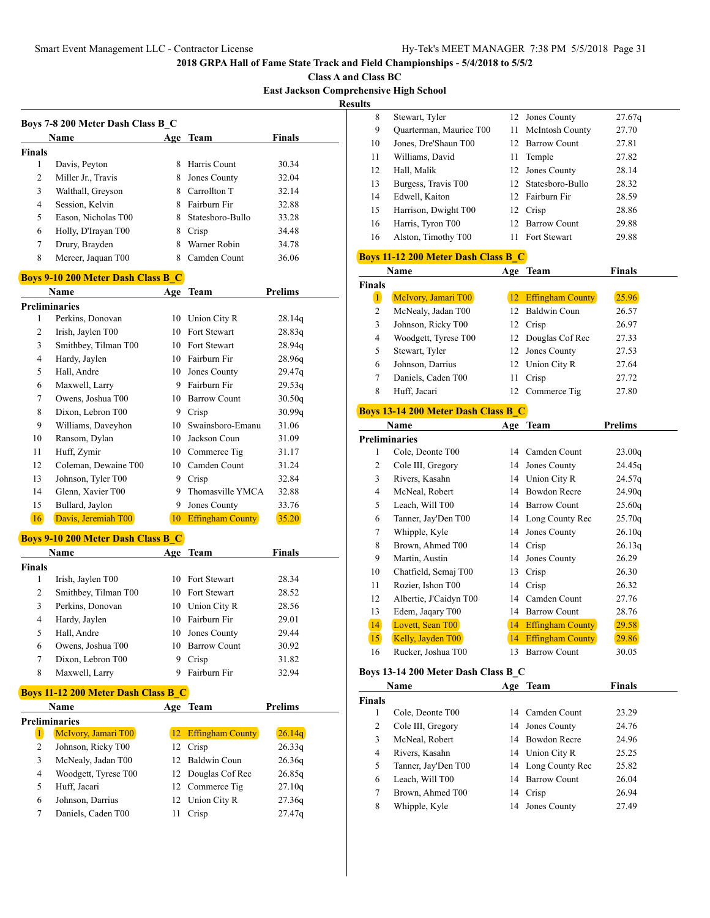**Class A and Class BC East Jackson Comprehensive High School**

**Resul** 

|               | <b>Name</b>         | Age | Team             | <b>Finals</b> |
|---------------|---------------------|-----|------------------|---------------|
| <b>Finals</b> |                     |     |                  |               |
| 1             | Davis, Peyton       | 8   | Harris Count     | 30.34         |
| 2             | Miller Jr., Travis  | 8   | Jones County     | 32.04         |
| 3             | Walthall, Greyson   | 8   | Carrollton T     | 32.14         |
| 4             | Session, Kelvin     | 8   | Fairburn Fir     | 32.88         |
| 5             | Eason. Nicholas T00 | 8   | Statesboro-Bullo | 33.28         |
| 6             | Holly, D'Irayan T00 | 8   | Crisp            | 34.48         |
| 7             | Drury, Brayden      |     | Warner Robin     | 34.78         |
| 8             | Mercer, Jaquan T00  |     | Camden Count     | 36.06         |

#### **Boys 9-10 200 Meter Dash Class B\_C**

|                | Name                 | Age | Team                    | Prelims |
|----------------|----------------------|-----|-------------------------|---------|
|                | Preliminaries        |     |                         |         |
| 1              | Perkins, Donovan     | 10  | Union City R            | 28.14q  |
| 2              | Irish, Jaylen T00    | 10  | Fort Stewart            | 28.83q  |
| 3              | Smithbey, Tilman T00 | 10  | Fort Stewart            | 28.94q  |
| $\overline{4}$ | Hardy, Jaylen        | 10  | Fairburn Fir            | 28.96q  |
| 5              | Hall, Andre          | 10  | Jones County            | 29.47q  |
| 6              | Maxwell, Larry       | 9   | Fairburn Fir            | 29.53q  |
| 7              | Owens, Joshua T00    | 10  | <b>Barrow Count</b>     | 30.50q  |
| 8              | Dixon, Lebron T00    | 9   | Crisp                   | 30.99q  |
| 9              | Williams, Daveyhon   | 10  | Swainsboro-Emanu        | 31.06   |
| 10             | Ransom, Dylan        | 10  | Jackson Coun            | 31.09   |
| 11             | Huff, Zymir          | 10  | Commerce Tig            | 31.17   |
| 12             | Coleman, Dewaine T00 | 10  | Camden Count            | 31.24   |
| 13             | Johnson, Tyler T00   | 9   | Crisp                   | 32.84   |
| 14             | Glenn, Xavier T00    | 9   | Thomasville YMCA        | 32.88   |
| 15             | Bullard, Jaylon      | 9   | Jones County            | 33.76   |
| 16             | Davis, Jeremiah T00  | 10  | <b>Effingham County</b> | 35.20   |

# **Boys 9-10 200 Meter Dash Class B\_C**

|        | Name                 | Age | <b>Team</b>         | Finals |  |
|--------|----------------------|-----|---------------------|--------|--|
| Finals |                      |     |                     |        |  |
| 1      | Irish, Jaylen T00    |     | 10 Fort Stewart     | 28.34  |  |
| 2      | Smithbey, Tilman T00 |     | 10 Fort Stewart     | 28.52  |  |
| 3      | Perkins, Donovan     | 10  | Union City R        | 28.56  |  |
| 4      | Hardy, Jaylen        |     | 10 Fairburn Fir     | 29.01  |  |
| 5      | Hall, Andre          | 10  | Jones County        | 29.44  |  |
| 6      | Owens, Joshua T00    | 10  | <b>Barrow Count</b> | 30.92  |  |
| 7      | Dixon, Lebron T00    | 9   | Crisp               | 31.82  |  |
| 8      | Maxwell, Larry       |     | Fairburn Fir        | 32.94  |  |

# **Boys 11-12 200 Meter Dash Class B\_C**

| <b>Name</b>          |                      |    | Age Team            | Prelims |
|----------------------|----------------------|----|---------------------|---------|
| <b>Preliminaries</b> |                      |    |                     |         |
| 1                    | McIvory, Jamari T00  |    | 12 Effingham County | 26.14q  |
| $\overline{c}$       | Johnson, Ricky T00   | 12 | Crisp               | 26.33q  |
| 3                    | McNealy, Jadan T00   |    | 12 Baldwin Coun     | 26.36q  |
| 4                    | Woodgett, Tyrese T00 |    | 12 Douglas Cof Rec  | 26.85q  |
| 5                    | Huff, Jacari         |    | 12 Commerce Tig     | 27.10q  |
| 6                    | Johnson, Darrius     |    | 12 Union City R     | 27.36q  |
|                      | Daniels, Caden T00   |    | Crisp               | 27.47q  |

| lts. |                                            |     |                        |        |  |  |
|------|--------------------------------------------|-----|------------------------|--------|--|--|
| 8    | Stewart, Tyler                             |     | 12 Jones County        | 27.67q |  |  |
| 9    | Quarterman, Maurice T00                    | 11  | <b>McIntosh County</b> | 27.70  |  |  |
| 10   | Jones, Dre'Shaun T00                       |     | 12 Barrow Count        | 27.81  |  |  |
| 11   | Williams, David                            | 11. | Temple                 | 27.82  |  |  |
| 12   | Hall, Malik                                |     | 12 Jones County        | 28.14  |  |  |
| 13   | Burgess, Travis T00                        |     | 12 Statesboro-Bullo    | 28.32  |  |  |
| 14   | Edwell, Kaiton                             |     | 12 Fairburn Fir        | 28.59  |  |  |
| 15   | Harrison, Dwight T00                       |     | 12 Crisp               | 28.86  |  |  |
| 16   | Harris, Tyron T00                          |     | 12 Barrow Count        | 29.88  |  |  |
| 16   | Alston, Timothy T00                        |     | 11 Fort Stewart        | 29.88  |  |  |
|      | <b>Boys 11-12 200 Meter Dash Class B C</b> |     |                        |        |  |  |
|      | Name                                       | Age | Team                   | Finals |  |  |

| <b>Finals</b> |                      |    |                         |       |
|---------------|----------------------|----|-------------------------|-------|
|               | McIvory, Jamari T00  | 12 | <b>Effingham County</b> | 25.96 |
| 2             | McNealy, Jadan T00   |    | 12 Baldwin Coun         | 26.57 |
| 3             | Johnson, Ricky T00   | 12 | Crisp                   | 26.97 |
| 4             | Woodgett, Tyrese T00 |    | 12 Douglas Cof Rec      | 27.33 |
| 5             | Stewart, Tyler       |    | 12 Jones County         | 27.53 |
| 6             | Johnson, Darrius     |    | 12 Union City R         | 27.64 |
|               | Daniels, Caden T00   | 11 | Crisp                   | 27.72 |
| 8             | Huff. Jacari         |    | Commerce Tig            | 27.80 |

# **Boys 13-14 200 Meter Dash Class B\_C**

| Name |                        |    | Age Team                | <b>Prelims</b> |  |
|------|------------------------|----|-------------------------|----------------|--|
|      | <b>Preliminaries</b>   |    |                         |                |  |
| 1    | Cole, Deonte T00       | 14 | Camden Count            | 23.00q         |  |
| 2    | Cole III, Gregory      | 14 | Jones County            | 24.45g         |  |
| 3    | Rivers, Kasahn         | 14 | Union City R            | 24.57q         |  |
| 4    | McNeal, Robert         | 14 | Bowdon Recre            | 24.90q         |  |
| 5    | Leach, Will T00        | 14 | <b>Barrow Count</b>     | 25.60q         |  |
| 6    | Tanner, Jay'Den T00    |    | 14 Long County Rec      | 25.70q         |  |
| 7    | Whipple, Kyle          |    | 14 Jones County         | 26.10q         |  |
| 8    | Brown, Ahmed T00       | 14 | Crisp                   | 26.13q         |  |
| 9    | Martin, Austin         | 14 | Jones County            | 26.29          |  |
| 10   | Chatfield, Semaj T00   | 13 | Crisp                   | 26.30          |  |
| 11   | Rozier, Ishon T00      | 14 | Crisp                   | 26.32          |  |
| 12   | Albertie, J'Caidyn T00 | 14 | Camden Count            | 27.76          |  |
| 13   | Edem, Jaqary T00       | 14 | <b>Barrow Count</b>     | 28.76          |  |
| 14   | Lovett, Sean T00       | 14 | <b>Effingham County</b> | 29.58          |  |
| 15   | Kelly, Jayden T00      | 14 | <b>Effingham County</b> | 29.86          |  |
| 16   | Rucker, Joshua T00     | 13 | <b>Barrow Count</b>     | 30.05          |  |

# **Boys 13-14 200 Meter Dash Class B\_C**

| Name          |                     |    | Age Team           | <b>Finals</b> |  |
|---------------|---------------------|----|--------------------|---------------|--|
| <b>Finals</b> |                     |    |                    |               |  |
|               | Cole, Deonte T00    |    | 14 Camden Count    | 23.29         |  |
| 2             | Cole III, Gregory   |    | 14 Jones County    | 24.76         |  |
| 3             | McNeal, Robert      |    | 14 Bowdon Recre    | 24.96         |  |
| 4             | Rivers, Kasahn      |    | 14 Union City R    | 25.25         |  |
| 5             | Tanner, Jay'Den T00 |    | 14 Long County Rec | 25.82         |  |
| 6             | Leach, Will T00     |    | 14 Barrow Count    | 26.04         |  |
| 7             | Brown, Ahmed T00    | 14 | Crisp              | 26.94         |  |
| 8             | Whipple, Kyle       | 14 | Jones County       | 27.49         |  |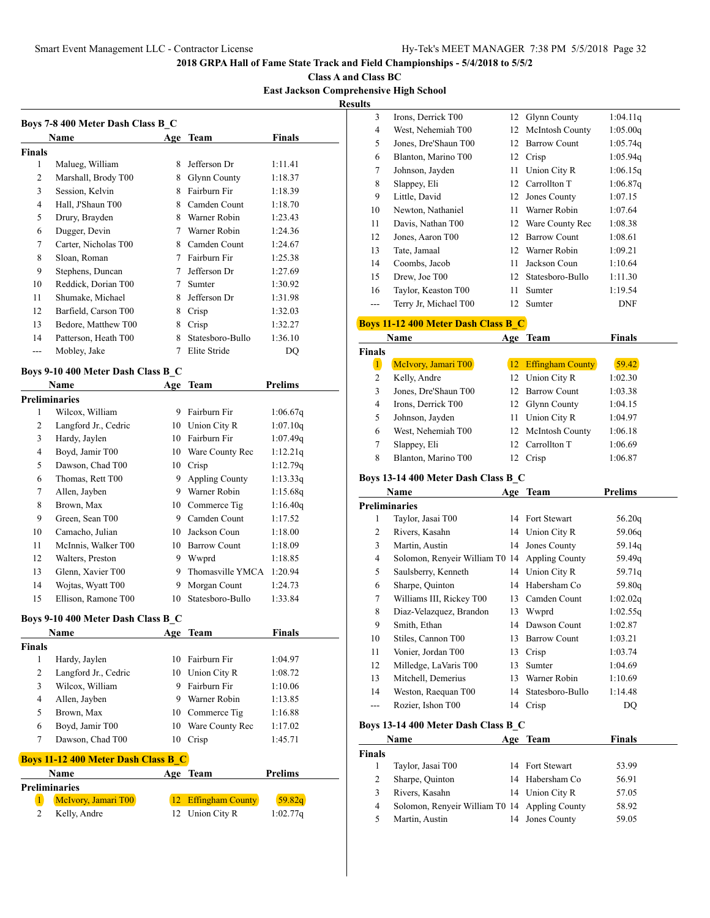**Class A and Class BC East Jackson Comprehensive High School**

**Results**

|                | Name                 | Age | Team             | <b>Finals</b> |
|----------------|----------------------|-----|------------------|---------------|
| Finals         |                      |     |                  |               |
| 1              | Malueg, William      | 8   | Jefferson Dr     | 1:11.41       |
| $\overline{2}$ | Marshall, Brody T00  | 8   | Glynn County     | 1:18.37       |
| 3              | Session, Kelvin      | 8   | Fairburn Fir     | 1:18.39       |
| 4              | Hall, J'Shaun T00    | 8   | Camden Count     | 1:18.70       |
| 5              | Drury, Brayden       | 8   | Warner Robin     | 1:23.43       |
| 6              | Dugger, Devin        | 7   | Warner Robin     | 1:24.36       |
| 7              | Carter, Nicholas T00 | 8   | Camden Count     | 1:24.67       |
| 8              | Sloan, Roman         | 7   | Fairburn Fir     | 1:25.38       |
| 9              | Stephens, Duncan     | 7   | Jefferson Dr     | 1:27.69       |
| 10             | Reddick, Dorian T00  | 7   | Sumter           | 1:30.92       |
| 11             | Shumake, Michael     | 8   | Jefferson Dr     | 1:31.98       |
| 12             | Barfield, Carson T00 | 8   | Crisp            | 1:32.03       |
| 13             | Bedore, Matthew T00  | 8   | Crisp            | 1:32.27       |
| 14             | Patterson, Heath T00 | 8   | Statesboro-Bullo | 1:36.10       |
|                | Mobley, Jake         |     | Elite Stride     | DO            |

# **Boys 9-10 400 Meter Dash Class B\_C**

| Name |                      | Age | <b>Team</b>           | <b>Prelims</b> |  |
|------|----------------------|-----|-----------------------|----------------|--|
|      | Preliminaries        |     |                       |                |  |
| 1    | Wilcox, William      | 9   | Fairburn Fir          | 1:06.67q       |  |
| 2    | Langford Jr., Cedric | 10  | Union City R          | 1:07.10q       |  |
| 3    | Hardy, Jaylen        | 10  | Fairburn Fir          | 1:07.49q       |  |
| 4    | Boyd, Jamir T00      | 10  | Ware County Rec       | 1:12.21q       |  |
| 5    | Dawson, Chad T00     | 10  | Crisp                 | 1:12.79q       |  |
| 6    | Thomas, Rett T00     | 9   | <b>Appling County</b> | 1:13.33q       |  |
| 7    | Allen, Jayben        | 9   | Warner Robin          | 1:15.68q       |  |
| 8    | Brown, Max           | 10  | Commerce Tig          | 1:16.40q       |  |
| 9    | Green, Sean T00      | 9   | Camden Count          | 1:17.52        |  |
| 10   | Camacho, Julian      | 10  | Jackson Coun          | 1:18.00        |  |
| 11   | McInnis, Walker T00  | 10  | <b>Barrow Count</b>   | 1:18.09        |  |
| 12   | Walters, Preston     | 9   | Wwprd                 | 1:18.85        |  |
| 13   | Glenn, Xavier T00    | 9   | Thomasville YMCA      | 1:20.94        |  |
| 14   | Wojtas, Wyatt T00    | 9   | Morgan Count          | 1:24.73        |  |
| 15   | Ellison, Ramone T00  | 10  | Statesboro-Bullo      | 1:33.84        |  |

#### **Boys 9-10 400 Meter Dash Class B\_C**

| Name   |                      | Age | Team            | <b>Finals</b> |  |
|--------|----------------------|-----|-----------------|---------------|--|
| Finals |                      |     |                 |               |  |
| 1      | Hardy, Jaylen        | 10  | Fairburn Fir    | 1:04.97       |  |
| 2      | Langford Jr., Cedric |     | 10 Union City R | 1:08.72       |  |
| 3      | Wilcox, William      | 9   | Fairburn Fir    | 1:10.06       |  |
| 4      | Allen, Jayben        | 9   | Warner Robin    | 1:13.85       |  |
| 5      | Brown, Max           |     | 10 Commerce Tig | 1:16.88       |  |
| 6      | Boyd, Jamir T00      | 10  | Ware County Rec | 1:17.02       |  |
|        | Dawson, Chad T00     | 10  | Crisp           | 1:45.71       |  |
|        |                      |     |                 |               |  |

# **Boys 11-12 400 Meter Dash Class B\_C**

| <b>Name</b> |                     | Age Team            | <b>Prelims</b> |  |
|-------------|---------------------|---------------------|----------------|--|
|             | Preliminaries       |                     |                |  |
|             | McIvory, Jamari T00 | 12 Effingham County | 59.82q         |  |
|             | Kelly, Andre        | 12 Union City R     | 1:02.77q       |  |

| 3             | Irons, Derrick T00                            | 12 | <b>Glynn County</b>   | 1:04.11q           |
|---------------|-----------------------------------------------|----|-----------------------|--------------------|
| 4             | West, Nehemiah T00                            | 12 | McIntosh County       | 1:05.00q           |
| 5             | Jones, Dre'Shaun T00                          |    | 12 Barrow Count       | 1:05.74q           |
| 6             | Blanton, Marino T00                           | 12 | Crisp                 | 1:05.94q           |
| 7             | Johnson, Jayden                               | 11 | Union City R          | 1:06.15q           |
| 8             | Slappey, Eli                                  |    | 12 Carrollton T       | 1:06.87q           |
| 9             | Little, David                                 |    | 12 Jones County       | 1:07.15            |
| 10            | Newton, Nathaniel                             |    | 11 Warner Robin       | 1:07.64            |
| 11            | Davis, Nathan T00                             |    | 12 Ware County Rec    | 1:08.38            |
| 12            | Jones, Aaron T00                              |    | 12 Barrow Count       | 1:08.61            |
| 13            | Tate, Jamaal                                  |    | 12 Warner Robin       | 1:09.21            |
| 14            | Coombs, Jacob                                 | 11 | Jackson Coun          | 1:10.64            |
| 15            | Drew, Joe T00                                 | 12 | Statesboro-Bullo      | 1:11.30            |
| 16            | Taylor, Keaston T00                           | 11 | Sumter                | 1:19.54            |
| ---           | Terry Jr, Michael T00                         | 12 | Sumter                | DNF                |
|               |                                               |    |                       |                    |
|               | <b>Boys 11-12 400 Meter Dash Class B C</b>    |    |                       |                    |
|               | Name                                          |    | Age Team              | <b>Finals</b>      |
| <b>Finals</b> |                                               |    |                       |                    |
| $\mathbf{1}$  | McIvory, Jamari T00                           |    | 12 Effingham County   | 59.42              |
| 2             | Kelly, Andre                                  |    | 12 Union City R       | 1:02.30            |
| 3             | Jones, Dre'Shaun T00                          |    | 12 Barrow Count       | 1:03.38            |
| 4             | Irons, Derrick T00                            |    | 12 Glynn County       | 1:04.15            |
| 5             | Johnson, Jayden                               |    | 11 Union City R       | 1:04.97            |
| 6             | West, Nehemiah T00                            | 12 | McIntosh County       | 1:06.18            |
| 7             | Slappey, Eli                                  | 12 | Carrollton T          | 1:06.69            |
| 8             | Blanton, Marino T00                           |    | 12 Crisp              | 1:06.87            |
|               | Boys 13-14 400 Meter Dash Class B C           |    |                       |                    |
|               | Name                                          |    | Age Team              | Prelims            |
|               | <b>Preliminaries</b>                          |    |                       |                    |
| 1             | Taylor, Jasai T00                             |    | 14 Fort Stewart       | 56.20q             |
| 2             | Rivers, Kasahn                                | 14 | Union City R          | 59.06q             |
| 3             | Martin, Austin                                | 14 | Jones County          | 59.14q             |
| 4             | Solomon, Renyeir William T0 14 Appling County |    |                       | 59.49q             |
| 5             | Saulsberry, Kenneth                           |    | 14 Union City R       | 59.71q             |
| 6             | Sharpe, Quinton                               |    | 14 Habersham Co       | 59.80q             |
| 7             | Williams III, Rickey T00                      |    | 13 Camden Count       | 1:02.02q           |
| 8             | Diaz-Velazquez, Brandon                       | 13 | Wwprd                 | 1:02.55q           |
| 9             | Smith, Ethan                                  | 14 | Dawson Count          | 1:02.87            |
| 10            | Stiles, Cannon T00                            | 13 | <b>Barrow Count</b>   | 1:03.21            |
| 11            | Vonier, Jordan T00                            | 13 | Crisp                 | 1:03.74            |
| 12            | Milledge, LaVaris T00                         | 13 | Sumter                |                    |
| 13            | Mitchell, Demerius                            | 13 | Warner Robin          | 1:04.69<br>1:10.69 |
|               |                                               |    | Statesboro-Bullo      |                    |
| 14<br>---     | Weston, Raequan T00<br>Rozier, Ishon T00      | 14 | Crisp                 | 1:14.48            |
|               |                                               | 14 |                       | DQ                 |
|               | Boys 13-14 400 Meter Dash Class B_C           |    |                       |                    |
|               | Name                                          |    | Age Team              | <b>Finals</b>      |
| Finals        |                                               |    |                       |                    |
| $\mathbf{1}$  | Taylor, Jasai T00                             |    | 14 Fort Stewart       | 53.99              |
| 2             | Sharpe, Quinton                               |    | 14 Habersham Co       | 56.91              |
| 3             | Rivers, Kasahn                                |    | 14 Union City R       | 57.05              |
| 4             | Solomon, Renyeir William T0 14                |    | <b>Appling County</b> | 58.92              |
|               |                                               |    |                       |                    |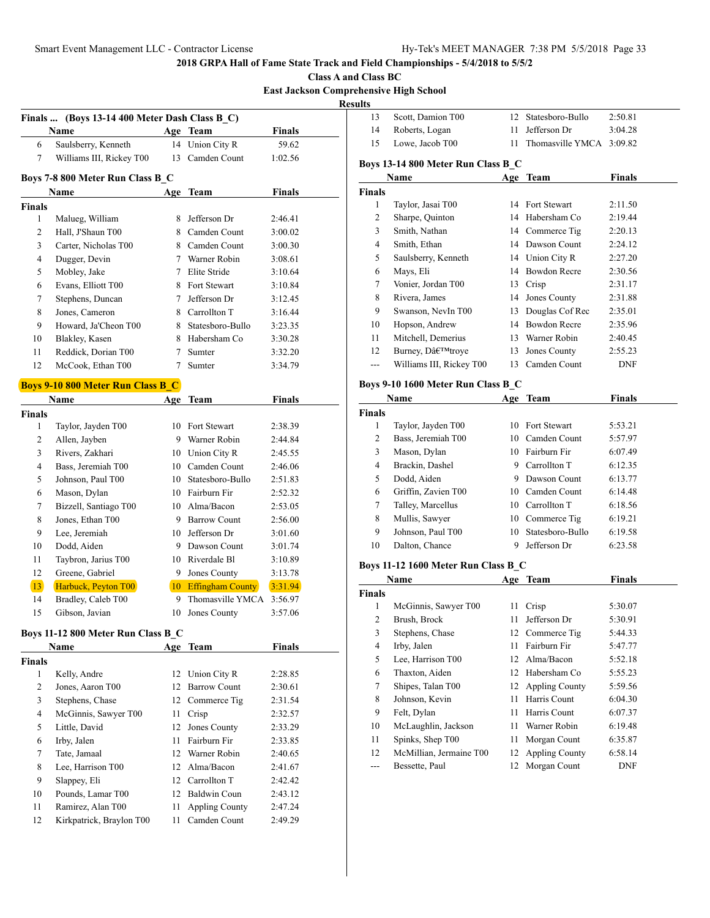**Class A and Class BC East Jackson Comprehensive High School**

|                |                                               |                 |                     | <b>East Jackson Con</b> |
|----------------|-----------------------------------------------|-----------------|---------------------|-------------------------|
|                |                                               |                 |                     |                         |
|                | Finals  (Boys 13-14 400 Meter Dash Class B C) |                 |                     |                         |
|                | Name                                          |                 | Age Team            | Finals                  |
| 6              | Saulsberry, Kenneth                           |                 | 14 Union City R     | 59.62                   |
| 7              | Williams III, Rickey T00                      | 13 <sup>7</sup> | Camden Count        | 1:02.56                 |
|                | Boys 7-8 800 Meter Run Class B C              |                 |                     |                         |
|                | <b>Name</b>                                   | Age             | <b>Team</b>         | <b>Finals</b>           |
| <b>Finals</b>  |                                               |                 |                     |                         |
| 1              | Malueg, William                               |                 | 8 Jefferson Dr      | 2:46.41                 |
| $\overline{2}$ | Hall, J'Shaun T00                             |                 | 8 Camden Count      | 3:00.02                 |
| 3              | Carter, Nicholas T00                          |                 | 8 Camden Count      | 3:00.30                 |
| $\overline{4}$ | Dugger, Devin                                 |                 | 7 Warner Robin      | 3:08.61                 |
| 5              | Mobley, Jake                                  | 7               | Elite Stride        | 3:10.64                 |
| 6              | Evans, Elliott T00                            | 8               | <b>Fort Stewart</b> | 3:10.84                 |
| 7              | Stephens, Duncan                              | 7               | Jefferson Dr        | 3:12.45                 |
| 8              | Jones, Cameron                                |                 | 8 Carrollton T      | 3:16.44                 |
| 9              | Howard, Ja'Cheon T00                          |                 | 8 Statesboro-Bullo  | 3:23.35                 |
| 10             | Blakley, Kasen                                | 8.              | Habersham Co        | 3:30.28                 |
| 11             | Reddick, Dorian T00                           | 7               | Sumter              | 3:32.20                 |
| 12             | McCook, Ethan T00                             | 7               | Sumter              | 3:34.79                 |
|                | <b>Boys 9-10 800 Meter Run Class B C</b>      |                 |                     |                         |
|                | <b>Name</b>                                   | Age             | Team                | <b>Finals</b>           |
| <b>Finals</b>  |                                               |                 |                     |                         |
| 1              | Taylor, Jayden T00                            |                 | 10 Fort Stewart     | 2:38.39                 |
| 2              | Allen, Jayben                                 | 9               | Warner Robin        | 2:44.84                 |
| 3              | Rivers, Zakhari                               |                 | 10 Union City R     | 2:45.55                 |
|                |                                               |                 |                     |                         |

| 2  | Allen, Jayben         | 9  | Warner Robin            | 2:44.84 |
|----|-----------------------|----|-------------------------|---------|
| 3  | Rivers, Zakhari       | 10 | Union City R            | 2:45.55 |
| 4  | Bass, Jeremiah T00    | 10 | Camden Count            | 2:46.06 |
| 5  | Johnson, Paul T00     | 10 | Statesboro-Bullo        | 2:51.83 |
| 6  | Mason, Dylan          | 10 | Fairburn Fir            | 2:52.32 |
| 7  | Bizzell, Santiago T00 | 10 | Alma/Bacon              | 2:53.05 |
| 8  | Jones, Ethan T00      | 9  | Barrow Count            | 2:56.00 |
| 9  | Lee, Jeremiah         | 10 | Jefferson Dr            | 3:01.60 |
| 10 | Dodd, Aiden           | 9  | Dawson Count            | 3:01.74 |
| 11 | Taybron, Jarius T00   | 10 | Riverdale Bl            | 3:10.89 |
| 12 | Greene, Gabriel       | 9  | Jones County            | 3:13.78 |
| 13 | Harbuck, Peyton T00   | 10 | <b>Effingham County</b> | 3:31.94 |
| 14 | Bradley, Caleb T00    | 9  | Thomasville YMCA        | 3:56.97 |
| 15 | Gibson, Javian        | 10 | Jones County            | 3:57.06 |

## **Boys 11-12 800 Meter Run Class B\_C**

| <b>Name</b>   |                          |                 | Age Team              | <b>Finals</b> |  |
|---------------|--------------------------|-----------------|-----------------------|---------------|--|
| <b>Finals</b> |                          |                 |                       |               |  |
| 1             | Kelly, Andre             |                 | 12 Union City R       | 2:28.85       |  |
| 2             | Jones, Aaron T00         | 12 <sub>1</sub> | <b>Barrow Count</b>   | 2:30.61       |  |
| 3             | Stephens, Chase          |                 | 12 Commerce Tig       | 2:31.54       |  |
| 4             | McGinnis, Sawyer T00     | 11              | Crisp                 | 2:32.57       |  |
| 5             | Little, David            | 12              | Jones County          | 2:33.29       |  |
| 6             | Irby, Jalen              | 11              | Fairburn Fir          | 2:33.85       |  |
| 7             | Tate, Jamaal             |                 | 12 Warner Robin       | 2:40.65       |  |
| 8             | Lee, Harrison T00        |                 | 12 Alma/Bacon         | 2:41.67       |  |
| 9             | Slappey, Eli             | 12              | Carrollton T          | 2:42.42       |  |
| 10            | Pounds, Lamar T00        |                 | 12 Baldwin Coun       | 2:43.12       |  |
| 11            | Ramirez, Alan T00        | 11              | <b>Appling County</b> | 2:47.24       |  |
| 12            | Kirkpatrick, Braylon T00 | 11              | Camden Count          | 2:49.29       |  |

| <b>Results</b> |                                     |    |                          |               |
|----------------|-------------------------------------|----|--------------------------|---------------|
| 13             | Scott, Damion T00                   |    | 12 Statesboro-Bullo      | 2:50.81       |
| 14             | Roberts, Logan                      | 11 | Jefferson Dr             | 3:04.28       |
| 15             | Lowe, Jacob T00                     | 11 | Thomasville YMCA 3:09.82 |               |
|                | Boys 13-14 800 Meter Run Class B C  |    |                          |               |
|                | Name                                |    | Age Team                 | <b>Finals</b> |
| <b>Finals</b>  |                                     |    |                          |               |
| $\mathbf{1}$   | Taylor, Jasai T00                   |    | 14 Fort Stewart          | 2:11.50       |
| 2              | Sharpe, Quinton                     |    | 14 Habersham Co          | 2:19.44       |
| 3              | Smith, Nathan                       |    | 14 Commerce Tig          | 2:20.13       |
| $\overline{4}$ | Smith, Ethan                        |    | 14 Dawson Count          | 2:24.12       |
| 5              | Saulsberry, Kenneth                 |    | 14 Union City R          | 2:27.20       |
| 6              | Mays, Eli                           |    | 14 Bowdon Recre          | 2:30.56       |
| 7              | Vonier, Jordan T00                  |    | 13 Crisp                 | 2:31.17       |
| 8              | Rivera, James                       |    | 14 Jones County          | 2:31.88       |
| 9              | Swanson, NevIn T00                  |    | 13 Douglas Cof Rec       | 2:35.01       |
| 10             | Hopson, Andrew                      |    | 14 Bowdon Recre          | 2:35.96       |
| 11             | Mitchell, Demerius                  |    | 13 Warner Robin          | 2:40.45       |
| 12             | Burney, D'troye                     |    | 13 Jones County          | 2:55.23       |
| $\overline{a}$ | Williams III, Rickey T00            |    | 13 Camden Count          | DNF           |
|                | Boys 9-10 1600 Meter Run Class B C  |    |                          |               |
|                | Name                                |    | Age Team                 | <b>Finals</b> |
| <b>Finals</b>  |                                     |    |                          |               |
| 1              | Taylor, Jayden T00                  |    | 10 Fort Stewart          | 5:53.21       |
| 2              | Bass, Jeremiah T00                  |    | 10 Camden Count          | 5:57.97       |
| 3              | Mason, Dylan                        |    | 10 Fairburn Fir          | 6:07.49       |
| $\overline{4}$ | Brackin, Dashel                     |    | 9 Carrollton T           | 6:12.35       |
| 5              | Dodd, Aiden                         |    | 9 Dawson Count           | 6:13.77       |
| 6              | Griffin, Zavien T00                 |    | 10 Camden Count          | 6:14.48       |
| 7              | Talley, Marcellus                   |    | 10 Carrollton T          | 6:18.56       |
| 8              | Mullis, Sawyer                      |    | 10 Commerce Tig          | 6:19.21       |
| 9              | Johnson, Paul T00                   |    | 10 Statesboro-Bullo      | 6:19.58       |
| 10             | Dalton, Chance                      |    | 9 Jefferson Dr           | 6:23.58       |
|                | Boys 11-12 1600 Meter Run Class B_C |    |                          |               |
|                | Name                                |    | Age Team                 | <b>Finals</b> |
| <b>Finals</b>  |                                     |    |                          |               |
| 1              | McGinnis, Sawyer T00                | 11 | Crisp                    | 5:30.07       |
| 2              | Brush, Brock                        | 11 | Jefferson Dr             | 5:30.91       |
| $\mathfrak{Z}$ | Stephens, Chase                     | 12 | Commerce Tig             | 5:44.33       |
| $\overline{4}$ | Irby, Jalen                         | 11 | Fairburn Fir             | 5:47.77       |
| 5              | Lee, Harrison T00                   | 12 | Alma/Bacon               | 5:52.18       |
| 6              | Thaxton, Aiden                      |    | 12 Habersham Co          | 5:55.23       |
| 7              | Shipes, Talan T00                   | 12 | <b>Appling County</b>    | 5:59.56       |
| 8              | Johnson, Kevin                      | 11 | Harris Count             | 6:04.30       |
| 9              | Felt, Dylan                         | 11 | Harris Count             | 6:07.37       |
| 10             | McLaughlin, Jackson                 | 11 | Warner Robin             | 6:19.48       |
| 11             | Spinks, Shep T00                    | 11 | Morgan Count             | 6:35.87       |
| 12             |                                     |    |                          |               |
|                | McMillian, Jermaine T00             | 12 | <b>Appling County</b>    | 6:58.14       |

--- Bessette, Paul 12 Morgan Count DNF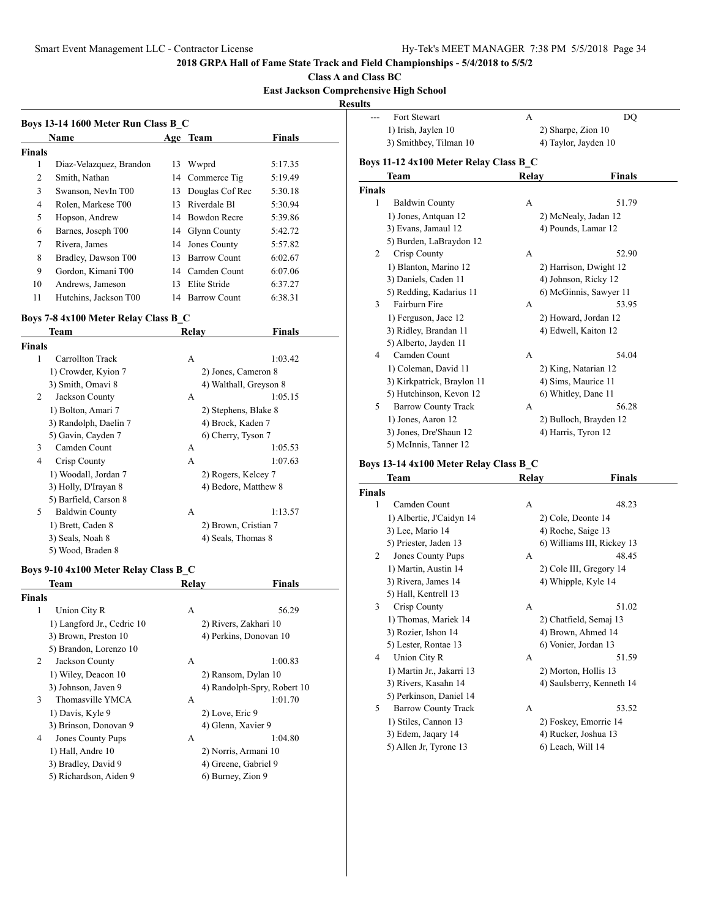### **Class A and Class BC**

**East Jackson Comprehensive High School**

**Result** 

|        | Boys 13-14 1600 Meter Run Class B C<br><b>Name</b> |    | Age Team            | <b>Finals</b> |
|--------|----------------------------------------------------|----|---------------------|---------------|
| Finals |                                                    |    |                     |               |
| 1      | Diaz-Velazquez, Brandon                            | 13 | Wwprd               | 5:17.35       |
| 2      | Smith, Nathan                                      |    | 14 Commerce Tig     | 5:19.49       |
| 3      | Swanson, NevIn T00                                 | 13 | Douglas Cof Rec     | 5:30.18       |
| 4      | Rolen, Markese T00                                 | 13 | Riverdale Bl        | 5:30.94       |
| 5      | Hopson, Andrew                                     | 14 | <b>Bowdon Recre</b> | 5:39.86       |
| 6      | Barnes, Joseph T00                                 |    | 14 Glynn County     | 5:42.72       |
| 7      | Rivera, James                                      | 14 | Jones County        | 5:57.82       |
| 8      | Bradley, Dawson T00                                | 13 | <b>Barrow Count</b> | 6:02.67       |
| 9      | Gordon, Kimani T00                                 |    | 14 Camden Count     | 6:07.06       |
| 10     | Andrews, Jameson                                   | 13 | Elite Stride        | 6:37.27       |
| 11     | Hutchins, Jackson T00                              | 14 | Barrow Count        | 6:38.31       |

## **Boys 7-8 4x100 Meter Relay Class B\_C**

| Team           |                       | Relay               | Finals                 |  |
|----------------|-----------------------|---------------------|------------------------|--|
| Finals         |                       |                     |                        |  |
| 1              | Carrollton Track      | A                   | 1:03.42                |  |
|                | 1) Crowder, Kyion 7   | 2) Jones, Cameron 8 |                        |  |
|                | 3) Smith, Omavi 8     |                     | 4) Walthall, Greyson 8 |  |
| 2              | Jackson County        | А                   | 1:05.15                |  |
|                | 1) Bolton, Amari 7    |                     | 2) Stephens, Blake 8   |  |
|                | 3) Randolph, Daelin 7 | 4) Brock, Kaden 7   |                        |  |
|                | 5) Gavin, Cayden 7    | 6) Cherry, Tyson 7  |                        |  |
| 3              | Camden Count          | А                   | 1:05.53                |  |
| $\overline{4}$ | Crisp County          | A                   | 1:07.63                |  |
|                | 1) Woodall, Jordan 7  |                     | 2) Rogers, Kelcey 7    |  |
|                | 3) Holly, D'Irayan 8  |                     | 4) Bedore, Matthew 8   |  |
|                | 5) Barfield, Carson 8 |                     |                        |  |
| 5              | <b>Baldwin County</b> | A                   | 1:13.57                |  |
|                | 1) Brett, Caden 8     |                     | 2) Brown, Cristian 7   |  |
|                | 3) Seals, Noah 8      |                     | 4) Seals, Thomas 8     |  |
|                | 5) Wood, Braden 8     |                     |                        |  |

## **Boys 9-10 4x100 Meter Relay Class B\_C**

|        | Team                       | Relav              | <b>Finals</b>               |
|--------|----------------------------|--------------------|-----------------------------|
| Finals |                            |                    |                             |
| 1      | Union City R               | А                  | 56.29                       |
|        | 1) Langford Jr., Cedric 10 |                    | 2) Rivers, Zakhari 10       |
|        | 3) Brown, Preston 10       |                    | 4) Perkins, Donovan 10      |
|        | 5) Brandon, Lorenzo 10     |                    |                             |
| 2      | Jackson County             | А                  | 1:00.83                     |
|        | 1) Wiley, Deacon 10        |                    | 2) Ransom, Dylan 10         |
|        | 3) Johnson, Javen 9        |                    | 4) Randolph-Spry, Robert 10 |
| 3      | Thomasville YMCA           | А                  | 1:01.70                     |
|        | 1) Davis, Kyle 9           | 2) Love, Eric 9    |                             |
|        | 3) Brinson, Donovan 9      | 4) Glenn, Xavier 9 |                             |
| 4      | Jones County Pups          | А                  | 1:04.80                     |
|        | 1) Hall, Andre 10          |                    | 2) Norris, Armani 10        |
|        | 3) Bradley, David 9        |                    | 4) Greene, Gabriel 9        |
|        | 5) Richardson, Aiden 9     | 6) Burney, Zion 9  |                             |

| ults          |                                        |       |                        |
|---------------|----------------------------------------|-------|------------------------|
|               | Fort Stewart                           | A     | DO                     |
|               | 1) Irish, Jaylen 10                    |       | 2) Sharpe, Zion 10     |
|               | 3) Smithbey, Tilman 10                 |       | 4) Taylor, Jayden 10   |
|               | Boys 11-12 4x100 Meter Relay Class B_C |       |                        |
|               | Team                                   | Relay | <b>Finals</b>          |
| <b>Finals</b> |                                        |       |                        |
| 1             | <b>Baldwin County</b>                  | А     | 51.79                  |
|               | 1) Jones, Antquan 12                   |       | 2) McNealy, Jadan 12   |
|               | 3) Evans, Jamaul 12                    |       | 4) Pounds, Lamar 12    |
|               | 5) Burden, LaBraydon 12                |       |                        |
| 2             | Crisp County                           | A     | 52.90                  |
|               | 1) Blanton, Marino 12                  |       | 2) Harrison, Dwight 12 |
|               | 3) Daniels, Caden 11                   |       | 4) Johnson, Ricky 12   |
|               | 5) Redding, Kadarius 11                |       | 6) McGinnis, Sawyer 11 |
| 3             | Fairburn Fire                          | A     | 53.95                  |
|               | 1) Ferguson, Jace 12                   |       | 2) Howard, Jordan 12   |
|               | 3) Ridley, Brandan 11                  |       | 4) Edwell, Kaiton 12   |
|               | 5) Alberto, Jayden 11                  |       |                        |
| 4             | Camden Count                           | A     | 54.04                  |
|               | 1) Coleman, David 11                   |       | 2) King, Natarian 12   |
|               | 3) Kirkpatrick, Braylon 11             |       | 4) Sims, Maurice 11    |
|               | 5) Hutchinson, Kevon 12                |       | 6) Whitley, Dane 11    |
| 5             | <b>Barrow County Track</b>             | A     | 56.28                  |
|               | 1) Jones, Aaron 12                     |       | 2) Bulloch, Brayden 12 |
|               | 3) Jones, Dre'Shaun 12                 |       | 4) Harris, Tyron 12    |
|               | 5) McInnis, Tanner 12                  |       |                        |

## **Boys 13-14 4x100 Meter Relay Class B\_C**

|               | Team                       | Relay | Finals                     |
|---------------|----------------------------|-------|----------------------------|
| <b>Finals</b> |                            |       |                            |
| 1             | Camden Count               | А     | 48.23                      |
|               | 1) Albertie, J'Caidyn 14   |       | 2) Cole, Deonte 14         |
|               | 3) Lee, Mario 14           |       | 4) Roche, Saige 13         |
|               | 5) Priester, Jaden 13      |       | 6) Williams III, Rickey 13 |
| 2             | <b>Jones County Pups</b>   | A     | 48.45                      |
|               | 1) Martin, Austin 14       |       | 2) Cole III, Gregory 14    |
|               | 3) Rivera, James 14        |       | 4) Whipple, Kyle 14        |
|               | 5) Hall, Kentrell 13       |       |                            |
| 3             | Crisp County               | A     | 51.02                      |
|               | 1) Thomas, Mariek 14       |       | 2) Chatfield, Semaj 13     |
|               | 3) Rozier, Ishon 14        |       | 4) Brown, Ahmed 14         |
|               | 5) Lester, Rontae 13       |       | 6) Vonier, Jordan 13       |
| 4             | Union City R               | A     | 51.59                      |
|               | 1) Martin Jr., Jakarri 13  |       | 2) Morton, Hollis 13       |
|               | 3) Rivers, Kasahn 14       |       | 4) Saulsberry, Kenneth 14  |
|               | 5) Perkinson, Daniel 14    |       |                            |
| 5.            | <b>Barrow County Track</b> | A     | 53.52                      |
|               | 1) Stiles, Cannon 13       |       | 2) Foskey, Emorrie 14      |
|               | 3) Edem, Jaqary 14         |       | 4) Rucker, Joshua 13       |
|               | 5) Allen Jr, Tyrone 13     |       | 6) Leach, Will 14          |
|               |                            |       |                            |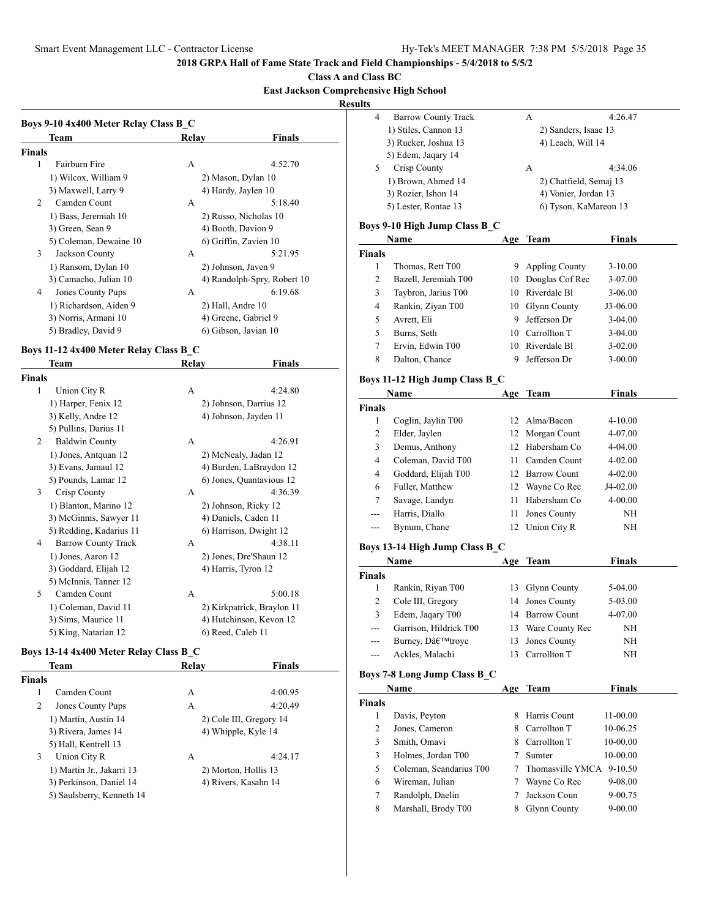**Class A and Class BC**

## **East Jackson Comprehensive High School**

**Resul** 

|               | Team                     | Relay             | Finals                      |
|---------------|--------------------------|-------------------|-----------------------------|
| <b>Finals</b> |                          |                   |                             |
| 1             | Fairburn Fire            | A                 | 4:52.70                     |
|               | 1) Wilcox, William 9     |                   | 2) Mason, Dylan 10          |
|               | 3) Maxwell, Larry 9      |                   | 4) Hardy, Jaylen 10         |
| 2             | Camden Count             | A                 | 5:18.40                     |
|               | 1) Bass, Jeremiah 10     |                   | 2) Russo, Nicholas 10       |
|               | 3) Green, Sean 9         |                   | 4) Booth, Davion 9          |
|               | 5) Coleman, Dewaine 10   |                   | 6) Griffin, Zavien 10       |
| 3             | Jackson County           | A                 | 5:21.95                     |
|               | 1) Ransom, Dylan 10      |                   | 2) Johnson, Javen 9         |
|               | 3) Camacho, Julian 10    |                   | 4) Randolph-Spry, Robert 10 |
| 4             | <b>Jones County Pups</b> | A                 | 6:19.68                     |
|               | 1) Richardson, Aiden 9   | 2) Hall, Andre 10 |                             |
|               | 3) Norris, Armani 10     |                   | 4) Greene, Gabriel 9        |
|               | 5) Bradley, David 9      |                   | 6) Gibson, Javian 10        |

## **Boys 11-12 4x400 Meter Relay Class B\_C**

|               | Team                       | Relay | Finals                     |
|---------------|----------------------------|-------|----------------------------|
| <b>Finals</b> |                            |       |                            |
| 1             | Union City R               | А     | 4:24.80                    |
|               | 1) Harper, Fenix 12        |       | 2) Johnson, Darrius 12     |
|               | 3) Kelly, Andre 12         |       | 4) Johnson, Jayden 11      |
|               | 5) Pullins, Darius 11      |       |                            |
| 2             | <b>Baldwin County</b>      | A     | 4:26.91                    |
|               | 1) Jones, Antquan 12       |       | 2) McNealy, Jadan 12       |
|               | 3) Evans, Jamaul 12        |       | 4) Burden, LaBraydon 12    |
|               | 5) Pounds, Lamar 12        |       | 6) Jones, Quantavious 12   |
| 3             | Crisp County               | A     | 4:36.39                    |
|               | 1) Blanton, Marino 12      |       | 2) Johnson, Ricky 12       |
|               | 3) McGinnis, Sawyer 11     |       | 4) Daniels, Caden 11       |
|               | 5) Redding, Kadarius 11    |       | 6) Harrison, Dwight 12     |
| 4             | <b>Barrow County Track</b> | A     | 4:38.11                    |
|               | 1) Jones, Aaron 12         |       | 2) Jones, Dre'Shaun 12     |
|               | 3) Goddard, Elijah 12      |       | 4) Harris, Tyron 12        |
|               | 5) McInnis, Tanner 12      |       |                            |
| 5             | Camden Count               | A     | 5:00.18                    |
|               | 1) Coleman, David 11       |       | 2) Kirkpatrick, Braylon 11 |
|               | 3) Sims, Maurice 11        |       | 4) Hutchinson, Kevon 12    |
|               | 5) King, Natarian 12       |       | 6) Reed, Caleb 11          |

## **Boys 13-14 4x400 Meter Relay Class B\_C**

|               | Team                      | Relav | <b>Finals</b>           |
|---------------|---------------------------|-------|-------------------------|
| <b>Finals</b> |                           |       |                         |
|               | Camden Count              | A     | 4:00.95                 |
| 2             | Jones County Pups         | A     | 4:20.49                 |
|               | 1) Martin, Austin 14      |       | 2) Cole III, Gregory 14 |
|               | 3) Rivera, James 14       |       | 4) Whipple, Kyle 14     |
|               | 5) Hall, Kentrell 13      |       |                         |
| 3             | Union City R              | A     | 4:24.17                 |
|               | 1) Martin Jr., Jakarri 13 |       | 2) Morton, Hollis 13    |
|               | 3) Perkinson, Daniel 14   |       | 4) Rivers, Kasahn 14    |
|               | 5) Saulsberry, Kenneth 14 |       |                         |
|               |                           |       |                         |

| ults               |                                |      |                        |               |  |
|--------------------|--------------------------------|------|------------------------|---------------|--|
| 4                  | <b>Barrow County Track</b>     |      | А                      | 4:26.47       |  |
|                    | 1) Stiles, Cannon 13           |      | 2) Sanders, Isaac 13   |               |  |
|                    | 3) Rucker, Joshua 13           |      | 4) Leach, Will 14      |               |  |
|                    | 5) Edem, Jaqary 14             |      |                        |               |  |
| 5                  | Crisp County                   |      | А                      | 4:34.06       |  |
|                    | 1) Brown, Ahmed 14             |      | 2) Chatfield, Semaj 13 |               |  |
|                    | 3) Rozier, Ishon 14            |      | 4) Vonier, Jordan 13   |               |  |
|                    | 5) Lester, Rontae 13           |      | 6) Tyson, KaMareon 13  |               |  |
|                    | Boys 9-10 High Jump Class B C  |      |                        |               |  |
|                    | Name                           | Age  | Team                   | <b>Finals</b> |  |
| Finals             |                                |      |                        |               |  |
| 1                  | Thomas, Rett T00               | 9.   | <b>Appling County</b>  | $3-10.00$     |  |
| 2                  | Bazell, Jeremiah T00           | 10   | Douglas Cof Rec        | 3-07.00       |  |
| 3                  | Taybron, Jarius T00            |      | 10 Riverdale Bl        | 3-06.00       |  |
| 4                  | Rankin, Ziyan T00              |      | 10 Glynn County        | J3-06.00      |  |
| 5                  | Avrett, Eli                    |      | 9 Jefferson Dr         | 3-04.00       |  |
| 5                  | Burns, Seth                    |      | 10 Carrollton T        | 3-04.00       |  |
| 7                  | Ervin, Edwin T00               |      | 10 Riverdale Bl        | $3-02.00$     |  |
| $\,$ 8 $\,$        | Dalton, Chance                 | 9    | Jefferson Dr           | $3 - 00.00$   |  |
|                    | Boys 11-12 High Jump Class B C |      |                        |               |  |
|                    | Name                           | Age  | Team                   | <b>Finals</b> |  |
| <b>Finals</b>      |                                |      |                        |               |  |
| 1                  | Coglin, Jaylin T00             | 12   | Alma/Bacon             | 4-10.00       |  |
| 2                  | Elder, Jaylen                  | 12   | Morgan Count           | 4-07.00       |  |
| 3                  | Demus, Anthony                 |      | 12 Habersham Co        | 4-04.00       |  |
| 4                  | Coleman, David T00             | 11 - | Camden Count           | 4-02.00       |  |
| 4                  | Goddard, Elijah T00            |      | 12 Barrow Count        | 4-02.00       |  |
| 6                  | Fuller, Matthew                |      | 12 Wayne Co Rec        | J4-02.00      |  |
| 7                  | Savage, Landyn                 |      | 11 Habersham Co        | 4-00.00       |  |
| ---                | Harris, Diallo                 | 11   | Jones County           | NH            |  |
| $---$              | Bynum, Chane                   | 12   | Union City R           | NH            |  |
|                    |                                |      |                        |               |  |
|                    | Boys 13-14 High Jump Class B C |      |                        |               |  |
|                    | Name                           | Age  | Team                   | <b>Finals</b> |  |
| <b>Finals</b><br>1 | Rankin, Riyan T00              | 13   | Glynn County           | 5-04.00       |  |
| 2                  | Cole III, Gregory              | 14   | Jones County           | 5-03.00       |  |
| 3                  | Edem, Jaqary T00               |      | 14 Barrow Count        | 4-07.00       |  |
| $---$              | Garrison, Hildrick T00         |      | 13 Ware County Rec     | NH            |  |
|                    | Burney, D'troye                | 13   | Jones County           | NΗ            |  |
|                    | Ackles, Malachi                | 13   | Carrollton T           | NΗ            |  |
|                    |                                |      |                        |               |  |
|                    | Boys 7-8 Long Jump Class B_C   |      |                        |               |  |
|                    | Name                           | Age  | <b>Team</b>            | <b>Finals</b> |  |
| Finals             |                                |      |                        |               |  |
| 1                  | Davis, Peyton                  | 8    | Harris Count           | 11-00.00      |  |
| $\mathbf{2}$       | Jones, Cameron                 | 8    | Carrollton T           | 10-06.25      |  |
| 3                  | Smith, Omavi                   |      | 8 Carrollton T         | 10-00.00      |  |
| 3                  | Holmes, Jordan T00             | 7    | Sumter                 | 10-00.00      |  |
| 5                  | Coleman, Seandarius T00        | 7    | Thomasville YMCA       | $9-10.50$     |  |
| 6                  | Wireman, Julian                | 7    | Wayne Co Rec           | 9-08.00       |  |
| 7                  | Randolph, Daelin               | 7    | Jackson Coun           | 9-00.75       |  |
| 8                  | Marshall, Brody T00            | 8    | <b>Glynn County</b>    | $9 - 00.00$   |  |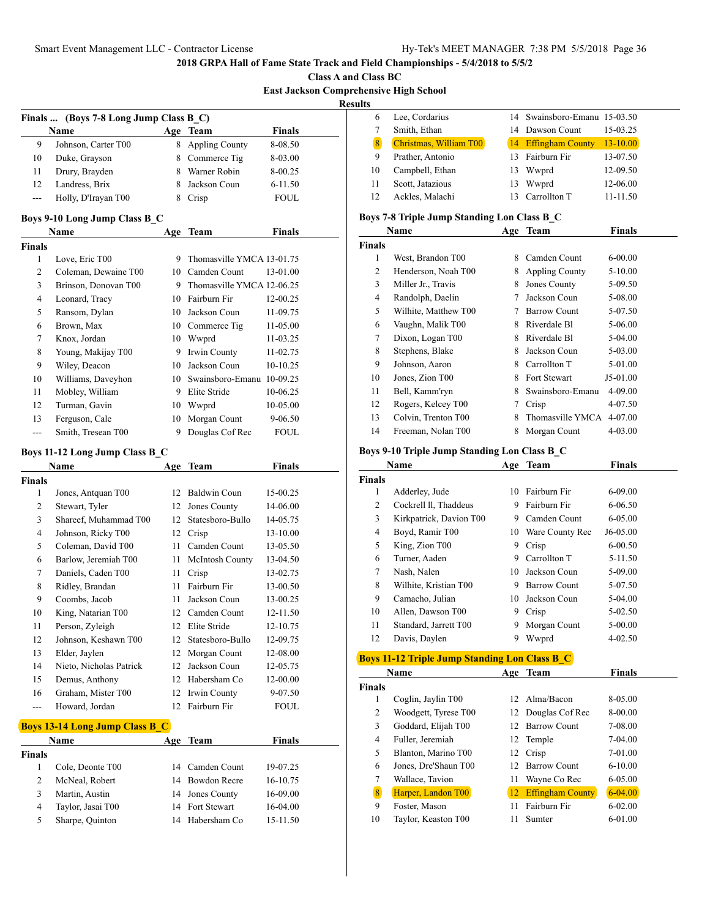**Class A and Class BC East Jackson Comprehensive High School**

|               |                                        |    |                           |               | л, |
|---------------|----------------------------------------|----|---------------------------|---------------|----|
|               | Finals  (Boys 7-8 Long Jump Class B C) |    |                           |               |    |
|               | <b>Name</b>                            |    | Age Team                  | <b>Finals</b> |    |
| 9             | Johnson, Carter T00                    | 8. | <b>Appling County</b>     | 8-08.50       |    |
| 10            | Duke, Grayson                          | 8  | Commerce Tig              | 8-03.00       |    |
| 11            | Drury, Brayden                         | 8  | Warner Robin              | 8-00.25       |    |
| 12            | Landress, Brix                         | 8. | Jackson Coun              | $6 - 11.50$   |    |
|               | Holly, D'Irayan T00                    | 8  | Crisp                     | <b>FOUL</b>   |    |
|               | Boys 9-10 Long Jump Class B C          |    |                           |               |    |
|               | <b>Name</b>                            |    | Age Team                  | <b>Finals</b> |    |
| <b>Finals</b> |                                        |    |                           |               |    |
| 1             | Love, Eric T00                         | 9  | Thomasville YMCA 13-01.75 |               |    |
| 2             | Coleman, Dewaine T00                   | 10 | Camden Count              | 13-01.00      |    |

| 2  | Coleman, Dewaine T00 |    | 10 Camden Count           | 13-01.00     |
|----|----------------------|----|---------------------------|--------------|
| 3  | Brinson, Donovan T00 | 9  | Thomasville YMCA 12-06.25 |              |
| 4  | Leonard, Tracy       |    | 10 Fairburn Fir           | 12-00.25     |
| 5  | Ransom, Dylan        | 10 | Jackson Coun              | 11-09.75     |
| 6  | Brown, Max           |    | 10 Commerce Tig           | $11 - 05.00$ |
| 7  | Knox, Jordan         | 10 | Wwprd                     | 11-03.25     |
| 8  | Young, Makijay T00   | 9  | Irwin County              | 11-02.75     |
| 9  | Wiley, Deacon        | 10 | Jackson Coun              | $10-10.25$   |
| 10 | Williams, Daveyhon   | 10 | Swainsboro-Emanu          | 10-09.25     |
| 11 | Mobley, William      | 9  | Elite Stride              | 10-06.25     |
| 12 | Turman, Gavin        | 10 | Wwprd                     | 10-05.00     |
| 13 | Ferguson, Cale       | 10 | Morgan Count              | $9 - 06.50$  |
|    | Smith, Tresean T00   | 9  | Douglas Cof Rec           | <b>FOUL</b>  |

## **Boys 11-12 Long Jump Class B\_C**

|                | Name                                  | Age | Team                | <b>Finals</b> |
|----------------|---------------------------------------|-----|---------------------|---------------|
| Finals         |                                       |     |                     |               |
| 1              | Jones, Antquan T00                    | 12  | Baldwin Coun        | 15-00.25      |
| 2              | Stewart, Tyler                        | 12  | Jones County        | 14-06.00      |
| 3              | Shareef, Muhammad T00                 | 12  | Statesboro-Bullo    | 14-05.75      |
| 4              | Johnson, Ricky T00                    | 12  | Crisp               | 13-10.00      |
| 5              | Coleman, David T00                    | 11  | Camden Count        | 13-05.50      |
| 6              | Barlow, Jeremiah T00                  | 11  | McIntosh County     | 13-04.50      |
| 7              | Daniels, Caden T00                    | 11  | Crisp               | 13-02.75      |
| 8              | Ridley, Brandan                       | 11  | Fairburn Fir        | 13-00.50      |
| 9              | Coombs, Jacob                         | 11  | Jackson Coun        | 13-00.25      |
| 10             | King, Natarian T00                    | 12  | Camden Count        | 12-11.50      |
| 11             | Person, Zyleigh                       | 12  | Elite Stride        | 12-10.75      |
| 12             | Johnson, Keshawn T00                  | 12  | Statesboro-Bullo    | 12-09.75      |
| 13             | Elder, Jaylen                         | 12  | Morgan Count        | 12-08.00      |
| 14             | Nieto, Nicholas Patrick               | 12  | Jackson Coun        | 12-05.75      |
| 15             | Demus, Anthony                        | 12  | Habersham Co        | 12-00.00      |
| 16             | Graham, Mister T00                    | 12  | Irwin County        | 9-07.50       |
| $---$          | Howard, Jordan                        | 12  | Fairburn Fir        | <b>FOUL</b>   |
|                | <b>Boys 13-14 Long Jump Class B_C</b> |     |                     |               |
|                | <b>Name</b>                           | Age | <b>Team</b>         | <b>Finals</b> |
| Finals         |                                       |     |                     |               |
| 1              | Cole, Deonte T00                      | 14  | Camden Count        | 19-07.25      |
| $\overline{2}$ | McNeal, Robert                        | 14  | <b>Bowdon Recre</b> | 16-10.75      |
| 3              | Martin, Austin                        | 14  | Jones County        | 16-09.00      |
| $\overline{4}$ | Taylor, Jasai T00                     | 14  | Fort Stewart        | 16-04.00      |
| 5              | Sharpe, Quinton                       | 14  | Habersham Co        | 15-11.50      |

|    | Lee, Cordarius         |    | 14 Swainsboro-Emanu 15-03.50 |              |
|----|------------------------|----|------------------------------|--------------|
|    | Smith, Ethan           |    | 14 Dawson Count              | 15-03.25     |
| 8  | Christmas, William T00 |    | 14 Effingham County          | $13 - 10.00$ |
| 9  | Prather, Antonio       |    | 13 Fairburn Fir              | 13-07.50     |
| 10 | Campbell, Ethan        |    | 13 Wwprd                     | 12-09.50     |
| 11 | Scott, Jatazious       | 13 | Wwprd                        | 12-06.00     |
| 12 | Ackles, Malachi        |    | 13 Carrollton T              | 11-11.50     |

## **Boys 7-8 Triple Jump Standing Lon Class B\_C**

|               | Name                 | Age | <b>Team</b>           | <b>Finals</b> |
|---------------|----------------------|-----|-----------------------|---------------|
| <b>Finals</b> |                      |     |                       |               |
| 1             | West, Brandon T00    | 8   | Camden Count          | $6 - 00.00$   |
| 2             | Henderson, Noah T00  | 8   | <b>Appling County</b> | 5-10.00       |
| 3             | Miller Jr., Travis   | 8   | Jones County          | 5-09.50       |
| 4             | Randolph, Daelin     | 7   | Jackson Coun          | 5-08.00       |
| 5             | Wilhite, Matthew T00 | 7   | <b>Barrow Count</b>   | 5-07.50       |
| 6             | Vaughn, Malik T00    | 8   | Riverdale Bl          | 5-06.00       |
| 7             | Dixon, Logan T00     | 8   | Riverdale Bl          | 5-04.00       |
| 8             | Stephens, Blake      | 8   | Jackson Coun          | 5-03.00       |
| 9             | Johnson, Aaron       | 8   | Carrollton T          | 5-01.00       |
| 10            | Jones, Zion T00      | 8   | Fort Stewart          | J5-01.00      |
| 11            | Bell, Kamm'ryn       | 8   | Swainsboro-Emanu      | 4-09.00       |
| 12            | Rogers, Kelcey T00   | 7   | Crisp                 | 4-07.50       |
| 13            | Colvin, Trenton T00  | 8   | Thomasville YMCA      | 4-07.00       |
| 14            | Freeman, Nolan T00   | 8   | Morgan Count          | $4 - 03.00$   |

## **Boys 9-10 Triple Jump Standing Lon Class B\_C**

|               | Name                    | Age | <b>Team</b>         | <b>Finals</b> |  |
|---------------|-------------------------|-----|---------------------|---------------|--|
| <b>Finals</b> |                         |     |                     |               |  |
| 1             | Adderley, Jude          | 10  | Fairburn Fir        | 6-09.00       |  |
| 2             | Cockrell II, Thaddeus   | 9   | Fairburn Fir        | 6-06.50       |  |
| 3             | Kirkpatrick, Davion T00 | 9   | Camden Count        | 6-05.00       |  |
| 4             | Boyd, Ramir T00         | 10  | Ware County Rec     | $J6-05.00$    |  |
| 5             | King, Zion T00          | 9   | Crisp               | $6 - 00.50$   |  |
| 6             | Turner, Aaden           | 9   | Carrollton T        | 5-11.50       |  |
| 7             | Nash, Nalen             | 10  | Jackson Coun        | 5-09.00       |  |
| 8             | Wilhite, Kristian T00   | 9   | <b>Barrow Count</b> | 5-07.50       |  |
| 9             | Camacho, Julian         | 10  | Jackson Coun        | 5-04.00       |  |
| 10            | Allen, Dawson T00       | 9   | Crisp               | 5-02.50       |  |
| 11            | Standard, Jarrett T00   | 9   | Morgan Count        | 5-00.00       |  |
| 12            | Davis, Daylen           | 9   | Wwprd               | $4 - 02.50$   |  |

## **Boys 11-12 Triple Jump Standing Lon Class B\_C**

|               | Name                 | Age | Team                    | Finals      |  |
|---------------|----------------------|-----|-------------------------|-------------|--|
| <b>Finals</b> |                      |     |                         |             |  |
| 1             | Coglin, Jaylin T00   |     | 12 Alma/Bacon           | 8-05.00     |  |
| 2             | Woodgett, Tyrese T00 |     | 12 Douglas Cof Rec      | 8-00.00     |  |
| 3             | Goddard, Elijah T00  | 12. | <b>Barrow Count</b>     | 7-08.00     |  |
| 4             | Fuller, Jeremiah     |     | 12 Temple               | 7-04.00     |  |
| 5             | Blanton, Marino T00  | 12  | Crisp                   | 7-01.00     |  |
| 6             | Jones, Dre'Shaun T00 | 12  | <b>Barrow Count</b>     | $6 - 10.00$ |  |
| 7             | Wallace, Tavion      | 11  | Wayne Co Rec            | 6-05.00     |  |
| 8             | Harper, Landon T00   | 12  | <b>Effingham County</b> | $6 - 04.00$ |  |
| 9             | Foster, Mason        | 11  | Fairburn Fir            | $6 - 02.00$ |  |
| 10            | Taylor, Keaston T00  | 11  | Sumter                  | $6 - 01.00$ |  |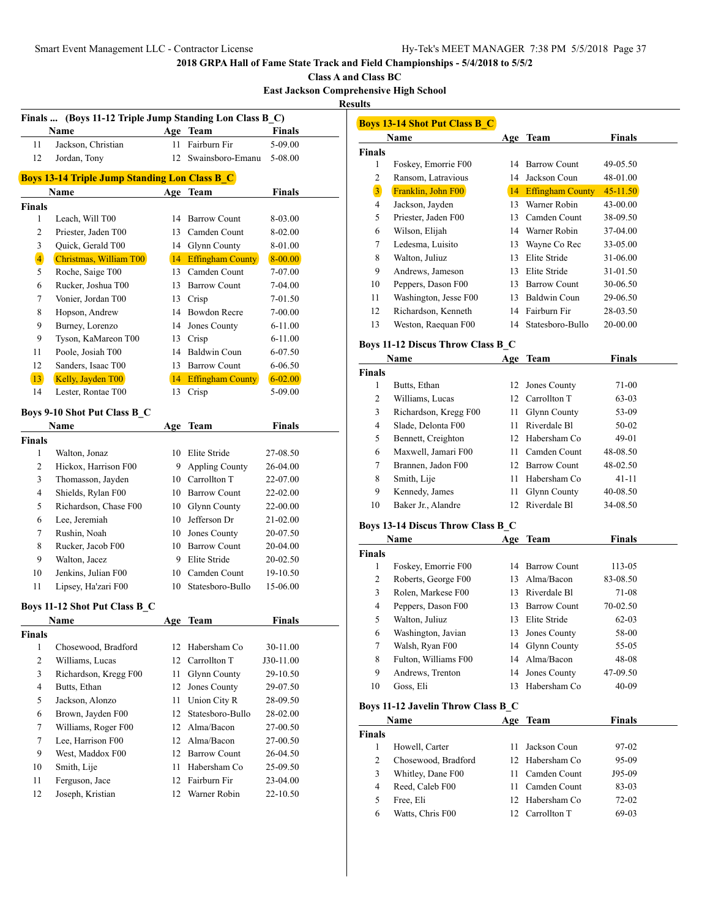**Class A and Class BC**

**East Jackson Comprehensive High School Results**

| Finals  (Boys 11-12 Triple Jump Standing Lon Class B_C) |                                     |     |                         |               |  |  |  |
|---------------------------------------------------------|-------------------------------------|-----|-------------------------|---------------|--|--|--|
|                                                         | Name                                |     | Age Team                | <b>Finals</b> |  |  |  |
| 11                                                      | Jackson, Christian                  | 11  | Fairburn Fir            | 5-09.00       |  |  |  |
| 12                                                      | Jordan, Tony                        | 12  | Swainsboro-Emanu        | 5-08.00       |  |  |  |
| <b>Boys 13-14 Triple Jump Standing Lon Class B_C</b>    |                                     |     |                         |               |  |  |  |
|                                                         | Name                                |     | Age Team                | <b>Finals</b> |  |  |  |
| Finals                                                  |                                     |     |                         |               |  |  |  |
| 1                                                       | Leach, Will T00                     |     | 14 Barrow Count         | 8-03.00       |  |  |  |
| $\mathbf{2}$                                            | Priester, Jaden T00                 |     | 13 Camden Count         | 8-02.00       |  |  |  |
| 3                                                       | Quick, Gerald T00                   |     | 14 Glynn County         | 8-01.00       |  |  |  |
| $\overline{4}$                                          | Christmas, William T00              | 14  | <b>Effingham County</b> | $8 - 00.00$   |  |  |  |
| 5                                                       | Roche, Saige T00                    | 13  | Camden Count            | 7-07.00       |  |  |  |
| 6                                                       | Rucker, Joshua T00                  |     | 13 Barrow Count         | 7-04.00       |  |  |  |
| 7                                                       | Vonier, Jordan T00                  |     | 13 Crisp                | 7-01.50       |  |  |  |
| 8                                                       | Hopson, Andrew                      |     | 14 Bowdon Recre         | 7-00.00       |  |  |  |
| 9                                                       | Burney, Lorenzo                     | 14  | Jones County            | $6 - 11.00$   |  |  |  |
| 9                                                       | Tyson, KaMareon T00                 |     | 13 Crisp                | $6 - 11.00$   |  |  |  |
| 11                                                      | Poole, Josiah T00                   | 14  | Baldwin Coun            | 6-07.50       |  |  |  |
| 12                                                      | Sanders, Isaac T00                  |     | 13 Barrow Count         | 6-06.50       |  |  |  |
| 13                                                      | Kelly, Jayden T00                   | 14  | <b>Effingham County</b> | $6 - 02.00$   |  |  |  |
| 14                                                      | Lester, Rontae T00                  | 13  | Crisp                   | 5-09.00       |  |  |  |
|                                                         |                                     |     |                         |               |  |  |  |
|                                                         | <b>Boys 9-10 Shot Put Class B C</b> |     |                         |               |  |  |  |
|                                                         | Name                                | Age | Team                    | Finals        |  |  |  |
| Finals<br>1                                             | Walton, Jonaz                       | 10  | Elite Stride            | 27-08.50      |  |  |  |
| 2                                                       | Hickox, Harrison F00                | 9.  | <b>Appling County</b>   | 26-04.00      |  |  |  |
| 3                                                       | Thomasson, Jayden                   |     | 10 Carrollton T         | 22-07.00      |  |  |  |
| 4                                                       | Shields, Rylan F00                  |     | 10 Barrow Count         | 22-02.00      |  |  |  |
| 5                                                       | Richardson, Chase F00               |     | 10 Glynn County         | 22-00.00      |  |  |  |
| 6                                                       | Lee, Jeremiah                       |     | 10 Jefferson Dr         | 21-02.00      |  |  |  |
| 7                                                       | Rushin, Noah                        |     | 10 Jones County         | 20-07.50      |  |  |  |
| 8                                                       | Rucker, Jacob F00                   |     | 10 Barrow Count         | 20-04.00      |  |  |  |
| 9                                                       | Walton, Jacez                       |     | 9 Elite Stride          | 20-02.50      |  |  |  |
| 10                                                      | Jenkins, Julian F00                 |     | 10 Camden Count         | 19-10.50      |  |  |  |
| 11                                                      | Lipsey, Ha'zari F00                 | 10  | Statesboro-Bullo        | 15-06.00      |  |  |  |
|                                                         |                                     |     |                         |               |  |  |  |
| <b>Boys 11-12 Shot Put Class B C</b>                    |                                     |     |                         |               |  |  |  |
|                                                         | Name                                |     | Age Team                | Finals        |  |  |  |
| Finals                                                  |                                     |     |                         |               |  |  |  |
| 1                                                       | Chosewood, Bradford                 | 12  | Habersham Co            | 30-11.00      |  |  |  |
| $\overline{c}$                                          | Williams, Lucas                     | 12  | Carrollton T            | J30-11.00     |  |  |  |
| 3                                                       | Richardson, Kregg F00               | 11  | <b>Glynn County</b>     | 29-10.50      |  |  |  |
| $\overline{4}$                                          | Butts, Ethan                        | 12  | Jones County            | 29-07.50      |  |  |  |
| 5                                                       | Jackson, Alonzo                     | 11  | Union City R            | 28-09.50      |  |  |  |
| 6                                                       | Brown, Jayden F00                   | 12  | Statesboro-Bullo        | 28-02.00      |  |  |  |
| 7                                                       | Williams, Roger F00                 | 12  | Alma/Bacon              | 27-00.50      |  |  |  |
| 7                                                       | Lee, Harrison F00                   | 12  | Alma/Bacon              | 27-00.50      |  |  |  |
| 9                                                       | West, Maddox F00                    | 12  | <b>Barrow Count</b>     | 26-04.50      |  |  |  |
| 10                                                      | Smith, Lije                         | 11  | Habersham Co            | 25-09.50      |  |  |  |
| 11                                                      | Ferguson, Jace                      | 12  | Fairburn Fir            | 23-04.00      |  |  |  |
| 12                                                      | Joseph, Kristian                    | 12  | Warner Robin            | 22-10.50      |  |  |  |

| Name<br>Age Team<br><b>Finals</b><br>1<br>Foskey, Emorrie F00<br>14 Barrow Count<br>$\overline{2}$<br>Ransom, Latravious<br>14 Jackson Coun<br>$\overline{3}$<br>Franklin, John F00<br>14 Effingham County<br>13 Warner Robin<br>4<br>Jackson, Jayden<br>5<br>Priester, Jaden F00<br>13 Camden Count<br>6<br>Wilson, Elijah<br>14 Warner Robin<br>Ledesma, Luisito<br>13 Wayne Co Rec<br>7<br>8<br>Walton, Juliuz<br>13 Elite Stride<br>13 Elite Stride<br>9<br>Andrews, Jameson<br>10<br>Peppers, Dason F00<br>13 Barrow Count<br>Washington, Jesse F00<br>13 Baldwin Coun<br>11<br>Richardson, Kenneth<br>12<br>14 Fairburn Fir<br>13<br>Weston, Raequan F00<br>14 Statesboro-Bullo<br><b>Boys 11-12 Discus Throw Class B C</b><br>Name<br>Age Team<br><b>Finals</b><br>Butts, Ethan<br>Jones County<br>1<br>12<br>2<br>12 Carrollton T<br>Williams, Lucas<br>3<br>Richardson, Kregg F00<br>11 -<br>Glynn County<br>Slade, Delonta F00<br>11 Riverdale Bl<br>4<br>5<br>Bennett, Creighton<br>12 Habersham Co<br>Maxwell, Jamari F00<br>6<br>11 Camden Count<br>7<br>Brannen, Jadon F00<br>12 Barrow Count<br>8<br>Smith, Lije<br>Habersham Co<br>11.<br>9<br>Kennedy, James<br>11<br>Glynn County<br>12 Riverdale Bl<br>10<br>Baker Jr., Alandre<br><b>Boys 13-14 Discus Throw Class B C</b><br>Name<br>Age Team<br><b>Finals</b><br>Foskey, Emorrie F00<br>14 Barrow Count<br>1<br>2<br>Roberts, George F00<br>13 Alma/Bacon<br>Rolen, Markese F00<br>3<br>13 Riverdale Bl<br>4<br>Peppers, Dason F00<br>13 Barrow Count<br>5<br>Walton, Juliuz<br>13 Elite Stride<br>6<br>Washington, Javian<br>13<br>Jones County<br>Walsh, Ryan F00<br>7<br>14 Glynn County<br>8<br>Fulton, Williams F00<br>Alma/Bacon<br>14<br>Andrews, Trenton<br>9<br>14<br>Jones County<br>10<br>Goss, Eli<br>13<br>Habersham Co<br>Boys 11-12 Javelin Throw Class B_C<br><b>Team</b><br>Name<br>Age<br>Finals | <b>Finals</b><br>49-05.50<br>48-01.00<br>$45 - 11.50$<br>43-00.00<br>38-09.50<br>37-04.00<br>33-05.00<br>31-06.00<br>31-01.50<br>30-06.50<br>29-06.50<br>28-03.50<br>20-00.00<br><b>Finals</b><br>71-00<br>63-03<br>53-09<br>50-02<br>49-01<br>48-08.50<br>48-02.50<br>41-11<br>40-08.50<br>34-08.50<br><b>Finals</b><br>113-05<br>83-08.50<br>71-08<br>70-02.50<br>$62 - 03$<br>58-00<br>55-05<br>48-08<br>47-09.50<br>40-09<br><b>Finals</b><br>Howell, Carter<br>11<br>Jackson Coun<br>1<br>97-02 | <b>Boys 13-14 Shot Put Class B_C</b> |  |  |
|------------------------------------------------------------------------------------------------------------------------------------------------------------------------------------------------------------------------------------------------------------------------------------------------------------------------------------------------------------------------------------------------------------------------------------------------------------------------------------------------------------------------------------------------------------------------------------------------------------------------------------------------------------------------------------------------------------------------------------------------------------------------------------------------------------------------------------------------------------------------------------------------------------------------------------------------------------------------------------------------------------------------------------------------------------------------------------------------------------------------------------------------------------------------------------------------------------------------------------------------------------------------------------------------------------------------------------------------------------------------------------------------------------------------------------------------------------------------------------------------------------------------------------------------------------------------------------------------------------------------------------------------------------------------------------------------------------------------------------------------------------------------------------------------------------------------------------------------------------------------------------------|------------------------------------------------------------------------------------------------------------------------------------------------------------------------------------------------------------------------------------------------------------------------------------------------------------------------------------------------------------------------------------------------------------------------------------------------------------------------------------------------------|--------------------------------------|--|--|
|                                                                                                                                                                                                                                                                                                                                                                                                                                                                                                                                                                                                                                                                                                                                                                                                                                                                                                                                                                                                                                                                                                                                                                                                                                                                                                                                                                                                                                                                                                                                                                                                                                                                                                                                                                                                                                                                                          |                                                                                                                                                                                                                                                                                                                                                                                                                                                                                                      |                                      |  |  |
|                                                                                                                                                                                                                                                                                                                                                                                                                                                                                                                                                                                                                                                                                                                                                                                                                                                                                                                                                                                                                                                                                                                                                                                                                                                                                                                                                                                                                                                                                                                                                                                                                                                                                                                                                                                                                                                                                          |                                                                                                                                                                                                                                                                                                                                                                                                                                                                                                      |                                      |  |  |
|                                                                                                                                                                                                                                                                                                                                                                                                                                                                                                                                                                                                                                                                                                                                                                                                                                                                                                                                                                                                                                                                                                                                                                                                                                                                                                                                                                                                                                                                                                                                                                                                                                                                                                                                                                                                                                                                                          |                                                                                                                                                                                                                                                                                                                                                                                                                                                                                                      |                                      |  |  |
|                                                                                                                                                                                                                                                                                                                                                                                                                                                                                                                                                                                                                                                                                                                                                                                                                                                                                                                                                                                                                                                                                                                                                                                                                                                                                                                                                                                                                                                                                                                                                                                                                                                                                                                                                                                                                                                                                          |                                                                                                                                                                                                                                                                                                                                                                                                                                                                                                      |                                      |  |  |
|                                                                                                                                                                                                                                                                                                                                                                                                                                                                                                                                                                                                                                                                                                                                                                                                                                                                                                                                                                                                                                                                                                                                                                                                                                                                                                                                                                                                                                                                                                                                                                                                                                                                                                                                                                                                                                                                                          |                                                                                                                                                                                                                                                                                                                                                                                                                                                                                                      |                                      |  |  |
|                                                                                                                                                                                                                                                                                                                                                                                                                                                                                                                                                                                                                                                                                                                                                                                                                                                                                                                                                                                                                                                                                                                                                                                                                                                                                                                                                                                                                                                                                                                                                                                                                                                                                                                                                                                                                                                                                          |                                                                                                                                                                                                                                                                                                                                                                                                                                                                                                      |                                      |  |  |
|                                                                                                                                                                                                                                                                                                                                                                                                                                                                                                                                                                                                                                                                                                                                                                                                                                                                                                                                                                                                                                                                                                                                                                                                                                                                                                                                                                                                                                                                                                                                                                                                                                                                                                                                                                                                                                                                                          |                                                                                                                                                                                                                                                                                                                                                                                                                                                                                                      |                                      |  |  |
|                                                                                                                                                                                                                                                                                                                                                                                                                                                                                                                                                                                                                                                                                                                                                                                                                                                                                                                                                                                                                                                                                                                                                                                                                                                                                                                                                                                                                                                                                                                                                                                                                                                                                                                                                                                                                                                                                          |                                                                                                                                                                                                                                                                                                                                                                                                                                                                                                      |                                      |  |  |
|                                                                                                                                                                                                                                                                                                                                                                                                                                                                                                                                                                                                                                                                                                                                                                                                                                                                                                                                                                                                                                                                                                                                                                                                                                                                                                                                                                                                                                                                                                                                                                                                                                                                                                                                                                                                                                                                                          |                                                                                                                                                                                                                                                                                                                                                                                                                                                                                                      |                                      |  |  |
|                                                                                                                                                                                                                                                                                                                                                                                                                                                                                                                                                                                                                                                                                                                                                                                                                                                                                                                                                                                                                                                                                                                                                                                                                                                                                                                                                                                                                                                                                                                                                                                                                                                                                                                                                                                                                                                                                          |                                                                                                                                                                                                                                                                                                                                                                                                                                                                                                      |                                      |  |  |
|                                                                                                                                                                                                                                                                                                                                                                                                                                                                                                                                                                                                                                                                                                                                                                                                                                                                                                                                                                                                                                                                                                                                                                                                                                                                                                                                                                                                                                                                                                                                                                                                                                                                                                                                                                                                                                                                                          |                                                                                                                                                                                                                                                                                                                                                                                                                                                                                                      |                                      |  |  |
|                                                                                                                                                                                                                                                                                                                                                                                                                                                                                                                                                                                                                                                                                                                                                                                                                                                                                                                                                                                                                                                                                                                                                                                                                                                                                                                                                                                                                                                                                                                                                                                                                                                                                                                                                                                                                                                                                          |                                                                                                                                                                                                                                                                                                                                                                                                                                                                                                      |                                      |  |  |
|                                                                                                                                                                                                                                                                                                                                                                                                                                                                                                                                                                                                                                                                                                                                                                                                                                                                                                                                                                                                                                                                                                                                                                                                                                                                                                                                                                                                                                                                                                                                                                                                                                                                                                                                                                                                                                                                                          |                                                                                                                                                                                                                                                                                                                                                                                                                                                                                                      |                                      |  |  |
|                                                                                                                                                                                                                                                                                                                                                                                                                                                                                                                                                                                                                                                                                                                                                                                                                                                                                                                                                                                                                                                                                                                                                                                                                                                                                                                                                                                                                                                                                                                                                                                                                                                                                                                                                                                                                                                                                          |                                                                                                                                                                                                                                                                                                                                                                                                                                                                                                      |                                      |  |  |
|                                                                                                                                                                                                                                                                                                                                                                                                                                                                                                                                                                                                                                                                                                                                                                                                                                                                                                                                                                                                                                                                                                                                                                                                                                                                                                                                                                                                                                                                                                                                                                                                                                                                                                                                                                                                                                                                                          |                                                                                                                                                                                                                                                                                                                                                                                                                                                                                                      |                                      |  |  |
|                                                                                                                                                                                                                                                                                                                                                                                                                                                                                                                                                                                                                                                                                                                                                                                                                                                                                                                                                                                                                                                                                                                                                                                                                                                                                                                                                                                                                                                                                                                                                                                                                                                                                                                                                                                                                                                                                          |                                                                                                                                                                                                                                                                                                                                                                                                                                                                                                      |                                      |  |  |
|                                                                                                                                                                                                                                                                                                                                                                                                                                                                                                                                                                                                                                                                                                                                                                                                                                                                                                                                                                                                                                                                                                                                                                                                                                                                                                                                                                                                                                                                                                                                                                                                                                                                                                                                                                                                                                                                                          |                                                                                                                                                                                                                                                                                                                                                                                                                                                                                                      |                                      |  |  |
|                                                                                                                                                                                                                                                                                                                                                                                                                                                                                                                                                                                                                                                                                                                                                                                                                                                                                                                                                                                                                                                                                                                                                                                                                                                                                                                                                                                                                                                                                                                                                                                                                                                                                                                                                                                                                                                                                          |                                                                                                                                                                                                                                                                                                                                                                                                                                                                                                      |                                      |  |  |
|                                                                                                                                                                                                                                                                                                                                                                                                                                                                                                                                                                                                                                                                                                                                                                                                                                                                                                                                                                                                                                                                                                                                                                                                                                                                                                                                                                                                                                                                                                                                                                                                                                                                                                                                                                                                                                                                                          |                                                                                                                                                                                                                                                                                                                                                                                                                                                                                                      |                                      |  |  |
|                                                                                                                                                                                                                                                                                                                                                                                                                                                                                                                                                                                                                                                                                                                                                                                                                                                                                                                                                                                                                                                                                                                                                                                                                                                                                                                                                                                                                                                                                                                                                                                                                                                                                                                                                                                                                                                                                          |                                                                                                                                                                                                                                                                                                                                                                                                                                                                                                      |                                      |  |  |
|                                                                                                                                                                                                                                                                                                                                                                                                                                                                                                                                                                                                                                                                                                                                                                                                                                                                                                                                                                                                                                                                                                                                                                                                                                                                                                                                                                                                                                                                                                                                                                                                                                                                                                                                                                                                                                                                                          |                                                                                                                                                                                                                                                                                                                                                                                                                                                                                                      |                                      |  |  |
|                                                                                                                                                                                                                                                                                                                                                                                                                                                                                                                                                                                                                                                                                                                                                                                                                                                                                                                                                                                                                                                                                                                                                                                                                                                                                                                                                                                                                                                                                                                                                                                                                                                                                                                                                                                                                                                                                          |                                                                                                                                                                                                                                                                                                                                                                                                                                                                                                      |                                      |  |  |
|                                                                                                                                                                                                                                                                                                                                                                                                                                                                                                                                                                                                                                                                                                                                                                                                                                                                                                                                                                                                                                                                                                                                                                                                                                                                                                                                                                                                                                                                                                                                                                                                                                                                                                                                                                                                                                                                                          |                                                                                                                                                                                                                                                                                                                                                                                                                                                                                                      |                                      |  |  |
|                                                                                                                                                                                                                                                                                                                                                                                                                                                                                                                                                                                                                                                                                                                                                                                                                                                                                                                                                                                                                                                                                                                                                                                                                                                                                                                                                                                                                                                                                                                                                                                                                                                                                                                                                                                                                                                                                          |                                                                                                                                                                                                                                                                                                                                                                                                                                                                                                      |                                      |  |  |
|                                                                                                                                                                                                                                                                                                                                                                                                                                                                                                                                                                                                                                                                                                                                                                                                                                                                                                                                                                                                                                                                                                                                                                                                                                                                                                                                                                                                                                                                                                                                                                                                                                                                                                                                                                                                                                                                                          |                                                                                                                                                                                                                                                                                                                                                                                                                                                                                                      |                                      |  |  |
|                                                                                                                                                                                                                                                                                                                                                                                                                                                                                                                                                                                                                                                                                                                                                                                                                                                                                                                                                                                                                                                                                                                                                                                                                                                                                                                                                                                                                                                                                                                                                                                                                                                                                                                                                                                                                                                                                          |                                                                                                                                                                                                                                                                                                                                                                                                                                                                                                      |                                      |  |  |
|                                                                                                                                                                                                                                                                                                                                                                                                                                                                                                                                                                                                                                                                                                                                                                                                                                                                                                                                                                                                                                                                                                                                                                                                                                                                                                                                                                                                                                                                                                                                                                                                                                                                                                                                                                                                                                                                                          |                                                                                                                                                                                                                                                                                                                                                                                                                                                                                                      |                                      |  |  |
|                                                                                                                                                                                                                                                                                                                                                                                                                                                                                                                                                                                                                                                                                                                                                                                                                                                                                                                                                                                                                                                                                                                                                                                                                                                                                                                                                                                                                                                                                                                                                                                                                                                                                                                                                                                                                                                                                          |                                                                                                                                                                                                                                                                                                                                                                                                                                                                                                      |                                      |  |  |
|                                                                                                                                                                                                                                                                                                                                                                                                                                                                                                                                                                                                                                                                                                                                                                                                                                                                                                                                                                                                                                                                                                                                                                                                                                                                                                                                                                                                                                                                                                                                                                                                                                                                                                                                                                                                                                                                                          |                                                                                                                                                                                                                                                                                                                                                                                                                                                                                                      |                                      |  |  |
|                                                                                                                                                                                                                                                                                                                                                                                                                                                                                                                                                                                                                                                                                                                                                                                                                                                                                                                                                                                                                                                                                                                                                                                                                                                                                                                                                                                                                                                                                                                                                                                                                                                                                                                                                                                                                                                                                          |                                                                                                                                                                                                                                                                                                                                                                                                                                                                                                      |                                      |  |  |
|                                                                                                                                                                                                                                                                                                                                                                                                                                                                                                                                                                                                                                                                                                                                                                                                                                                                                                                                                                                                                                                                                                                                                                                                                                                                                                                                                                                                                                                                                                                                                                                                                                                                                                                                                                                                                                                                                          |                                                                                                                                                                                                                                                                                                                                                                                                                                                                                                      |                                      |  |  |
|                                                                                                                                                                                                                                                                                                                                                                                                                                                                                                                                                                                                                                                                                                                                                                                                                                                                                                                                                                                                                                                                                                                                                                                                                                                                                                                                                                                                                                                                                                                                                                                                                                                                                                                                                                                                                                                                                          |                                                                                                                                                                                                                                                                                                                                                                                                                                                                                                      |                                      |  |  |
|                                                                                                                                                                                                                                                                                                                                                                                                                                                                                                                                                                                                                                                                                                                                                                                                                                                                                                                                                                                                                                                                                                                                                                                                                                                                                                                                                                                                                                                                                                                                                                                                                                                                                                                                                                                                                                                                                          |                                                                                                                                                                                                                                                                                                                                                                                                                                                                                                      |                                      |  |  |
|                                                                                                                                                                                                                                                                                                                                                                                                                                                                                                                                                                                                                                                                                                                                                                                                                                                                                                                                                                                                                                                                                                                                                                                                                                                                                                                                                                                                                                                                                                                                                                                                                                                                                                                                                                                                                                                                                          |                                                                                                                                                                                                                                                                                                                                                                                                                                                                                                      |                                      |  |  |
|                                                                                                                                                                                                                                                                                                                                                                                                                                                                                                                                                                                                                                                                                                                                                                                                                                                                                                                                                                                                                                                                                                                                                                                                                                                                                                                                                                                                                                                                                                                                                                                                                                                                                                                                                                                                                                                                                          |                                                                                                                                                                                                                                                                                                                                                                                                                                                                                                      |                                      |  |  |
|                                                                                                                                                                                                                                                                                                                                                                                                                                                                                                                                                                                                                                                                                                                                                                                                                                                                                                                                                                                                                                                                                                                                                                                                                                                                                                                                                                                                                                                                                                                                                                                                                                                                                                                                                                                                                                                                                          |                                                                                                                                                                                                                                                                                                                                                                                                                                                                                                      |                                      |  |  |
|                                                                                                                                                                                                                                                                                                                                                                                                                                                                                                                                                                                                                                                                                                                                                                                                                                                                                                                                                                                                                                                                                                                                                                                                                                                                                                                                                                                                                                                                                                                                                                                                                                                                                                                                                                                                                                                                                          |                                                                                                                                                                                                                                                                                                                                                                                                                                                                                                      |                                      |  |  |
|                                                                                                                                                                                                                                                                                                                                                                                                                                                                                                                                                                                                                                                                                                                                                                                                                                                                                                                                                                                                                                                                                                                                                                                                                                                                                                                                                                                                                                                                                                                                                                                                                                                                                                                                                                                                                                                                                          |                                                                                                                                                                                                                                                                                                                                                                                                                                                                                                      |                                      |  |  |
|                                                                                                                                                                                                                                                                                                                                                                                                                                                                                                                                                                                                                                                                                                                                                                                                                                                                                                                                                                                                                                                                                                                                                                                                                                                                                                                                                                                                                                                                                                                                                                                                                                                                                                                                                                                                                                                                                          |                                                                                                                                                                                                                                                                                                                                                                                                                                                                                                      |                                      |  |  |
|                                                                                                                                                                                                                                                                                                                                                                                                                                                                                                                                                                                                                                                                                                                                                                                                                                                                                                                                                                                                                                                                                                                                                                                                                                                                                                                                                                                                                                                                                                                                                                                                                                                                                                                                                                                                                                                                                          |                                                                                                                                                                                                                                                                                                                                                                                                                                                                                                      |                                      |  |  |
|                                                                                                                                                                                                                                                                                                                                                                                                                                                                                                                                                                                                                                                                                                                                                                                                                                                                                                                                                                                                                                                                                                                                                                                                                                                                                                                                                                                                                                                                                                                                                                                                                                                                                                                                                                                                                                                                                          |                                                                                                                                                                                                                                                                                                                                                                                                                                                                                                      |                                      |  |  |
|                                                                                                                                                                                                                                                                                                                                                                                                                                                                                                                                                                                                                                                                                                                                                                                                                                                                                                                                                                                                                                                                                                                                                                                                                                                                                                                                                                                                                                                                                                                                                                                                                                                                                                                                                                                                                                                                                          |                                                                                                                                                                                                                                                                                                                                                                                                                                                                                                      |                                      |  |  |
|                                                                                                                                                                                                                                                                                                                                                                                                                                                                                                                                                                                                                                                                                                                                                                                                                                                                                                                                                                                                                                                                                                                                                                                                                                                                                                                                                                                                                                                                                                                                                                                                                                                                                                                                                                                                                                                                                          |                                                                                                                                                                                                                                                                                                                                                                                                                                                                                                      |                                      |  |  |
|                                                                                                                                                                                                                                                                                                                                                                                                                                                                                                                                                                                                                                                                                                                                                                                                                                                                                                                                                                                                                                                                                                                                                                                                                                                                                                                                                                                                                                                                                                                                                                                                                                                                                                                                                                                                                                                                                          |                                                                                                                                                                                                                                                                                                                                                                                                                                                                                                      |                                      |  |  |
|                                                                                                                                                                                                                                                                                                                                                                                                                                                                                                                                                                                                                                                                                                                                                                                                                                                                                                                                                                                                                                                                                                                                                                                                                                                                                                                                                                                                                                                                                                                                                                                                                                                                                                                                                                                                                                                                                          |                                                                                                                                                                                                                                                                                                                                                                                                                                                                                                      |                                      |  |  |
|                                                                                                                                                                                                                                                                                                                                                                                                                                                                                                                                                                                                                                                                                                                                                                                                                                                                                                                                                                                                                                                                                                                                                                                                                                                                                                                                                                                                                                                                                                                                                                                                                                                                                                                                                                                                                                                                                          |                                                                                                                                                                                                                                                                                                                                                                                                                                                                                                      |                                      |  |  |
|                                                                                                                                                                                                                                                                                                                                                                                                                                                                                                                                                                                                                                                                                                                                                                                                                                                                                                                                                                                                                                                                                                                                                                                                                                                                                                                                                                                                                                                                                                                                                                                                                                                                                                                                                                                                                                                                                          |                                                                                                                                                                                                                                                                                                                                                                                                                                                                                                      |                                      |  |  |
| 2<br>12<br>Chosewood, Bradford<br>Habersham Co                                                                                                                                                                                                                                                                                                                                                                                                                                                                                                                                                                                                                                                                                                                                                                                                                                                                                                                                                                                                                                                                                                                                                                                                                                                                                                                                                                                                                                                                                                                                                                                                                                                                                                                                                                                                                                           | 95-09                                                                                                                                                                                                                                                                                                                                                                                                                                                                                                |                                      |  |  |
|                                                                                                                                                                                                                                                                                                                                                                                                                                                                                                                                                                                                                                                                                                                                                                                                                                                                                                                                                                                                                                                                                                                                                                                                                                                                                                                                                                                                                                                                                                                                                                                                                                                                                                                                                                                                                                                                                          |                                                                                                                                                                                                                                                                                                                                                                                                                                                                                                      |                                      |  |  |
| 3<br>Whitley, Dane F00<br>11<br>Camden Count                                                                                                                                                                                                                                                                                                                                                                                                                                                                                                                                                                                                                                                                                                                                                                                                                                                                                                                                                                                                                                                                                                                                                                                                                                                                                                                                                                                                                                                                                                                                                                                                                                                                                                                                                                                                                                             | J95-09                                                                                                                                                                                                                                                                                                                                                                                                                                                                                               |                                      |  |  |
| Reed, Caleb F00<br>4<br>11<br>Camden Count                                                                                                                                                                                                                                                                                                                                                                                                                                                                                                                                                                                                                                                                                                                                                                                                                                                                                                                                                                                                                                                                                                                                                                                                                                                                                                                                                                                                                                                                                                                                                                                                                                                                                                                                                                                                                                               | 83-03                                                                                                                                                                                                                                                                                                                                                                                                                                                                                                |                                      |  |  |
| 5<br>Free, Eli<br>12<br>Habersham Co                                                                                                                                                                                                                                                                                                                                                                                                                                                                                                                                                                                                                                                                                                                                                                                                                                                                                                                                                                                                                                                                                                                                                                                                                                                                                                                                                                                                                                                                                                                                                                                                                                                                                                                                                                                                                                                     | 72-02                                                                                                                                                                                                                                                                                                                                                                                                                                                                                                |                                      |  |  |
|                                                                                                                                                                                                                                                                                                                                                                                                                                                                                                                                                                                                                                                                                                                                                                                                                                                                                                                                                                                                                                                                                                                                                                                                                                                                                                                                                                                                                                                                                                                                                                                                                                                                                                                                                                                                                                                                                          |                                                                                                                                                                                                                                                                                                                                                                                                                                                                                                      |                                      |  |  |
|                                                                                                                                                                                                                                                                                                                                                                                                                                                                                                                                                                                                                                                                                                                                                                                                                                                                                                                                                                                                                                                                                                                                                                                                                                                                                                                                                                                                                                                                                                                                                                                                                                                                                                                                                                                                                                                                                          |                                                                                                                                                                                                                                                                                                                                                                                                                                                                                                      |                                      |  |  |
|                                                                                                                                                                                                                                                                                                                                                                                                                                                                                                                                                                                                                                                                                                                                                                                                                                                                                                                                                                                                                                                                                                                                                                                                                                                                                                                                                                                                                                                                                                                                                                                                                                                                                                                                                                                                                                                                                          |                                                                                                                                                                                                                                                                                                                                                                                                                                                                                                      |                                      |  |  |
|                                                                                                                                                                                                                                                                                                                                                                                                                                                                                                                                                                                                                                                                                                                                                                                                                                                                                                                                                                                                                                                                                                                                                                                                                                                                                                                                                                                                                                                                                                                                                                                                                                                                                                                                                                                                                                                                                          |                                                                                                                                                                                                                                                                                                                                                                                                                                                                                                      |                                      |  |  |
|                                                                                                                                                                                                                                                                                                                                                                                                                                                                                                                                                                                                                                                                                                                                                                                                                                                                                                                                                                                                                                                                                                                                                                                                                                                                                                                                                                                                                                                                                                                                                                                                                                                                                                                                                                                                                                                                                          |                                                                                                                                                                                                                                                                                                                                                                                                                                                                                                      |                                      |  |  |